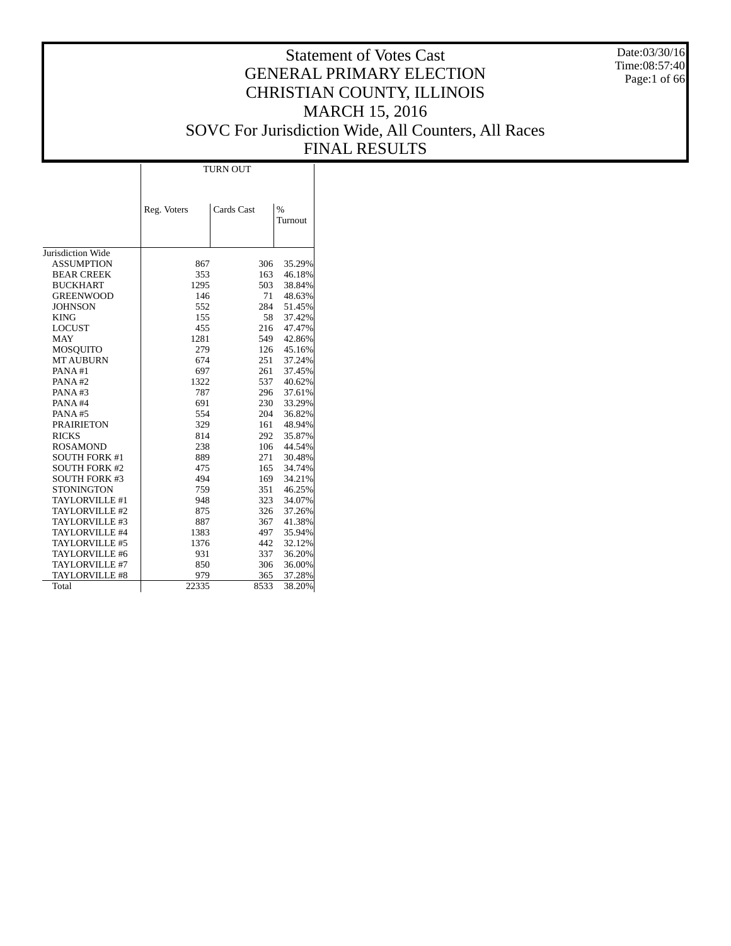Date:03/30/16 Time:08:57:40 Page:1 of 66

# Statement of Votes Cast GENERAL PRIMARY ELECTION CHRISTIAN COUNTY, ILLINOIS MARCH 15, 2016 SOVC For Jurisdiction Wide, All Counters, All Races FINAL RESULTS

|                                              | <b>TURN OUT</b> |            |                          |  |  |  |  |
|----------------------------------------------|-----------------|------------|--------------------------|--|--|--|--|
|                                              |                 |            |                          |  |  |  |  |
|                                              | Reg. Voters     | Cards Cast | $\frac{0}{0}$<br>Turnout |  |  |  |  |
| Jurisdiction Wide                            |                 |            |                          |  |  |  |  |
|                                              |                 |            |                          |  |  |  |  |
| <b>ASSUMPTION</b>                            | 867             | 306        | 35.29%                   |  |  |  |  |
| <b>BEAR CREEK</b>                            | 353             | 163        | 46.18%                   |  |  |  |  |
| <b>BUCKHART</b>                              | 1295            | 503        | 38.84%                   |  |  |  |  |
| <b>GREENWOOD</b>                             | 146             | 71         | 48.63%                   |  |  |  |  |
| JOHNSON                                      | 552             | 284        | 51.45%                   |  |  |  |  |
| <b>KING</b>                                  | 155<br>455      | 58<br>216  | 37.42%                   |  |  |  |  |
| <b>LOCUST</b><br><b>MAY</b>                  | 1281            | 549        | 47.47%<br>42.86%         |  |  |  |  |
|                                              | 279             | 126        | 45.16%                   |  |  |  |  |
| <b>MOSQUITO</b>                              | 674             |            | 37.24%                   |  |  |  |  |
| MT AUBURN                                    | 697             | 251        | 37.45%                   |  |  |  |  |
| PANA#1<br>PANA#2                             | 1322            | 261<br>537 |                          |  |  |  |  |
| PANA#3                                       | 787             | 296        | 40.62%<br>37.61%         |  |  |  |  |
| PANA#4                                       | 691             | 230        |                          |  |  |  |  |
| PANA#5                                       | 554             | 204        | 33.29%<br>36.82%         |  |  |  |  |
|                                              |                 |            |                          |  |  |  |  |
| <b>PRAIRIETON</b><br><b>RICKS</b>            | 329             | 161        | 48.94%                   |  |  |  |  |
|                                              | 814             | 292<br>106 | 35.87%                   |  |  |  |  |
| <b>ROSAMOND</b>                              | 238             |            | 44.54%                   |  |  |  |  |
| <b>SOUTH FORK #1</b>                         | 889<br>475      | 271<br>165 | 30.48%                   |  |  |  |  |
| <b>SOUTH FORK #2</b><br><b>SOUTH FORK #3</b> | 494             | 169        | 34.74%                   |  |  |  |  |
| <b>STONINGTON</b>                            | 759             | 351        | 34.21%<br>46.25%         |  |  |  |  |
| TAYLORVILLE #1                               | 948             | 323        | 34.07%                   |  |  |  |  |
| TAYLORVILLE #2                               | 875             | 326        | 37.26%                   |  |  |  |  |
| TAYLORVILLE #3                               | 887             | 367        | 41.38%                   |  |  |  |  |
| TAYLORVILLE #4                               | 1383            | 497        | 35.94%                   |  |  |  |  |
| TAYLORVILLE #5                               | 1376            | 442        | 32.12%                   |  |  |  |  |
| TAYLORVILLE #6                               | 931             | 337        | 36.20%                   |  |  |  |  |
|                                              |                 |            |                          |  |  |  |  |
| TAYLORVILLE #7                               | 850<br>979      | 306<br>365 | 36.00%                   |  |  |  |  |
| TAYLORVILLE #8<br>Total                      | 22335           | 8533       | 37.28%<br>38.20%         |  |  |  |  |
|                                              |                 |            |                          |  |  |  |  |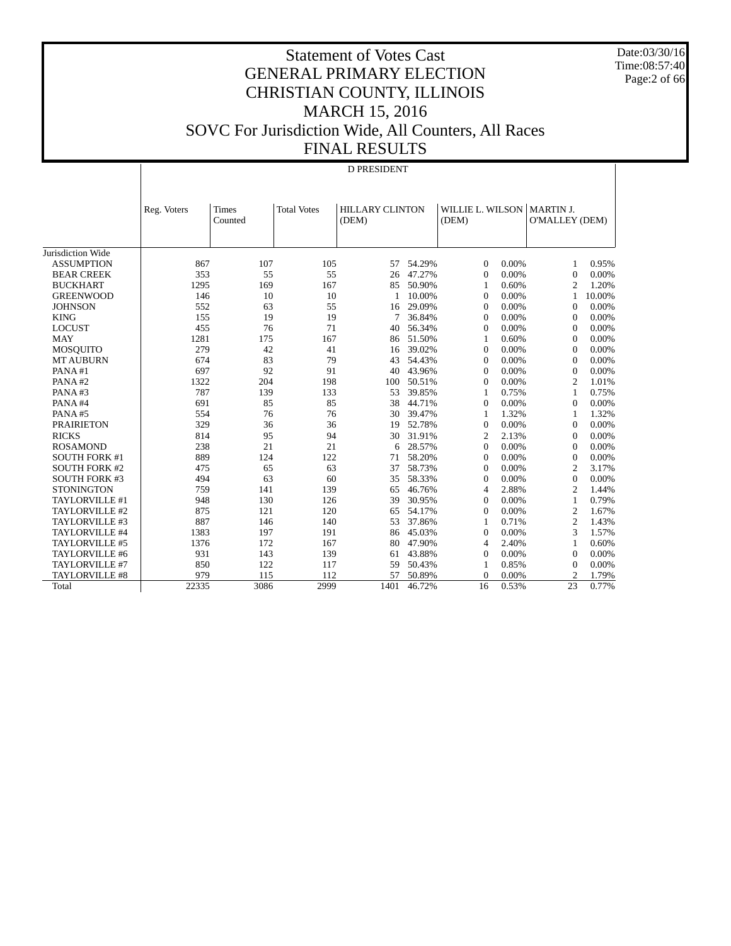Date:03/30/16 Time:08:57:40 Page:2 of 66

|                       | <b>D PRESIDENT</b> |                  |                    |                                 |        |                           |       |                                           |        |
|-----------------------|--------------------|------------------|--------------------|---------------------------------|--------|---------------------------|-------|-------------------------------------------|--------|
|                       | Reg. Voters        | Times<br>Counted | <b>Total Votes</b> | <b>HILLARY CLINTON</b><br>(DEM) |        | WILLIE L. WILSON<br>(DEM) |       | <b>MARTIN J.</b><br><b>O'MALLEY (DEM)</b> |        |
| Jurisdiction Wide     |                    |                  |                    |                                 |        |                           |       |                                           |        |
| <b>ASSUMPTION</b>     | 867                | 107              | 105                | 57                              | 54.29% | $\Omega$                  | 0.00% | 1                                         | 0.95%  |
| <b>BEAR CREEK</b>     | 353                | 55               | 55                 | 26                              | 47.27% | $\mathbf{0}$              | 0.00% | $\theta$                                  | 0.00%  |
| <b>BUCKHART</b>       | 1295               | 169              | 167                | 85                              | 50.90% | 1                         | 0.60% | $\overline{2}$                            | 1.20%  |
| <b>GREENWOOD</b>      | 146                | 10               | 10                 |                                 | 10.00% | $\Omega$                  | 0.00% | 1                                         | 10.00% |
| <b>JOHNSON</b>        | 552                | 63               | 55                 | 16                              | 29.09% | $\Omega$                  | 0.00% | $\overline{0}$                            | 0.00%  |
| <b>KING</b>           | 155                | 19               | 19                 | 7                               | 36.84% | $\mathbf{0}$              | 0.00% | $\overline{0}$                            | 0.00%  |
| <b>LOCUST</b>         | 455                | 76               | 71                 | 40                              | 56.34% | $\mathbf{0}$              | 0.00% | $\theta$                                  | 0.00%  |
| <b>MAY</b>            | 1281               | 175              | 167                | 86                              | 51.50% | 1                         | 0.60% | $\theta$                                  | 0.00%  |
| <b>MOSQUITO</b>       | 279                | 42               | 41                 | 16                              | 39.02% | $\theta$                  | 0.00% | $\theta$                                  | 0.00%  |
| <b>MT AUBURN</b>      | 674                | 83               | 79                 | 43                              | 54.43% | $\mathbf{0}$              | 0.00% | $\Omega$                                  | 0.00%  |
| PANA#1                | 697                | 92               | 91                 | 40                              | 43.96% | $\mathbf{0}$              | 0.00% | $\Omega$                                  | 0.00%  |
| PANA#2                | 1322               | 204              | 198                | 100                             | 50.51% | $\mathbf{0}$              | 0.00% | $\overline{2}$                            | 1.01%  |
| PANA#3                | 787                | 139              | 133                | 53                              | 39.85% | 1                         | 0.75% | 1                                         | 0.75%  |
| PANA#4                | 691                | 85               | 85                 | 38                              | 44.71% | $\mathbf{0}$              | 0.00% | $\overline{0}$                            | 0.00%  |
| PANA#5                | 554                | 76               | 76                 | 30                              | 39.47% | 1                         | 1.32% | 1                                         | 1.32%  |
| <b>PRAIRIETON</b>     | 329                | 36               | 36                 | 19                              | 52.78% | $\mathbf{0}$              | 0.00% | $\mathbf{0}$                              | 0.00%  |
| <b>RICKS</b>          | 814                | 95               | 94                 | 30                              | 31.91% | $\overline{2}$            | 2.13% | $\Omega$                                  | 0.00%  |
| <b>ROSAMOND</b>       | 238                | 21               | 21                 | 6                               | 28.57% | $\theta$                  | 0.00% | $\theta$                                  | 0.00%  |
| <b>SOUTH FORK #1</b>  | 889                | 124              | 122                | 71                              | 58.20% | $\Omega$                  | 0.00% | $\overline{0}$                            | 0.00%  |
| <b>SOUTH FORK #2</b>  | 475                | 65               | 63                 | 37                              | 58.73% | $\Omega$                  | 0.00% | $\overline{2}$                            | 3.17%  |
| <b>SOUTH FORK #3</b>  | 494                | 63               | 60                 | 35                              | 58.33% | $\mathbf{0}$              | 0.00% | $\overline{0}$                            | 0.00%  |
| <b>STONINGTON</b>     | 759                | 141              | 139                | 65                              | 46.76% | 4                         | 2.88% | $\overline{2}$                            | 1.44%  |
| TAYLORVILLE #1        | 948                | 130              | 126                | 39                              | 30.95% | $\Omega$                  | 0.00% | 1                                         | 0.79%  |
| TAYLORVILLE #2        | 875                | 121              | 120                | 65                              | 54.17% | $\mathbf{0}$              | 0.00% | $\overline{c}$                            | 1.67%  |
| TAYLORVILLE #3        | 887                | 146              | 140                | 53                              | 37.86% | 1                         | 0.71% | $\overline{2}$                            | 1.43%  |
| TAYLORVILLE #4        | 1383               | 197              | 191                | 86                              | 45.03% | $\mathbf{0}$              | 0.00% | 3                                         | 1.57%  |
| TAYLORVILLE #5        | 1376               | 172              | 167                | 80                              | 47.90% | $\overline{4}$            | 2.40% | 1                                         | 0.60%  |
| TAYLORVILLE #6        | 931                | 143              | 139                | 61                              | 43.88% | $\mathbf{0}$              | 0.00% | $\theta$                                  | 0.00%  |
| TAYLORVILLE #7        | 850                | 122              | 117                | 59                              | 50.43% | 1                         | 0.85% | $\theta$                                  | 0.00%  |
| <b>TAYLORVILLE #8</b> | 979                | 115              | 112                | 57                              | 50.89% | $\mathbf{0}$              | 0.00% | $\overline{2}$                            | 1.79%  |
| Total                 | 22335              | 3086             | 2999               | 1401                            | 46.72% | 16                        | 0.53% | 23                                        | 0.77%  |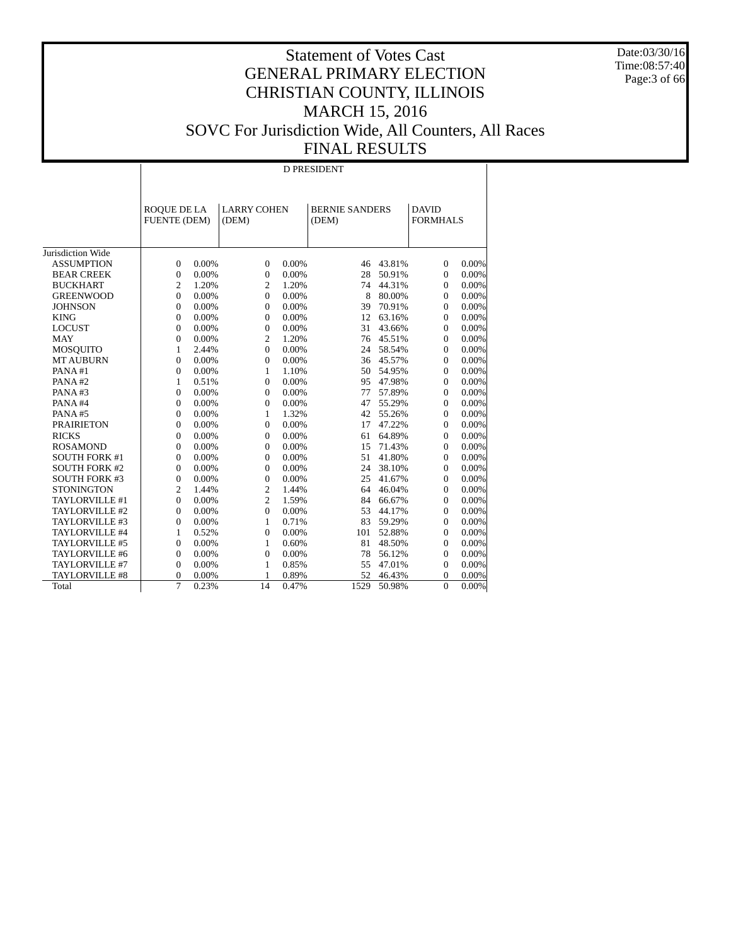Date:03/30/16 Time:08:57:40 Page:3 of 66

#### Statement of Votes Cast GENERAL PRIMARY ELECTION CHRISTIAN COUNTY, ILLINOIS MARCH 15, 2016 SOVC For Jurisdiction Wide, All Counters, All Races FINAL RESULTS

 Jurisdiction Wide ASSUMPTION BEAR CREEK BUCKHART GREENWOOD **JOHNSON**  KING LOCUST MAY MOSQUITO MT AUBURN PANA #1 PANA #2 PANA #3 PANA #4 PANA #5 PRAIRIETON RICKS ROSAMOND SOUTH FORK #1 SOUTH FORK #2 SOUTH FORK #3 **STONINGTON**  TAYLORVILLE #1 TAYLORVILLE #2 TAYLORVILLE #3 TAYLORVILLE #4 TAYLORVILLE #5 TAYLORVILLE #6 TAYLORVILLE #7 TAYLORVILLE #8 **Total**  ROQUE DE LA FUENTE (DEM) LARRY COHEN (DEM) BERNIE SANDERS (DEM) DAVID FORMHALS D PRESIDENT  $\begin{array}{ccccccccccc} 0 & 0.00\% & & & 0 & 0.00\% & & & 46 & 43.81\% & & & 0 & 0.00\% \\ 0 & 0.00\% & & & 0 & 0.00\% & & & 28 & 50.91\% & & & 0 & 0.00\% \end{array}$ 28 50.91% 0 0.00%<br>74 44.31% 0 0.00% 2 1.20% 2 1.20% 74 44.31% 0 0.00% 0 0.00% 0 0.00% 8 80.00% 0 0.00% 0 0.00% 0 0.00% 39 70.91% 0 0.00%  $\begin{array}{ccccccccccc} 0 & 0.00\% & & & 0 & 0.00\% & & & 12 & 63.16\% & & & 0 & 0.00\% \nonumber \\ 0 & 0.00\% & & & 0 & 0.00\% & & & 31 & 43.66\% & & & 0 & 0.00\% \end{array}$  0 0.00% 0 0.00% 31 43.66% 0 0.00% 0 0.00% 2 1.20% 76 45.51% 0 0.00% 1 2.44% 0 0.00% 24 58.54% 0 0.00% 36 45.57%  $\begin{array}{cccccccc} 0 & 0.00\% & & & 1 & 1.10\% & & & 50 & 54.95\% & & 0 & 0.00\% \\ 1 & 0.51\% & & 0 & 0.00\% & & 95 & 47.98\% & & 0 & 0.00\% \end{array}$  $\begin{array}{ccccccccccc} 1 & 0.51\% & & 0 & 0.00\% & & 95 & 47.98\% & & 0 & 0.00\% \\ 0 & 0.00\% & & 0 & 0.00\% & & 77 & 57.89\% & & 0 & 0.00\% \end{array}$  0 0.00% 0 0.00% 77 57.89% 0 0.00% 0 0.00% 0 0.00% 47 55.29% 0 0.00% 0 0.00% 1 1.32% 42 55.26% 0 0.00% 0 0.00% 0 0.00% 17 47.22% 0 0.00% 0 0.00% 0 0.00% 61 64.89% 0 0.00% 0 0.00% 0 0.00% 15 71.43% 0 0.00% 0 0.00% 0 0.00% 51 41.80% 0 0.00% 0 0.00% 0 0.00% 24 38.10% 0 0.00% 0 0.00% 0 0.00% 25 41.67% 0 0.00% 2 1.44% 2 1.44% 64 46.04% 0 0.00%  $\begin{array}{ccccccccccc} 0 & 0.00\% & & 2 & 1.59\% & & 84 & 66.67\% & & 0 & 0.00\% \\ 0 & 0.00\% & & 0 & 0.00\% & & 53 & 44.17\% & & 0 & 0.00\% \end{array}$  0 0.00% 0 0.00% 53 44.17% 0 0.00%  $\begin{array}{cccccccc} 0 & 0.00\% & & & 1 & 0.71\% & & & 83 & 59.29\% & & & 0 & 0.00\% \\ 1 & 0.52\% & & 0 & 0.00\% & & & 101 & 52.88\% & & & 0 & 0.00\% \end{array}$  $\begin{array}{ccccccccc}\n 1 & 0.52\% & 0 & 0.00\% & & 101 & 52.88\% & & 0 & 0.00\% \\
0 & 0.00\% & & 1 & 0.60\% & & 81 & 48.50\% & & 0 & 0.00\% \end{array}$  0 0.00% 1 0.60% 81 48.50% 0 0.00% 0 0.00% 0 0.00% 78 56.12% 0 0.00% 0 0.00% 1 0.85% 55 47.01% 0 0.00% 0 0.00% 1 0.89% 52 46.43% 0 0.00% 7 0.23% 14 0.47% 1529 50.98% 0 0.00%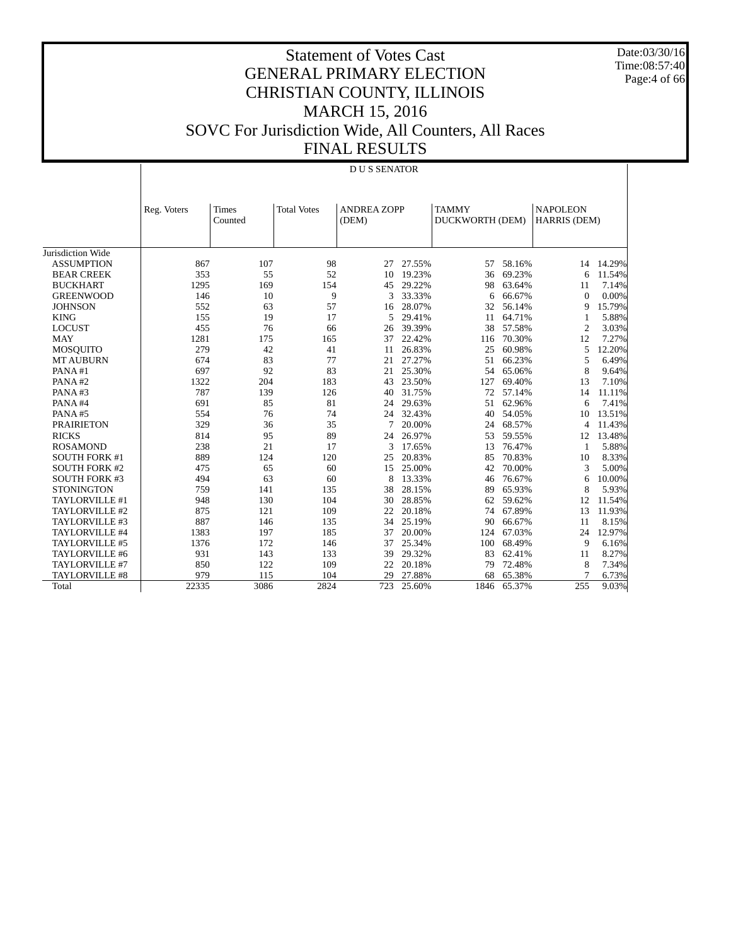Date:03/30/16 Time:08:57:40 Page:4 of 66

|                      | <b>DUS SENATOR</b> |                  |                    |                             |        |                                 |        |                                 |        |
|----------------------|--------------------|------------------|--------------------|-----------------------------|--------|---------------------------------|--------|---------------------------------|--------|
|                      | Reg. Voters        | Times<br>Counted | <b>Total Votes</b> | <b>ANDREA ZOPP</b><br>(DEM) |        | <b>TAMMY</b><br>DUCKWORTH (DEM) |        | <b>NAPOLEON</b><br>HARRIS (DEM) |        |
| Jurisdiction Wide    |                    |                  |                    |                             |        |                                 |        |                                 |        |
| <b>ASSUMPTION</b>    | 867                | 107              | 98                 | 27                          | 27.55% | 57                              | 58.16% | 14                              | 14.29% |
| <b>BEAR CREEK</b>    | 353                | 55               | 52                 | 10                          | 19.23% | 36                              | 69.23% | 6                               | 11.54% |
| <b>BUCKHART</b>      | 1295               | 169              | 154                | 45                          | 29.22% | 98                              | 63.64% | 11                              | 7.14%  |
| <b>GREENWOOD</b>     | 146                | 10               | 9                  | 3                           | 33.33% | 6                               | 66.67% | $\Omega$                        | 0.00%  |
| <b>JOHNSON</b>       | 552                | 63               | 57                 | 16                          | 28.07% | 32                              | 56.14% | 9                               | 15.79% |
| <b>KING</b>          | 155                | 19               | 17                 | 5                           | 29.41% | 11                              | 64.71% | 1                               | 5.88%  |
| <b>LOCUST</b>        | 455                | 76               | 66                 | 26                          | 39.39% | 38                              | 57.58% | 2                               | 3.03%  |
| <b>MAY</b>           | 1281               | 175              | 165                | 37                          | 22.42% | 116                             | 70.30% | 12                              | 7.27%  |
| <b>MOSQUITO</b>      | 279                | 42               | 41                 | 11                          | 26.83% | 25                              | 60.98% | 5                               | 12.20% |
| <b>MT AUBURN</b>     | 674                | 83               | 77                 | 21                          | 27.27% | 51                              | 66.23% | 5                               | 6.49%  |
| PANA#1               | 697                | 92               | 83                 | 21                          | 25.30% | 54                              | 65.06% | 8                               | 9.64%  |
| PANA#2               | 1322               | 204              | 183                | 43                          | 23.50% | 127                             | 69.40% | 13                              | 7.10%  |
| PANA#3               | 787                | 139              | 126                | 40                          | 31.75% | 72                              | 57.14% | 14                              | 11.11% |
| PANA#4               | 691                | 85               | 81                 | 24                          | 29.63% | 51                              | 62.96% | 6                               | 7.41%  |
| PANA#5               | 554                | 76               | 74                 | 24                          | 32.43% | 40                              | 54.05% | 10                              | 13.51% |
| <b>PRAIRIETON</b>    | 329                | 36               | 35                 | 7                           | 20.00% | 24                              | 68.57% | $\overline{4}$                  | 11.43% |
| <b>RICKS</b>         | 814                | 95               | 89                 | 24                          | 26.97% | 53                              | 59.55% | 12                              | 13.48% |
| <b>ROSAMOND</b>      | 238                | 21               | 17                 | 3                           | 17.65% | 13                              | 76.47% | -1                              | 5.88%  |
| <b>SOUTH FORK #1</b> | 889                | 124              | 120                | 25                          | 20.83% | 85                              | 70.83% | 10                              | 8.33%  |
| <b>SOUTH FORK #2</b> | 475                | 65               | 60                 | 15                          | 25.00% | 42                              | 70.00% | 3                               | 5.00%  |
| <b>SOUTH FORK #3</b> | 494                | 63               | 60                 | 8                           | 13.33% | 46                              | 76.67% | 6                               | 10.00% |
| <b>STONINGTON</b>    | 759                | 141              | 135                | 38                          | 28.15% | 89                              | 65.93% | 8                               | 5.93%  |
| TAYLORVILLE #1       | 948                | 130              | 104                | 30                          | 28.85% | 62                              | 59.62% | 12                              | 11.54% |
| TAYLORVILLE #2       | 875                | 121              | 109                | 22                          | 20.18% | 74                              | 67.89% | 13                              | 11.93% |
| TAYLORVILLE #3       | 887                | 146              | 135                | 34                          | 25.19% | 90                              | 66.67% | 11                              | 8.15%  |
| TAYLORVILLE #4       | 1383               | 197              | 185                | 37                          | 20.00% | 124                             | 67.03% | 24                              | 12.97% |
| TAYLORVILLE #5       | 1376               | 172              | 146                | 37                          | 25.34% | 100                             | 68.49% | 9                               | 6.16%  |
| TAYLORVILLE #6       | 931                | 143              | 133                | 39                          | 29.32% | 83                              | 62.41% | 11                              | 8.27%  |
| TAYLORVILLE #7       | 850                | 122              | 109                | 22                          | 20.18% | 79                              | 72.48% | 8                               | 7.34%  |
| TAYLORVILLE #8       | 979                | 115              | 104                | 29                          | 27.88% | 68                              | 65.38% |                                 | 6.73%  |
| Total                | 22335              | 3086             | 2824               | 723                         | 25.60% | 1846                            | 65.37% | 255                             | 9.03%  |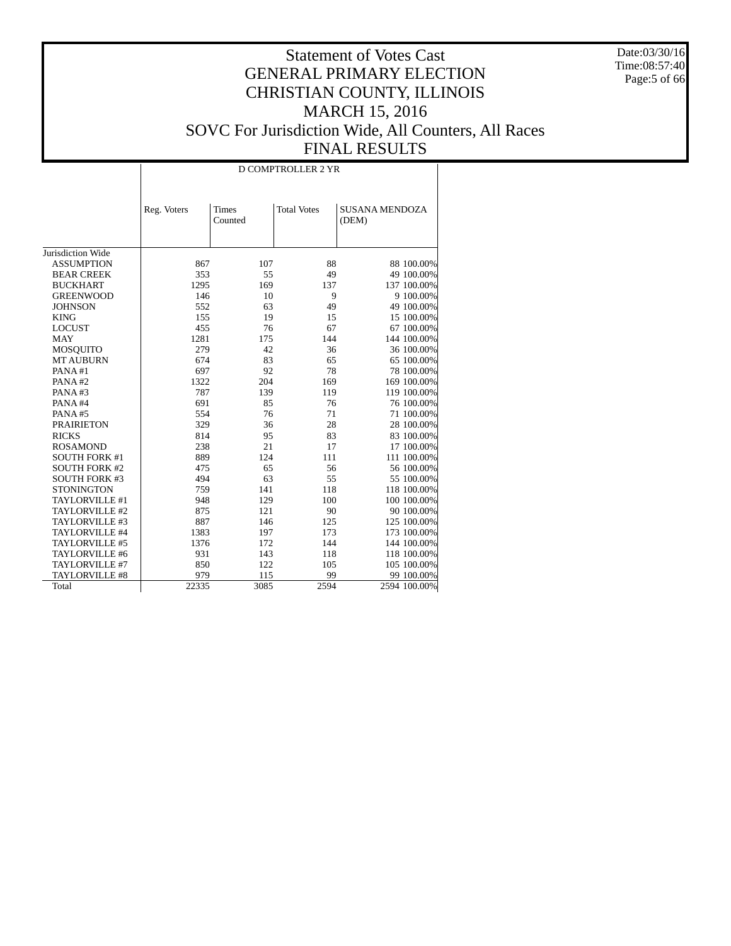Date:03/30/16 Time:08:57:40 Page:5 of 66

|                                        | D COMPTROLLER 2 YR |                         |                    |                                |  |  |  |  |  |
|----------------------------------------|--------------------|-------------------------|--------------------|--------------------------------|--|--|--|--|--|
|                                        | Reg. Voters        | <b>Times</b><br>Counted | <b>Total Votes</b> | <b>SUSANA MENDOZA</b><br>(DEM) |  |  |  |  |  |
|                                        |                    |                         |                    |                                |  |  |  |  |  |
| Jurisdiction Wide<br><b>ASSUMPTION</b> |                    | 107                     | 88                 |                                |  |  |  |  |  |
| <b>BEAR CREEK</b>                      | 867<br>353         | 55                      | 49                 | 88 100.00%                     |  |  |  |  |  |
| <b>BUCKHART</b>                        | 1295               | 169                     | 137                | 49 100.00%<br>137 100.00%      |  |  |  |  |  |
|                                        |                    |                         | 9                  |                                |  |  |  |  |  |
| <b>GREENWOOD</b>                       | 146<br>552         | 10                      |                    | 9 100.00%                      |  |  |  |  |  |
| <b>JOHNSON</b>                         |                    | 63                      | 49                 | 49 100.00%                     |  |  |  |  |  |
| <b>KING</b>                            | 155                | 19                      | 15                 | 15 100.00%                     |  |  |  |  |  |
| <b>LOCUST</b>                          | 455                | 76                      | 67                 | 67 100.00%                     |  |  |  |  |  |
| <b>MAY</b>                             | 1281               | 175<br>42               | 144<br>36          | 144 100.00%                    |  |  |  |  |  |
| <b>MOSQUITO</b>                        | 279<br>674         | 83                      | 65                 | 36 100.00%                     |  |  |  |  |  |
| <b>MT AUBURN</b>                       |                    |                         | 78                 | 65 100.00%                     |  |  |  |  |  |
| PANA#1                                 | 697<br>1322        | 92                      |                    | 78 100.00%                     |  |  |  |  |  |
| PANA#2                                 |                    | 204                     | 169                | 169 100.00%                    |  |  |  |  |  |
| PANA#3                                 | 787                | 139                     | 119                | 119 100.00%                    |  |  |  |  |  |
| PANA#4                                 | 691                | 85                      | 76                 | 76 100.00%                     |  |  |  |  |  |
| PANA#5                                 | 554                | 76                      | 71                 | 71 100.00%                     |  |  |  |  |  |
| <b>PRAIRIETON</b>                      | 329                | 36                      | 28                 | 28 100.00%                     |  |  |  |  |  |
| <b>RICKS</b>                           | 814                | 95                      | 83                 | 83 100.00%                     |  |  |  |  |  |
| <b>ROSAMOND</b>                        | 238                | 21                      | 17                 | 17 100.00%                     |  |  |  |  |  |
| <b>SOUTH FORK #1</b>                   | 889                | 124                     | 111                | 111 100.00%                    |  |  |  |  |  |
| <b>SOUTH FORK #2</b>                   | 475                | 65                      | 56                 | 56 100.00%                     |  |  |  |  |  |
| <b>SOUTH FORK #3</b>                   | 494                | 63                      | 55                 | 55 100.00%                     |  |  |  |  |  |
| <b>STONINGTON</b>                      | 759                | 141                     | 118                | 118 100.00%                    |  |  |  |  |  |
| TAYLORVILLE #1                         | 948                | 129                     | 100                | 100 100.00%                    |  |  |  |  |  |
| TAYLORVILLE #2                         | 875                | 121                     | 90                 | 90 100.00%                     |  |  |  |  |  |
| TAYLORVILLE #3                         | 887                | 146                     | 125                | 125 100.00%                    |  |  |  |  |  |
| TAYLORVILLE #4                         | 1383               | 197                     | 173                | 173 100.00%                    |  |  |  |  |  |
| TAYLORVILLE #5                         | 1376               | 172                     | 144                | 144 100.00%                    |  |  |  |  |  |
| TAYLORVILLE #6                         | 931                | 143                     | 118                | 118 100.00%                    |  |  |  |  |  |
| TAYLORVILLE #7                         | 850                | 122                     | 105                | 105 100.00%                    |  |  |  |  |  |
| <b>TAYLORVILLE #8</b>                  | 979                | 115                     | 99                 | 99 100.00%                     |  |  |  |  |  |
| Total                                  | 22335              | 3085                    | 2594               | 2594 100.00%                   |  |  |  |  |  |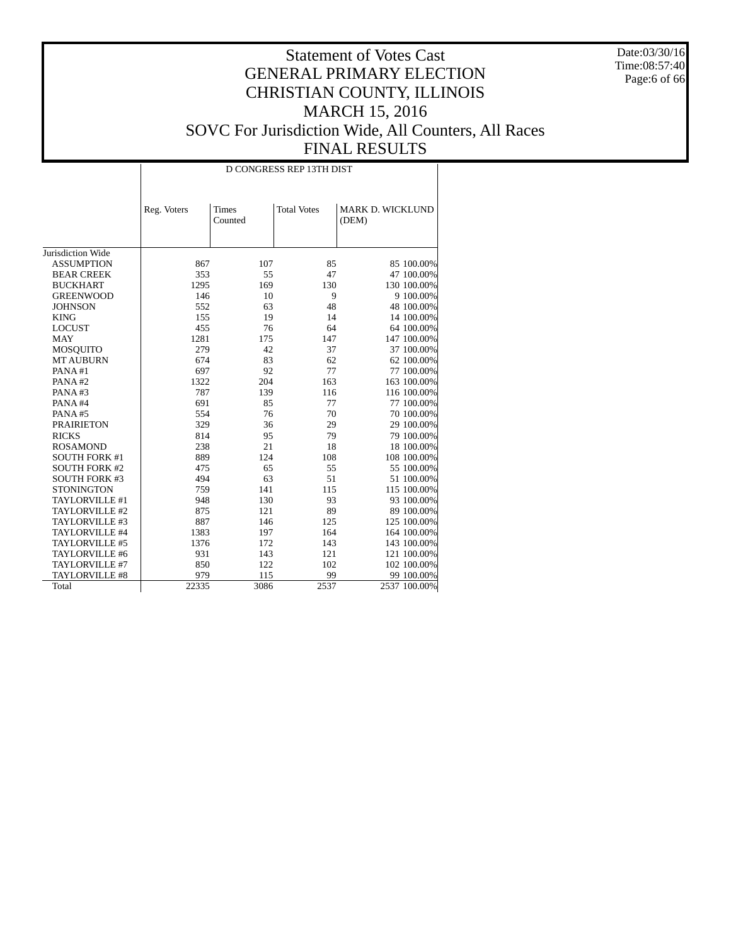Date:03/30/16 Time:08:57:40 Page:6 of 66

|                       | D CONGRESS REP 13TH DIST |                         |                    |                           |  |  |  |  |  |
|-----------------------|--------------------------|-------------------------|--------------------|---------------------------|--|--|--|--|--|
|                       | Reg. Voters              | <b>Times</b><br>Counted | <b>Total Votes</b> | MARK D. WICKLUND<br>(DEM) |  |  |  |  |  |
|                       |                          |                         |                    |                           |  |  |  |  |  |
| Jurisdiction Wide     |                          |                         |                    |                           |  |  |  |  |  |
| <b>ASSUMPTION</b>     | 867                      | 107                     | 85                 | 85 100.00%                |  |  |  |  |  |
| <b>BEAR CREEK</b>     | 353                      | 55                      | 47                 | 47 100.00%                |  |  |  |  |  |
| <b>BUCKHART</b>       | 1295                     | 169                     | 130                | 130 100.00%               |  |  |  |  |  |
| <b>GREENWOOD</b>      | 146                      | 10                      | 9                  | 9 100.00%                 |  |  |  |  |  |
| <b>JOHNSON</b>        | 552                      | 63                      | 48                 | 48 100.00%                |  |  |  |  |  |
| <b>KING</b>           | 155                      | 19                      | 14                 | 14 100.00%                |  |  |  |  |  |
| <b>LOCUST</b>         | 455                      | 76                      | 64                 | 64 100.00%                |  |  |  |  |  |
| <b>MAY</b>            | 1281                     | 175                     | 147                | 147 100.00%               |  |  |  |  |  |
| <b>MOSQUITO</b>       | 279                      | 42                      | 37                 | 37 100.00%                |  |  |  |  |  |
| <b>MT AUBURN</b>      | 674                      | 83                      | 62                 | 62 100.00%                |  |  |  |  |  |
| PANA#1                | 697                      | 92                      | 77                 | 77 100.00%                |  |  |  |  |  |
| PANA#2                | 1322                     | 204                     | 163                | 163 100.00%               |  |  |  |  |  |
| PANA#3                | 787                      | 139                     | 116                | 116 100.00%               |  |  |  |  |  |
| PANA#4                | 691                      | 85                      | 77                 | 77 100.00%                |  |  |  |  |  |
| PANA#5                | 554                      | 76                      | 70                 | 70 100,00%                |  |  |  |  |  |
| <b>PRAIRIETON</b>     | 329                      | 36                      | 29                 | 29 100.00%                |  |  |  |  |  |
| <b>RICKS</b>          | 814                      | 95                      | 79                 | 79 100.00%                |  |  |  |  |  |
| <b>ROSAMOND</b>       | 238                      | 21                      | 18                 | 18 100.00%                |  |  |  |  |  |
| <b>SOUTH FORK #1</b>  | 889                      | 124                     | 108                | 108 100.00%               |  |  |  |  |  |
| <b>SOUTH FORK #2</b>  | 475                      | 65                      | 55                 | 55 100.00%                |  |  |  |  |  |
| <b>SOUTH FORK #3</b>  | 494                      | 63                      | 51                 | 51 100.00%                |  |  |  |  |  |
| <b>STONINGTON</b>     | 759                      | 141                     | 115                | 115 100.00%               |  |  |  |  |  |
| TAYLORVILLE #1        | 948                      | 130                     | 93                 | 93 100.00%                |  |  |  |  |  |
| TAYLORVILLE #2        | 875                      | 121                     | 89                 | 89 100.00%                |  |  |  |  |  |
| TAYLORVILLE #3        | 887                      | 146                     | 125                | 125 100.00%               |  |  |  |  |  |
| TAYLORVILLE #4        | 1383                     | 197                     | 164                | 164 100.00%               |  |  |  |  |  |
| TAYLORVILLE #5        | 1376                     | 172                     | 143                | 143 100.00%               |  |  |  |  |  |
| TAYLORVILLE #6        | 931                      | 143                     | 121                | 121 100.00%               |  |  |  |  |  |
| TAYLORVILLE #7        | 850                      | 122                     | 102                | 102 100.00%               |  |  |  |  |  |
| <b>TAYLORVILLE #8</b> | 979                      | 115                     | 99                 | 99 100.00%                |  |  |  |  |  |
| Total                 | 22335                    | 3086                    | 2537               | 2537 100.00%              |  |  |  |  |  |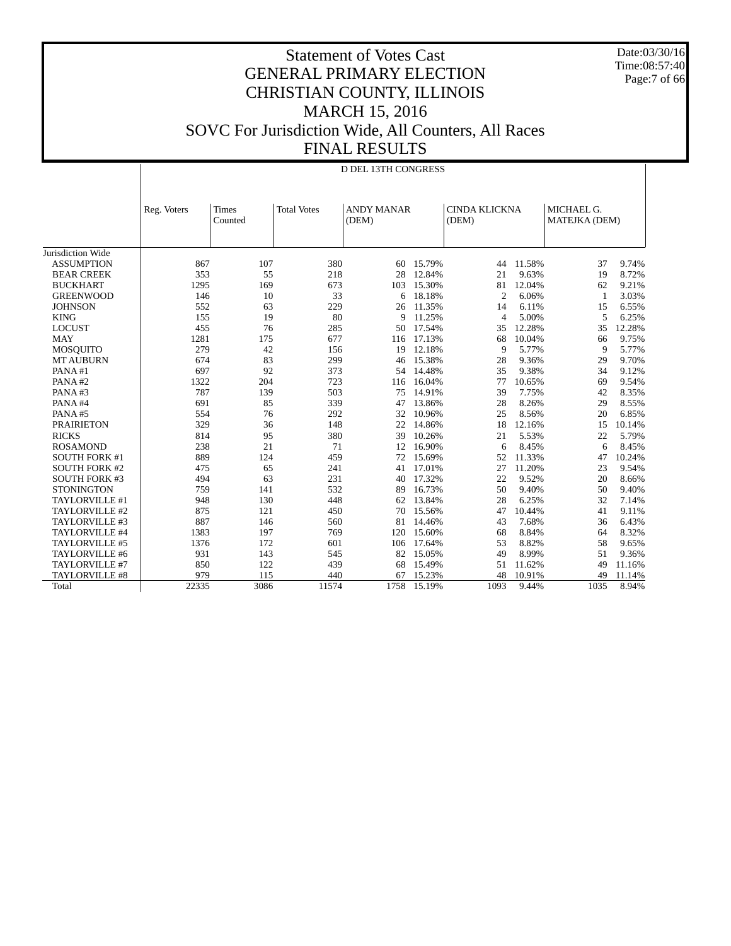Date:03/30/16 Time:08:57:40 Page:7 of 66

|                      | D DEL 13TH CONGRESS |                         |                    |                            |           |                               |        |                             |        |
|----------------------|---------------------|-------------------------|--------------------|----------------------------|-----------|-------------------------------|--------|-----------------------------|--------|
|                      | Reg. Voters         | <b>Times</b><br>Counted | <b>Total Votes</b> | <b>ANDY MANAR</b><br>(DEM) |           | <b>CINDA KLICKNA</b><br>(DEM) |        | MICHAEL G.<br>MATEJKA (DEM) |        |
| Jurisdiction Wide    |                     |                         |                    |                            |           |                               |        |                             |        |
| <b>ASSUMPTION</b>    | 867                 | 107                     | 380                | 60                         | 15.79%    | 44                            | 11.58% | 37                          | 9.74%  |
| <b>BEAR CREEK</b>    | 353                 | 55                      | 218                | 28                         | 12.84%    | 21                            | 9.63%  | 19                          | 8.72%  |
| <b>BUCKHART</b>      | 1295                | 169                     | 673                | 103                        | 15.30%    | 81                            | 12.04% | 62                          | 9.21%  |
| <b>GREENWOOD</b>     | 146                 | 10                      | 33                 | 6                          | 18.18%    | $\overline{2}$                | 6.06%  | -1                          | 3.03%  |
| <b>JOHNSON</b>       | 552                 | 63                      | 229                | 26                         | 11.35%    | 14                            | 6.11%  | 15                          | 6.55%  |
| <b>KING</b>          | 155                 | 19                      | 80                 | 9                          | 11.25%    | $\overline{4}$                | 5.00%  | 5                           | 6.25%  |
| <b>LOCUST</b>        | 455                 | 76                      | 285                | 50                         | 17.54%    | 35                            | 12.28% | 35                          | 12.28% |
| <b>MAY</b>           | 1281                | 175                     | 677                | 116                        | 17.13%    | 68                            | 10.04% | 66                          | 9.75%  |
| <b>MOSQUITO</b>      | 279                 | 42                      | 156                | 19                         | 12.18%    | 9                             | 5.77%  | 9                           | 5.77%  |
| <b>MT AUBURN</b>     | 674                 | 83                      | 299                | 46                         | 15.38%    | 28                            | 9.36%  | 29                          | 9.70%  |
| PANA#1               | 697                 | 92                      | 373                |                            | 54 14.48% | 35                            | 9.38%  | 34                          | 9.12%  |
| PANA#2               | 1322                | 204                     | 723                | 116                        | 16.04%    | 77                            | 10.65% | 69                          | 9.54%  |
| PANA#3               | 787                 | 139                     | 503                | 75                         | 14.91%    | 39                            | 7.75%  | 42                          | 8.35%  |
| PANA#4               | 691                 | 85                      | 339                | 47                         | 13.86%    | 28                            | 8.26%  | 29                          | 8.55%  |
| PANA#5               | 554                 | 76                      | 292                | 32                         | 10.96%    | 25                            | 8.56%  | 20                          | 6.85%  |
| <b>PRAIRIETON</b>    | 329                 | 36                      | 148                | 22                         | 14.86%    | 18                            | 12.16% | 15                          | 10.14% |
| <b>RICKS</b>         | 814                 | 95                      | 380                | 39                         | 10.26%    | 21                            | 5.53%  | 22                          | 5.79%  |
| <b>ROSAMOND</b>      | 238                 | 21                      | 71                 | 12                         | 16.90%    | 6                             | 8.45%  | 6                           | 8.45%  |
| <b>SOUTH FORK #1</b> | 889                 | 124                     | 459                | 72                         | 15.69%    | 52                            | 11.33% | 47                          | 10.24% |
| <b>SOUTH FORK #2</b> | 475                 | 65                      | 241                | 41                         | 17.01%    | 27                            | 11.20% | 23                          | 9.54%  |
| <b>SOUTH FORK #3</b> | 494                 | 63                      | 231                | 40                         | 17.32%    | 22                            | 9.52%  | 20                          | 8.66%  |
| <b>STONINGTON</b>    | 759                 | 141                     | 532                | 89                         | 16.73%    | 50                            | 9.40%  | 50                          | 9.40%  |
| TAYLORVILLE #1       | 948                 | 130                     | 448                | 62                         | 13.84%    | 28                            | 6.25%  | 32                          | 7.14%  |
| TAYLORVILLE #2       | 875                 | 121                     | 450                | 70                         | 15.56%    | 47                            | 10.44% | 41                          | 9.11%  |
| TAYLORVILLE #3       | 887                 | 146                     | 560                | 81                         | 14.46%    | 43                            | 7.68%  | 36                          | 6.43%  |
| TAYLORVILLE #4       | 1383                | 197                     | 769                | 120                        | 15.60%    | 68                            | 8.84%  | 64                          | 8.32%  |
| TAYLORVILLE #5       | 1376                | 172                     | 601                | 106                        | 17.64%    | 53                            | 8.82%  | 58                          | 9.65%  |
| TAYLORVILLE #6       | 931                 | 143                     | 545                | 82                         | 15.05%    | 49                            | 8.99%  | 51                          | 9.36%  |
| TAYLORVILLE #7       | 850                 | 122                     | 439                | 68                         | 15.49%    | 51                            | 11.62% | 49                          | 11.16% |
| TAYLORVILLE #8       | 979                 | 115                     | 440                | 67                         | 15.23%    | 48                            | 10.91% | 49                          | 11.14% |
| Total                | 22335               | 3086                    | 11574              | 1758                       | 15.19%    | 1093                          | 9.44%  | 1035                        | 8.94%  |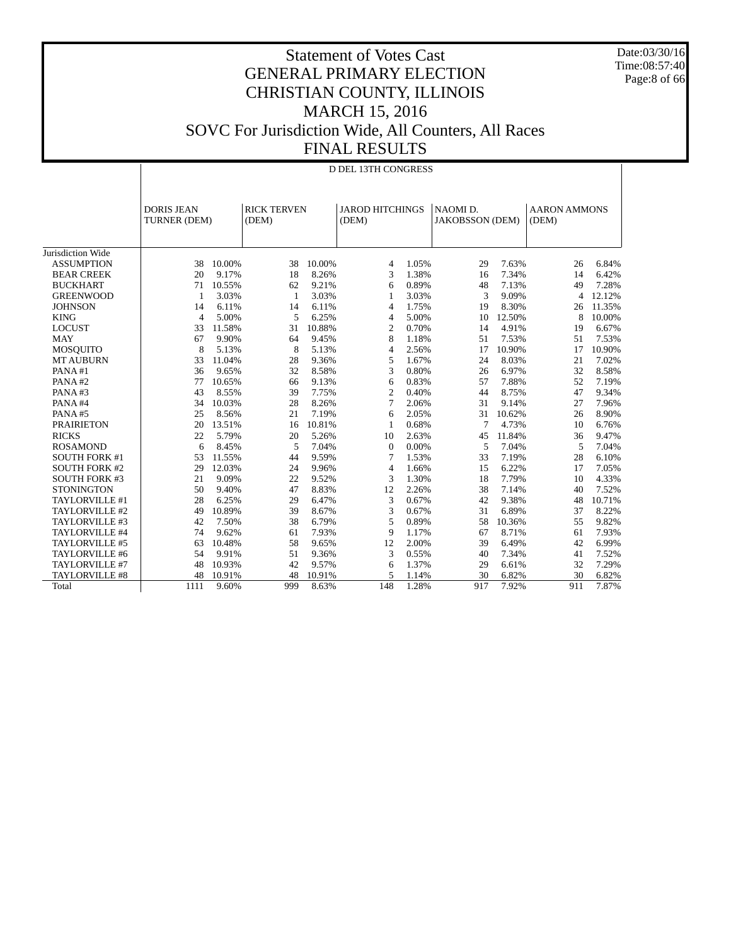Date:03/30/16 Time:08:57:40 Page:8 of 66

|                      | D DEL 13TH CONGRESS               |        |                             |        |                                 |       |                                    |        |                              |        |
|----------------------|-----------------------------------|--------|-----------------------------|--------|---------------------------------|-------|------------------------------------|--------|------------------------------|--------|
|                      | <b>DORIS JEAN</b><br>TURNER (DEM) |        | <b>RICK TERVEN</b><br>(DEM) |        | <b>JAROD HITCHINGS</b><br>(DEM) |       | NAOMI D.<br><b>JAKOBSSON</b> (DEM) |        | <b>AARON AMMONS</b><br>(DEM) |        |
| Jurisdiction Wide    |                                   |        |                             |        |                                 |       |                                    |        |                              |        |
| <b>ASSUMPTION</b>    | 38                                | 10.00% | 38                          | 10.00% | 4                               | 1.05% | 29                                 | 7.63%  | 26                           | 6.84%  |
| <b>BEAR CREEK</b>    | 20                                | 9.17%  | 18                          | 8.26%  | 3                               | 1.38% | 16                                 | 7.34%  | 14                           | 6.42%  |
| <b>BUCKHART</b>      | 71                                | 10.55% | 62                          | 9.21%  | 6                               | 0.89% | 48                                 | 7.13%  | 49                           | 7.28%  |
| <b>GREENWOOD</b>     | 1                                 | 3.03%  | 1                           | 3.03%  | 1                               | 3.03% | 3                                  | 9.09%  | $\overline{4}$               | 12.12% |
| <b>JOHNSON</b>       | 14                                | 6.11%  | 14                          | 6.11%  | $\overline{4}$                  | 1.75% | 19                                 | 8.30%  | 26                           | 11.35% |
| <b>KING</b>          | $\overline{4}$                    | 5.00%  | 5                           | 6.25%  | $\overline{4}$                  | 5.00% | 10                                 | 12.50% | 8                            | 10.00% |
| <b>LOCUST</b>        | 33                                | 11.58% | 31                          | 10.88% | $\overline{c}$                  | 0.70% | 14                                 | 4.91%  | 19                           | 6.67%  |
| <b>MAY</b>           | 67                                | 9.90%  | 64                          | 9.45%  | 8                               | 1.18% | 51                                 | 7.53%  | 51                           | 7.53%  |
| MOSQUITO             | 8                                 | 5.13%  | 8                           | 5.13%  | 4                               | 2.56% | 17                                 | 10.90% | 17                           | 10.90% |
| <b>MT AUBURN</b>     | 33                                | 11.04% | 28                          | 9.36%  | 5                               | 1.67% | 24                                 | 8.03%  | 21                           | 7.02%  |
| PANA#1               | 36                                | 9.65%  | 32                          | 8.58%  | 3                               | 0.80% | 26                                 | 6.97%  | 32                           | 8.58%  |
| PANA#2               | 77                                | 10.65% | 66                          | 9.13%  | 6                               | 0.83% | 57                                 | 7.88%  | 52                           | 7.19%  |
| PANA#3               | 43                                | 8.55%  | 39                          | 7.75%  | $\overline{c}$                  | 0.40% | 44                                 | 8.75%  | 47                           | 9.34%  |
| PANA#4               | 34                                | 10.03% | 28                          | 8.26%  | 7                               | 2.06% | 31                                 | 9.14%  | 27                           | 7.96%  |
| PANA#5               | 25                                | 8.56%  | 21                          | 7.19%  | 6                               | 2.05% | 31                                 | 10.62% | 26                           | 8.90%  |
| <b>PRAIRIETON</b>    | 20                                | 13.51% | 16                          | 10.81% | $\mathbf{1}$                    | 0.68% | 7                                  | 4.73%  | 10                           | 6.76%  |
| <b>RICKS</b>         | 22                                | 5.79%  | 20                          | 5.26%  | 10                              | 2.63% | 45                                 | 11.84% | 36                           | 9.47%  |
| <b>ROSAMOND</b>      | 6                                 | 8.45%  | 5                           | 7.04%  | $\theta$                        | 0.00% | 5                                  | 7.04%  | 5                            | 7.04%  |
| <b>SOUTH FORK #1</b> | 53                                | 11.55% | 44                          | 9.59%  | 7                               | 1.53% | 33                                 | 7.19%  | 28                           | 6.10%  |
| <b>SOUTH FORK #2</b> | 29                                | 12.03% | 24                          | 9.96%  | $\overline{4}$                  | 1.66% | 15                                 | 6.22%  | 17                           | 7.05%  |
| <b>SOUTH FORK #3</b> | 21                                | 9.09%  | 22                          | 9.52%  | 3                               | 1.30% | 18                                 | 7.79%  | 10                           | 4.33%  |
| <b>STONINGTON</b>    | 50                                | 9.40%  | 47                          | 8.83%  | 12                              | 2.26% | 38                                 | 7.14%  | 40                           | 7.52%  |
| TAYLORVILLE #1       | 28                                | 6.25%  | 29                          | 6.47%  | 3                               | 0.67% | 42                                 | 9.38%  | 48                           | 10.71% |
| TAYLORVILLE #2       | 49                                | 10.89% | 39                          | 8.67%  | 3                               | 0.67% | 31                                 | 6.89%  | 37                           | 8.22%  |
| TAYLORVILLE #3       | 42                                | 7.50%  | 38                          | 6.79%  | 5                               | 0.89% | 58                                 | 10.36% | 55                           | 9.82%  |
| TAYLORVILLE #4       | 74                                | 9.62%  | 61                          | 7.93%  | 9                               | 1.17% | 67                                 | 8.71%  | 61                           | 7.93%  |
| TAYLORVILLE #5       | 63                                | 10.48% | 58                          | 9.65%  | 12                              | 2.00% | 39                                 | 6.49%  | 42                           | 6.99%  |
| TAYLORVILLE #6       | 54                                | 9.91%  | 51                          | 9.36%  | 3                               | 0.55% | 40                                 | 7.34%  | 41                           | 7.52%  |
| TAYLORVILLE #7       | 48                                | 10.93% | 42                          | 9.57%  | 6                               | 1.37% | 29                                 | 6.61%  | 32                           | 7.29%  |
| TAYLORVILLE #8       | 48                                | 10.91% | 48                          | 10.91% | 5                               | 1.14% | 30                                 | 6.82%  | 30                           | 6.82%  |
| Total                | 1111                              | 9.60%  | 999                         | 8.63%  | 148                             | 1.28% | 917                                | 7.92%  | 911                          | 7.87%  |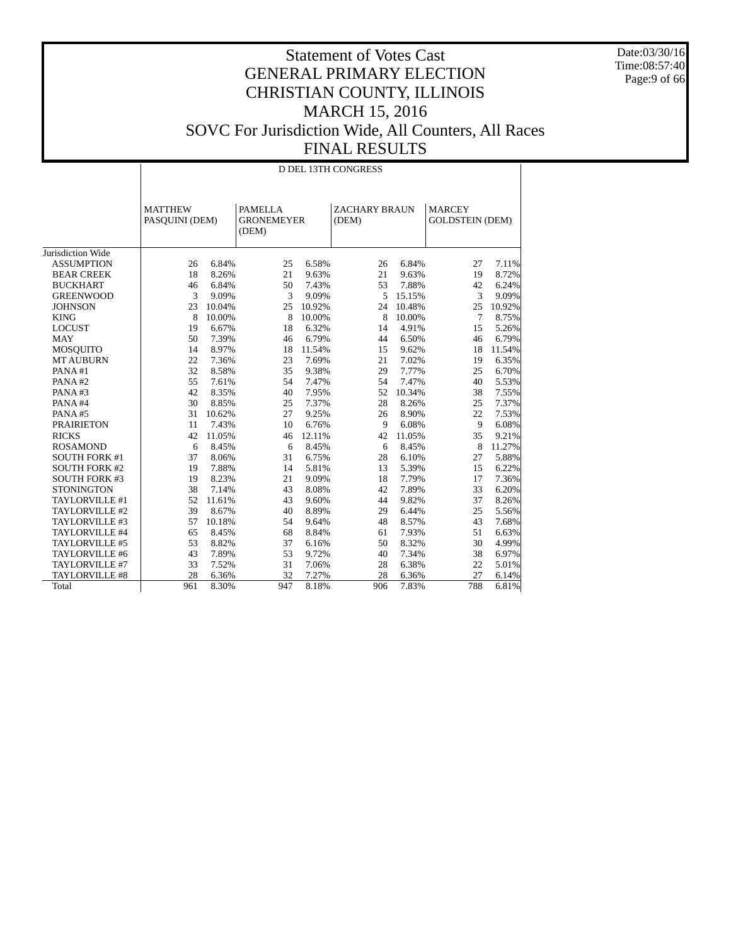Date:03/30/16 Time:08:57:40 Page:9 of 66

|                      | <b>D DEL 13TH CONGRESS</b>       |        |                                              |        |                               |        |                                         |        |  |  |
|----------------------|----------------------------------|--------|----------------------------------------------|--------|-------------------------------|--------|-----------------------------------------|--------|--|--|
|                      | <b>MATTHEW</b><br>PASQUINI (DEM) |        | <b>PAMELLA</b><br><b>GRONEMEYER</b><br>(DEM) |        | <b>ZACHARY BRAUN</b><br>(DEM) |        | <b>MARCEY</b><br><b>GOLDSTEIN (DEM)</b> |        |  |  |
| Jurisdiction Wide    |                                  |        |                                              |        |                               |        |                                         |        |  |  |
| <b>ASSUMPTION</b>    | 26                               | 6.84%  | 25                                           | 6.58%  | 26                            | 6.84%  | 27                                      | 7.11%  |  |  |
| <b>BEAR CREEK</b>    | 18                               | 8.26%  | 21                                           | 9.63%  | 21                            | 9.63%  | 19                                      | 8.72%  |  |  |
| <b>BUCKHART</b>      | 46                               | 6.84%  | 50                                           | 7.43%  | 53                            | 7.88%  | 42                                      | 6.24%  |  |  |
| <b>GREENWOOD</b>     | 3                                | 9.09%  | 3                                            | 9.09%  | 5                             | 15.15% | 3                                       | 9.09%  |  |  |
| <b>JOHNSON</b>       | 23                               | 10.04% | 25                                           | 10.92% | 24                            | 10.48% | 25                                      | 10.92% |  |  |
| <b>KING</b>          | 8                                | 10.00% | 8                                            | 10.00% | 8                             | 10.00% | $7\phantom{.0}$                         | 8.75%  |  |  |
| <b>LOCUST</b>        | 19                               | 6.67%  | 18                                           | 6.32%  | 14                            | 4.91%  | 15                                      | 5.26%  |  |  |
| <b>MAY</b>           | 50                               | 7.39%  | 46                                           | 6.79%  | 44                            | 6.50%  | 46                                      | 6.79%  |  |  |
| <b>MOSQUITO</b>      | 14                               | 8.97%  | 18                                           | 11.54% | 15                            | 9.62%  | 18                                      | 11.54% |  |  |
| <b>MT AUBURN</b>     | 22                               | 7.36%  | 23                                           | 7.69%  | 21                            | 7.02%  | 19                                      | 6.35%  |  |  |
| PANA#1               | 32                               | 8.58%  | 35                                           | 9.38%  | 29                            | 7.77%  | 25                                      | 6.70%  |  |  |
| PANA#2               | 55                               | 7.61%  | 54                                           | 7.47%  | 54                            | 7.47%  | 40                                      | 5.53%  |  |  |
| PANA#3               | 42                               | 8.35%  | 40                                           | 7.95%  | 52                            | 10.34% | 38                                      | 7.55%  |  |  |
| PANA#4               | 30                               | 8.85%  | 25                                           | 7.37%  | 28                            | 8.26%  | 25                                      | 7.37%  |  |  |
| PANA#5               | 31                               | 10.62% | 27                                           | 9.25%  | 26                            | 8.90%  | 22                                      | 7.53%  |  |  |
| <b>PRAIRIETON</b>    | 11                               | 7.43%  | 10                                           | 6.76%  | 9                             | 6.08%  | 9                                       | 6.08%  |  |  |
| <b>RICKS</b>         | 42                               | 11.05% | 46                                           | 12.11% | 42                            | 11.05% | 35                                      | 9.21%  |  |  |
| <b>ROSAMOND</b>      | 6                                | 8.45%  | 6                                            | 8.45%  | 6                             | 8.45%  | 8                                       | 11.27% |  |  |
| <b>SOUTH FORK #1</b> | 37                               | 8.06%  | 31                                           | 6.75%  | 28                            | 6.10%  | 27                                      | 5.88%  |  |  |
| <b>SOUTH FORK #2</b> | 19                               | 7.88%  | 14                                           | 5.81%  | 13                            | 5.39%  | 15                                      | 6.22%  |  |  |
| <b>SOUTH FORK #3</b> | 19                               | 8.23%  | 21                                           | 9.09%  | 18                            | 7.79%  | 17                                      | 7.36%  |  |  |
| <b>STONINGTON</b>    | 38                               | 7.14%  | 43                                           | 8.08%  | 42                            | 7.89%  | 33                                      | 6.20%  |  |  |
| TAYLORVILLE #1       | 52                               | 11.61% | 43                                           | 9.60%  | 44                            | 9.82%  | 37                                      | 8.26%  |  |  |
| TAYLORVILLE #2       | 39                               | 8.67%  | 40                                           | 8.89%  | 29                            | 6.44%  | 25                                      | 5.56%  |  |  |
| TAYLORVILLE #3       | 57                               | 10.18% | 54                                           | 9.64%  | 48                            | 8.57%  | 43                                      | 7.68%  |  |  |
| TAYLORVILLE #4       | 65                               | 8.45%  | 68                                           | 8.84%  | 61                            | 7.93%  | 51                                      | 6.63%  |  |  |
| TAYLORVILLE #5       | 53                               | 8.82%  | 37                                           | 6.16%  | 50                            | 8.32%  | 30                                      | 4.99%  |  |  |
| TAYLORVILLE #6       | 43                               | 7.89%  | 53                                           | 9.72%  | 40                            | 7.34%  | 38                                      | 6.97%  |  |  |
| TAYLORVILLE #7       | 33                               | 7.52%  | 31                                           | 7.06%  | 28                            | 6.38%  | 22                                      | 5.01%  |  |  |
| TAYLORVILLE #8       | 28                               | 6.36%  | 32                                           | 7.27%  | 28                            | 6.36%  | 27                                      | 6.14%  |  |  |
| Total                | 961                              | 8.30%  | 947                                          | 8.18%  | 906                           | 7.83%  | 788                                     | 6.81%  |  |  |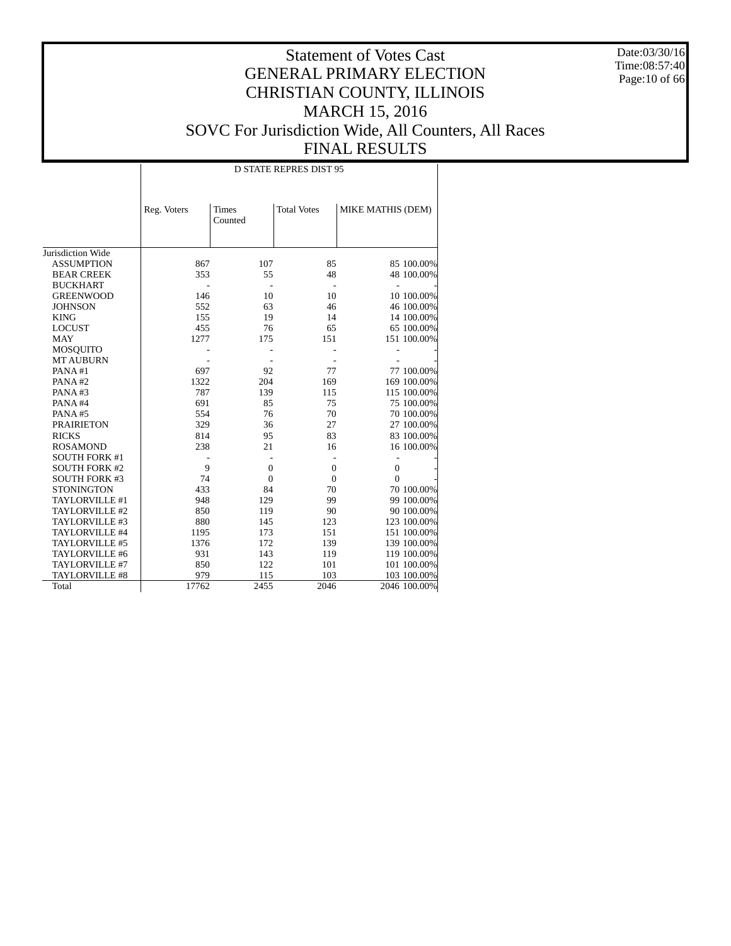Date:03/30/16 Time:08:57:40 Page:10 of 66

|                      | <b>D STATE REPRES DIST 95</b> |                         |                    |                   |            |  |  |  |  |
|----------------------|-------------------------------|-------------------------|--------------------|-------------------|------------|--|--|--|--|
|                      | Reg. Voters                   | <b>Times</b><br>Counted | <b>Total Votes</b> | MIKE MATHIS (DEM) |            |  |  |  |  |
| Jurisdiction Wide    |                               |                         |                    |                   |            |  |  |  |  |
| <b>ASSUMPTION</b>    | 867                           | 107                     | 85                 |                   | 85 100.00% |  |  |  |  |
| <b>BEAR CREEK</b>    | 353                           | 55                      | 48                 |                   | 48 100.00% |  |  |  |  |
| <b>BUCKHART</b>      |                               |                         |                    |                   |            |  |  |  |  |
| <b>GREENWOOD</b>     | 146                           | 10                      | 10                 |                   | 10 100.00% |  |  |  |  |
| <b>JOHNSON</b>       | 552                           | 63                      | 46                 |                   | 46 100.00% |  |  |  |  |
| <b>KING</b>          | 155                           | 19                      | 14                 |                   | 14 100.00% |  |  |  |  |
| <b>LOCUST</b>        | 455                           | 76                      | 65                 |                   | 65 100.00% |  |  |  |  |
| <b>MAY</b>           | 1277                          | 175                     | 151                | 151 100.00%       |            |  |  |  |  |
| <b>MOSQUITO</b>      |                               |                         |                    |                   |            |  |  |  |  |
| <b>MT AUBURN</b>     |                               |                         |                    |                   |            |  |  |  |  |
| PANA#1               | 697                           | 92                      | 77                 |                   | 77 100.00% |  |  |  |  |
| PANA#2               | 1322                          | 204                     | 169                | 169 100.00%       |            |  |  |  |  |
| PANA#3               | 787                           | 139                     | 115                | 115 100.00%       |            |  |  |  |  |
| PANA#4               | 691                           | 85                      | 75                 |                   | 75 100.00% |  |  |  |  |
| PANA#5               | 554                           | 76                      | 70                 |                   | 70 100.00% |  |  |  |  |
| <b>PRAIRIETON</b>    | 329                           | 36                      | 27                 |                   | 27 100.00% |  |  |  |  |
| <b>RICKS</b>         | 814                           | 95                      | 83                 |                   | 83 100.00% |  |  |  |  |
| <b>ROSAMOND</b>      | 238                           | 21                      | 16                 |                   | 16 100.00% |  |  |  |  |
| <b>SOUTH FORK #1</b> |                               |                         |                    |                   |            |  |  |  |  |
| <b>SOUTH FORK #2</b> | 9                             | $\overline{0}$          | $\mathbf{0}$       | $\mathbf{0}$      |            |  |  |  |  |
| <b>SOUTH FORK #3</b> | 74                            | $\overline{0}$          | $\mathbf{0}$       | $\Omega$          |            |  |  |  |  |
| <b>STONINGTON</b>    | 433                           | 84                      | 70                 |                   | 70 100.00% |  |  |  |  |
| TAYLORVILLE #1       | 948                           | 129                     | 99                 |                   | 99 100.00% |  |  |  |  |
| TAYLORVILLE #2       | 850                           | 119                     | 90                 |                   | 90 100.00% |  |  |  |  |
| TAYLORVILLE #3       | 880                           | 145                     | 123                | 123 100.00%       |            |  |  |  |  |
| TAYLORVILLE #4       | 1195                          | 173                     | 151                | 151 100.00%       |            |  |  |  |  |
| TAYLORVILLE #5       | 1376                          | 172                     | 139                | 139 100.00%       |            |  |  |  |  |
| TAYLORVILLE #6       | 931                           | 143                     | 119                | 119 100.00%       |            |  |  |  |  |
| TAYLORVILLE #7       | 850                           | 122                     | 101                | 101 100.00%       |            |  |  |  |  |
| TAYLORVILLE #8       | 979                           | 115                     | 103                | 103 100.00%       |            |  |  |  |  |
| Total                | 17762                         | 2455                    | 2046               | 2046 100.00%      |            |  |  |  |  |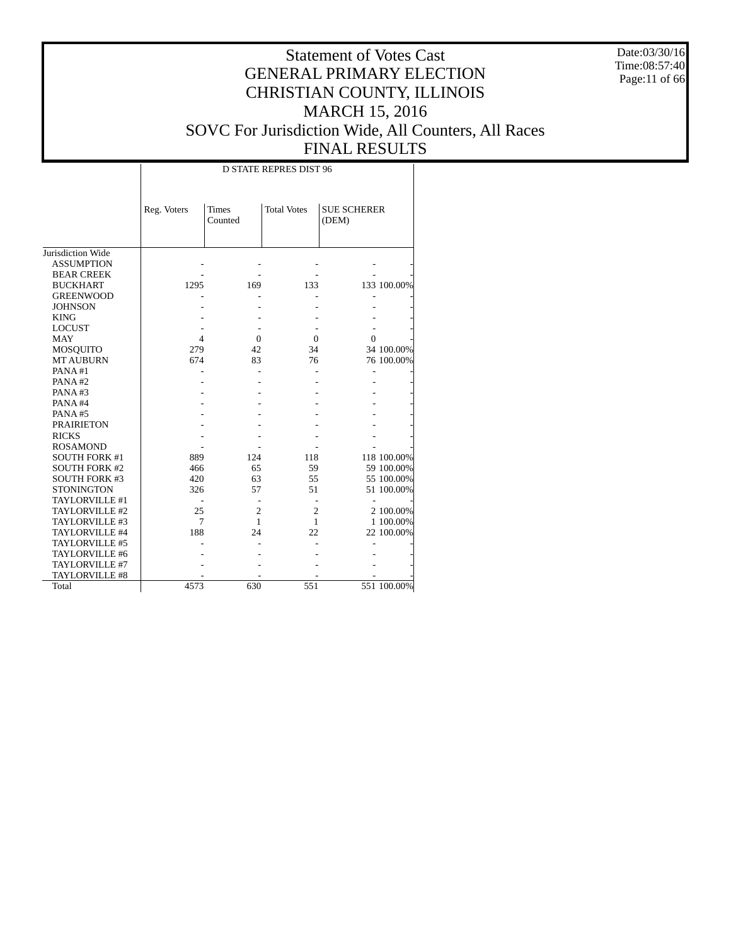Date:03/30/16 Time:08:57:40 Page:11 of 66

|                      |             | <b>D STATE REPRES DIST 96</b> |                    |                             |             |  |  |  |  |  |
|----------------------|-------------|-------------------------------|--------------------|-----------------------------|-------------|--|--|--|--|--|
|                      | Reg. Voters | <b>Times</b><br>Counted       | <b>Total Votes</b> | <b>SUE SCHERER</b><br>(DEM) |             |  |  |  |  |  |
| Jurisdiction Wide    |             |                               |                    |                             |             |  |  |  |  |  |
| <b>ASSUMPTION</b>    |             |                               |                    |                             |             |  |  |  |  |  |
| <b>BEAR CREEK</b>    |             |                               |                    |                             |             |  |  |  |  |  |
| <b>BUCKHART</b>      | 1295        | 169                           | 133                |                             | 133 100.00% |  |  |  |  |  |
| <b>GREENWOOD</b>     |             |                               |                    |                             |             |  |  |  |  |  |
| <b>JOHNSON</b>       |             |                               |                    |                             |             |  |  |  |  |  |
| <b>KING</b>          |             |                               |                    |                             |             |  |  |  |  |  |
| <b>LOCUST</b>        |             |                               |                    |                             |             |  |  |  |  |  |
| <b>MAY</b>           | 4           | $\Omega$                      | $\Omega$           | 0                           |             |  |  |  |  |  |
| <b>MOSQUITO</b>      | 279         | 42                            | 34                 |                             | 34 100.00%  |  |  |  |  |  |
| <b>MT AUBURN</b>     | 674         | 83                            | 76                 |                             | 76 100.00%  |  |  |  |  |  |
| PANA#1               |             |                               |                    |                             |             |  |  |  |  |  |
| PANA#2               |             |                               |                    |                             |             |  |  |  |  |  |
| PANA#3               |             |                               |                    |                             |             |  |  |  |  |  |
| PANA#4               |             |                               |                    |                             |             |  |  |  |  |  |
| PANA#5               |             |                               |                    |                             |             |  |  |  |  |  |
| <b>PRAIRIETON</b>    |             |                               |                    |                             |             |  |  |  |  |  |
| <b>RICKS</b>         |             |                               |                    |                             |             |  |  |  |  |  |
| <b>ROSAMOND</b>      |             |                               |                    |                             |             |  |  |  |  |  |
| <b>SOUTH FORK #1</b> | 889         | 124                           | 118                |                             | 118 100.00% |  |  |  |  |  |
| <b>SOUTH FORK #2</b> | 466         | 65                            | 59                 |                             | 59 100.00%  |  |  |  |  |  |
| <b>SOUTH FORK #3</b> | 420         | 63                            | 55                 |                             | 55 100.00%  |  |  |  |  |  |
| <b>STONINGTON</b>    | 326         | 57                            | 51                 |                             | 51 100.00%  |  |  |  |  |  |
| TAYLORVILLE #1       |             |                               |                    |                             |             |  |  |  |  |  |
| TAYLORVILLE #2       | 25          | $\overline{c}$                | $\overline{c}$     |                             | 2 100.00%   |  |  |  |  |  |
| TAYLORVILLE #3       | 7           | 1                             | 1                  |                             | 1 100.00%   |  |  |  |  |  |
| TAYLORVILLE #4       | 188         | 24                            | 22                 |                             | 22 100.00%  |  |  |  |  |  |
| TAYLORVILLE #5       |             |                               |                    |                             |             |  |  |  |  |  |
| TAYLORVILLE #6       |             |                               |                    |                             |             |  |  |  |  |  |
| TAYLORVILLE #7       |             |                               |                    |                             |             |  |  |  |  |  |
| TAYLORVILLE #8       |             |                               |                    |                             |             |  |  |  |  |  |
| Total                | 4573        | 630                           | 551                |                             | 551 100.00% |  |  |  |  |  |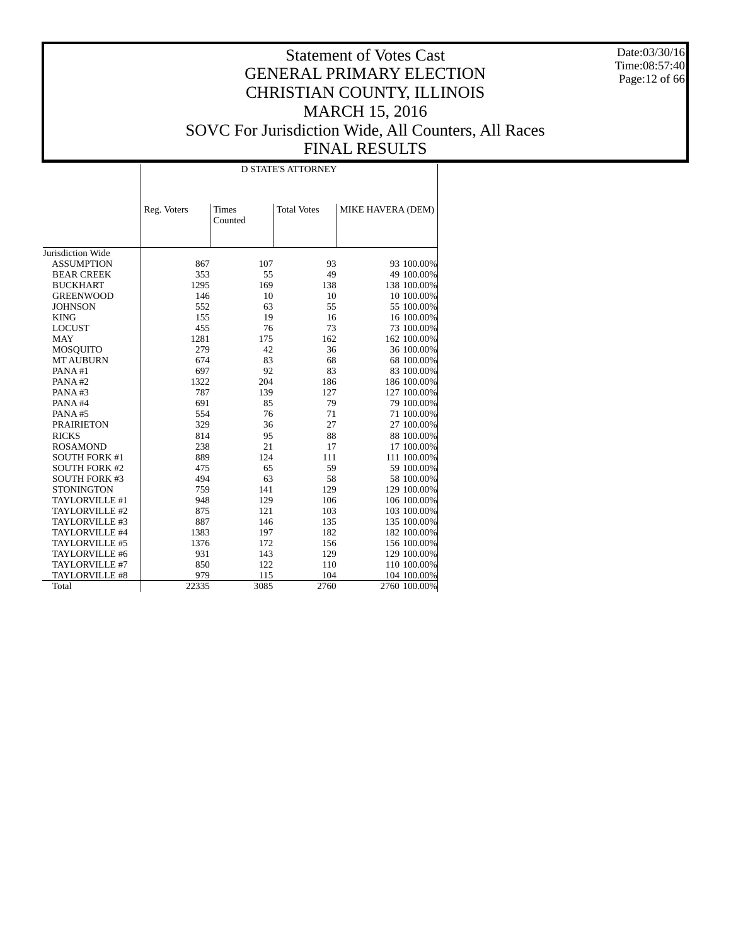Date:03/30/16 Time:08:57:40 Page:12 of 66

|                      | <b>D STATE'S ATTORNEY</b> |                         |                    |                   |  |  |  |  |  |
|----------------------|---------------------------|-------------------------|--------------------|-------------------|--|--|--|--|--|
|                      | Reg. Voters               | <b>Times</b><br>Counted | <b>Total Votes</b> | MIKE HAVERA (DEM) |  |  |  |  |  |
| Jurisdiction Wide    |                           |                         |                    |                   |  |  |  |  |  |
| <b>ASSUMPTION</b>    | 867                       | 107                     | 93                 | 93 100.00%        |  |  |  |  |  |
| <b>BEAR CREEK</b>    | 353                       | 55                      | 49                 | 49 100.00%        |  |  |  |  |  |
| <b>BUCKHART</b>      | 1295                      | 169                     | 138                | 138 100.00%       |  |  |  |  |  |
| <b>GREENWOOD</b>     | 146                       | 10                      | 10                 | 10 100.00%        |  |  |  |  |  |
| <b>JOHNSON</b>       | 552                       | 63                      | 55                 | 55 100.00%        |  |  |  |  |  |
| <b>KING</b>          | 155                       | 19                      | 16                 | 16 100.00%        |  |  |  |  |  |
| <b>LOCUST</b>        | 455                       | 76                      | 73                 | 73 100.00%        |  |  |  |  |  |
| <b>MAY</b>           | 1281                      | 175                     | 162                | 162 100.00%       |  |  |  |  |  |
| MOSQUITO             | 279                       | 42                      | 36                 | 36 100.00%        |  |  |  |  |  |
| <b>MT AUBURN</b>     | 674                       | 83                      | 68                 | 68 100.00%        |  |  |  |  |  |
| PANA#1               | 697                       | 92                      | 83                 | 83 100.00%        |  |  |  |  |  |
| PANA#2               | 1322                      | 204                     | 186                | 186 100.00%       |  |  |  |  |  |
| PANA#3               | 787                       | 139                     | 127                | 127 100.00%       |  |  |  |  |  |
| PANA#4               | 691                       | 85                      | 79                 | 79 100.00%        |  |  |  |  |  |
| PANA#5               | 554                       | 76                      | 71                 | 71 100.00%        |  |  |  |  |  |
| <b>PRAIRIETON</b>    | 329                       | 36                      | 27                 | 27 100.00%        |  |  |  |  |  |
| <b>RICKS</b>         | 814                       | 95                      | 88                 | 88 100.00%        |  |  |  |  |  |
| <b>ROSAMOND</b>      | 238                       | 21                      | 17                 | 17 100.00%        |  |  |  |  |  |
| <b>SOUTH FORK #1</b> | 889                       | 124                     | 111                | 111 100.00%       |  |  |  |  |  |
| <b>SOUTH FORK #2</b> | 475                       | 65                      | 59                 | 59 100.00%        |  |  |  |  |  |
| <b>SOUTH FORK #3</b> | 494                       | 63                      | 58                 | 58 100.00%        |  |  |  |  |  |
| <b>STONINGTON</b>    | 759                       | 141                     | 129                | 129 100.00%       |  |  |  |  |  |
| TAYLORVILLE #1       | 948                       | 129                     | 106                | 106 100.00%       |  |  |  |  |  |
| TAYLORVILLE #2       | 875                       | 121                     | 103                | 103 100.00%       |  |  |  |  |  |
| TAYLORVILLE #3       | 887                       | 146                     | 135                | 135 100.00%       |  |  |  |  |  |
| TAYLORVILLE #4       | 1383                      | 197                     | 182                | 182 100.00%       |  |  |  |  |  |
| TAYLORVILLE #5       | 1376                      | 172                     | 156                | 156 100.00%       |  |  |  |  |  |
| TAYLORVILLE #6       | 931                       | 143                     | 129                | 129 100.00%       |  |  |  |  |  |
| TAYLORVILLE #7       | 850                       | 122                     | 110                | 110 100.00%       |  |  |  |  |  |
| TAYLORVILLE #8       | 979                       | 115                     | 104                | 104 100.00%       |  |  |  |  |  |
| Total                | 22335                     | 3085                    | 2760               | 2760 100.00%      |  |  |  |  |  |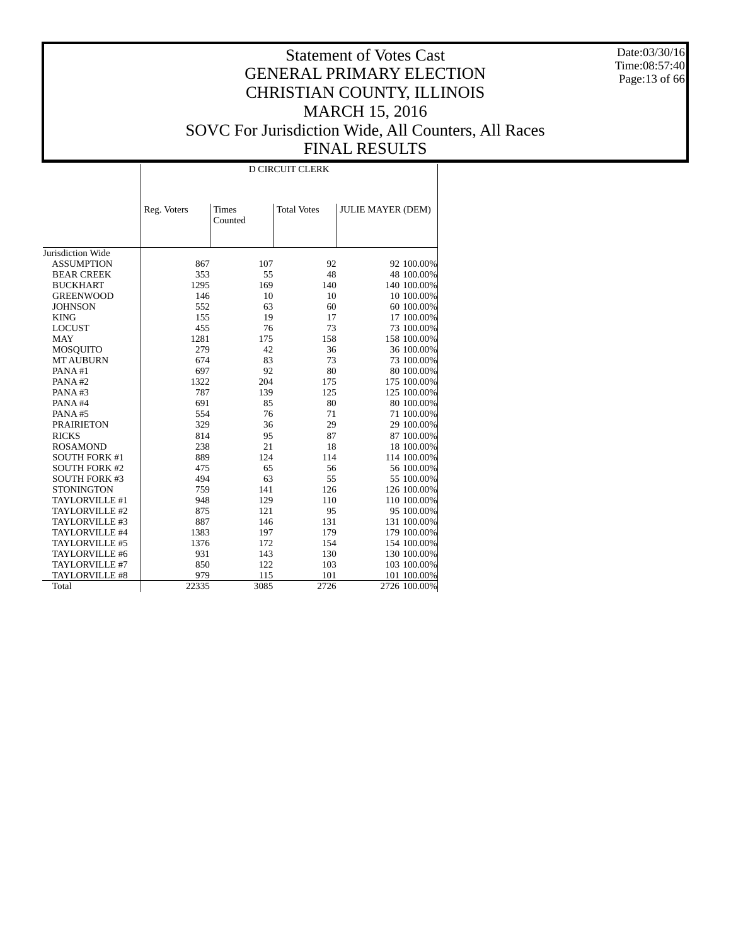Date:03/30/16 Time:08:57:40 Page:13 of 66

|                      | <b>D CIRCUIT CLERK</b> |                         |                    |                          |  |  |  |  |  |
|----------------------|------------------------|-------------------------|--------------------|--------------------------|--|--|--|--|--|
|                      | Reg. Voters            | <b>Times</b><br>Counted | <b>Total Votes</b> | <b>JULIE MAYER (DEM)</b> |  |  |  |  |  |
| Jurisdiction Wide    |                        |                         |                    |                          |  |  |  |  |  |
| <b>ASSUMPTION</b>    | 867                    | 107                     | 92                 | 92 100.00%               |  |  |  |  |  |
| <b>BEAR CREEK</b>    | 353                    | 55                      | 48                 | 48 100.00%               |  |  |  |  |  |
| <b>BUCKHART</b>      | 1295                   | 169                     | 140                | 140 100.00%              |  |  |  |  |  |
| <b>GREENWOOD</b>     | 146                    | 10                      | 10                 | 10 100.00%               |  |  |  |  |  |
| <b>JOHNSON</b>       | 552                    | 63                      | 60                 | 60 100.00%               |  |  |  |  |  |
| <b>KING</b>          | 155                    | 19                      | 17                 | 17 100.00%               |  |  |  |  |  |
| <b>LOCUST</b>        | 455                    | 76                      | 73                 | 73 100.00%               |  |  |  |  |  |
| <b>MAY</b>           | 1281                   | 175                     | 158                | 158 100.00%              |  |  |  |  |  |
| MOSQUITO             | 279                    | 42                      | 36                 | 36 100.00%               |  |  |  |  |  |
| <b>MT AUBURN</b>     | 674                    | 83                      | 73                 | 73 100.00%               |  |  |  |  |  |
| PANA#1               | 697                    | 92                      | 80                 | 80 100.00%               |  |  |  |  |  |
| PANA#2               | 1322                   | 204                     | 175                | 175 100.00%              |  |  |  |  |  |
| PANA#3               | 787                    | 139                     | 125                | 125 100.00%              |  |  |  |  |  |
| PANA#4               | 691                    | 85                      | 80                 | 80 100.00%               |  |  |  |  |  |
| PANA#5               | 554                    | 76                      | 71                 | 71 100.00%               |  |  |  |  |  |
| <b>PRAIRIETON</b>    | 329                    | 36                      | 29                 | 29 100.00%               |  |  |  |  |  |
| <b>RICKS</b>         | 814                    | 95                      | 87                 | 87 100.00%               |  |  |  |  |  |
| <b>ROSAMOND</b>      | 238                    | 21                      | 18                 | 18 100.00%               |  |  |  |  |  |
| <b>SOUTH FORK #1</b> | 889                    | 124                     | 114                | 114 100.00%              |  |  |  |  |  |
| <b>SOUTH FORK #2</b> | 475                    | 65                      | 56                 | 56 100.00%               |  |  |  |  |  |
| <b>SOUTH FORK #3</b> | 494                    | 63                      | 55                 | 55 100.00%               |  |  |  |  |  |
| <b>STONINGTON</b>    | 759                    | 141                     | 126                | 126 100.00%              |  |  |  |  |  |
| TAYLORVILLE #1       | 948                    | 129                     | 110                | 110 100.00%              |  |  |  |  |  |
| TAYLORVILLE #2       | 875                    | 121                     | 95                 | 95 100.00%               |  |  |  |  |  |
| TAYLORVILLE #3       | 887                    | 146                     | 131                | 131 100.00%              |  |  |  |  |  |
| TAYLORVILLE #4       | 1383                   | 197                     | 179                | 179 100.00%              |  |  |  |  |  |
| TAYLORVILLE #5       | 1376                   | 172                     | 154                | 154 100.00%              |  |  |  |  |  |
| TAYLORVILLE #6       | 931                    | 143                     | 130                | 130 100.00%              |  |  |  |  |  |
| TAYLORVILLE #7       | 850                    | 122                     | 103                | 103 100.00%              |  |  |  |  |  |
| TAYLORVILLE #8       | 979                    | 115                     | 101                | 101 100.00%              |  |  |  |  |  |
| Total                | 22335                  | 3085                    | 2726               | 2726 100.00%             |  |  |  |  |  |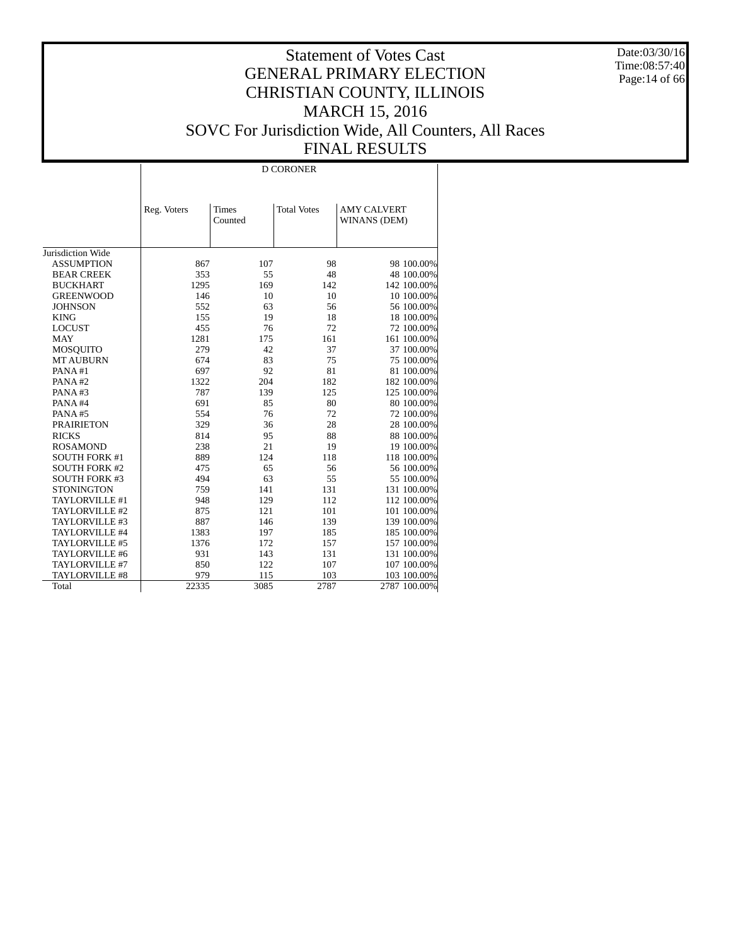Date:03/30/16 Time:08:57:40 Page:14 of 66

|                      |             |              | <b>D CORONER</b>   |                    |
|----------------------|-------------|--------------|--------------------|--------------------|
|                      |             |              |                    |                    |
|                      |             |              |                    |                    |
|                      | Reg. Voters | <b>Times</b> | <b>Total Votes</b> | <b>AMY CALVERT</b> |
|                      |             | Counted      |                    | WINANS (DEM)       |
|                      |             |              |                    |                    |
|                      |             |              |                    |                    |
| Jurisdiction Wide    |             |              |                    |                    |
| <b>ASSUMPTION</b>    | 867         | 107          | 98                 | 98 100.00%         |
| <b>BEAR CREEK</b>    | 353         | 55           | 48                 | 48 100.00%         |
| <b>BUCKHART</b>      | 1295        | 169          | 142                | 142 100.00%        |
| <b>GREENWOOD</b>     | 146         | 10           | 10                 | 10 100.00%         |
| <b>JOHNSON</b>       | 552         | 63           | 56                 | 56 100.00%         |
| <b>KING</b>          | 155         | 19           | 18                 | 18 100.00%         |
| <b>LOCUST</b>        | 455         | 76           | 72                 | 72 100.00%         |
| <b>MAY</b>           | 1281        | 175          | 161                | 161 100.00%        |
| <b>MOSQUITO</b>      | 279         | 42           | 37                 | 37 100.00%         |
| <b>MT AUBURN</b>     | 674         | 83           | 75                 | 75 100.00%         |
| PANA#1               | 697         | 92           | 81                 | 81 100.00%         |
| PANA#2               | 1322        | 204          | 182                | 182 100.00%        |
| PANA#3               | 787         | 139          | 125                | 125 100.00%        |
| PANA#4               | 691         | 85           | 80                 | 80 100.00%         |
| PANA#5               | 554         | 76           | 72                 | 72 100.00%         |
| <b>PRAIRIETON</b>    | 329         | 36           | 28                 | 28 100.00%         |
| <b>RICKS</b>         | 814         | 95           | 88                 | 88 100.00%         |
| <b>ROSAMOND</b>      | 238         | 21           | 19                 | 19 100.00%         |
| <b>SOUTH FORK #1</b> | 889         | 124          | 118                | 118 100.00%        |
| <b>SOUTH FORK #2</b> | 475         | 65           | 56                 | 56 100.00%         |
| <b>SOUTH FORK #3</b> | 494         | 63           | 55                 | 55 100.00%         |
| <b>STONINGTON</b>    | 759         | 141          | 131                | 131 100.00%        |
| TAYLORVILLE #1       | 948         | 129          | 112                | 112 100.00%        |
| TAYLORVILLE #2       | 875         | 121          | 101                | 101 100.00%        |
| TAYLORVILLE #3       | 887         | 146          | 139                | 139 100.00%        |
| TAYLORVILLE #4       | 1383        | 197          | 185                | 185 100.00%        |
| TAYLORVILLE #5       | 1376        | 172          | 157                | 157 100.00%        |
| TAYLORVILLE #6       | 931         | 143          | 131                | 131 100.00%        |
| TAYLORVILLE #7       | 850         | 122          | 107                | 107 100.00%        |
| TAYLORVILLE #8       | 979         | 115          | 103                | 103 100.00%        |
| Total                | 22335       | 3085         | 2787               | 2787 100.00%       |
|                      |             |              |                    |                    |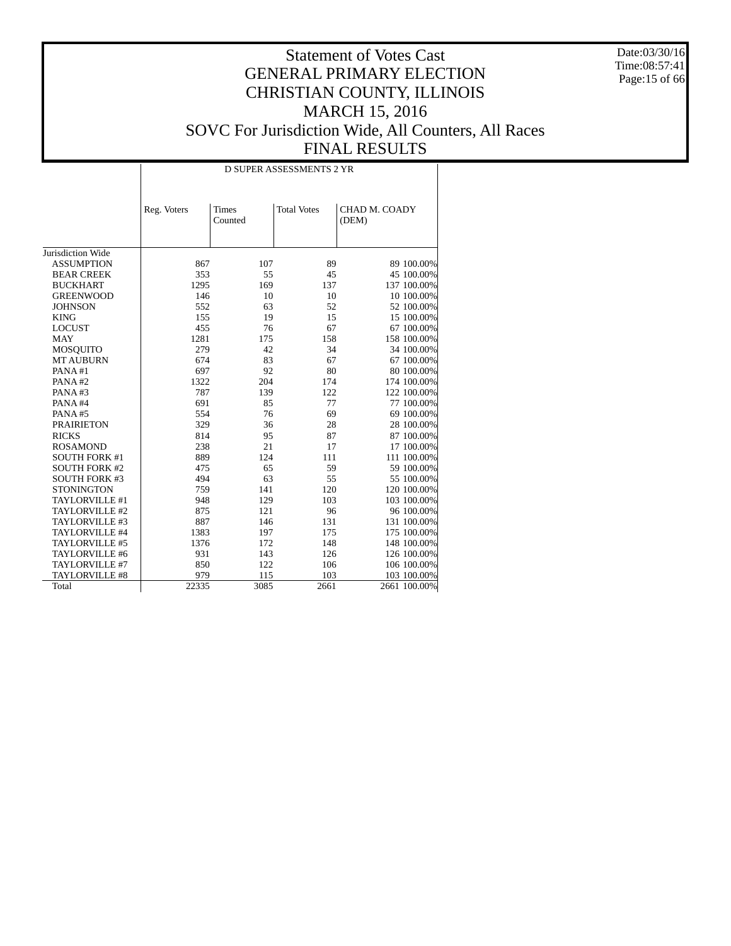Date:03/30/16 Time:08:57:41 Page:15 of 66

|                               | <b>D SUPER ASSESSMENTS 2 YR</b> |                         |                    |                        |  |  |  |  |
|-------------------------------|---------------------------------|-------------------------|--------------------|------------------------|--|--|--|--|
|                               | Reg. Voters                     | <b>Times</b><br>Counted | <b>Total Votes</b> | CHAD M. COADY<br>(DEM) |  |  |  |  |
| Jurisdiction Wide             |                                 |                         |                    |                        |  |  |  |  |
| <b>ASSUMPTION</b>             | 867                             | 107                     | 89                 | 89 100.00%             |  |  |  |  |
| <b>BEAR CREEK</b>             | 353                             | 55                      | 45                 | 45 100.00%             |  |  |  |  |
| <b>BUCKHART</b>               | 1295                            | 169                     | 137                | 137 100.00%            |  |  |  |  |
| <b>GREENWOOD</b>              | 146                             | 10                      | 10                 | 10 100.00%             |  |  |  |  |
|                               | 552                             |                         | 52                 |                        |  |  |  |  |
| <b>JOHNSON</b><br><b>KING</b> | 155                             | 63<br>19                | 15                 | 52 100.00%             |  |  |  |  |
|                               |                                 |                         |                    | 15 100.00%             |  |  |  |  |
| <b>LOCUST</b>                 | 455<br>1281                     | 76<br>175               | 67<br>158          | 67 100.00%             |  |  |  |  |
| <b>MAY</b>                    |                                 |                         |                    | 158 100.00%            |  |  |  |  |
| MOSQUITO                      | 279                             | 42                      | 34                 | 34 100.00%             |  |  |  |  |
| <b>MT AUBURN</b>              | 674                             | 83                      | 67                 | 67 100.00%             |  |  |  |  |
| PANA#1                        | 697                             | 92                      | 80                 | 80 100.00%             |  |  |  |  |
| PANA#2                        | 1322                            | 204                     | 174                | 174 100.00%            |  |  |  |  |
| PANA#3                        | 787                             | 139                     | 122                | 122 100.00%            |  |  |  |  |
| PANA#4                        | 691                             | 85                      | 77                 | 77 100.00%             |  |  |  |  |
| PANA#5                        | 554                             | 76                      | 69                 | 69 100.00%             |  |  |  |  |
| <b>PRAIRIETON</b>             | 329                             | 36                      | 28                 | 28 100.00%             |  |  |  |  |
| <b>RICKS</b>                  | 814                             | 95                      | 87                 | 87 100.00%             |  |  |  |  |
| <b>ROSAMOND</b>               | 238                             | 21                      | 17                 | 17 100.00%             |  |  |  |  |
| <b>SOUTH FORK #1</b>          | 889                             | 124                     | 111                | 111 100.00%            |  |  |  |  |
| <b>SOUTH FORK #2</b>          | 475                             | 65                      | 59                 | 59 100.00%             |  |  |  |  |
| <b>SOUTH FORK #3</b>          | 494                             | 63                      | 55                 | 55 100.00%             |  |  |  |  |
| <b>STONINGTON</b>             | 759                             | 141                     | 120                | 120 100.00%            |  |  |  |  |
| TAYLORVILLE #1                | 948                             | 129                     | 103                | 103 100.00%            |  |  |  |  |
| TAYLORVILLE #2                | 875                             | 121                     | 96                 | 96 100.00%             |  |  |  |  |
| TAYLORVILLE #3                | 887                             | 146                     | 131                | 131 100.00%            |  |  |  |  |
| TAYLORVILLE #4                | 1383                            | 197                     | 175                | 175 100.00%            |  |  |  |  |
| TAYLORVILLE #5                | 1376                            | 172                     | 148                | 148 100.00%            |  |  |  |  |
| TAYLORVILLE #6                | 931                             | 143                     | 126                | 126 100.00%            |  |  |  |  |
| TAYLORVILLE #7                | 850                             | 122                     | 106                | 106 100.00%            |  |  |  |  |
| TAYLORVILLE #8                | 979                             | 115                     | 103                | 103 100.00%            |  |  |  |  |
| Total                         | 22335                           | 3085                    | 2661               | 2661 100.00%           |  |  |  |  |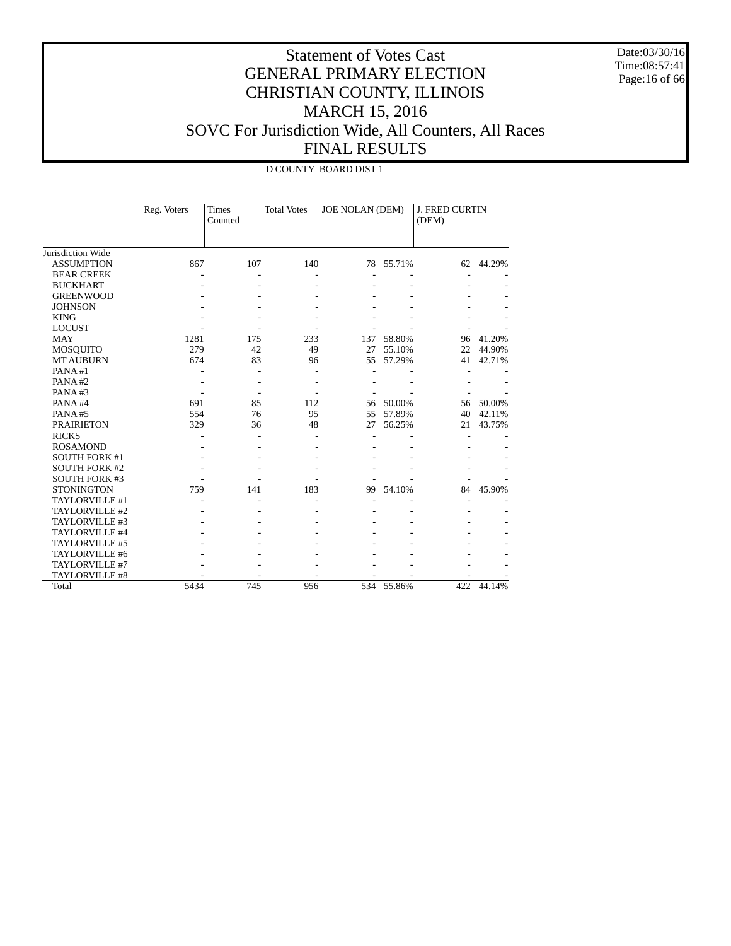Date:03/30/16 Time:08:57:41 Page:16 of 66

#### Statement of Votes Cast GENERAL PRIMARY ELECTION CHRISTIAN COUNTY, ILLINOIS MARCH 15, 2016 SOVC For Jurisdiction Wide, All Counters, All Races FINAL RESULTS

 Jurisdiction Wide ASSUMPTION BEAR CREEK BUCKHART GREENWOOD **JOHNSON**  KING LOCUST MAY MOSQUITO MT AUBURN PANA #1 PANA #2 PANA #3 PANA #4 PANA #5 PRAIRIETON RICKS ROSAMOND SOUTH FORK #1 SOUTH FORK #2 SOUTH FORK #3 **STONINGTON**  TAYLORVILLE #1 TAYLORVILLE #2 TAYLORVILLE #3 TAYLORVILLE #4 TAYLORVILLE #5 TAYLORVILLE #6 TAYLORVILLE #7 TAYLORVILLE #8 **Total** Reg. Voters Times Counted Total Votes | JOE NOLAN (DEM) | J. FRED CURTIN (DEM) D COUNTY BOARD DIST 1 867 107 140 78 55.71% 62 44.29% - - - - - - - - - - - - - - - - - - - - - - - - - - - - - - - - - - - - - - - - - - 1281 175 233 137 58.80% 96 41.20% 279 42 49 27 55.10% 22 44.90%<br>674 83 96 55 57.29% 41 42.71% 55 57.29% - - - - - - - - - - - - - - - - - - - - - 691 85 112 56 50.00% 56 50.00% 554 76 95 55 57.89% 40 42.11% 27 56.25% - - - - - - - - - - - - - - - - - - - - - - - - - - - - - - - - - - - 759 141 183 99 54.10% 84 45.90% - - - - - - - - - - - - - - - - - - - - - - - - - - - - - - - - - - - - - - - - - - - - - - - - - - - - - - - - 5434 745 956 534 55.86% 422 44.14%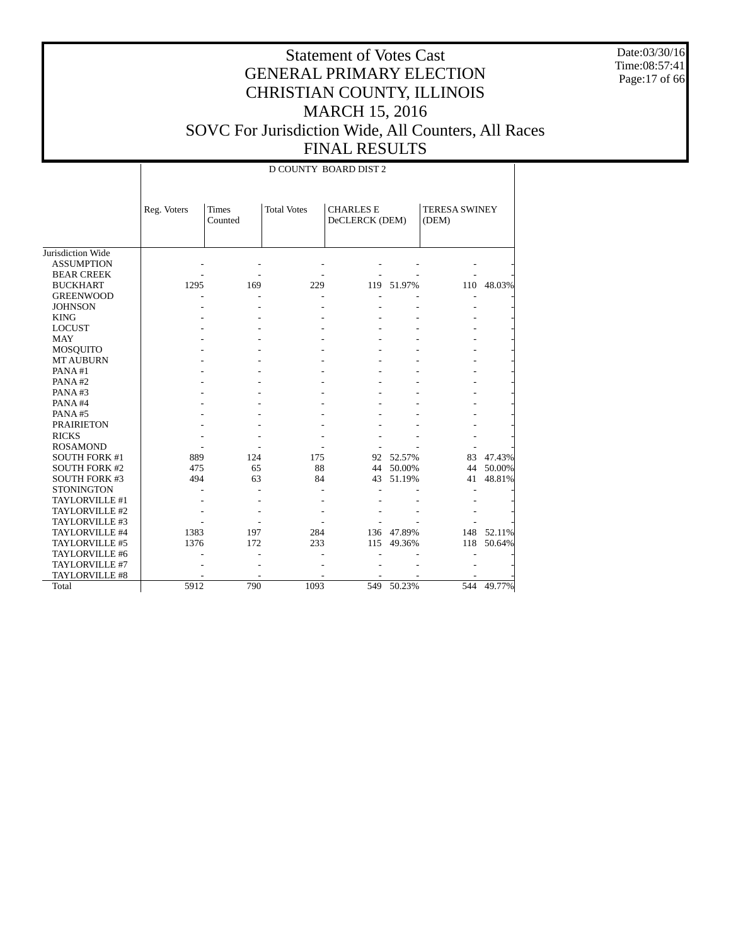Date:03/30/16 Time:08:57:41 Page:17 of 66

|                      |             |                         |                    | D COUNTY BOARD DIST 2              |            |                               |        |  |
|----------------------|-------------|-------------------------|--------------------|------------------------------------|------------|-------------------------------|--------|--|
|                      | Reg. Voters | <b>Times</b><br>Counted | <b>Total Votes</b> | <b>CHARLES E</b><br>DeCLERCK (DEM) |            | <b>TERESA SWINEY</b><br>(DEM) |        |  |
| Jurisdiction Wide    |             |                         |                    |                                    |            |                               |        |  |
| <b>ASSUMPTION</b>    |             |                         |                    |                                    |            |                               |        |  |
| <b>BEAR CREEK</b>    |             |                         |                    |                                    |            |                               |        |  |
| <b>BUCKHART</b>      | 1295        | 169                     | 229                |                                    | 119 51.97% | 110                           | 48.03% |  |
| <b>GREENWOOD</b>     |             |                         |                    |                                    |            |                               |        |  |
| <b>JOHNSON</b>       |             |                         |                    |                                    |            |                               |        |  |
| <b>KING</b>          |             |                         |                    |                                    |            |                               |        |  |
| <b>LOCUST</b>        |             |                         |                    |                                    |            |                               |        |  |
| <b>MAY</b>           |             |                         |                    |                                    |            |                               |        |  |
| MOSQUITO             |             |                         |                    |                                    |            |                               |        |  |
| <b>MT AUBURN</b>     |             |                         |                    |                                    |            |                               |        |  |
| PANA#1               |             |                         |                    |                                    |            |                               |        |  |
| PANA#2               |             |                         |                    |                                    |            |                               |        |  |
| PANA#3               |             |                         |                    |                                    |            |                               |        |  |
| PANA#4               |             |                         |                    |                                    |            |                               |        |  |
| PANA#5               |             |                         |                    |                                    |            |                               |        |  |
| <b>PRAIRIETON</b>    |             |                         |                    |                                    |            |                               |        |  |
| <b>RICKS</b>         |             |                         |                    |                                    |            |                               |        |  |
| <b>ROSAMOND</b>      |             |                         |                    |                                    |            |                               |        |  |
| <b>SOUTH FORK #1</b> | 889         | 124                     | 175                | 92                                 | 52.57%     | 83                            | 47.43% |  |
| <b>SOUTH FORK #2</b> | 475         | 65                      | 88                 | 44                                 | 50.00%     | 44                            | 50.00% |  |
| SOUTH FORK #3        | 494         | 63                      | 84                 | 43                                 | 51.19%     | 41                            | 48.81% |  |
| <b>STONINGTON</b>    |             |                         |                    |                                    |            |                               |        |  |
| TAYLORVILLE #1       |             |                         |                    |                                    |            |                               |        |  |
| TAYLORVILLE #2       |             |                         |                    |                                    |            |                               |        |  |
| TAYLORVILLE #3       |             |                         |                    |                                    |            |                               |        |  |
| TAYLORVILLE #4       | 1383        | 197                     | 284                | 136                                | 47.89%     | 148                           | 52.11% |  |
| TAYLORVILLE #5       | 1376        | 172                     | 233                | 115                                | 49.36%     | 118                           | 50.64% |  |
| TAYLORVILLE #6       |             |                         |                    |                                    |            |                               |        |  |
| TAYLORVILLE #7       |             |                         |                    |                                    |            |                               |        |  |
| TAYLORVILLE #8       |             |                         |                    |                                    |            |                               |        |  |
| Total                | 5912        | 790                     | 1093               | 549                                | 50.23%     | 544                           | 49.77% |  |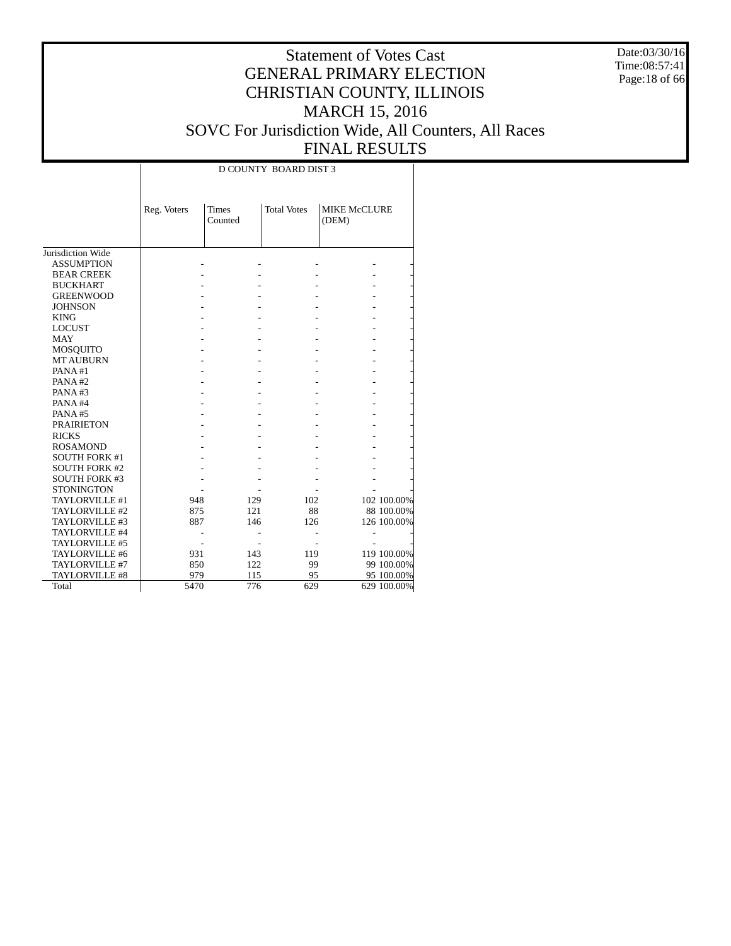Date:03/30/16 Time:08:57:41 Page:18 of 66

#### Statement of Votes Cast GENERAL PRIMARY ELECTION CHRISTIAN COUNTY, ILLINOIS MARCH 15, 2016 SOVC For Jurisdiction Wide, All Counters, All Races FINAL RESULTS

|                      |             |                         | D COUNTY BOARD DIST 3 |                              |             |
|----------------------|-------------|-------------------------|-----------------------|------------------------------|-------------|
|                      | Reg. Voters | <b>Times</b><br>Counted | <b>Total Votes</b>    | <b>MIKE McCLURE</b><br>(DEM) |             |
| Jurisdiction Wide    |             |                         |                       |                              |             |
| <b>ASSUMPTION</b>    |             |                         |                       |                              |             |
| <b>BEAR CREEK</b>    |             |                         |                       |                              |             |
| <b>BUCKHART</b>      |             |                         |                       |                              |             |
| <b>GREENWOOD</b>     |             |                         |                       |                              |             |
| <b>JOHNSON</b>       |             |                         |                       |                              |             |
| <b>KING</b>          |             |                         |                       |                              |             |
| <b>LOCUST</b>        |             |                         |                       |                              |             |
| <b>MAY</b>           |             |                         |                       |                              |             |
| MOSQUITO             |             |                         |                       |                              |             |
| <b>MT AUBURN</b>     |             |                         |                       |                              |             |
| PANA#1               |             |                         |                       |                              |             |
| PANA#2               |             |                         |                       |                              |             |
| PANA#3               |             |                         |                       |                              |             |
| PANA#4               |             |                         |                       |                              |             |
| PANA#5               |             |                         |                       |                              |             |
| <b>PRAIRIETON</b>    |             |                         |                       |                              |             |
| <b>RICKS</b>         |             |                         |                       |                              |             |
| <b>ROSAMOND</b>      |             |                         |                       |                              |             |
| <b>SOUTH FORK #1</b> |             |                         |                       |                              |             |
| <b>SOUTH FORK #2</b> |             |                         |                       |                              |             |
| <b>SOUTH FORK #3</b> |             |                         |                       |                              |             |
| <b>STONINGTON</b>    |             |                         |                       |                              |             |
| TAYLORVILLE #1       | 948         | 129                     | 102                   |                              | 102 100.00% |
| TAYLORVILLE #2       | 875         | 121                     | 88                    |                              | 88 100.00%  |
| TAYLORVILLE #3       | 887         | 146                     | 126                   |                              | 126 100.00% |
| TAYLORVILLE #4       |             |                         |                       |                              |             |
| TAYLORVILLE #5       |             |                         |                       |                              |             |
| TAYLORVILLE #6       | 931         | 143                     | 119                   |                              | 119 100.00% |
| TAYLORVILLE #7       | 850         | 122                     | 99                    |                              | 99 100.00%  |
| TAYLORVILLE #8       | 979         | 115                     | 95                    |                              | 95 100.00%  |
| Total                | 5470        | 776                     | 629                   |                              | 629 100.00% |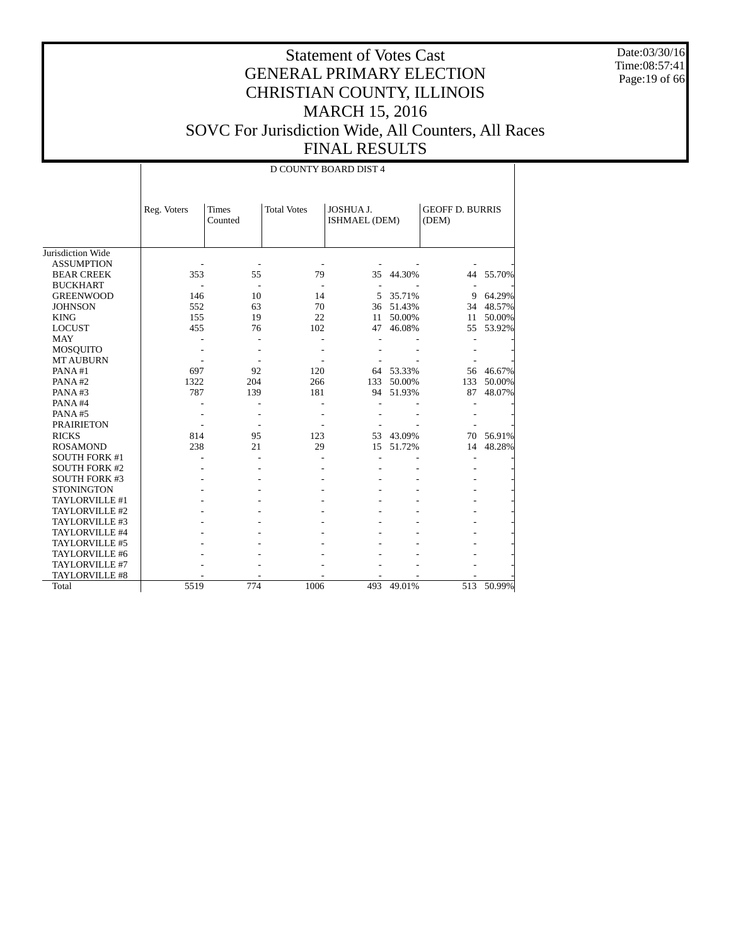Date:03/30/16 Time:08:57:41 Page:19 of 66

|                      |             |                         |                    | D COUNTY BOARD DIST 4      |        |                                 |        |
|----------------------|-------------|-------------------------|--------------------|----------------------------|--------|---------------------------------|--------|
|                      | Reg. Voters | <b>Times</b><br>Counted | <b>Total Votes</b> | JOSHUA J.<br>ISHMAEL (DEM) |        | <b>GEOFF D. BURRIS</b><br>(DEM) |        |
| Jurisdiction Wide    |             |                         |                    |                            |        |                                 |        |
| <b>ASSUMPTION</b>    |             |                         |                    |                            |        |                                 |        |
| <b>BEAR CREEK</b>    | 353         | 55                      | 79                 | 35                         | 44.30% | 44                              | 55.70% |
| <b>BUCKHART</b>      |             |                         |                    |                            |        |                                 |        |
| <b>GREENWOOD</b>     | 146         | 10                      | 14                 | 5                          | 35.71% | 9                               | 64.29% |
| <b>JOHNSON</b>       | 552         | 63                      | 70                 | 36                         | 51.43% | 34                              | 48.57% |
| <b>KING</b>          | 155         | 19                      | 22                 | 11                         | 50.00% | 11                              | 50.00% |
| <b>LOCUST</b>        | 455         | 76                      | 102                | 47                         | 46.08% | 55                              | 53.92% |
| <b>MAY</b>           |             |                         |                    |                            |        |                                 |        |
| <b>MOSQUITO</b>      |             |                         |                    |                            |        |                                 |        |
| <b>MT AUBURN</b>     |             |                         |                    |                            |        |                                 |        |
| PANA#1               | 697         | 92                      | 120                | 64                         | 53.33% | 56                              | 46.67% |
| PANA#2               | 1322        | 204                     | 266                | 133                        | 50.00% | 133                             | 50.00% |
| PANA#3               | 787         | 139                     | 181                | 94                         | 51.93% | 87                              | 48.07% |
| PANA#4               |             |                         |                    |                            |        |                                 |        |
| PANA#5               |             |                         |                    |                            |        |                                 |        |
| <b>PRAIRIETON</b>    |             |                         |                    |                            |        |                                 |        |
| <b>RICKS</b>         | 814         | 95                      | 123                | 53                         | 43.09% | 70                              | 56.91% |
| <b>ROSAMOND</b>      | 238         | 21                      | 29                 | 15                         | 51.72% | 14                              | 48.28% |
| <b>SOUTH FORK #1</b> |             |                         |                    |                            |        |                                 |        |
| <b>SOUTH FORK #2</b> |             |                         |                    |                            |        |                                 |        |
| <b>SOUTH FORK #3</b> |             |                         |                    |                            |        |                                 |        |
| <b>STONINGTON</b>    |             |                         |                    |                            |        |                                 |        |
| TAYLORVILLE #1       |             |                         |                    |                            |        |                                 |        |
| TAYLORVILLE #2       |             |                         |                    |                            |        |                                 |        |
| TAYLORVILLE #3       |             |                         |                    |                            |        |                                 |        |
| TAYLORVILLE #4       |             |                         |                    |                            |        |                                 |        |
| TAYLORVILLE #5       |             |                         |                    |                            |        |                                 |        |
| TAYLORVILLE #6       |             |                         |                    |                            |        |                                 |        |
| TAYLORVILLE #7       |             |                         |                    |                            |        |                                 |        |
| TAYLORVILLE #8       |             |                         |                    |                            |        |                                 |        |
| Total                | 5519        | 774                     | 1006               | 493                        | 49.01% | 513                             | 50.99% |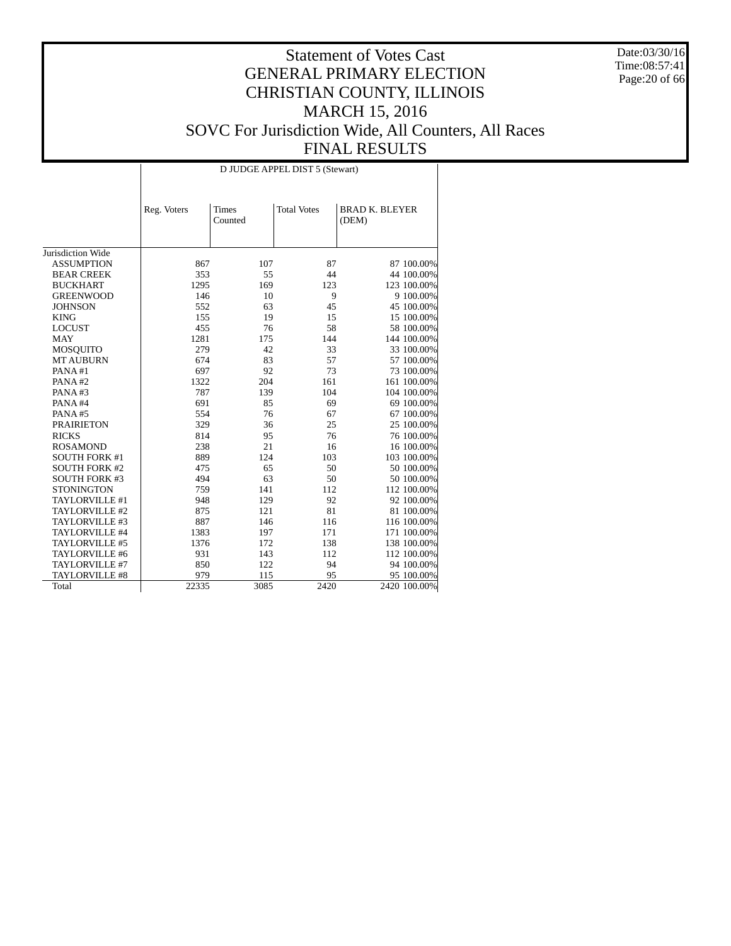Date:03/30/16 Time:08:57:41 Page:20 of 66

|                      |             |                         | D JUDGE APPEL DIST 5 (Stewart) |                                |
|----------------------|-------------|-------------------------|--------------------------------|--------------------------------|
|                      | Reg. Voters | <b>Times</b><br>Counted | <b>Total Votes</b>             | <b>BRAD K. BLEYER</b><br>(DEM) |
| Jurisdiction Wide    |             |                         |                                |                                |
| <b>ASSUMPTION</b>    | 867         | 107                     | 87                             | 87 100.00%                     |
| <b>BEAR CREEK</b>    | 353         | 55                      | 44                             | 44 100.00%                     |
| <b>BUCKHART</b>      | 1295        | 169                     | 123                            | 123 100.00%                    |
| <b>GREENWOOD</b>     | 146         | 10                      | 9                              | 9 100.00%                      |
| <b>JOHNSON</b>       | 552         | 63                      | 45                             | 45 100.00%                     |
| <b>KING</b>          | 155         | 19                      | 15                             | 15 100.00%                     |
| <b>LOCUST</b>        | 455         | 76                      | 58                             | 58 100.00%                     |
| <b>MAY</b>           | 1281        | 175                     | 144                            | 144 100.00%                    |
| MOSQUITO             | 279         | 42                      | 33                             | 33 100.00%                     |
| <b>MT AUBURN</b>     | 674         | 83                      | 57                             | 57 100.00%                     |
| PANA#1               | 697         | 92                      | 73                             | 73 100.00%                     |
| PANA#2               | 1322        | 204                     | 161                            | 161 100.00%                    |
| PANA#3               | 787         | 139                     | 104                            | 104 100.00%                    |
| PANA#4               | 691         | 85                      | 69                             | 69 100.00%                     |
| PANA#5               | 554         | 76                      | 67                             | 67 100.00%                     |
| <b>PRAIRIETON</b>    | 329         | 36                      | 25                             | 25 100.00%                     |
| <b>RICKS</b>         | 814         | 95                      | 76                             | 76 100.00%                     |
| <b>ROSAMOND</b>      | 238         | 21                      | 16                             | 16 100.00%                     |
| <b>SOUTH FORK #1</b> | 889         | 124                     | 103                            | 103 100.00%                    |
| <b>SOUTH FORK #2</b> | 475         | 65                      | 50                             | 50 100.00%                     |
| <b>SOUTH FORK #3</b> | 494         | 63                      | 50                             | 50 100.00%                     |
| <b>STONINGTON</b>    | 759         | 141                     | 112                            | 112 100.00%                    |
| TAYLORVILLE #1       | 948         | 129                     | 92                             | 92 100.00%                     |
| TAYLORVILLE #2       | 875         | 121                     | 81                             | 81 100.00%                     |
| TAYLORVILLE #3       | 887         | 146                     | 116                            | 116 100.00%                    |
| TAYLORVILLE #4       | 1383        | 197                     | 171                            | 171 100.00%                    |
| TAYLORVILLE #5       | 1376        | 172                     | 138                            | 138 100.00%                    |
| TAYLORVILLE #6       | 931         | 143                     | 112                            | 112 100.00%                    |
| TAYLORVILLE #7       | 850         | 122                     | 94                             | 94 100.00%                     |
| TAYLORVILLE #8       |             | 115                     | 95                             |                                |
|                      | 979         |                         |                                | 95 100.00%                     |
| Total                | 22335       | 3085                    | 2420                           | 2420 100.00%                   |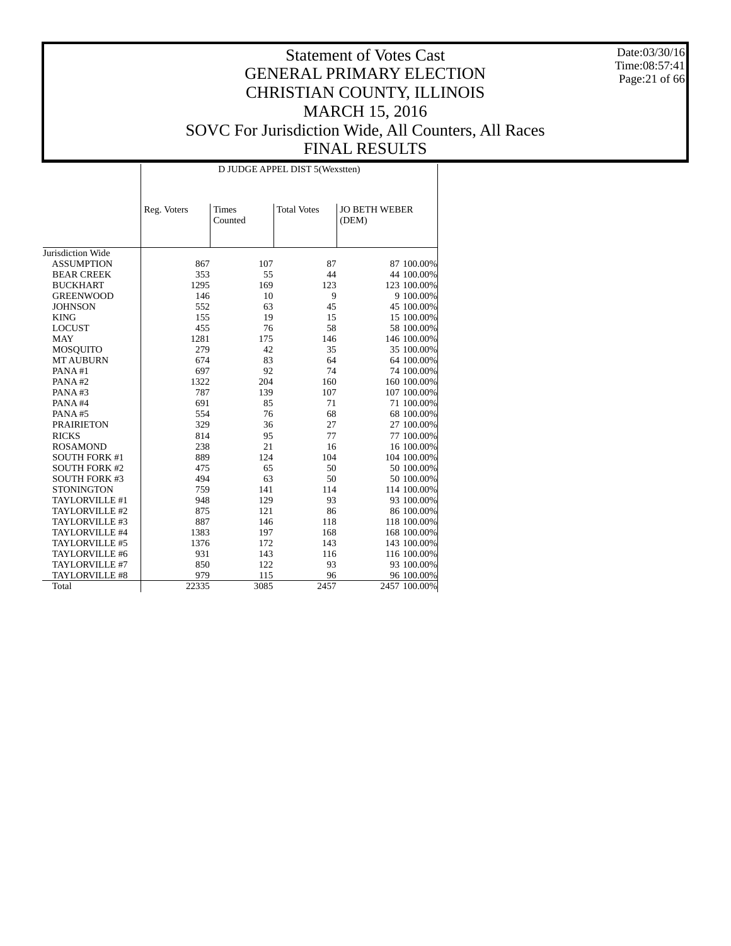Date:03/30/16 Time:08:57:41 Page:21 of 66

|                      |             |                         | D JUDGE APPEL DIST 5(Wexstten) |                               |
|----------------------|-------------|-------------------------|--------------------------------|-------------------------------|
|                      | Reg. Voters | <b>Times</b><br>Counted | <b>Total Votes</b>             | <b>JO BETH WEBER</b><br>(DEM) |
| Jurisdiction Wide    |             |                         |                                |                               |
| <b>ASSUMPTION</b>    | 867         | 107                     | 87                             | 87 100.00%                    |
| <b>BEAR CREEK</b>    | 353         | 55                      | 44                             | 44 100.00%                    |
|                      |             |                         | 123                            |                               |
| <b>BUCKHART</b>      | 1295        | 169                     |                                | 123 100.00%                   |
| <b>GREENWOOD</b>     | 146         | 10                      | 9                              | 9 100.00%                     |
| <b>JOHNSON</b>       | 552         | 63                      | 45                             | 45 100.00%                    |
| <b>KING</b>          | 155         | 19                      | 15                             | 15 100.00%                    |
| <b>LOCUST</b>        | 455         | 76                      | 58                             | 58 100.00%                    |
| <b>MAY</b>           | 1281        | 175                     | 146                            | 146 100.00%                   |
| MOSQUITO             | 279         | 42                      | 35                             | 35 100.00%                    |
| <b>MT AUBURN</b>     | 674         | 83                      | 64                             | 64 100.00%                    |
| PANA#1               | 697         | 92                      | 74                             | 74 100.00%                    |
| PANA#2               | 1322        | 204                     | 160                            | 160 100.00%                   |
| PANA#3               | 787         | 139                     | 107                            | 107 100.00%                   |
| PANA#4               | 691         | 85                      | 71                             | 71 100.00%                    |
| PANA#5               | 554         | 76                      | 68                             | 68 100.00%                    |
| <b>PRAIRIETON</b>    | 329         | 36                      | 27                             | 27 100.00%                    |
| <b>RICKS</b>         | 814         | 95                      | 77                             | 77 100.00%                    |
| <b>ROSAMOND</b>      | 238         | 21                      | 16                             | 16 100.00%                    |
| <b>SOUTH FORK #1</b> | 889         | 124                     | 104                            | 104 100.00%                   |
| <b>SOUTH FORK #2</b> | 475         | 65                      | 50                             | 50 100.00%                    |
| <b>SOUTH FORK #3</b> | 494         | 63                      | 50                             | 50 100.00%                    |
| <b>STONINGTON</b>    | 759         | 141                     | 114                            | 114 100.00%                   |
| TAYLORVILLE #1       | 948         | 129                     | 93                             | 93 100.00%                    |
| TAYLORVILLE #2       | 875         | 121                     | 86                             | 86 100.00%                    |
| TAYLORVILLE #3       | 887         | 146                     | 118                            | 118 100.00%                   |
| TAYLORVILLE #4       | 1383        | 197                     | 168                            | 168 100.00%                   |
| TAYLORVILLE #5       | 1376        | 172                     | 143                            | 143 100.00%                   |
| TAYLORVILLE #6       | 931         | 143                     | 116                            | 116 100.00%                   |
| TAYLORVILLE #7       | 850         | 122                     | 93                             | 93 100.00%                    |
| TAYLORVILLE #8       | 979         | 115                     | 96                             | 96 100.00%                    |
| Total                | 22335       | 3085                    | 2457                           | 2457 100.00%                  |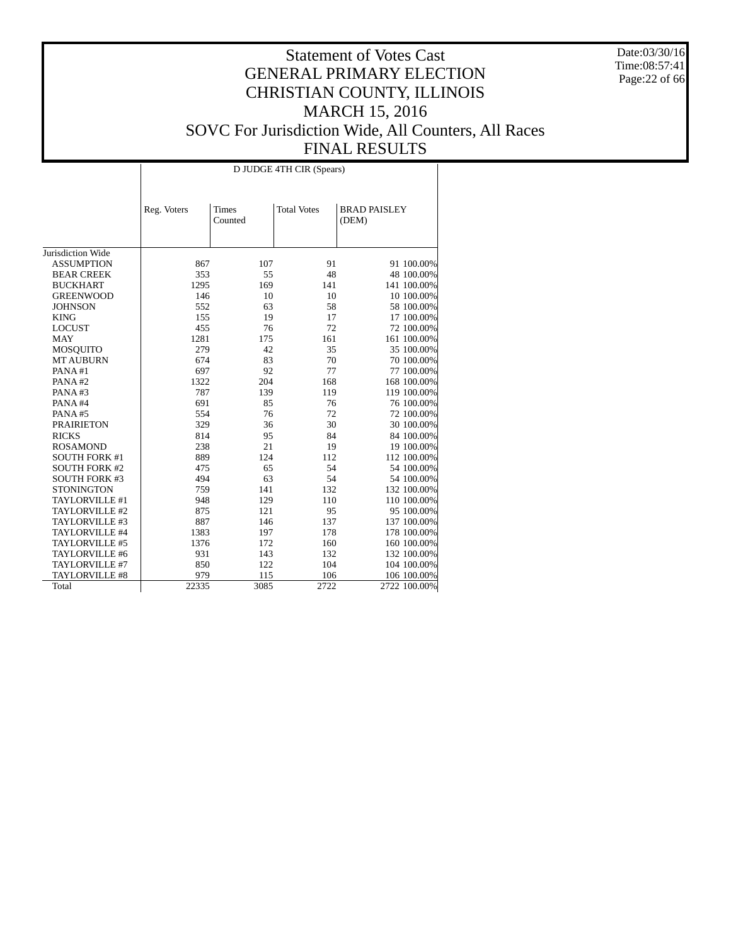Date:03/30/16 Time:08:57:41 Page:22 of 66

|                                     |             |                         | D JUDGE 4TH CIR (Spears) |                              |
|-------------------------------------|-------------|-------------------------|--------------------------|------------------------------|
|                                     | Reg. Voters | <b>Times</b><br>Counted | <b>Total Votes</b>       | <b>BRAD PAISLEY</b><br>(DEM) |
| Jurisdiction Wide                   |             |                         |                          |                              |
| <b>ASSUMPTION</b>                   | 867         | 107                     | 91                       | 91 100.00%                   |
| <b>BEAR CREEK</b>                   | 353         | 55                      | 48                       | 48 100.00%                   |
| <b>BUCKHART</b>                     | 1295        | 169                     | 141                      | 141 100.00%                  |
| <b>GREENWOOD</b>                    | 146         | 10                      | 10                       |                              |
| <b>JOHNSON</b>                      | 552         | 63                      | 58                       | 10 100.00%<br>58 100.00%     |
| <b>KING</b>                         | 155         | 19                      | 17                       | 17 100.00%                   |
| <b>LOCUST</b>                       | 455         |                         | 72                       | 72 100.00%                   |
| <b>MAY</b>                          | 1281        | 76<br>175               | 161                      | 161 100.00%                  |
|                                     | 279         | 42                      | 35                       | 35 100.00%                   |
| <b>MOSQUITO</b><br><b>MT AUBURN</b> | 674         | 83                      | 70                       | 70 100.00%                   |
| PANA#1                              | 697         | 92                      | 77                       | 77 100.00%                   |
| PANA#2                              | 1322        | 204                     | 168                      | 168 100.00%                  |
| PANA#3                              | 787         | 139                     |                          |                              |
|                                     | 691         | 85                      | 119<br>76                | 119 100.00%                  |
| PANA#4                              |             | 76                      | 72                       | 76 100.00%                   |
| PANA#5                              | 554         |                         |                          | 72 100.00%                   |
| <b>PRAIRIETON</b>                   | 329         | 36                      | 30                       | 30 100.00%                   |
| <b>RICKS</b>                        | 814         | 95                      | 84                       | 84 100.00%                   |
| <b>ROSAMOND</b>                     | 238         | 21                      | 19                       | 19 100.00%                   |
| <b>SOUTH FORK #1</b>                | 889         | 124                     | 112                      | 112 100.00%                  |
| <b>SOUTH FORK #2</b>                | 475         | 65                      | 54                       | 54 100.00%                   |
| <b>SOUTH FORK #3</b>                | 494         | 63                      | 54                       | 54 100.00%                   |
| <b>STONINGTON</b>                   | 759         | 141                     | 132                      | 132 100.00%                  |
| TAYLORVILLE #1                      | 948         | 129                     | 110                      | 110 100.00%                  |
| TAYLORVILLE #2                      | 875         | 121                     | 95                       | 95 100.00%                   |
| TAYLORVILLE #3                      | 887         | 146                     | 137                      | 137 100.00%                  |
| TAYLORVILLE #4                      | 1383        | 197                     | 178                      | 178 100.00%                  |
| TAYLORVILLE #5                      | 1376        | 172                     | 160                      | 160 100.00%                  |
| TAYLORVILLE #6                      | 931         | 143                     | 132                      | 132 100.00%                  |
| TAYLORVILLE #7                      | 850         | 122                     | 104                      | 104 100.00%                  |
| TAYLORVILLE #8                      | 979         | 115                     | 106                      | 106 100.00%                  |
| Total                               | 22335       | 3085                    | 2722                     | 2722 100.00%                 |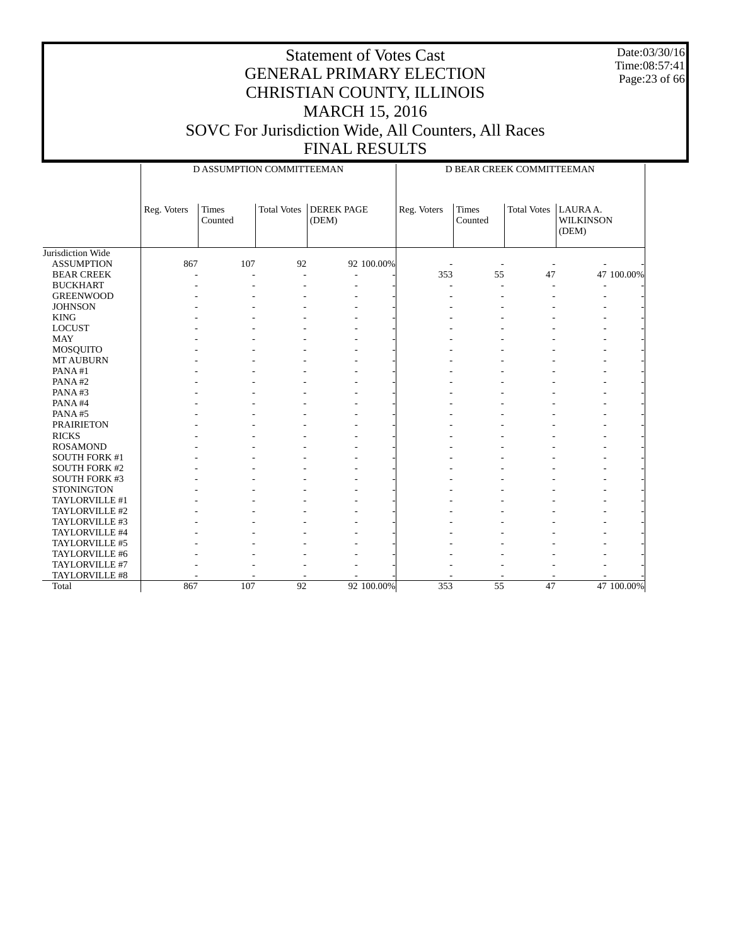Date:03/30/16 Time:08:57:41 Page:23 of 66

|                      |             | D ASSUMPTION COMMITTEEMAN |                    |                            |             | D BEAR CREEK COMMITTEEMAN |                    |                                      |            |
|----------------------|-------------|---------------------------|--------------------|----------------------------|-------------|---------------------------|--------------------|--------------------------------------|------------|
|                      | Reg. Voters | <b>Times</b><br>Counted   | <b>Total Votes</b> | <b>DEREK PAGE</b><br>(DEM) | Reg. Voters | <b>Times</b><br>Counted   | <b>Total Votes</b> | LAURAA.<br><b>WILKINSON</b><br>(DEM) |            |
| Jurisdiction Wide    |             |                           |                    |                            |             |                           |                    |                                      |            |
| <b>ASSUMPTION</b>    | 867         | 107                       | 92                 | 92 100.00%                 |             |                           |                    |                                      |            |
| <b>BEAR CREEK</b>    |             |                           | ÷,                 | ٠                          | 353         | 55                        | 47                 |                                      | 47 100.00% |
| <b>BUCKHART</b>      |             |                           |                    |                            |             |                           |                    |                                      |            |
| <b>GREENWOOD</b>     |             |                           |                    |                            |             |                           |                    |                                      |            |
| <b>JOHNSON</b>       |             |                           |                    |                            |             |                           |                    |                                      |            |
| <b>KING</b>          |             |                           |                    |                            |             |                           |                    |                                      |            |
| <b>LOCUST</b>        |             |                           |                    |                            |             |                           |                    |                                      |            |
| <b>MAY</b>           |             |                           |                    |                            |             |                           |                    |                                      |            |
| MOSQUITO             |             |                           |                    |                            |             |                           |                    |                                      |            |
| <b>MT AUBURN</b>     |             |                           |                    |                            |             |                           |                    |                                      |            |
| PANA#1               |             |                           |                    |                            |             |                           |                    |                                      |            |
| PANA#2               |             |                           |                    |                            |             |                           |                    |                                      |            |
| PANA#3               |             |                           |                    |                            |             |                           |                    |                                      |            |
| PANA#4               |             |                           |                    |                            |             |                           |                    |                                      |            |
| PANA#5               |             |                           |                    |                            |             |                           |                    |                                      |            |
| <b>PRAIRIETON</b>    |             |                           |                    |                            |             |                           |                    |                                      |            |
| <b>RICKS</b>         |             |                           |                    |                            |             |                           |                    |                                      |            |
| <b>ROSAMOND</b>      |             |                           |                    |                            |             |                           |                    |                                      |            |
| SOUTH FORK #1        |             |                           |                    |                            |             |                           |                    |                                      |            |
| <b>SOUTH FORK #2</b> |             |                           |                    |                            |             |                           |                    |                                      |            |
| SOUTH FORK #3        |             |                           |                    |                            |             |                           |                    |                                      |            |
| <b>STONINGTON</b>    |             |                           |                    |                            |             |                           |                    |                                      |            |
| TAYLORVILLE #1       |             |                           |                    |                            |             |                           |                    |                                      |            |
| TAYLORVILLE #2       |             |                           |                    |                            |             |                           |                    |                                      |            |
| TAYLORVILLE #3       |             |                           |                    |                            |             |                           |                    |                                      |            |
| TAYLORVILLE #4       |             |                           |                    |                            |             |                           |                    |                                      |            |
| TAYLORVILLE #5       |             |                           |                    |                            |             |                           |                    |                                      |            |
| TAYLORVILLE #6       |             |                           |                    |                            |             |                           |                    |                                      |            |
| TAYLORVILLE #7       |             |                           |                    |                            |             |                           |                    |                                      |            |
| TAYLORVILLE #8       |             |                           |                    |                            |             |                           |                    |                                      |            |
| Total                | 867         | 107                       | 92                 | 92 100.00%                 | 353         | $\overline{55}$           | 47                 |                                      | 47 100,00% |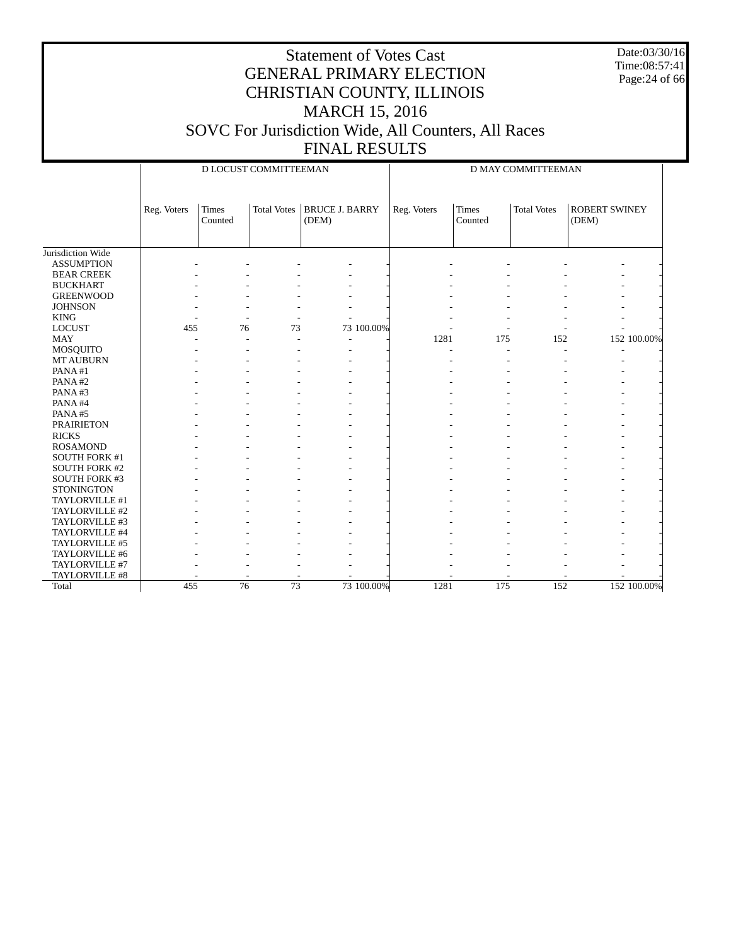Date:03/30/16 Time:08:57:41 Page:24 of 66

|                      |             |                         | D LOCUST COMMITTEEMAN |                                |             |                         | D MAY COMMITTEEMAN |                               |
|----------------------|-------------|-------------------------|-----------------------|--------------------------------|-------------|-------------------------|--------------------|-------------------------------|
|                      | Reg. Voters | <b>Times</b><br>Counted | <b>Total Votes</b>    | <b>BRUCE J. BARRY</b><br>(DEM) | Reg. Voters | <b>Times</b><br>Counted | <b>Total Votes</b> | <b>ROBERT SWINEY</b><br>(DEM) |
| Jurisdiction Wide    |             |                         |                       |                                |             |                         |                    |                               |
| <b>ASSUMPTION</b>    |             |                         |                       |                                |             |                         |                    |                               |
| <b>BEAR CREEK</b>    |             |                         |                       |                                |             |                         |                    |                               |
| <b>BUCKHART</b>      |             |                         |                       |                                |             |                         |                    |                               |
| <b>GREENWOOD</b>     |             |                         |                       |                                |             |                         |                    |                               |
| <b>JOHNSON</b>       |             |                         |                       |                                |             |                         |                    |                               |
| <b>KING</b>          |             |                         |                       |                                |             |                         |                    |                               |
| <b>LOCUST</b>        | 455         | 76                      | 73                    | 73 100.00%                     |             |                         |                    |                               |
| <b>MAY</b>           |             |                         |                       |                                | 1281        | 175                     | 152                | 152 100.00%                   |
| <b>MOSQUITO</b>      |             |                         |                       |                                |             | $\overline{a}$          | L.                 | $\overline{\phantom{a}}$      |
| <b>MT AUBURN</b>     |             |                         |                       |                                |             |                         |                    |                               |
| PANA#1               |             |                         |                       |                                |             |                         |                    |                               |
| PANA#2               |             |                         |                       |                                |             |                         |                    |                               |
| PANA#3               |             |                         |                       |                                |             |                         |                    |                               |
| PANA#4               |             |                         |                       |                                |             |                         |                    |                               |
| PANA#5               |             |                         |                       |                                |             |                         |                    |                               |
| <b>PRAIRIETON</b>    |             |                         |                       |                                |             |                         |                    |                               |
| <b>RICKS</b>         |             |                         |                       |                                |             |                         |                    |                               |
| <b>ROSAMOND</b>      |             |                         |                       |                                |             |                         |                    |                               |
| <b>SOUTH FORK #1</b> |             |                         |                       |                                |             |                         |                    |                               |
| <b>SOUTH FORK #2</b> |             |                         |                       |                                |             |                         |                    |                               |
| <b>SOUTH FORK #3</b> |             |                         |                       |                                |             |                         |                    |                               |
| <b>STONINGTON</b>    |             |                         |                       |                                |             |                         |                    |                               |
| TAYLORVILLE #1       |             |                         |                       |                                |             |                         |                    |                               |
| TAYLORVILLE #2       |             |                         |                       |                                |             |                         |                    |                               |
| TAYLORVILLE #3       |             |                         |                       |                                |             |                         |                    |                               |
| TAYLORVILLE #4       |             |                         |                       |                                |             |                         |                    |                               |
| TAYLORVILLE #5       |             |                         |                       |                                |             |                         |                    |                               |
| TAYLORVILLE #6       |             |                         |                       |                                |             |                         |                    |                               |
| TAYLORVILLE #7       |             |                         |                       |                                |             |                         |                    |                               |
| TAYLORVILLE #8       |             |                         |                       |                                |             |                         |                    |                               |
| Total                | 455         | $\overline{76}$         | 73                    | 73 100.00%                     | 1281        | 175                     | 152                | 152 100.00%                   |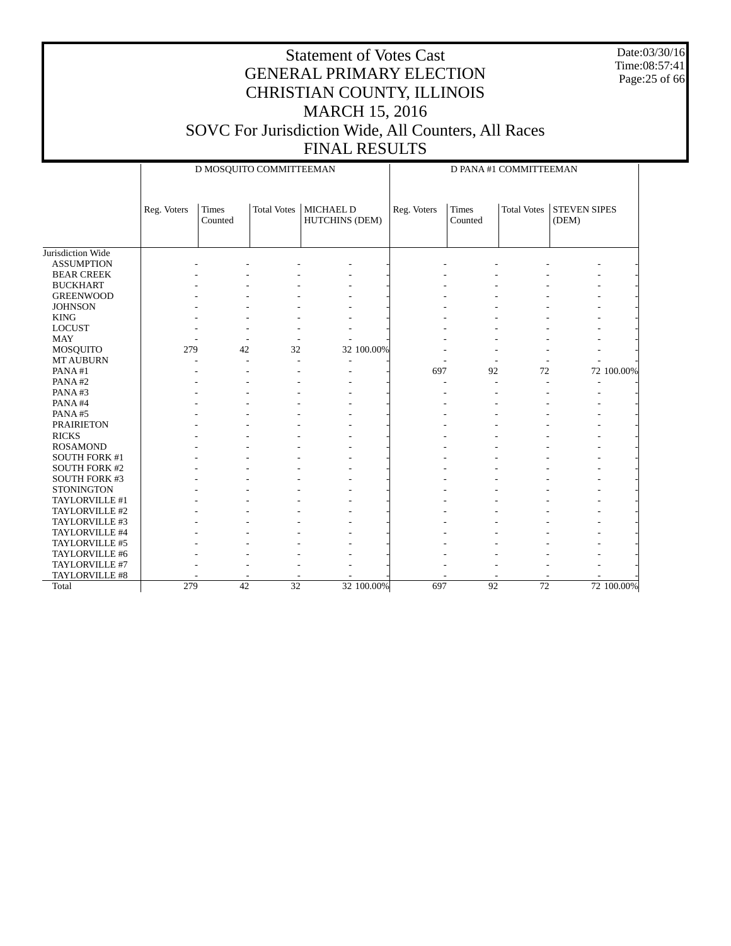Date:03/30/16 Time:08:57:41 Page:25 of 66

|                              |             | D MOSQUITO COMMITTEEMAN |                    |                                    |             | D PANA #1 COMMITTEEMAN  |                    |                              |            |
|------------------------------|-------------|-------------------------|--------------------|------------------------------------|-------------|-------------------------|--------------------|------------------------------|------------|
|                              | Reg. Voters | <b>Times</b><br>Counted | <b>Total Votes</b> | <b>MICHAEL D</b><br>HUTCHINS (DEM) | Reg. Voters | <b>Times</b><br>Counted | <b>Total Votes</b> | <b>STEVEN SIPES</b><br>(DEM) |            |
| Jurisdiction Wide            |             |                         |                    |                                    |             |                         |                    |                              |            |
| <b>ASSUMPTION</b>            |             |                         |                    |                                    |             |                         |                    |                              |            |
| <b>BEAR CREEK</b>            |             |                         |                    |                                    |             |                         |                    |                              |            |
| <b>BUCKHART</b>              |             |                         |                    |                                    |             |                         |                    |                              |            |
| <b>GREENWOOD</b>             |             |                         |                    |                                    |             |                         |                    |                              |            |
| <b>JOHNSON</b>               |             |                         |                    |                                    |             |                         |                    |                              |            |
| <b>KING</b>                  |             |                         |                    |                                    |             |                         |                    |                              |            |
| <b>LOCUST</b>                |             |                         |                    |                                    |             |                         |                    |                              |            |
| <b>MAY</b>                   |             |                         |                    |                                    |             |                         |                    |                              |            |
|                              | 279         | 42                      | 32                 | 32 100.00%                         |             |                         |                    |                              |            |
| MOSQUITO<br><b>MT AUBURN</b> |             |                         |                    |                                    |             |                         |                    |                              |            |
| PANA#1                       |             | ÷,                      | ä,                 |                                    | 697         | 92                      | 72                 |                              | 72 100.00% |
| PANA#2                       |             |                         |                    |                                    |             |                         |                    |                              |            |
| PANA#3                       |             |                         |                    |                                    |             |                         |                    |                              |            |
| PANA#4                       |             |                         |                    |                                    |             |                         |                    |                              |            |
|                              |             |                         |                    |                                    |             |                         |                    |                              |            |
| PANA#5                       |             |                         |                    |                                    |             |                         |                    |                              |            |
| <b>PRAIRIETON</b>            |             |                         |                    |                                    |             |                         |                    |                              |            |
| <b>RICKS</b>                 |             |                         |                    |                                    |             |                         |                    |                              |            |
| <b>ROSAMOND</b>              |             |                         |                    |                                    |             |                         |                    |                              |            |
| SOUTH FORK #1                |             |                         |                    |                                    |             |                         |                    |                              |            |
| <b>SOUTH FORK #2</b>         |             |                         |                    |                                    |             |                         |                    |                              |            |
| <b>SOUTH FORK #3</b>         |             |                         |                    |                                    |             |                         |                    |                              |            |
| <b>STONINGTON</b>            |             |                         |                    |                                    |             |                         |                    |                              |            |
| TAYLORVILLE #1               |             |                         |                    |                                    |             |                         |                    |                              |            |
| TAYLORVILLE #2               |             |                         |                    |                                    |             |                         |                    |                              |            |
| TAYLORVILLE #3               |             |                         |                    |                                    |             |                         |                    |                              |            |
| TAYLORVILLE #4               |             |                         |                    |                                    |             |                         |                    |                              |            |
| TAYLORVILLE #5               |             |                         |                    |                                    |             |                         |                    |                              |            |
| TAYLORVILLE #6               |             |                         |                    |                                    |             |                         |                    |                              |            |
| TAYLORVILLE #7               |             |                         |                    |                                    |             |                         |                    |                              |            |
| TAYLORVILLE #8               |             |                         |                    |                                    |             |                         |                    |                              |            |
| Total                        | 279         | $\overline{42}$         | 32                 | 32 100.00%                         | 697         | $\overline{92}$         | 72                 |                              | 72 100.00% |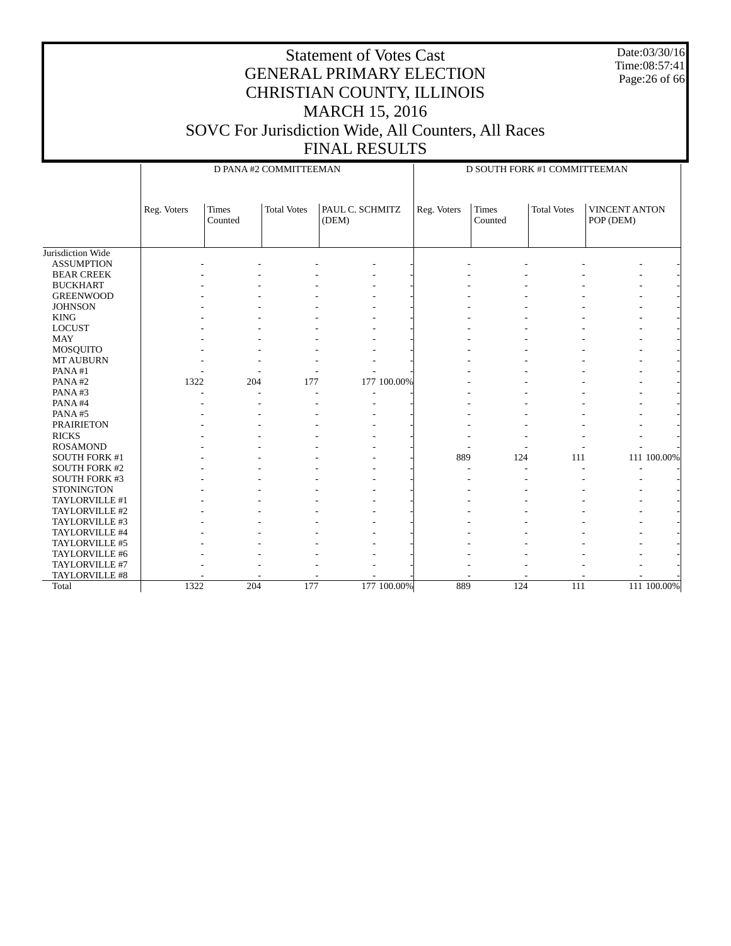Date:03/30/16 Time:08:57:41 Page:26 of 66

#### Statement of Votes Cast GENERAL PRIMARY ELECTION CHRISTIAN COUNTY, ILLINOIS MARCH 15, 2016 SOVC For Jurisdiction Wide, All Counters, All Races FINAL RESULTS

 Jurisdiction Wide ASSUMPTION BEAR CREEK BUCKHART GREENWOOD **JOHNSON**  KING LOCUST MAY MOSQUITO MT AUBURN PANA #1 PANA #2 PANA #3 PANA #4 PANA #5 PRAIRIETON RICKS ROSAMOND SOUTH FORK #1 SOUTH FORK #2 SOUTH FORK #3 **STONINGTON**  TAYLORVILLE #1 TAYLORVILLE #2 TAYLORVILLE #3 TAYLORVILLE #4 TAYLORVILLE #5 TAYLORVILLE #6 TAYLORVILLE #7 TAYLORVILLE #8 Total Reg. Voters Times Counted Total Votes | PAUL C. SCHMITZ (DEM) D PANA #2 COMMITTEEMAN Reg. Voters Times Counted Total Votes | VINCENT ANTON POP (DEM) D SOUTH FORK #1 COMMITTEEMAN - - - - - - - - - - - - - - - - - - - - - - - - - - - - - - - - - - - - - - - - - - - - - - - - - - - - - - - - - - - - - - - - - - - - - - - - - - - - - - - - - - - - - - - - - - - - - - - - - - - - - - - - - - - - - - 1322 204 177 177 100.00% - - - - - - - - - - - - - - - - - - - - - - - - - - - - - - - - - - - - - - - - - - - - - - - - - - - - - - - - - - - - - - - - - - - - - - - - - - - - - - - - 889 124 111 111 100.00% - - - - - - - - - - - - - - - - - - - - - - - - - - - - - - - - - - - - - - - - - - - - - - - - - - - - - - - - - - - - - - - - - - - - - - - - - - - - - - - - - - - - - - - - - - - - - - - - - - - - - - - - - - - - - - 1322 204 177 177 100.00% 889 124 111 111 100.00%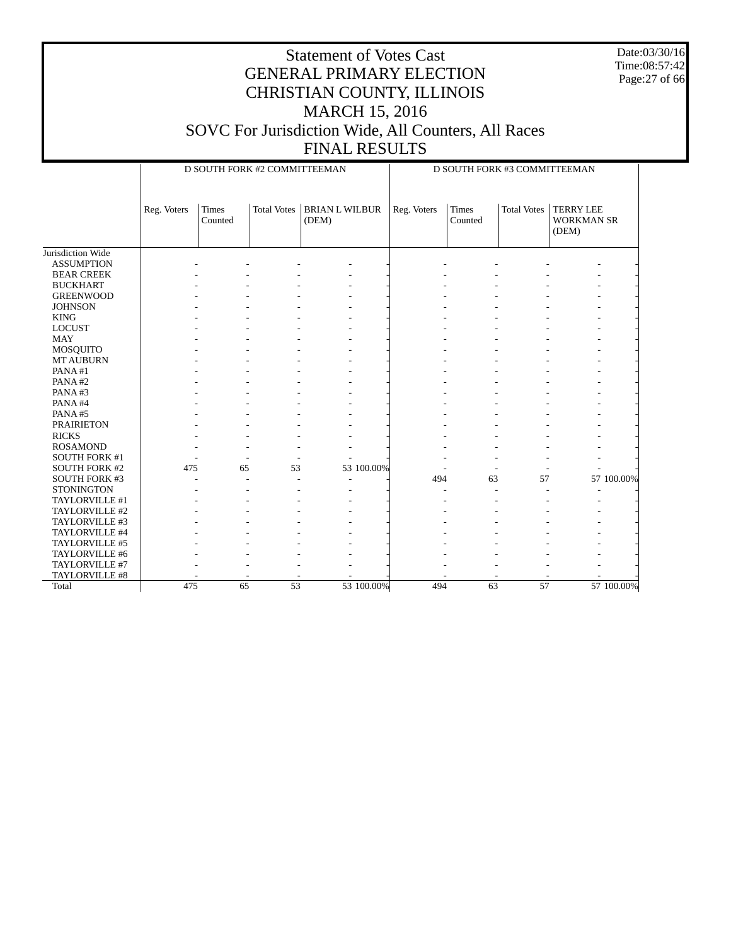Date:03/30/16 Time:08:57:42 Page:27 of 66

|                      |             | D SOUTH FORK #2 COMMITTEEMAN |             |                                |            | D SOUTH FORK #3 COMMITTEEMAN |                         |                    |                                                |            |
|----------------------|-------------|------------------------------|-------------|--------------------------------|------------|------------------------------|-------------------------|--------------------|------------------------------------------------|------------|
|                      | Reg. Voters | <b>Times</b><br>Counted      | Total Votes | <b>BRIAN L WILBUR</b><br>(DEM) |            | Reg. Voters                  | <b>Times</b><br>Counted | <b>Total Votes</b> | <b>TERRY LEE</b><br><b>WORKMAN SR</b><br>(DEM) |            |
| Jurisdiction Wide    |             |                              |             |                                |            |                              |                         |                    |                                                |            |
| <b>ASSUMPTION</b>    |             |                              |             |                                |            |                              |                         |                    |                                                |            |
| <b>BEAR CREEK</b>    |             |                              |             |                                |            |                              |                         |                    |                                                |            |
| <b>BUCKHART</b>      |             |                              |             |                                |            |                              |                         |                    |                                                |            |
| <b>GREENWOOD</b>     |             |                              |             |                                |            |                              |                         |                    |                                                |            |
| <b>JOHNSON</b>       |             |                              |             |                                |            |                              |                         |                    |                                                |            |
| <b>KING</b>          |             |                              |             |                                |            |                              |                         |                    |                                                |            |
| <b>LOCUST</b>        |             |                              |             |                                |            |                              |                         |                    |                                                |            |
| <b>MAY</b>           |             |                              |             |                                |            |                              |                         |                    |                                                |            |
| MOSQUITO             |             |                              |             |                                |            |                              |                         |                    |                                                |            |
| <b>MT AUBURN</b>     |             |                              |             |                                |            |                              |                         |                    |                                                |            |
| PANA#1               |             |                              |             |                                |            |                              |                         |                    |                                                |            |
| PANA#2               |             |                              |             |                                |            |                              |                         |                    |                                                |            |
| PANA#3               |             |                              |             |                                |            |                              |                         |                    |                                                |            |
| PANA#4               |             |                              |             |                                |            |                              |                         |                    |                                                |            |
| PANA#5               |             |                              |             |                                |            |                              |                         |                    |                                                |            |
| <b>PRAIRIETON</b>    |             |                              |             |                                |            |                              |                         |                    |                                                |            |
| <b>RICKS</b>         |             |                              |             |                                |            |                              |                         |                    |                                                |            |
| <b>ROSAMOND</b>      |             |                              |             |                                |            |                              |                         |                    |                                                |            |
| <b>SOUTH FORK #1</b> |             |                              | L,          |                                |            |                              |                         |                    |                                                |            |
| <b>SOUTH FORK #2</b> | 475         | 65                           | 53          |                                | 53 100.00% |                              |                         |                    |                                                |            |
| <b>SOUTH FORK #3</b> |             |                              | L,          |                                |            | 494                          | 63                      | 57                 |                                                | 57 100.00% |
| <b>STONINGTON</b>    |             |                              |             |                                |            |                              |                         |                    |                                                |            |
| TAYLORVILLE #1       |             |                              |             |                                |            |                              |                         |                    |                                                |            |
| TAYLORVILLE #2       |             |                              |             |                                |            |                              |                         |                    |                                                |            |
| TAYLORVILLE #3       |             |                              |             |                                |            |                              |                         |                    |                                                |            |
| TAYLORVILLE #4       |             |                              |             |                                |            |                              |                         |                    |                                                |            |
| TAYLORVILLE #5       |             |                              |             |                                |            |                              |                         |                    |                                                |            |
| TAYLORVILLE #6       |             |                              |             |                                |            |                              |                         |                    |                                                |            |
| TAYLORVILLE #7       |             |                              |             |                                |            |                              |                         |                    |                                                |            |
| TAYLORVILLE #8       |             |                              |             |                                |            |                              |                         |                    |                                                |            |
| Total                | 475         | 65                           | 53          |                                | 53 100.00% | 494                          | $\overline{63}$         | 57                 |                                                | 57 100,00% |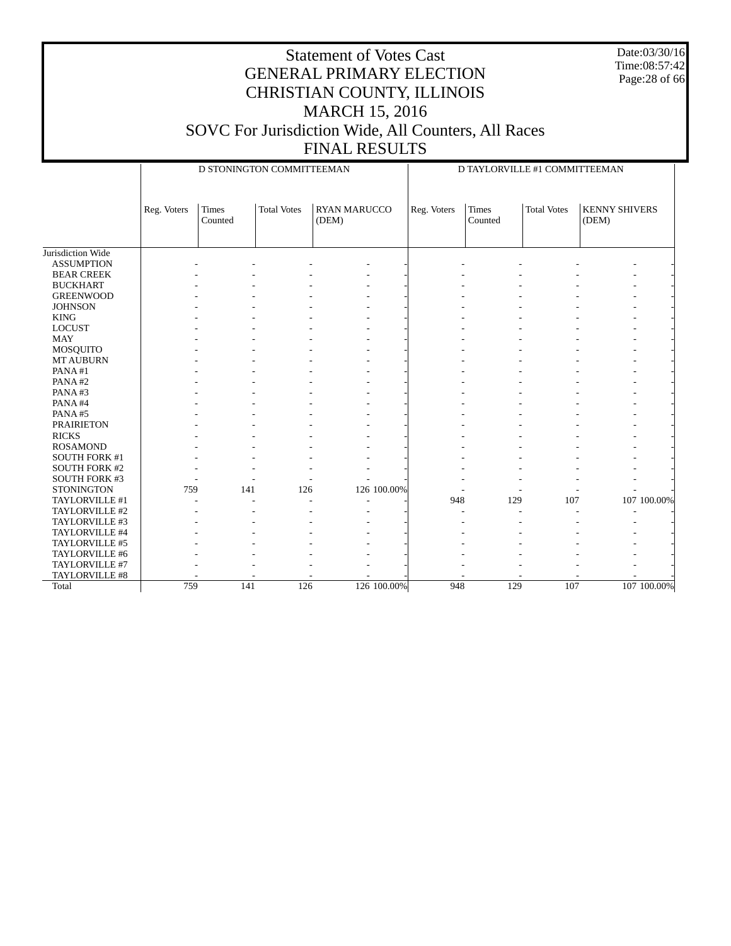Date:03/30/16 Time:08:57:42 Page:28 of 66

|                      |             | D STONINGTON COMMITTEEMAN |                    |                              | D TAYLORVILLE #1 COMMITTEEMAN |                  |                    |                               |             |
|----------------------|-------------|---------------------------|--------------------|------------------------------|-------------------------------|------------------|--------------------|-------------------------------|-------------|
|                      | Reg. Voters | <b>Times</b><br>Counted   | <b>Total Votes</b> | <b>RYAN MARUCCO</b><br>(DEM) | Reg. Voters                   | Times<br>Counted | <b>Total Votes</b> | <b>KENNY SHIVERS</b><br>(DEM) |             |
| Jurisdiction Wide    |             |                           |                    |                              |                               |                  |                    |                               |             |
| <b>ASSUMPTION</b>    |             |                           |                    |                              |                               |                  |                    |                               |             |
| <b>BEAR CREEK</b>    |             |                           |                    |                              |                               |                  |                    |                               |             |
| <b>BUCKHART</b>      |             |                           |                    |                              |                               |                  |                    |                               |             |
| <b>GREENWOOD</b>     |             |                           |                    |                              |                               |                  |                    |                               |             |
| <b>JOHNSON</b>       |             |                           |                    |                              |                               |                  |                    |                               |             |
| <b>KING</b>          |             |                           |                    |                              |                               |                  |                    |                               |             |
| <b>LOCUST</b>        |             |                           |                    |                              |                               |                  |                    |                               |             |
| <b>MAY</b>           |             |                           |                    |                              |                               |                  |                    |                               |             |
| MOSQUITO             |             |                           |                    |                              |                               |                  |                    |                               |             |
| <b>MT AUBURN</b>     |             |                           |                    |                              |                               |                  |                    |                               |             |
| PANA#1               |             |                           |                    |                              |                               |                  |                    |                               |             |
| PANA#2               |             |                           |                    |                              |                               |                  |                    |                               |             |
| PANA#3               |             |                           |                    |                              |                               |                  |                    |                               |             |
| PANA#4               |             |                           |                    |                              |                               |                  |                    |                               |             |
| PANA#5               |             |                           |                    |                              |                               |                  |                    |                               |             |
| <b>PRAIRIETON</b>    |             |                           |                    |                              |                               |                  |                    |                               |             |
| <b>RICKS</b>         |             |                           |                    |                              |                               |                  |                    |                               |             |
| <b>ROSAMOND</b>      |             |                           |                    |                              |                               |                  |                    |                               |             |
| <b>SOUTH FORK #1</b> |             |                           |                    |                              |                               |                  |                    |                               |             |
| <b>SOUTH FORK #2</b> |             |                           |                    |                              |                               |                  |                    |                               |             |
| <b>SOUTH FORK #3</b> |             |                           |                    |                              |                               |                  |                    |                               |             |
| <b>STONINGTON</b>    | 759         | 141                       | 126                | 126 100.00%                  |                               |                  |                    |                               |             |
| TAYLORVILLE #1       |             |                           |                    |                              | 948                           | 129              | 107                |                               | 107 100.00% |
| TAYLORVILLE #2       |             |                           |                    |                              |                               |                  |                    |                               |             |
| TAYLORVILLE #3       |             |                           |                    |                              |                               |                  |                    |                               |             |
| TAYLORVILLE #4       |             |                           |                    |                              |                               |                  |                    |                               |             |
| TAYLORVILLE #5       |             |                           |                    |                              |                               |                  |                    |                               |             |
| TAYLORVILLE #6       |             |                           |                    |                              |                               |                  |                    |                               |             |
| TAYLORVILLE #7       |             |                           |                    |                              |                               |                  |                    |                               |             |
| TAYLORVILLE #8       |             |                           |                    |                              |                               |                  |                    |                               |             |
| Total                | 759         | 141                       | 126                | 126 100.00%                  | 948                           | 129              | 107                |                               | 107 100.00% |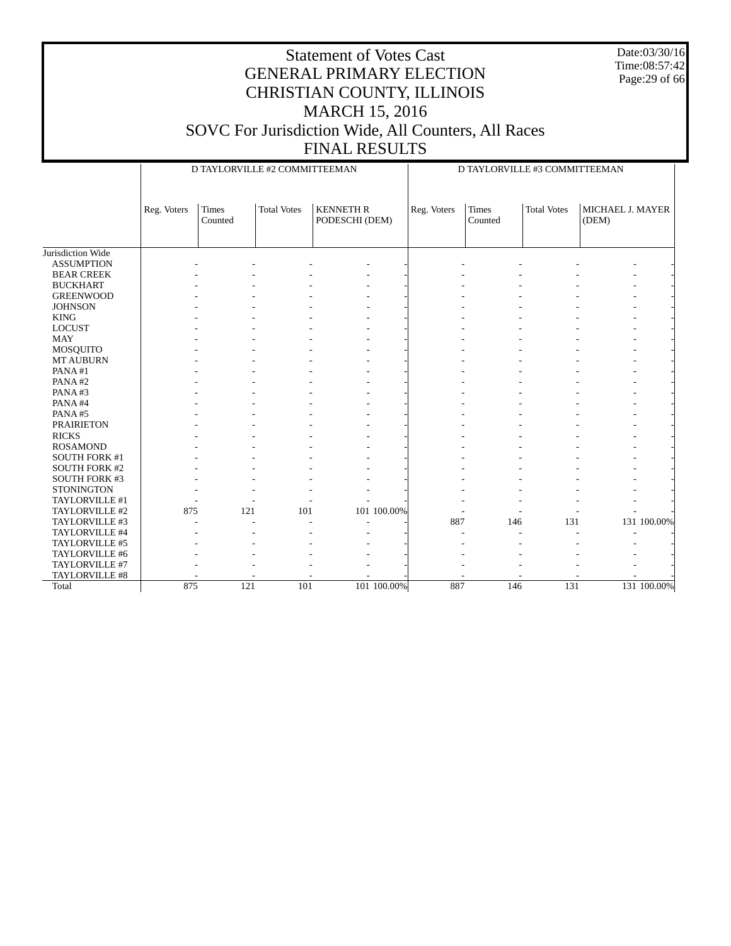Date:03/30/16 Time:08:57:42 Page:29 of 66

|                      |             | D TAYLORVILLE #2 COMMITTEEMAN |                    |                                    |             | D TAYLORVILLE #3 COMMITTEEMAN |                         |                    |                           |             |  |
|----------------------|-------------|-------------------------------|--------------------|------------------------------------|-------------|-------------------------------|-------------------------|--------------------|---------------------------|-------------|--|
|                      | Reg. Voters | <b>Times</b><br>Counted       | <b>Total Votes</b> | <b>KENNETH R</b><br>PODESCHI (DEM) |             | Reg. Voters                   | <b>Times</b><br>Counted | <b>Total Votes</b> | MICHAEL J. MAYER<br>(DEM) |             |  |
| Jurisdiction Wide    |             |                               |                    |                                    |             |                               |                         |                    |                           |             |  |
| <b>ASSUMPTION</b>    |             |                               |                    |                                    |             |                               |                         |                    |                           |             |  |
| <b>BEAR CREEK</b>    |             |                               |                    |                                    |             |                               |                         |                    |                           |             |  |
| <b>BUCKHART</b>      |             |                               |                    |                                    |             |                               |                         |                    |                           |             |  |
| <b>GREENWOOD</b>     |             |                               |                    |                                    |             |                               |                         |                    |                           |             |  |
| <b>JOHNSON</b>       |             |                               |                    |                                    |             |                               |                         |                    |                           |             |  |
| <b>KING</b>          |             |                               |                    |                                    |             |                               |                         |                    |                           |             |  |
| <b>LOCUST</b>        |             |                               |                    |                                    |             |                               |                         |                    |                           |             |  |
| <b>MAY</b>           |             |                               |                    |                                    |             |                               |                         |                    |                           |             |  |
| MOSQUITO             |             |                               |                    |                                    |             |                               |                         |                    |                           |             |  |
| <b>MT AUBURN</b>     |             |                               |                    |                                    |             |                               |                         |                    |                           |             |  |
| PANA#1               |             |                               |                    |                                    |             |                               |                         |                    |                           |             |  |
| PANA#2               |             |                               |                    |                                    |             |                               |                         |                    |                           |             |  |
| PANA#3               |             |                               |                    |                                    |             |                               |                         |                    |                           |             |  |
| PANA#4               |             |                               |                    |                                    |             |                               |                         |                    |                           |             |  |
| PANA#5               |             |                               |                    |                                    |             |                               |                         |                    |                           |             |  |
| <b>PRAIRIETON</b>    |             |                               |                    |                                    |             |                               |                         |                    |                           |             |  |
| <b>RICKS</b>         |             |                               |                    |                                    |             |                               |                         |                    |                           |             |  |
| <b>ROSAMOND</b>      |             |                               |                    |                                    |             |                               |                         |                    |                           |             |  |
| <b>SOUTH FORK #1</b> |             |                               |                    |                                    |             |                               |                         |                    |                           |             |  |
| <b>SOUTH FORK #2</b> |             |                               |                    |                                    |             |                               |                         |                    |                           |             |  |
| <b>SOUTH FORK #3</b> |             |                               |                    |                                    |             |                               |                         |                    |                           |             |  |
| <b>STONINGTON</b>    |             |                               |                    |                                    |             |                               |                         |                    |                           |             |  |
| TAYLORVILLE #1       |             |                               |                    |                                    |             |                               |                         |                    |                           |             |  |
| TAYLORVILLE #2       | 875         | 121                           | 101                |                                    | 101 100.00% |                               |                         |                    |                           |             |  |
| TAYLORVILLE #3       |             |                               |                    |                                    |             | 887                           | 146                     | 131                |                           | 131 100.00% |  |
| TAYLORVILLE #4       |             |                               |                    |                                    |             |                               |                         |                    |                           |             |  |
| TAYLORVILLE #5       |             |                               |                    |                                    |             |                               |                         |                    |                           |             |  |
| TAYLORVILLE #6       |             |                               |                    |                                    |             |                               |                         |                    |                           |             |  |
| TAYLORVILLE #7       |             |                               |                    |                                    |             |                               |                         |                    |                           |             |  |
| TAYLORVILLE #8       |             |                               |                    |                                    |             |                               |                         |                    |                           |             |  |
| Total                | 875         | 121                           | 101                |                                    | 101 100.00% | 887                           | 146                     | 131                |                           | 131 100.00% |  |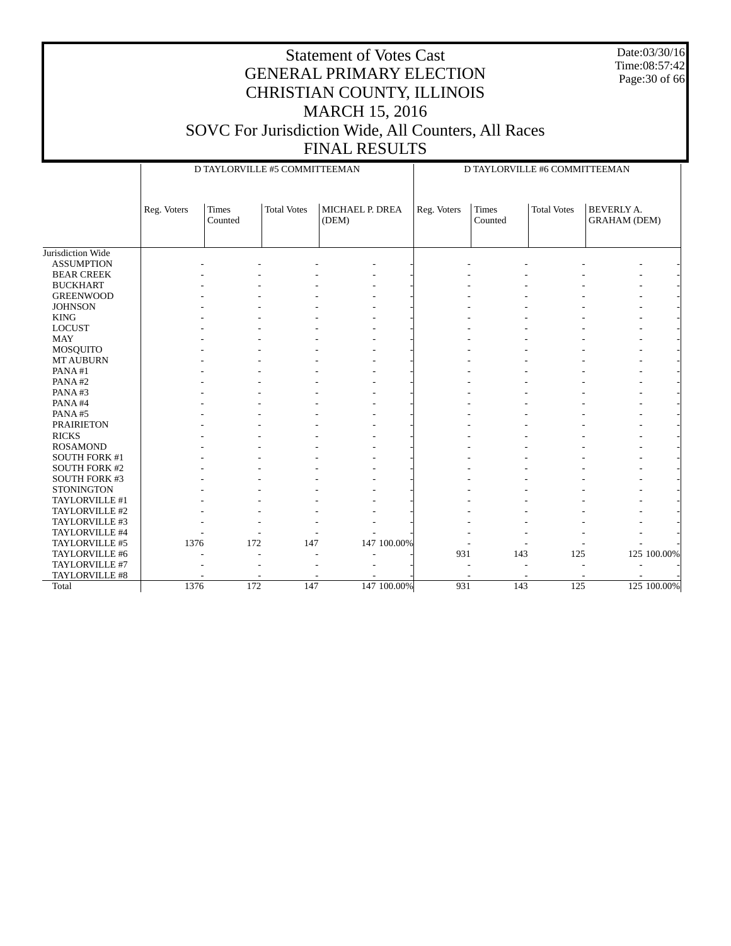Date:03/30/16 Time:08:57:42 Page:30 of 66

|                      |             |                  | D TAYLORVILLE #5 COMMITTEEMAN |                          | D TAYLORVILLE #6 COMMITTEEMAN |                  |                    |                                          |  |
|----------------------|-------------|------------------|-------------------------------|--------------------------|-------------------------------|------------------|--------------------|------------------------------------------|--|
|                      | Reg. Voters | Times<br>Counted | <b>Total Votes</b>            | MICHAEL P. DREA<br>(DEM) | Reg. Voters                   | Times<br>Counted | <b>Total Votes</b> | <b>BEVERLY A.</b><br><b>GRAHAM (DEM)</b> |  |
| Jurisdiction Wide    |             |                  |                               |                          |                               |                  |                    |                                          |  |
| <b>ASSUMPTION</b>    |             |                  |                               |                          |                               |                  |                    |                                          |  |
| <b>BEAR CREEK</b>    |             |                  |                               |                          |                               |                  |                    |                                          |  |
| <b>BUCKHART</b>      |             |                  |                               |                          |                               |                  |                    |                                          |  |
| <b>GREENWOOD</b>     |             |                  |                               |                          |                               |                  |                    |                                          |  |
| <b>JOHNSON</b>       |             |                  |                               |                          |                               |                  |                    |                                          |  |
| <b>KING</b>          |             |                  |                               |                          |                               |                  |                    |                                          |  |
| <b>LOCUST</b>        |             |                  |                               |                          |                               |                  |                    |                                          |  |
| MAY                  |             |                  |                               |                          |                               |                  |                    |                                          |  |
| MOSQUITO             |             |                  |                               |                          |                               |                  |                    |                                          |  |
| <b>MT AUBURN</b>     |             |                  |                               |                          |                               |                  |                    |                                          |  |
| PANA#1               |             |                  |                               |                          |                               |                  |                    |                                          |  |
| PANA#2               |             |                  |                               |                          |                               |                  |                    | з.                                       |  |
| PANA#3               |             |                  |                               |                          |                               |                  |                    |                                          |  |
| PANA#4               |             |                  |                               |                          |                               |                  |                    |                                          |  |
| PANA#5               |             |                  |                               |                          |                               |                  |                    |                                          |  |
| <b>PRAIRIETON</b>    |             |                  |                               |                          |                               |                  |                    |                                          |  |
| <b>RICKS</b>         |             |                  |                               |                          |                               |                  |                    |                                          |  |
| <b>ROSAMOND</b>      |             |                  |                               |                          |                               |                  |                    |                                          |  |
| SOUTH FORK #1        |             |                  |                               |                          |                               |                  |                    |                                          |  |
| <b>SOUTH FORK #2</b> |             |                  |                               |                          |                               |                  |                    |                                          |  |
| <b>SOUTH FORK #3</b> |             |                  |                               |                          |                               |                  |                    |                                          |  |
| <b>STONINGTON</b>    |             |                  |                               |                          |                               |                  |                    |                                          |  |
| TAYLORVILLE #1       |             |                  |                               |                          |                               |                  |                    |                                          |  |
| TAYLORVILLE #2       |             |                  |                               |                          |                               |                  |                    |                                          |  |
| TAYLORVILLE #3       |             |                  |                               |                          |                               |                  |                    |                                          |  |
| TAYLORVILLE #4       |             |                  | ÷.                            |                          |                               |                  |                    |                                          |  |
| TAYLORVILLE #5       | 1376        |                  | 172<br>147                    | 147 100.00%              |                               |                  |                    |                                          |  |
| TAYLORVILLE #6       |             |                  | ٠                             |                          | 931                           | 143              | 125                | 125 100.00%                              |  |
| TAYLORVILLE #7       |             |                  |                               |                          |                               |                  |                    |                                          |  |
| TAYLORVILLE #8       |             |                  |                               |                          |                               |                  |                    |                                          |  |
| Total                | 1376        |                  | 172<br>147                    | 147 100.00%              | 931                           | 143              | 125                | 125 100.00%                              |  |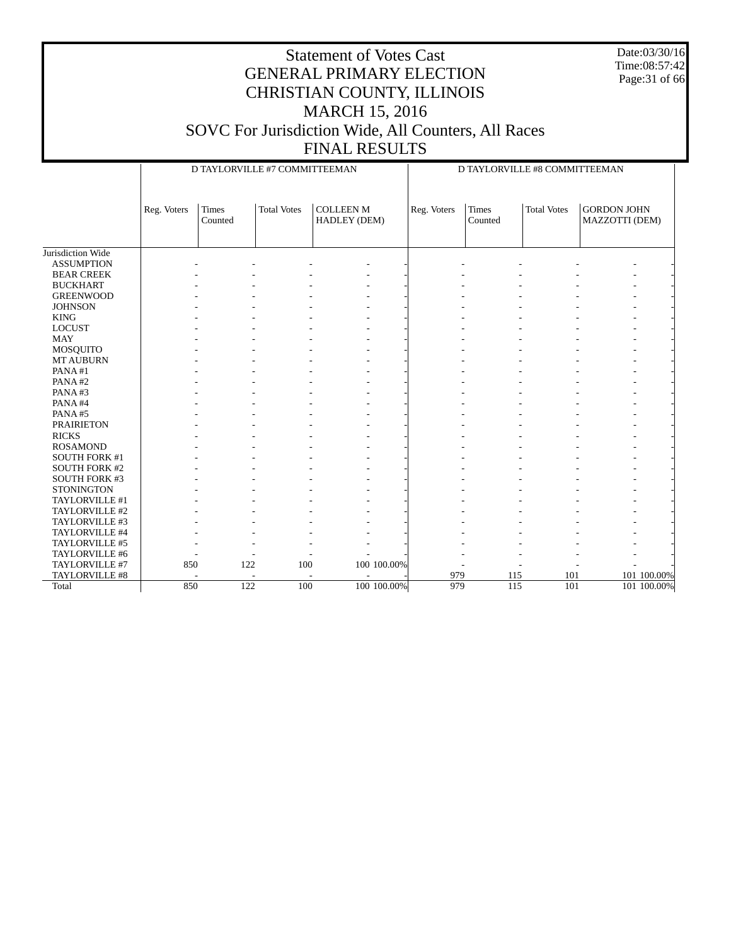Date:03/30/16 Time:08:57:42 Page:31 of 66

|                      |             | D TAYLORVILLE #7 COMMITTEEMAN |                    |                                  |             | D TAYLORVILLE #8 COMMITTEEMAN |                         |                    |                                      |             |
|----------------------|-------------|-------------------------------|--------------------|----------------------------------|-------------|-------------------------------|-------------------------|--------------------|--------------------------------------|-------------|
|                      | Reg. Voters | <b>Times</b><br>Counted       | <b>Total Votes</b> | <b>COLLEEN M</b><br>HADLEY (DEM) |             | Reg. Voters                   | <b>Times</b><br>Counted | <b>Total Votes</b> | <b>GORDON JOHN</b><br>MAZZOTTI (DEM) |             |
| Jurisdiction Wide    |             |                               |                    |                                  |             |                               |                         |                    |                                      |             |
| <b>ASSUMPTION</b>    |             |                               |                    |                                  |             |                               |                         |                    |                                      |             |
| <b>BEAR CREEK</b>    |             |                               |                    |                                  |             |                               |                         |                    |                                      |             |
| <b>BUCKHART</b>      |             |                               |                    |                                  |             |                               |                         |                    |                                      |             |
| <b>GREENWOOD</b>     |             |                               |                    |                                  |             |                               |                         |                    |                                      |             |
| <b>JOHNSON</b>       |             |                               |                    |                                  |             |                               |                         |                    |                                      |             |
| <b>KING</b>          |             |                               |                    |                                  |             |                               |                         |                    |                                      |             |
| <b>LOCUST</b>        |             |                               |                    |                                  |             |                               |                         |                    |                                      |             |
| <b>MAY</b>           |             |                               |                    |                                  |             |                               |                         |                    |                                      |             |
| MOSQUITO             |             |                               |                    |                                  |             |                               |                         |                    |                                      |             |
| <b>MT AUBURN</b>     |             |                               |                    |                                  |             |                               |                         |                    |                                      |             |
| PANA#1               |             |                               |                    |                                  |             |                               |                         |                    |                                      |             |
| PANA#2               |             |                               |                    |                                  |             |                               |                         |                    |                                      |             |
| PANA#3               |             |                               |                    |                                  |             |                               |                         |                    |                                      |             |
| PANA#4               |             |                               |                    |                                  |             |                               |                         |                    |                                      |             |
| PANA#5               |             |                               |                    |                                  |             |                               |                         |                    |                                      |             |
| <b>PRAIRIETON</b>    |             |                               |                    |                                  |             |                               |                         |                    |                                      |             |
| <b>RICKS</b>         |             |                               |                    |                                  |             |                               |                         |                    |                                      |             |
| <b>ROSAMOND</b>      |             |                               |                    |                                  |             |                               |                         |                    |                                      |             |
| <b>SOUTH FORK #1</b> |             |                               |                    |                                  |             |                               |                         |                    |                                      |             |
| <b>SOUTH FORK #2</b> |             |                               |                    |                                  |             |                               |                         |                    |                                      |             |
| <b>SOUTH FORK #3</b> |             |                               |                    |                                  |             |                               |                         |                    |                                      |             |
| <b>STONINGTON</b>    |             |                               |                    |                                  |             |                               |                         |                    |                                      |             |
| TAYLORVILLE #1       |             |                               |                    |                                  |             |                               |                         |                    |                                      |             |
| TAYLORVILLE #2       |             |                               |                    |                                  |             |                               |                         |                    |                                      |             |
| TAYLORVILLE #3       |             |                               |                    |                                  |             |                               |                         |                    |                                      |             |
| TAYLORVILLE #4       |             |                               |                    |                                  |             |                               |                         |                    |                                      |             |
| TAYLORVILLE #5       |             |                               |                    |                                  |             |                               |                         |                    |                                      |             |
| TAYLORVILLE #6       |             |                               |                    |                                  |             |                               |                         |                    |                                      |             |
| TAYLORVILLE #7       | 850         | 122                           | 100                |                                  | 100 100.00% |                               |                         |                    |                                      |             |
| TAYLORVILLE #8       |             |                               |                    |                                  |             | 979                           | 115                     | 101                |                                      | 101 100.00% |
| Total                | 850         | 122                           | 100                |                                  | 100 100.00% | 979                           | 115                     | 101                |                                      | 101 100.00% |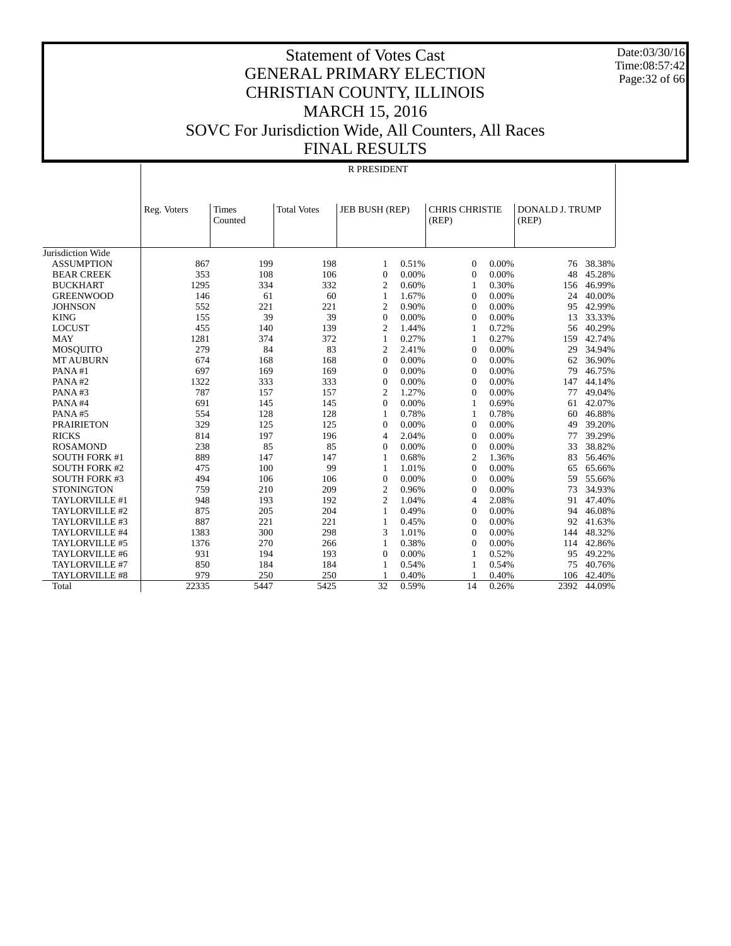Date:03/30/16 Time:08:57:42 Page:32 of 66

#### Statement of Votes Cast GENERAL PRIMARY ELECTION CHRISTIAN COUNTY, ILLINOIS MARCH 15, 2016 SOVC For Jurisdiction Wide, All Counters, All Races FINAL RESULTS

|                      | <b>R PRESIDENT</b> |              |                    |                |       |                       |       |                        |        |  |  |
|----------------------|--------------------|--------------|--------------------|----------------|-------|-----------------------|-------|------------------------|--------|--|--|
|                      |                    |              |                    |                |       |                       |       |                        |        |  |  |
|                      | Reg. Voters        | <b>Times</b> | <b>Total Votes</b> | JEB BUSH (REP) |       | <b>CHRIS CHRISTIE</b> |       | <b>DONALD J. TRUMP</b> |        |  |  |
|                      |                    | Counted      |                    |                |       | (REP)                 |       | (REP)                  |        |  |  |
|                      |                    |              |                    |                |       |                       |       |                        |        |  |  |
|                      |                    |              |                    |                |       |                       |       |                        |        |  |  |
| Jurisdiction Wide    |                    |              |                    |                |       |                       |       |                        |        |  |  |
| <b>ASSUMPTION</b>    | 867                | 199          | 198                | 1              | 0.51% | $\mathbf{0}$          | 0.00% | 76                     | 38.38% |  |  |
| <b>BEAR CREEK</b>    | 353                | 108          | 106                | $\overline{0}$ | 0.00% | $\mathbf{0}$          | 0.00% | 48                     | 45.28% |  |  |
| <b>BUCKHART</b>      | 1295               | 334          | 332                | $\overline{2}$ | 0.60% | 1                     | 0.30% | 156                    | 46.99% |  |  |
| <b>GREENWOOD</b>     | 146                | 61           | 60                 | $\mathbf{1}$   | 1.67% | $\Omega$              | 0.00% | 24                     | 40.00% |  |  |
| <b>JOHNSON</b>       | 552                | 221          | 221                | $\overline{c}$ | 0.90% | $\Omega$              | 0.00% | 95                     | 42.99% |  |  |
| <b>KING</b>          | 155                | 39           | 39                 | $\Omega$       | 0.00% | $\Omega$              | 0.00% | 13                     | 33.33% |  |  |
| <b>LOCUST</b>        | 455                | 140          | 139                | $\overline{2}$ | 1.44% | 1                     | 0.72% | 56                     | 40.29% |  |  |
| <b>MAY</b>           | 1281               | 374          | 372                | $\mathbf{1}$   | 0.27% | 1                     | 0.27% | 159                    | 42.74% |  |  |
| <b>MOSQUITO</b>      | 279                | 84           | 83                 | $\overline{2}$ | 2.41% | $\mathbf{0}$          | 0.00% | 29                     | 34.94% |  |  |
| <b>MT AUBURN</b>     | 674                | 168          | 168                | $\Omega$       | 0.00% | $\Omega$              | 0.00% | 62                     | 36.90% |  |  |
| PANA#1               | 697                | 169          | 169                | $\Omega$       | 0.00% | $\Omega$              | 0.00% | 79                     | 46.75% |  |  |
| PANA#2               | 1322               | 333          | 333                | $\Omega$       | 0.00% | $\Omega$              | 0.00% | 147                    | 44.14% |  |  |
| PANA#3               | 787                | 157          | 157                | $\overline{2}$ | 1.27% | $\overline{0}$        | 0.00% | 77                     | 49.04% |  |  |
| PANA#4               | 691                | 145          | 145                | $\overline{0}$ | 0.00% | 1                     | 0.69% | 61                     | 42.07% |  |  |
| PANA#5               | 554                | 128          | 128                | 1              | 0.78% | 1                     | 0.78% | 60                     | 46.88% |  |  |
| <b>PRAIRIETON</b>    | 329                | 125          | 125                | $\overline{0}$ | 0.00% | $\overline{0}$        | 0.00% | 49                     | 39.20% |  |  |
| <b>RICKS</b>         | 814                | 197          | 196                | $\overline{4}$ | 2.04% | $\Omega$              | 0.00% | 77                     | 39.29% |  |  |
| <b>ROSAMOND</b>      | 238                | 85           | 85                 | $\overline{0}$ | 0.00% | $\overline{0}$        | 0.00% | 33                     | 38.82% |  |  |
| <b>SOUTH FORK #1</b> | 889                | 147          | 147                | 1              | 0.68% | $\overline{c}$        | 1.36% | 83                     | 56.46% |  |  |
| <b>SOUTH FORK #2</b> | 475                | 100          | 99                 | 1              | 1.01% | $\Omega$              | 0.00% | 65                     | 65.66% |  |  |
| <b>SOUTH FORK #3</b> | 494                | 106          | 106                | $\Omega$       | 0.00% | $\Omega$              | 0.00% | 59                     | 55.66% |  |  |
| <b>STONINGTON</b>    | 759                | 210          | 209                | $\overline{2}$ | 0.96% | $\Omega$              | 0.00% | 73                     | 34.93% |  |  |
| TAYLORVILLE #1       | 948                | 193          | 192                | $\overline{2}$ | 1.04% | $\overline{4}$        | 2.08% | 91                     | 47.40% |  |  |
| TAYLORVILLE #2       | 875                | 205          | 204                | $\mathbf{1}$   | 0.49% | $\mathbf{0}$          | 0.00% | 94                     | 46.08% |  |  |
| TAYLORVILLE #3       | 887                | 221          | 221                | $\mathbf{1}$   | 0.45% | $\Omega$              | 0.00% | 92                     | 41.63% |  |  |
| TAYLORVILLE #4       | 1383               | 300          | 298                | 3              | 1.01% | $\Omega$              | 0.00% | 144                    | 48.32% |  |  |
| TAYLORVILLE #5       | 1376               | 270          | 266                | $\mathbf{1}$   | 0.38% | $\Omega$              | 0.00% | 114                    | 42.86% |  |  |
| TAYLORVILLE #6       | 931                | 194          | 193                | $\Omega$       | 0.00% | 1                     | 0.52% | 95                     | 49.22% |  |  |
| TAYLORVILLE #7       | 850                | 184          | 184                | 1              | 0.54% | 1                     | 0.54% | 75                     | 40.76% |  |  |
| TAYLORVILLE #8       | 979                | 250          | 250                |                | 0.40% |                       | 0.40% | 106                    | 42.40% |  |  |
| Total                | 22335              | 5447         | 5425               | 32             | 0.59% | 14                    | 0.26% | 2392                   | 44.09% |  |  |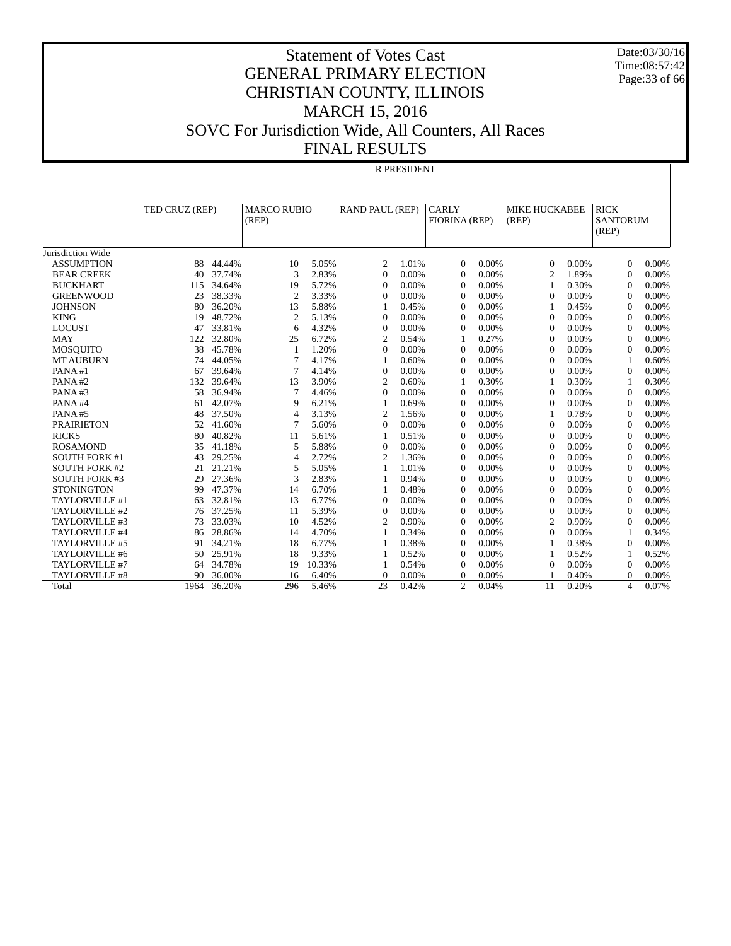Date:03/30/16 Time:08:57:42 Page:33 of 66

#### Statement of Votes Cast GENERAL PRIMARY ELECTION CHRISTIAN COUNTY, ILLINOIS MARCH 15, 2016 SOVC For Jurisdiction Wide, All Counters, All Races FINAL RESULTS

#### R PRESIDENT

|                       |      | TED CRUZ (REP) |                | <b>MARCO RUBIO</b><br>(REP) |                | <b>RAND PAUL (REP)</b><br><b>CARLY</b> |                | FIORINA (REP) | MIKE HUCKABEE<br>(REP) |       | <b>RICK</b><br><b>SANTORUM</b><br>(REP) |       |
|-----------------------|------|----------------|----------------|-----------------------------|----------------|----------------------------------------|----------------|---------------|------------------------|-------|-----------------------------------------|-------|
|                       |      |                |                |                             |                |                                        |                |               |                        |       |                                         |       |
| Jurisdiction Wide     |      |                |                |                             |                |                                        |                |               |                        |       |                                         |       |
| <b>ASSUMPTION</b>     | 88   | 44.44%         | 10             | 5.05%                       | 2              | 1.01%                                  | $\Omega$       | 0.00%         | $\theta$               | 0.00% | $\theta$                                | 0.00% |
| <b>BEAR CREEK</b>     | 40   | 37.74%         | 3              | 2.83%                       | $\Omega$       | 0.00%                                  | $\Omega$       | 0.00%         | $\overline{2}$         | 1.89% | $\Omega$                                | 0.00% |
| <b>BUCKHART</b>       | 115  | 34.64%         | 19             | 5.72%                       | $\theta$       | 0.00%                                  | $\mathbf{0}$   | 0.00%         | $\mathbf{1}$           | 0.30% | $\Omega$                                | 0.00% |
| <b>GREENWOOD</b>      | 23   | 38.33%         | $\overline{2}$ | 3.33%                       | $\Omega$       | 0.00%                                  | $\Omega$       | 0.00%         | $\Omega$               | 0.00% | $\Omega$                                | 0.00% |
| <b>JOHNSON</b>        | 80   | 36.20%         | 13             | 5.88%                       |                | 0.45%                                  | $\Omega$       | 0.00%         | $\mathbf{1}$           | 0.45% | $\Omega$                                | 0.00% |
| <b>KING</b>           | 19   | 48.72%         | $\overline{2}$ | 5.13%                       | $\theta$       | 0.00%                                  | $\Omega$       | 0.00%         | $\mathbf{0}$           | 0.00% | $\Omega$                                | 0.00% |
| <b>LOCUST</b>         | 47   | 33.81%         | 6              | 4.32%                       | $\Omega$       | 0.00%                                  | $\Omega$       | 0.00%         | $\Omega$               | 0.00% | $\Omega$                                | 0.00% |
| <b>MAY</b>            | 122  | 32.80%         | 25             | 6.72%                       | $\overline{2}$ | 0.54%                                  | 1              | 0.27%         | $\Omega$               | 0.00% | $\Omega$                                | 0.00% |
| <b>MOSOUITO</b>       | 38   | 45.78%         | 1              | 1.20%                       | $\Omega$       | 0.00%                                  | $\overline{0}$ | 0.00%         | $\mathbf{0}$           | 0.00% | $\Omega$                                | 0.00% |
| <b>MT AUBURN</b>      | 74   | 44.05%         | $\overline{7}$ | 4.17%                       | 1              | 0.60%                                  | $\Omega$       | 0.00%         | $\Omega$               | 0.00% | $\mathbf{1}$                            | 0.60% |
| PANA#1                | 67   | 39.64%         | $\overline{7}$ | 4.14%                       | $\Omega$       | 0.00%                                  | $\Omega$       | 0.00%         | $\Omega$               | 0.00% | $\Omega$                                | 0.00% |
| PANA#2                | 132  | 39.64%         | 13             | 3.90%                       | 2              | 0.60%                                  | 1              | 0.30%         | $\mathbf{1}$           | 0.30% | -1                                      | 0.30% |
| PANA#3                | 58   | 36.94%         | $\overline{7}$ | 4.46%                       | $\Omega$       | 0.00%                                  | $\Omega$       | 0.00%         | $\Omega$               | 0.00% | $\Omega$                                | 0.00% |
| PANA#4                | 61   | 42.07%         | 9              | 6.21%                       | 1              | 0.69%                                  | $\Omega$       | 0.00%         | $\Omega$               | 0.00% | $\Omega$                                | 0.00% |
| PANA#5                | 48   | 37.50%         | 4              | 3.13%                       | $\overline{2}$ | 1.56%                                  | $\mathbf{0}$   | 0.00%         | $\mathbf{1}$           | 0.78% | $\Omega$                                | 0.00% |
| <b>PRAIRIETON</b>     | 52   | 41.60%         | 7              | 5.60%                       | $\Omega$       | 0.00%                                  | $\Omega$       | 0.00%         | $\theta$               | 0.00% | $\Omega$                                | 0.00% |
| <b>RICKS</b>          | 80   | 40.82%         | 11             | 5.61%                       |                | 0.51%                                  | $\Omega$       | 0.00%         | $\Omega$               | 0.00% | $\Omega$                                | 0.00% |
| <b>ROSAMOND</b>       | 35   | 41.18%         | 5              | 5.88%                       | $\theta$       | 0.00%                                  | $\mathbf{0}$   | 0.00%         | $\theta$               | 0.00% | $\Omega$                                | 0.00% |
| <b>SOUTH FORK #1</b>  | 43   | 29.25%         | 4              | 2.72%                       | $\overline{2}$ | 1.36%                                  | $\mathbf{0}$   | 0.00%         | $\mathbf{0}$           | 0.00% | $\Omega$                                | 0.00% |
| <b>SOUTH FORK #2</b>  | 21   | 21.21%         | 5              | 5.05%                       |                | 1.01%                                  | $\overline{0}$ | 0.00%         | $\mathbf{0}$           | 0.00% | $\theta$                                | 0.00% |
| <b>SOUTH FORK #3</b>  | 29   | 27.36%         | 3              | 2.83%                       |                | 0.94%                                  | $\mathbf{0}$   | 0.00%         | $\theta$               | 0.00% | $\theta$                                | 0.00% |
| <b>STONINGTON</b>     | 99   | 47.37%         | 14             | 6.70%                       |                | 0.48%                                  | $\mathbf{0}$   | 0.00%         | $\mathbf{0}$           | 0.00% | $\overline{0}$                          | 0.00% |
| TAYLORVILLE #1        | 63   | 32.81%         | 13             | 6.77%                       | $\theta$       | 0.00%                                  | $\overline{0}$ | 0.00%         | $\mathbf{0}$           | 0.00% | $\overline{0}$                          | 0.00% |
| TAYLORVILLE #2        | 76   | 37.25%         | 11             | 5.39%                       | $\theta$       | 0.00%                                  | $\mathbf{0}$   | 0.00%         | $\mathbf{0}$           | 0.00% | $\overline{0}$                          | 0.00% |
| TAYLORVILLE #3        | 73   | 33.03%         | 10             | 4.52%                       | $\overline{c}$ | 0.90%                                  | $\Omega$       | 0.00%         | $\overline{2}$         | 0.90% | $\Omega$                                | 0.00% |
| TAYLORVILLE #4        | 86   | 28.86%         | 14             | 4.70%                       |                | 0.34%                                  | $\overline{0}$ | 0.00%         | $\mathbf{0}$           | 0.00% | $\mathbf{1}$                            | 0.34% |
| TAYLORVILLE #5        | 91   | 34.21%         | 18             | 6.77%                       |                | 0.38%                                  | $\mathbf{0}$   | 0.00%         | $\mathbf{1}$           | 0.38% | $\Omega$                                | 0.00% |
| TAYLORVILLE #6        | 50   | 25.91%         | 18             | 9.33%                       |                | 0.52%                                  | $\Omega$       | 0.00%         | 1                      | 0.52% | $\mathbf{1}$                            | 0.52% |
| TAYLORVILLE #7        | 64   | 34.78%         | 19             | 10.33%                      |                | 0.54%                                  | $\overline{0}$ | 0.00%         | $\mathbf{0}$           | 0.00% | $\Omega$                                | 0.00% |
| <b>TAYLORVILLE #8</b> | 90   | 36.00%         | 16             | 6.40%                       | $\Omega$       | 0.00%                                  | $\Omega$       | 0.00%         |                        | 0.40% | $\Omega$                                | 0.00% |
| Total                 | 1964 | 36.20%         | 296            | 5.46%                       | 23             | 0.42%                                  | $\overline{c}$ | 0.04%         | 11                     | 0.20% | $\overline{4}$                          | 0.07% |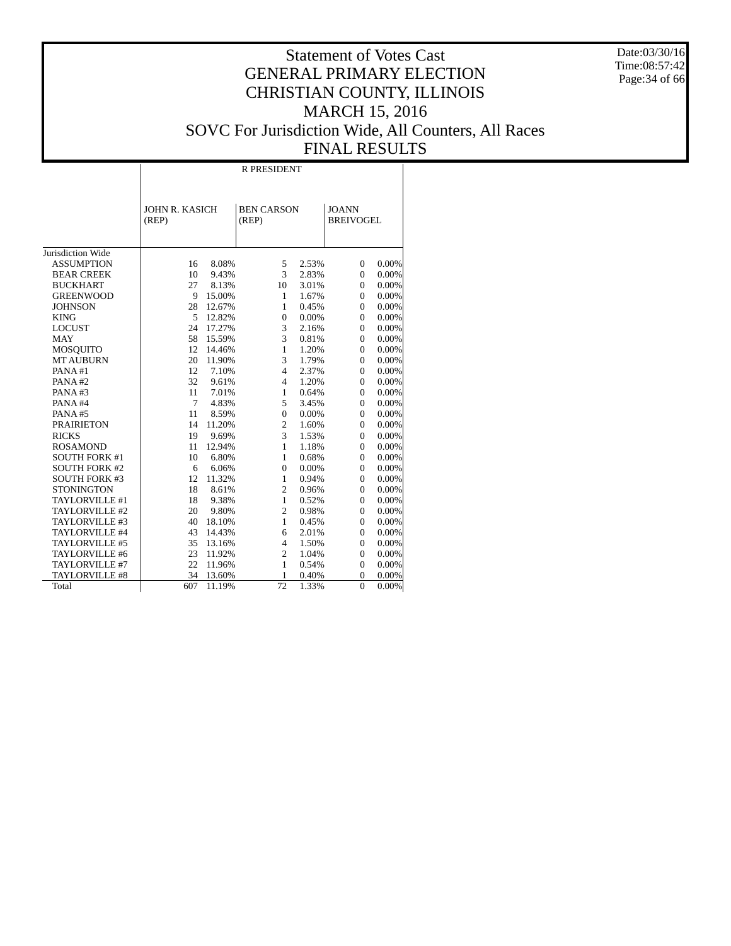Date:03/30/16 Time:08:57:42 Page: 34 of 66

#### Statement of Votes Cast GENERAL PRIMARY ELECTION CHRISTIAN COUNTY, ILLINOIS MARCH 15, 2016 SOVC For Jurisdiction Wide, All Counters, All Races FINAL RESULTS

T

|                      | <b>R PRESIDENT</b>    |        |                   |       |                  |          |  |  |  |  |  |
|----------------------|-----------------------|--------|-------------------|-------|------------------|----------|--|--|--|--|--|
|                      |                       |        |                   |       |                  |          |  |  |  |  |  |
|                      |                       |        |                   |       |                  |          |  |  |  |  |  |
|                      | <b>JOHN R. KASICH</b> |        | <b>BEN CARSON</b> |       | <b>JOANN</b>     |          |  |  |  |  |  |
|                      | (REP)                 |        | (REP)             |       | <b>BREIVOGEL</b> |          |  |  |  |  |  |
|                      |                       |        |                   |       |                  |          |  |  |  |  |  |
|                      |                       |        |                   |       |                  |          |  |  |  |  |  |
| Jurisdiction Wide    |                       |        |                   |       |                  |          |  |  |  |  |  |
| <b>ASSUMPTION</b>    | 16                    | 8.08%  | 5                 | 2.53% | $\Omega$         | 0.00%    |  |  |  |  |  |
| <b>BEAR CREEK</b>    | 10                    | 9.43%  | 3                 | 2.83% | $\mathbf{0}$     | 0.00%    |  |  |  |  |  |
| <b>BUCKHART</b>      | 27                    | 8.13%  | 10                | 3.01% | $\mathbf{0}$     | 0.00%    |  |  |  |  |  |
| <b>GREENWOOD</b>     | 9                     | 15.00% | 1                 | 1.67% | $\Omega$         | 0.00%    |  |  |  |  |  |
| <b>JOHNSON</b>       | 28                    | 12.67% | 1                 | 0.45% | $\Omega$         | 0.00%    |  |  |  |  |  |
| <b>KING</b>          | 5                     | 12.82% | $\overline{0}$    | 0.00% | $\theta$         | $0.00\%$ |  |  |  |  |  |
| <b>LOCUST</b>        | 24                    | 17.27% | 3                 | 2.16% | $\theta$         | 0.00%    |  |  |  |  |  |
| <b>MAY</b>           | 58                    | 15.59% | 3                 | 0.81% | $\mathbf{0}$     | 0.00%    |  |  |  |  |  |
| <b>MOSQUITO</b>      | 12                    | 14.46% | 1                 | 1.20% | $\mathbf{0}$     | 0.00%    |  |  |  |  |  |
| <b>MT AUBURN</b>     | 20                    | 11.90% | 3                 | 1.79% | $\mathbf{0}$     | 0.00%    |  |  |  |  |  |
| PANA#1               | 12                    | 7.10%  | $\overline{4}$    | 2.37% | $\Omega$         | 0.00%    |  |  |  |  |  |
| PANA#2               | 32                    | 9.61%  | $\overline{4}$    | 1.20% | $\Omega$         | 0.00%    |  |  |  |  |  |
| PANA#3               | 11                    | 7.01%  | 1                 | 0.64% | $\overline{0}$   | 0.00%    |  |  |  |  |  |
| PANA#4               | 7                     | 4.83%  | 5                 | 3.45% | $\mathbf{0}$     | 0.00%    |  |  |  |  |  |
| PANA#5               | 11                    | 8.59%  | $\overline{0}$    | 0.00% | $\Omega$         | 0.00%    |  |  |  |  |  |
| <b>PRAIRIETON</b>    | 14                    | 11.20% | $\overline{c}$    | 1.60% | $\Omega$         | 0.00%    |  |  |  |  |  |
| <b>RICKS</b>         | 19                    | 9.69%  | 3                 | 1.53% | $\Omega$         | 0.00%    |  |  |  |  |  |
| <b>ROSAMOND</b>      | 11                    | 12.94% | $\mathbf{1}$      | 1.18% | $\mathbf{0}$     | 0.00%    |  |  |  |  |  |
| <b>SOUTH FORK #1</b> | 10                    | 6.80%  | 1                 | 0.68% | $\mathbf{0}$     | 0.00%    |  |  |  |  |  |
| <b>SOUTH FORK #2</b> | 6                     | 6.06%  | $\mathbf{0}$      | 0.00% | $\Omega$         | 0.00%    |  |  |  |  |  |
| <b>SOUTH FORK #3</b> | 12                    | 11.32% | 1                 | 0.94% | $\mathbf{0}$     | 0.00%    |  |  |  |  |  |
| <b>STONINGTON</b>    | 18                    | 8.61%  | $\overline{c}$    | 0.96% | $\Omega$         | 0.00%    |  |  |  |  |  |
| TAYLORVILLE #1       | 18                    | 9.38%  | 1                 | 0.52% | $\theta$         | 0.00%    |  |  |  |  |  |
| TAYLORVILLE #2       | 20                    | 9.80%  | $\overline{2}$    | 0.98% | $\mathbf{0}$     | 0.00%    |  |  |  |  |  |
| TAYLORVILLE #3       | 40                    | 18.10% | $\mathbf{1}$      | 0.45% | $\mathbf{0}$     | 0.00%    |  |  |  |  |  |
| TAYLORVILLE #4       | 43                    | 14.43% | 6                 | 2.01% | $\Omega$         | 0.00%    |  |  |  |  |  |
| TAYLORVILLE #5       | 35                    | 13.16% | $\overline{4}$    | 1.50% | $\mathbf{0}$     | 0.00%    |  |  |  |  |  |
| TAYLORVILLE #6       | 23                    | 11.92% | $\overline{c}$    | 1.04% | $\mathbf{0}$     | 0.00%    |  |  |  |  |  |
| TAYLORVILLE #7       | 22                    | 11.96% | 1                 | 0.54% | $\mathbf{0}$     | 0.00%    |  |  |  |  |  |
| TAYLORVILLE #8       | 34                    | 13.60% | 1                 | 0.40% | $\overline{0}$   | $0.00\%$ |  |  |  |  |  |
| Total                | 607                   | 11.19% | 72                | 1.33% | $\theta$         | $0.00\%$ |  |  |  |  |  |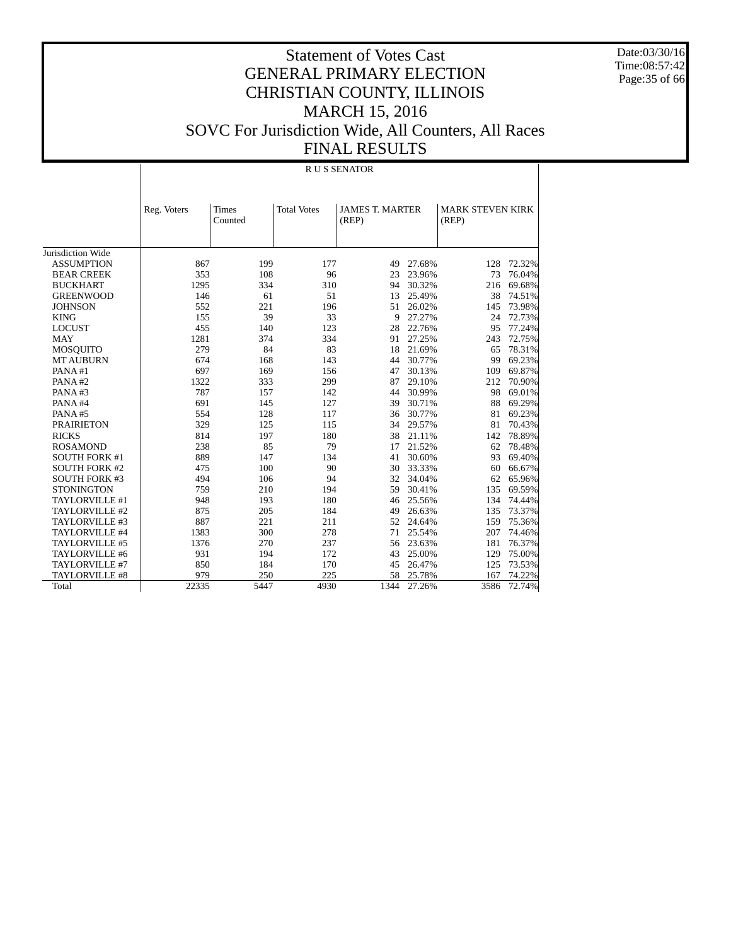Date:03/30/16 Time:08:57:42 Page:35 of 66

|                      |             |                         |                    | R U S SENATOR                   |        |                                  |        |
|----------------------|-------------|-------------------------|--------------------|---------------------------------|--------|----------------------------------|--------|
|                      | Reg. Voters | <b>Times</b><br>Counted | <b>Total Votes</b> | <b>JAMES T. MARTER</b><br>(REP) |        | <b>MARK STEVEN KIRK</b><br>(REP) |        |
| Jurisdiction Wide    |             |                         |                    |                                 |        |                                  |        |
| <b>ASSUMPTION</b>    | 867         | 199                     | 177                | 49                              | 27.68% | 128                              | 72.32% |
| <b>BEAR CREEK</b>    | 353         | 108                     | 96                 | 23                              | 23.96% | 73                               | 76.04% |
| <b>BUCKHART</b>      | 1295        | 334                     | 310                | 94                              | 30.32% | 216                              | 69.68% |
| <b>GREENWOOD</b>     | 146         | 61                      | 51                 | 13                              | 25.49% | 38                               | 74.51% |
| <b>JOHNSON</b>       | 552         | 221                     | 196                | 51                              | 26.02% | 145                              | 73.98% |
| <b>KING</b>          | 155         | 39                      | 33                 | 9                               | 27.27% | 24                               | 72.73% |
| <b>LOCUST</b>        | 455         | 140                     | 123                | 28                              | 22.76% | 95                               | 77.24% |
| <b>MAY</b>           | 1281        | 374                     | 334                | 91                              | 27.25% | 243                              | 72.75% |
| <b>MOSQUITO</b>      | 279         | 84                      | 83                 | 18                              | 21.69% | 65                               | 78.31% |
| <b>MT AUBURN</b>     | 674         | 168                     | 143                | 44                              | 30.77% | 99                               | 69.23% |
| PANA#1               | 697         | 169                     | 156                | 47                              | 30.13% | 109                              | 69.87% |
| PANA#2               | 1322        | 333                     | 299                | 87                              | 29.10% | 212                              | 70.90% |
| PANA#3               | 787         | 157                     | 142                | 44                              | 30.99% | 98                               | 69.01% |
| PANA#4               | 691         | 145                     | 127                | 39                              | 30.71% | 88                               | 69.29% |
| PANA#5               | 554         | 128                     | 117                | 36                              | 30.77% | 81                               | 69.23% |
| <b>PRAIRIETON</b>    | 329         | 125                     | 115                | 34                              | 29.57% | 81                               | 70.43% |
| <b>RICKS</b>         | 814         | 197                     | 180                | 38                              | 21.11% | 142                              | 78.89% |
| <b>ROSAMOND</b>      | 238         | 85                      | 79                 | 17                              | 21.52% | 62                               | 78.48% |
| <b>SOUTH FORK #1</b> | 889         | 147                     | 134                | 41                              | 30.60% | 93                               | 69.40% |
| <b>SOUTH FORK #2</b> | 475         | 100                     | 90                 | 30                              | 33.33% | 60                               | 66.67% |
| <b>SOUTH FORK #3</b> | 494         | 106                     | 94                 | 32                              | 34.04% | 62                               | 65.96% |
| <b>STONINGTON</b>    | 759         | 210                     | 194                | 59                              | 30.41% | 135                              | 69.59% |
| TAYLORVILLE #1       | 948         | 193                     | 180                | 46                              | 25.56% | 134                              | 74.44% |
| TAYLORVILLE #2       | 875         | 205                     | 184                | 49                              | 26.63% | 135                              | 73.37% |
| TAYLORVILLE #3       | 887         | 221                     | 211                | 52                              | 24.64% | 159                              | 75.36% |
| TAYLORVILLE #4       | 1383        | 300                     | 278                | 71                              | 25.54% | 207                              | 74.46% |
| TAYLORVILLE #5       | 1376        | 270                     | 237                | 56                              | 23.63% | 181                              | 76.37% |
| TAYLORVILLE #6       | 931         | 194                     | 172                | 43                              | 25.00% | 129                              | 75.00% |
| TAYLORVILLE #7       | 850         | 184                     | 170                | 45                              | 26.47% | 125                              | 73.53% |
| TAYLORVILLE #8       | 979         | 250                     | 225                | 58                              | 25.78% | 167                              | 74.22% |
| Total                | 22335       | 5447                    | 4930               | 1344                            | 27.26% | 3586                             | 72.74% |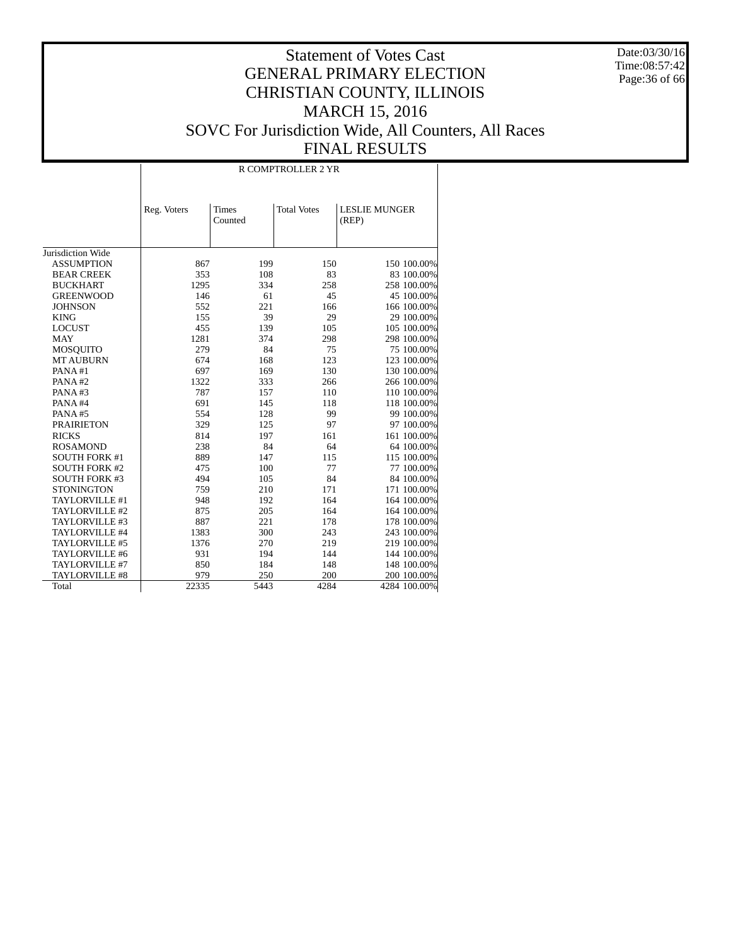Date:03/30/16 Time:08:57:42 Page:36 of 66

|                      | <b>R COMPTROLLER 2 YR</b> |                         |                    |                               |  |  |  |  |  |  |  |
|----------------------|---------------------------|-------------------------|--------------------|-------------------------------|--|--|--|--|--|--|--|
|                      | Reg. Voters               | <b>Times</b><br>Counted | <b>Total Votes</b> | <b>LESLIE MUNGER</b><br>(REP) |  |  |  |  |  |  |  |
| Jurisdiction Wide    |                           |                         |                    |                               |  |  |  |  |  |  |  |
| <b>ASSUMPTION</b>    |                           |                         | 150                |                               |  |  |  |  |  |  |  |
|                      | 867                       | 199                     |                    | 150 100.00%                   |  |  |  |  |  |  |  |
| <b>BEAR CREEK</b>    | 353                       | 108                     | 83                 | 83 100.00%                    |  |  |  |  |  |  |  |
| <b>BUCKHART</b>      | 1295                      | 334                     | 258                | 258 100.00%                   |  |  |  |  |  |  |  |
| <b>GREENWOOD</b>     | 146                       | 61                      | 45                 | 45 100.00%                    |  |  |  |  |  |  |  |
| <b>JOHNSON</b>       | 552                       | 221                     | 166                | 166 100.00%                   |  |  |  |  |  |  |  |
| <b>KING</b>          | 155                       | 39                      | 29                 | 29 100.00%                    |  |  |  |  |  |  |  |
| <b>LOCUST</b>        | 455                       | 139                     | 105                | 105 100.00%                   |  |  |  |  |  |  |  |
| <b>MAY</b>           | 1281                      | 374                     | 298                | 298 100.00%                   |  |  |  |  |  |  |  |
| <b>MOSQUITO</b>      | 279                       | 84                      | 75                 | 75 100.00%                    |  |  |  |  |  |  |  |
| <b>MT AUBURN</b>     | 674                       | 168                     | 123                | 123 100.00%                   |  |  |  |  |  |  |  |
| PANA#1               | 697                       | 169                     | 130                | 130 100.00%                   |  |  |  |  |  |  |  |
| PANA#2               | 1322                      | 333                     | 266                | 266 100.00%                   |  |  |  |  |  |  |  |
| PANA#3               | 787                       | 157                     | 110                | 110 100.00%                   |  |  |  |  |  |  |  |
| PANA#4               | 691                       | 145                     | 118                | 118 100.00%                   |  |  |  |  |  |  |  |
| PANA#5               | 554                       | 128                     | 99                 | 99 100.00%                    |  |  |  |  |  |  |  |
| <b>PRAIRIETON</b>    | 329                       | 125                     | 97                 | 97 100.00%                    |  |  |  |  |  |  |  |
| <b>RICKS</b>         | 814                       | 197                     | 161                | 161 100.00%                   |  |  |  |  |  |  |  |
| <b>ROSAMOND</b>      | 238                       | 84                      | 64                 | 64 100.00%                    |  |  |  |  |  |  |  |
| <b>SOUTH FORK #1</b> | 889                       | 147                     | 115                | 115 100.00%                   |  |  |  |  |  |  |  |
| <b>SOUTH FORK #2</b> | 475                       | 100                     | 77                 | 77 100.00%                    |  |  |  |  |  |  |  |
| <b>SOUTH FORK #3</b> | 494                       | 105                     | 84                 | 84 100.00%                    |  |  |  |  |  |  |  |
| <b>STONINGTON</b>    | 759                       | 210                     | 171                | 171 100.00%                   |  |  |  |  |  |  |  |
| TAYLORVILLE #1       | 948                       | 192                     | 164                | 164 100.00%                   |  |  |  |  |  |  |  |
| TAYLORVILLE #2       | 875                       | 205                     | 164                | 164 100.00%                   |  |  |  |  |  |  |  |
| TAYLORVILLE #3       | 887                       | 221                     | 178                | 178 100.00%                   |  |  |  |  |  |  |  |
| TAYLORVILLE #4       | 1383                      | 300                     | 243                | 243 100.00%                   |  |  |  |  |  |  |  |
| TAYLORVILLE #5       | 1376                      | 270                     | 219                | 219 100.00%                   |  |  |  |  |  |  |  |
| TAYLORVILLE #6       | 931                       | 194                     | 144                | 144 100.00%                   |  |  |  |  |  |  |  |
| TAYLORVILLE #7       | 850                       | 184                     | 148                | 148 100.00%                   |  |  |  |  |  |  |  |
| TAYLORVILLE #8       | 979                       | 250                     | 200                | 200 100.00%                   |  |  |  |  |  |  |  |
| Total                | 22335                     | 5443                    | 4284               | 4284 100.00%                  |  |  |  |  |  |  |  |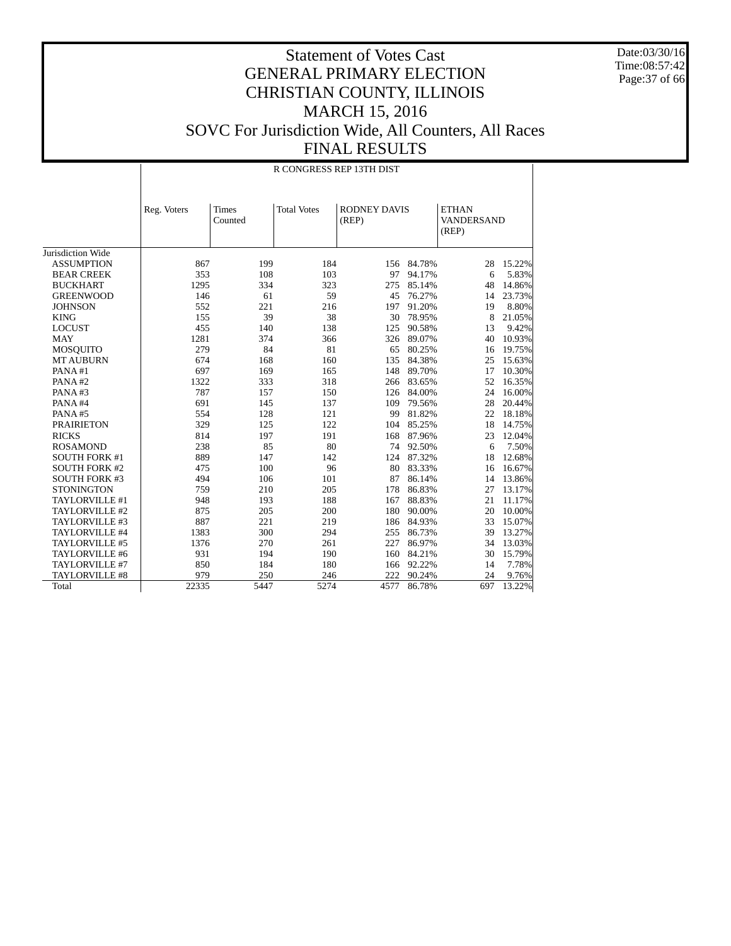Date:03/30/16 Time:08:57:42 Page:37 of 66

|                      |                                 | R CONGRESS REP 13TH DIST |                    |                              |        |                                            |        |  |  |  |  |  |  |
|----------------------|---------------------------------|--------------------------|--------------------|------------------------------|--------|--------------------------------------------|--------|--|--|--|--|--|--|
|                      | Times<br>Reg. Voters<br>Counted |                          | <b>Total Votes</b> | <b>RODNEY DAVIS</b><br>(REP) |        | <b>ETHAN</b><br><b>VANDERSAND</b><br>(REP) |        |  |  |  |  |  |  |
| Jurisdiction Wide    |                                 |                          |                    |                              |        |                                            |        |  |  |  |  |  |  |
| <b>ASSUMPTION</b>    | 867                             | 199                      | 184                | 156                          | 84.78% | 28                                         | 15.22% |  |  |  |  |  |  |
| <b>BEAR CREEK</b>    | 353                             | 108                      | 103                | 97                           | 94.17% | 6                                          | 5.83%  |  |  |  |  |  |  |
| <b>BUCKHART</b>      | 1295                            | 334                      | 323                | 275                          | 85.14% | 48                                         | 14.86% |  |  |  |  |  |  |
| <b>GREENWOOD</b>     | 146                             | 61                       | 59                 | 45                           | 76.27% | 14                                         | 23.73% |  |  |  |  |  |  |
| <b>JOHNSON</b>       | 552                             | 221                      | 216                | 197                          | 91.20% | 19                                         | 8.80%  |  |  |  |  |  |  |
| <b>KING</b>          | 155                             | 39                       | 38                 | 30                           | 78.95% | 8                                          | 21.05% |  |  |  |  |  |  |
| <b>LOCUST</b>        | 455                             | 140                      | 138                | 125                          | 90.58% | 13                                         | 9.42%  |  |  |  |  |  |  |
| <b>MAY</b>           | 1281                            | 374                      | 366                | 326                          | 89.07% | 40                                         | 10.93% |  |  |  |  |  |  |
| <b>MOSQUITO</b>      | 279                             | 84                       | 81                 | 65                           | 80.25% | 16                                         | 19.75% |  |  |  |  |  |  |
| <b>MT AUBURN</b>     | 674                             | 168                      | 160                | 135                          | 84.38% | 25                                         | 15.63% |  |  |  |  |  |  |
| PANA#1               | 697                             | 169                      | 165                | 148                          | 89.70% | 17                                         | 10.30% |  |  |  |  |  |  |
| PANA#2               | 1322                            | 333                      | 318                | 266                          | 83.65% | 52                                         | 16.35% |  |  |  |  |  |  |
| PANA#3               | 787                             | 157                      | 150                | 126                          | 84.00% | 24                                         | 16.00% |  |  |  |  |  |  |
| PANA#4               | 691                             | 145                      | 137                | 109                          | 79.56% | 28                                         | 20.44% |  |  |  |  |  |  |
| PANA#5               | 554                             | 128                      | 121                | 99                           | 81.82% | 22                                         | 18.18% |  |  |  |  |  |  |
| <b>PRAIRIETON</b>    | 329                             | 125                      | 122                | 104                          | 85.25% | 18                                         | 14.75% |  |  |  |  |  |  |
| <b>RICKS</b>         | 814                             | 197                      | 191                | 168                          | 87.96% | 23                                         | 12.04% |  |  |  |  |  |  |
| <b>ROSAMOND</b>      | 238                             | 85                       | 80                 | 74                           | 92.50% | 6                                          | 7.50%  |  |  |  |  |  |  |
| <b>SOUTH FORK #1</b> | 889                             | 147                      | 142                | 124                          | 87.32% | 18                                         | 12.68% |  |  |  |  |  |  |
| <b>SOUTH FORK #2</b> | 475                             | 100                      | 96                 | 80                           | 83.33% | 16                                         | 16.67% |  |  |  |  |  |  |
| <b>SOUTH FORK #3</b> | 494                             | 106                      | 101                | 87                           | 86.14% | 14                                         | 13.86% |  |  |  |  |  |  |
| <b>STONINGTON</b>    | 759                             | 210                      | 205                | 178                          | 86.83% | 27                                         | 13.17% |  |  |  |  |  |  |
| TAYLORVILLE #1       | 948                             | 193                      | 188                | 167                          | 88.83% | 21                                         | 11.17% |  |  |  |  |  |  |
| TAYLORVILLE #2       | 875                             | 205                      | 200                | 180                          | 90.00% | 20                                         | 10.00% |  |  |  |  |  |  |
| TAYLORVILLE #3       | 887                             | 221                      | 219                | 186                          | 84.93% | 33                                         | 15.07% |  |  |  |  |  |  |
| TAYLORVILLE #4       | 1383                            | 300                      | 294                | 255                          | 86.73% | 39                                         | 13.27% |  |  |  |  |  |  |
| TAYLORVILLE #5       | 1376                            | 270                      | 261                | 227                          | 86.97% | 34                                         | 13.03% |  |  |  |  |  |  |
| TAYLORVILLE #6       | 931                             | 194                      | 190                | 160                          | 84.21% | 30                                         | 15.79% |  |  |  |  |  |  |
| TAYLORVILLE #7       | 850                             | 184                      | 180                | 166                          | 92.22% | 14                                         | 7.78%  |  |  |  |  |  |  |
| TAYLORVILLE #8       | 979                             | 250                      | 246                | 222                          | 90.24% | 24                                         | 9.76%  |  |  |  |  |  |  |
| Total                | 22335                           | 5447                     | 5274               | 4577                         | 86.78% | 697                                        | 13.22% |  |  |  |  |  |  |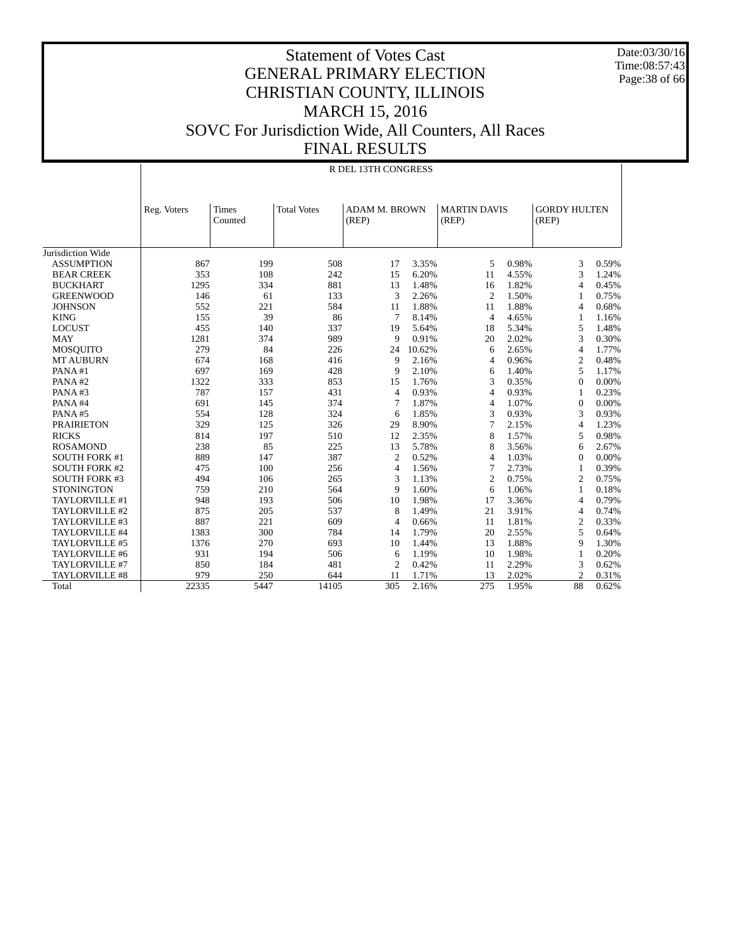Date:03/30/16 Time:08:57:43 Page:38 of 66

|                      | R DEL 13TH CONGRESS |                         |                    |                               |        |                              |       |                              |       |  |  |
|----------------------|---------------------|-------------------------|--------------------|-------------------------------|--------|------------------------------|-------|------------------------------|-------|--|--|
|                      | Reg. Voters         | <b>Times</b><br>Counted | <b>Total Votes</b> | <b>ADAM M. BROWN</b><br>(REP) |        | <b>MARTIN DAVIS</b><br>(REP) |       | <b>GORDY HULTEN</b><br>(REP) |       |  |  |
| Jurisdiction Wide    |                     |                         |                    |                               |        |                              |       |                              |       |  |  |
| <b>ASSUMPTION</b>    | 867                 | 199                     | 508                | 17                            | 3.35%  | 5                            | 0.98% | 3                            | 0.59% |  |  |
| <b>BEAR CREEK</b>    | 353                 | 108                     | 242                | 15                            | 6.20%  | 11                           | 4.55% | 3                            | 1.24% |  |  |
| <b>BUCKHART</b>      | 1295                | 334                     | 881                | 13                            | 1.48%  | 16                           | 1.82% | $\overline{4}$               | 0.45% |  |  |
| <b>GREENWOOD</b>     | 146                 | 61                      | 133                | 3                             | 2.26%  | 2                            | 1.50% | $\mathbf{1}$                 | 0.75% |  |  |
| <b>JOHNSON</b>       | 552                 | 221                     | 584                | 11                            | 1.88%  | 11                           | 1.88% | $\overline{4}$               | 0.68% |  |  |
| <b>KING</b>          | 155                 | 39                      | 86                 | 7                             | 8.14%  | $\overline{4}$               | 4.65% | $\mathbf{1}$                 | 1.16% |  |  |
| <b>LOCUST</b>        | 455                 | 140                     | 337                | 19                            | 5.64%  | 18                           | 5.34% | 5                            | 1.48% |  |  |
| <b>MAY</b>           | 1281                | 374                     | 989                | 9                             | 0.91%  | 20                           | 2.02% | 3                            | 0.30% |  |  |
| <b>MOSQUITO</b>      | 279                 | 84                      | 226                | 24                            | 10.62% | 6                            | 2.65% | $\overline{4}$               | 1.77% |  |  |
| <b>MT AUBURN</b>     | 674                 | 168                     | 416                | 9                             | 2.16%  | $\overline{4}$               | 0.96% | $\overline{c}$               | 0.48% |  |  |
| PANA#1               | 697                 | 169                     | 428                | 9                             | 2.10%  | 6                            | 1.40% | 5                            | 1.17% |  |  |
| PANA#2               | 1322                | 333                     | 853                | 15                            | 1.76%  | 3                            | 0.35% | $\mathbf{0}$                 | 0.00% |  |  |
| PANA#3               | 787                 | 157                     | 431                | $\overline{4}$                | 0.93%  | $\overline{4}$               | 0.93% | $\mathbf{1}$                 | 0.23% |  |  |
| PANA#4               | 691                 | 145                     | 374                | 7                             | 1.87%  | $\overline{4}$               | 1.07% | $\mathbf{0}$                 | 0.00% |  |  |
| PANA#5               | 554                 | 128                     | 324                | 6                             | 1.85%  | 3                            | 0.93% | 3                            | 0.93% |  |  |
| <b>PRAIRIETON</b>    | 329                 | 125                     | 326                | 29                            | 8.90%  | 7                            | 2.15% | $\overline{4}$               | 1.23% |  |  |
| <b>RICKS</b>         | 814                 | 197                     | 510                | 12                            | 2.35%  | 8                            | 1.57% | 5                            | 0.98% |  |  |
| <b>ROSAMOND</b>      | 238                 | 85                      | 225                | 13                            | 5.78%  | 8                            | 3.56% | 6                            | 2.67% |  |  |
| <b>SOUTH FORK #1</b> | 889                 | 147                     | 387                | $\overline{c}$                | 0.52%  | $\overline{4}$               | 1.03% | $\Omega$                     | 0.00% |  |  |
| <b>SOUTH FORK #2</b> | 475                 | 100                     | 256                | 4                             | 1.56%  | 7                            | 2.73% | -1                           | 0.39% |  |  |
| <b>SOUTH FORK #3</b> | 494                 | 106                     | 265                | 3                             | 1.13%  | $\overline{2}$               | 0.75% | $\mathfrak{2}$               | 0.75% |  |  |
| <b>STONINGTON</b>    | 759                 | 210                     | 564                | 9                             | 1.60%  | 6                            | 1.06% | 1                            | 0.18% |  |  |
| TAYLORVILLE #1       | 948                 | 193                     | 506                | 10                            | 1.98%  | 17                           | 3.36% | $\overline{4}$               | 0.79% |  |  |
| TAYLORVILLE #2       | 875                 | 205                     | 537                | 8                             | 1.49%  | 21                           | 3.91% | $\overline{4}$               | 0.74% |  |  |
| TAYLORVILLE #3       | 887                 | 221                     | 609                | 4                             | 0.66%  | 11                           | 1.81% | $\overline{c}$               | 0.33% |  |  |
| TAYLORVILLE #4       | 1383                | 300                     | 784                | 14                            | 1.79%  | 20                           | 2.55% | 5                            | 0.64% |  |  |
| TAYLORVILLE #5       | 1376                | 270                     | 693                | 10                            | 1.44%  | 13                           | 1.88% | 9                            | 1.30% |  |  |
| TAYLORVILLE #6       | 931                 | 194                     | 506                | 6                             | 1.19%  | 10                           | 1.98% | $\mathbf{1}$                 | 0.20% |  |  |
| TAYLORVILLE #7       | 850                 | 184                     | 481                | $\overline{2}$                | 0.42%  | 11                           | 2.29% | 3                            | 0.62% |  |  |
| TAYLORVILLE #8       | 979                 | 250                     | 644                | 11                            | 1.71%  | 13                           | 2.02% | $\overline{2}$               | 0.31% |  |  |
| Total                | 22335               | 5447                    | 14105              | 305                           | 2.16%  | 275                          | 1.95% | 88                           | 0.62% |  |  |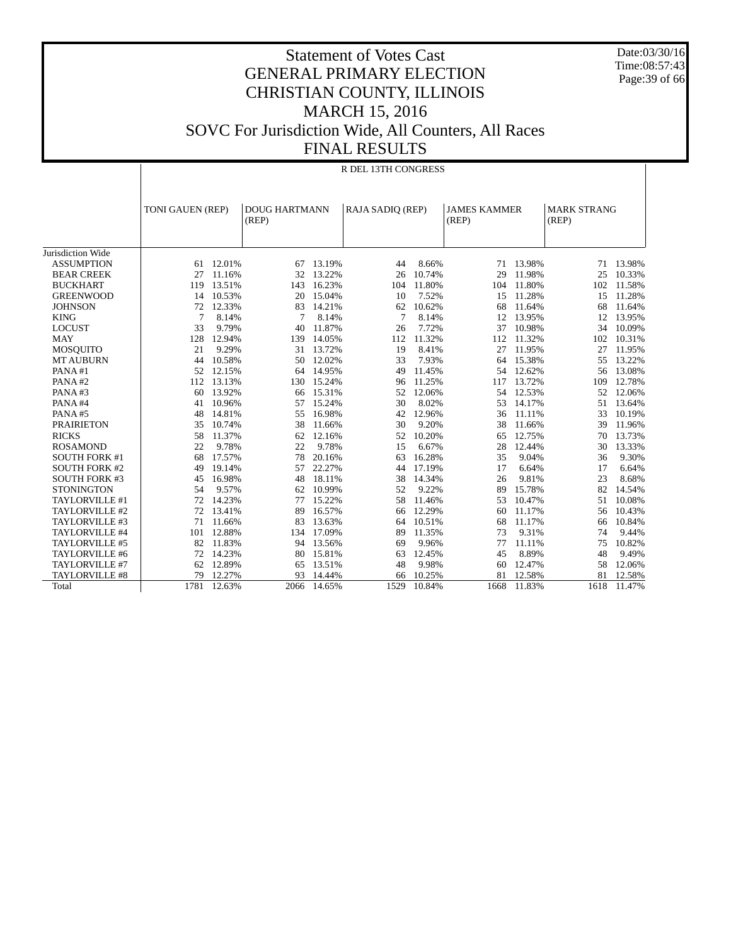Date:03/30/16 Time:08:57:43 Page:39 of 66

|                      | R DEL 13TH CONGRESS |        |                      |        |                  |        |                     |        |                    |           |  |  |
|----------------------|---------------------|--------|----------------------|--------|------------------|--------|---------------------|--------|--------------------|-----------|--|--|
|                      | TONI GAUEN (REP)    |        | <b>DOUG HARTMANN</b> |        | RAJA SADIQ (REP) |        | <b>JAMES KAMMER</b> |        | <b>MARK STRANG</b> |           |  |  |
|                      |                     |        | (REP)                |        |                  |        | (REP)               |        | (REP)              |           |  |  |
|                      |                     |        |                      |        |                  |        |                     |        |                    |           |  |  |
| Jurisdiction Wide    |                     |        |                      |        |                  |        |                     |        |                    |           |  |  |
| <b>ASSUMPTION</b>    | 61                  | 12.01% | 67                   | 13.19% | 44               | 8.66%  | 71                  | 13.98% |                    | 71 13.98% |  |  |
| <b>BEAR CREEK</b>    | 27                  | 11.16% | 32                   | 13.22% | 26               | 10.74% | 29                  | 11.98% | 25                 | 10.33%    |  |  |
| <b>BUCKHART</b>      | 119                 | 13.51% | 143                  | 16.23% | 104              | 11.80% | 104                 | 11.80% | 102                | 11.58%    |  |  |
| <b>GREENWOOD</b>     | 14                  | 10.53% | 20                   | 15.04% | 10               | 7.52%  | 15                  | 11.28% | 15                 | 11.28%    |  |  |
| <b>JOHNSON</b>       | 72                  | 12.33% | 83                   | 14.21% | 62               | 10.62% | 68                  | 11.64% | 68                 | 11.64%    |  |  |
| <b>KING</b>          | 7                   | 8.14%  | 7                    | 8.14%  | 7                | 8.14%  | 12                  | 13.95% | 12                 | 13.95%    |  |  |
| <b>LOCUST</b>        | 33                  | 9.79%  | 40                   | 11.87% | 26               | 7.72%  | 37                  | 10.98% | 34                 | 10.09%    |  |  |
| <b>MAY</b>           | 128                 | 12.94% | 139                  | 14.05% | 112              | 11.32% | 112                 | 11.32% | 102                | 10.31%    |  |  |
| <b>MOSQUITO</b>      | 21                  | 9.29%  | 31                   | 13.72% | 19               | 8.41%  | 27                  | 11.95% | 27                 | 11.95%    |  |  |
| <b>MT AUBURN</b>     | 44                  | 10.58% | 50                   | 12.02% | 33               | 7.93%  | 64                  | 15.38% | 55                 | 13.22%    |  |  |
| PANA#1               | 52                  | 12.15% | 64                   | 14.95% | 49               | 11.45% | 54                  | 12.62% | 56                 | 13.08%    |  |  |
| PANA#2               | 112                 | 13.13% | 130                  | 15.24% | 96               | 11.25% | 117                 | 13.72% | 109                | 12.78%    |  |  |
| PANA#3               | 60                  | 13.92% | 66                   | 15.31% | 52               | 12.06% | 54                  | 12.53% | 52                 | 12.06%    |  |  |
| PANA#4               | 41                  | 10.96% | 57                   | 15.24% | 30               | 8.02%  | 53                  | 14.17% | 51                 | 13.64%    |  |  |
| PANA#5               | 48                  | 14.81% | 55                   | 16.98% | 42               | 12.96% | 36                  | 11.11% | 33                 | 10.19%    |  |  |
| <b>PRAIRIETON</b>    | 35                  | 10.74% | 38                   | 11.66% | 30               | 9.20%  | 38                  | 11.66% | 39                 | 11.96%    |  |  |
| <b>RICKS</b>         | 58                  | 11.37% | 62                   | 12.16% | 52               | 10.20% | 65                  | 12.75% | 70                 | 13.73%    |  |  |
| <b>ROSAMOND</b>      | 22                  | 9.78%  | 22                   | 9.78%  | 15               | 6.67%  | 28                  | 12.44% | 30                 | 13.33%    |  |  |
| <b>SOUTH FORK #1</b> | 68                  | 17.57% | 78                   | 20.16% | 63               | 16.28% | 35                  | 9.04%  | 36                 | 9.30%     |  |  |
| <b>SOUTH FORK #2</b> | 49                  | 19.14% | 57                   | 22.27% | 44               | 17.19% | 17                  | 6.64%  | 17                 | 6.64%     |  |  |
| <b>SOUTH FORK #3</b> | 45                  | 16.98% | 48                   | 18.11% | 38               | 14.34% | 26                  | 9.81%  | 23                 | 8.68%     |  |  |
| <b>STONINGTON</b>    | 54                  | 9.57%  | 62                   | 10.99% | 52               | 9.22%  | 89                  | 15.78% | 82                 | 14.54%    |  |  |
| TAYLORVILLE #1       | 72                  | 14.23% | 77                   | 15.22% | 58               | 11.46% | 53                  | 10.47% | 51                 | 10.08%    |  |  |
| TAYLORVILLE #2       | 72                  | 13.41% | 89                   | 16.57% | 66               | 12.29% | 60                  | 11.17% | 56                 | 10.43%    |  |  |
| TAYLORVILLE #3       | 71                  | 11.66% | 83                   | 13.63% | 64               | 10.51% | 68                  | 11.17% | 66                 | 10.84%    |  |  |
| TAYLORVILLE #4       | 101                 | 12.88% | 134                  | 17.09% | 89               | 11.35% | 73                  | 9.31%  | 74                 | 9.44%     |  |  |
| TAYLORVILLE #5       | 82                  | 11.83% | 94                   | 13.56% | 69               | 9.96%  | 77                  | 11.11% | 75                 | 10.82%    |  |  |
| TAYLORVILLE #6       | 72                  | 14.23% | 80                   | 15.81% | 63               | 12.45% | 45                  | 8.89%  | 48                 | 9.49%     |  |  |
| TAYLORVILLE #7       | 62                  | 12.89% | 65                   | 13.51% | 48               | 9.98%  | 60                  | 12.47% | 58                 | 12.06%    |  |  |
| TAYLORVILLE #8       | 79                  | 12.27% | 93                   | 14.44% | 66               | 10.25% | 81                  | 12.58% | 81                 | 12.58%    |  |  |
| Total                | 1781                | 12.63% | 2066                 | 14.65% | 1529             | 10.84% | 1668                | 11.83% | 1618               | 11.47%    |  |  |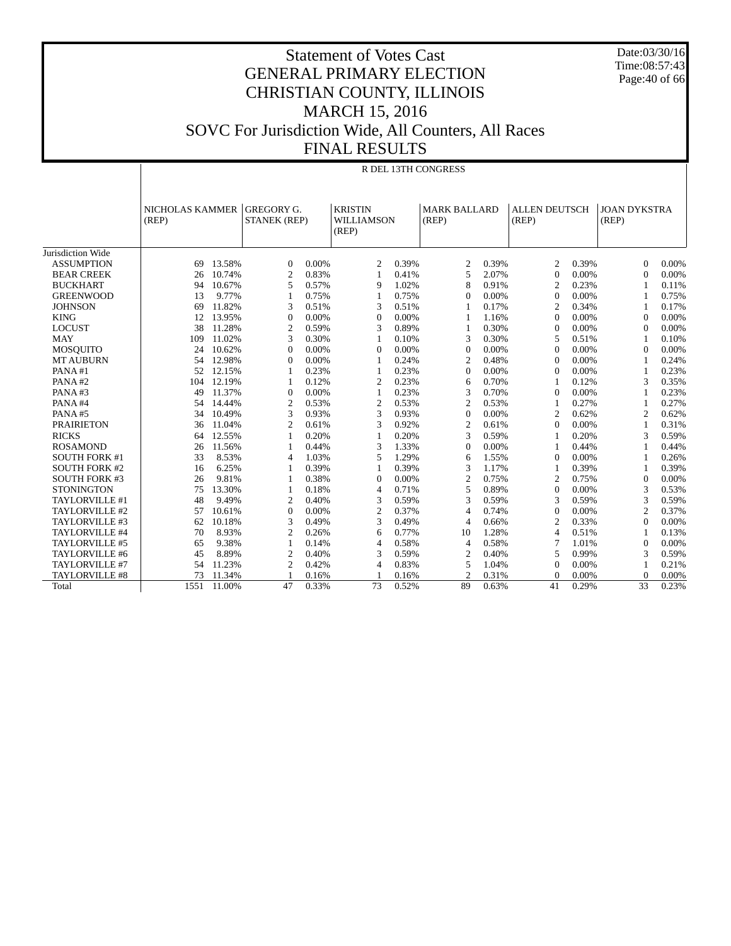Date:03/30/16 Time:08:57:43 Page:40 of 66

| SOVC For Jurisdiction Wide, All Counters, All Races |  |
|-----------------------------------------------------|--|
| EINAL DECHITE                                       |  |

|                      | R DEL 13TH CONGRESS      |        |                   |                     |                |                                                |                |                     |                               |       |                              |       |
|----------------------|--------------------------|--------|-------------------|---------------------|----------------|------------------------------------------------|----------------|---------------------|-------------------------------|-------|------------------------------|-------|
|                      |                          |        |                   |                     |                |                                                |                |                     |                               |       |                              |       |
|                      | NICHOLAS KAMMER<br>(REP) |        | <b>GREGORY G.</b> | <b>STANEK (REP)</b> |                | <b>KRISTIN</b><br>(REP)<br>WILLIAMSON<br>(REP) |                | <b>MARK BALLARD</b> | <b>ALLEN DEUTSCH</b><br>(REP) |       | <b>JOAN DYKSTRA</b><br>(REP) |       |
| Jurisdiction Wide    |                          |        |                   |                     |                |                                                |                |                     |                               |       |                              |       |
| <b>ASSUMPTION</b>    | 69                       | 13.58% | $\Omega$          | 0.00%               | 2              | 0.39%                                          | 2              | 0.39%               | 2                             | 0.39% | $\Omega$                     | 0.00% |
| <b>BEAR CREEK</b>    | 26                       | 10.74% | $\overline{2}$    | 0.83%               | 1              | 0.41%                                          | 5              | 2.07%               | $\mathbf{0}$                  | 0.00% | $\overline{0}$               | 0.00% |
| <b>BUCKHART</b>      | 94                       | 10.67% | 5                 | 0.57%               | 9              | 1.02%                                          | 8              | 0.91%               | $\overline{c}$                | 0.23% | $\mathbf{1}$                 | 0.11% |
| <b>GREENWOOD</b>     | 13                       | 9.77%  | $\mathbf{1}$      | 0.75%               | 1              | 0.75%                                          | $\Omega$       | 0.00%               | $\Omega$                      | 0.00% | 1                            | 0.75% |
| <b>JOHNSON</b>       | 69                       | 11.82% | 3                 | 0.51%               | 3              | 0.51%                                          |                | 0.17%               | $\overline{c}$                | 0.34% | 1                            | 0.17% |
| <b>KING</b>          | 12                       | 13.95% | $\boldsymbol{0}$  | 0.00%               | $\Omega$       | 0.00%                                          | -1             | 1.16%               | $\Omega$                      | 0.00% | $\mathbf{0}$                 | 0.00% |
| <b>LOCUST</b>        | 38                       | 11.28% | $\mathbf{2}$      | 0.59%               | 3              | 0.89%                                          | $\mathbf{1}$   | 0.30%               | $\Omega$                      | 0.00% | $\mathbf{0}$                 | 0.00% |
| <b>MAY</b>           | 109                      | 11.02% | 3                 | 0.30%               | 1              | 0.10%                                          | 3              | 0.30%               | 5                             | 0.51% | 1                            | 0.10% |
| <b>MOSOUITO</b>      | 24                       | 10.62% | $\overline{0}$    | $0.00\%$            | $\mathbf{0}$   | 0.00%                                          | $\mathbf{0}$   | 0.00%               | $\Omega$                      | 0.00% | $\mathbf{0}$                 | 0.00% |
| <b>MT AUBURN</b>     | 54                       | 12.98% | $\theta$          | 0.00%               | $\mathbf{1}$   | 0.24%                                          | 2              | 0.48%               | $\Omega$                      | 0.00% | $\mathbf{1}$                 | 0.24% |
| PANA#1               | 52                       | 12.15% | 1                 | 0.23%               | 1              | 0.23%                                          | $\Omega$       | 0.00%               | $\Omega$                      | 0.00% | 1                            | 0.23% |
| PANA#2               | 104                      | 12.19% | 1                 | 0.12%               | $\overline{c}$ | 0.23%                                          | 6              | 0.70%               | $\overline{\mathbf{1}}$       | 0.12% | 3                            | 0.35% |
| PANA#3               | 49                       | 11.37% | $\overline{0}$    | 0.00%               | 1              | 0.23%                                          | 3              | 0.70%               | $\theta$                      | 0.00% | 1                            | 0.23% |
| PANA#4               | 54                       | 14.44% | $\overline{2}$    | 0.53%               | $\mathfrak{2}$ | 0.53%                                          | $\overline{c}$ | 0.53%               | 1                             | 0.27% | 1                            | 0.27% |
| PANA#5               | 34                       | 10.49% | 3                 | 0.93%               | 3              | 0.93%                                          | $\Omega$       | 0.00%               | $\overline{c}$                | 0.62% | $\overline{2}$               | 0.62% |
| <b>PRAIRIETON</b>    | 36                       | 11.04% | $\overline{c}$    | 0.61%               | 3              | 0.92%                                          | 2              | 0.61%               | $\Omega$                      | 0.00% | 1                            | 0.31% |
| <b>RICKS</b>         | 64                       | 12.55% | $\mathbf{1}$      | 0.20%               | 1              | 0.20%                                          | 3              | 0.59%               | 1                             | 0.20% | 3                            | 0.59% |
| <b>ROSAMOND</b>      | 26                       | 11.56% | $\mathbf{1}$      | 0.44%               | 3              | 1.33%                                          | $\Omega$       | 0.00%               | $\overline{1}$                | 0.44% | 1                            | 0.44% |
| <b>SOUTH FORK #1</b> | 33                       | 8.53%  | $\overline{4}$    | 1.03%               | 5              | 1.29%                                          | 6              | 1.55%               | $\Omega$                      | 0.00% | 1                            | 0.26% |
| <b>SOUTH FORK #2</b> | 16                       | 6.25%  | $\mathbf{1}$      | 0.39%               | $\mathbf{1}$   | 0.39%                                          | 3              | 1.17%               | 1                             | 0.39% | 1                            | 0.39% |
| <b>SOUTH FORK #3</b> | 26                       | 9.81%  | 1                 | 0.38%               | $\mathbf{0}$   | 0.00%                                          | $\overline{c}$ | 0.75%               | $\overline{c}$                | 0.75% | $\mathbf{0}$                 | 0.00% |
| <b>STONINGTON</b>    | 75                       | 13.30% | 1                 | 0.18%               | $\overline{4}$ | 0.71%                                          | 5              | 0.89%               | $\Omega$                      | 0.00% | 3                            | 0.53% |
| TAYLORVILLE #1       | 48                       | 9.49%  | $\overline{c}$    | 0.40%               | 3              | 0.59%                                          | 3              | 0.59%               | 3                             | 0.59% | 3                            | 0.59% |
| TAYLORVILLE #2       | 57                       | 10.61% | $\overline{0}$    | 0.00%               | $\overline{c}$ | 0.37%                                          | $\overline{4}$ | 0.74%               | $\theta$                      | 0.00% | $\overline{c}$               | 0.37% |
| TAYLORVILLE #3       | 62                       | 10.18% | 3                 | 0.49%               | 3              | 0.49%                                          | $\overline{4}$ | 0.66%               | $\overline{2}$                | 0.33% | $\overline{0}$               | 0.00% |
| TAYLORVILLE #4       | 70                       | 8.93%  | $\mathfrak{2}$    | 0.26%               | 6              | 0.77%                                          | 10             | 1.28%               | $\overline{4}$                | 0.51% | 1                            | 0.13% |
| TAYLORVILLE #5       | 65                       | 9.38%  | 1                 | 0.14%               | $\overline{4}$ | 0.58%                                          | $\overline{4}$ | 0.58%               | 7                             | 1.01% | $\theta$                     | 0.00% |
| TAYLORVILLE #6       | 45                       | 8.89%  | $\mathfrak{2}$    | 0.40%               | 3              | 0.59%                                          | 2              | 0.40%               | 5                             | 0.99% | 3                            | 0.59% |
| TAYLORVILLE #7       | 54                       | 11.23% | $\overline{2}$    | 0.42%               | $\overline{4}$ | 0.83%                                          | 5              | 1.04%               | $\theta$                      | 0.00% | 1                            | 0.21% |
| TAYLORVILLE #8       | 73                       | 11.34% | $\mathbf{1}$      | 0.16%               |                | 0.16%                                          | $\overline{c}$ | 0.31%               | $\Omega$                      | 0.00% | $\mathbf{0}$                 | 0.00% |
| Total                | 1551                     | 11.00% | 47                | 0.33%               | 73             | 0.52%                                          | 89             | 0.63%               | 41                            | 0.29% | 33                           | 0.23% |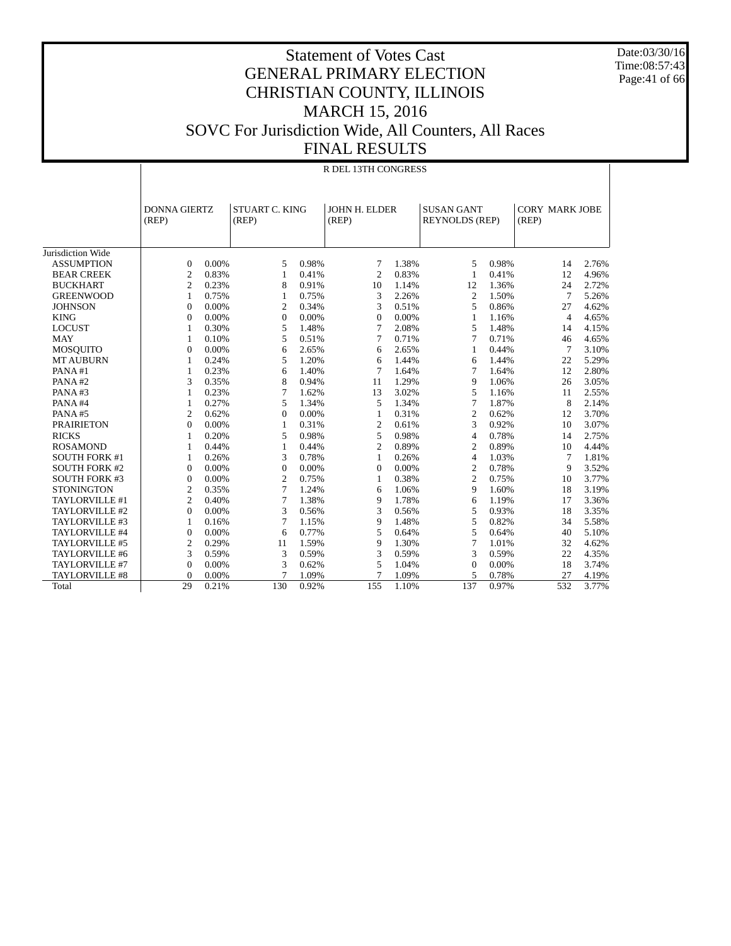Date:03/30/16 Time:08:57:43 Page:41 of 66

|                      |                              | R DEL 13TH CONGRESS |                         |       |                        |       |                                            |       |                                |       |  |  |  |
|----------------------|------------------------------|---------------------|-------------------------|-------|------------------------|-------|--------------------------------------------|-------|--------------------------------|-------|--|--|--|
|                      | <b>DONNA GIERTZ</b><br>(REP) |                     | STUART C. KING<br>(REP) |       | JOHN H. ELDER<br>(REP) |       | <b>SUSAN GANT</b><br><b>REYNOLDS (REP)</b> |       | <b>CORY MARK JOBE</b><br>(REP) |       |  |  |  |
| Jurisdiction Wide    |                              |                     |                         |       |                        |       |                                            |       |                                |       |  |  |  |
| <b>ASSUMPTION</b>    | $\overline{0}$               | 0.00%               | 5                       | 0.98% | 7                      | 1.38% | 5                                          | 0.98% | 14                             | 2.76% |  |  |  |
| <b>BEAR CREEK</b>    | $\overline{2}$               | 0.83%               | $\mathbf{1}$            | 0.41% | $\overline{2}$         | 0.83% | 1                                          | 0.41% | 12                             | 4.96% |  |  |  |
| <b>BUCKHART</b>      | $\overline{c}$               | 0.23%               | 8                       | 0.91% | 10                     | 1.14% | 12                                         | 1.36% | 24                             | 2.72% |  |  |  |
| <b>GREENWOOD</b>     | 1                            | 0.75%               | 1                       | 0.75% | 3                      | 2.26% | $\overline{2}$                             | 1.50% | 7                              | 5.26% |  |  |  |
| <b>JOHNSON</b>       | $\mathbf{0}$                 | 0.00%               | $\overline{2}$          | 0.34% | 3                      | 0.51% | 5                                          | 0.86% | 27                             | 4.62% |  |  |  |
| <b>KING</b>          | $\mathbf{0}$                 | 0.00%               | $\mathbf{0}$            | 0.00% | $\theta$               | 0.00% | $\mathbf{1}$                               | 1.16% | $\overline{4}$                 | 4.65% |  |  |  |
| <b>LOCUST</b>        | 1                            | 0.30%               | 5                       | 1.48% | $\tau$                 | 2.08% | 5                                          | 1.48% | 14                             | 4.15% |  |  |  |
| <b>MAY</b>           | 1                            | 0.10%               | 5                       | 0.51% | 7                      | 0.71% | 7                                          | 0.71% | 46                             | 4.65% |  |  |  |
| <b>MOSQUITO</b>      | $\overline{0}$               | 0.00%               | 6                       | 2.65% | 6                      | 2.65% | 1                                          | 0.44% | $\overline{7}$                 | 3.10% |  |  |  |
| <b>MT AUBURN</b>     | 1                            | 0.24%               | 5                       | 1.20% | 6                      | 1.44% | 6                                          | 1.44% | 22                             | 5.29% |  |  |  |
| PANA#1               | 1                            | 0.23%               | 6                       | 1.40% | $\overline{7}$         | 1.64% | 7                                          | 1.64% | 12                             | 2.80% |  |  |  |
| PANA#2               | 3                            | 0.35%               | 8                       | 0.94% | 11                     | 1.29% | 9                                          | 1.06% | 26                             | 3.05% |  |  |  |
| PANA#3               | 1                            | 0.23%               | 7                       | 1.62% | 13                     | 3.02% | 5                                          | 1.16% | 11                             | 2.55% |  |  |  |
| PANA#4               | 1                            | 0.27%               | 5                       | 1.34% | 5                      | 1.34% | 7                                          | 1.87% | 8                              | 2.14% |  |  |  |
| PANA#5               | $\overline{2}$               | 0.62%               | $\Omega$                | 0.00% | $\mathbf{1}$           | 0.31% | $\overline{2}$                             | 0.62% | 12                             | 3.70% |  |  |  |
| <b>PRAIRIETON</b>    | $\overline{0}$               | 0.00%               | 1                       | 0.31% | $\overline{2}$         | 0.61% | 3                                          | 0.92% | 10                             | 3.07% |  |  |  |
| <b>RICKS</b>         | 1                            | 0.20%               | 5                       | 0.98% | 5                      | 0.98% | 4                                          | 0.78% | 14                             | 2.75% |  |  |  |
| <b>ROSAMOND</b>      | $\mathbf{1}$                 | 0.44%               | 1                       | 0.44% | $\overline{2}$         | 0.89% | $\overline{2}$                             | 0.89% | 10                             | 4.44% |  |  |  |
| <b>SOUTH FORK #1</b> | 1                            | 0.26%               | 3                       | 0.78% | 1                      | 0.26% | $\overline{4}$                             | 1.03% | $\tau$                         | 1.81% |  |  |  |
| <b>SOUTH FORK #2</b> | $\mathbf{0}$                 | 0.00%               | $\mathbf{0}$            | 0.00% | $\Omega$               | 0.00% | $\overline{c}$                             | 0.78% | 9                              | 3.52% |  |  |  |
| <b>SOUTH FORK #3</b> | $\mathbf{0}$                 | 0.00%               | $\overline{2}$          | 0.75% | 1                      | 0.38% | $\overline{c}$                             | 0.75% | 10                             | 3.77% |  |  |  |
| <b>STONINGTON</b>    | $\mathfrak{2}$               | 0.35%               | 7                       | 1.24% | 6                      | 1.06% | 9                                          | 1.60% | 18                             | 3.19% |  |  |  |
| TAYLORVILLE #1       | 2                            | 0.40%               | 7                       | 1.38% | 9                      | 1.78% | 6                                          | 1.19% | 17                             | 3.36% |  |  |  |
| TAYLORVILLE #2       | $\Omega$                     | 0.00%               | 3                       | 0.56% | 3                      | 0.56% | 5                                          | 0.93% | 18                             | 3.35% |  |  |  |
| TAYLORVILLE #3       | 1                            | 0.16%               | 7                       | 1.15% | 9                      | 1.48% | 5                                          | 0.82% | 34                             | 5.58% |  |  |  |
| TAYLORVILLE #4       | $\overline{0}$               | 0.00%               | 6                       | 0.77% | 5                      | 0.64% | 5                                          | 0.64% | 40                             | 5.10% |  |  |  |
| TAYLORVILLE #5       | $\overline{2}$               | 0.29%               | 11                      | 1.59% | 9                      | 1.30% | 7                                          | 1.01% | 32                             | 4.62% |  |  |  |
| TAYLORVILLE #6       | 3                            | 0.59%               | 3                       | 0.59% | 3                      | 0.59% | 3                                          | 0.59% | 22                             | 4.35% |  |  |  |
| TAYLORVILLE #7       | $\mathbf{0}$                 | 0.00%               | 3                       | 0.62% | 5                      | 1.04% | $\mathbf{0}$                               | 0.00% | 18                             | 3.74% |  |  |  |
| TAYLORVILLE #8       | $\Omega$                     | 0.00%               | $\overline{7}$          | 1.09% | $\overline{7}$         | 1.09% | 5                                          | 0.78% | 27                             | 4.19% |  |  |  |
| Total                | 29                           | 0.21%               | 130                     | 0.92% | 155                    | 1.10% | 137                                        | 0.97% | 532                            | 3.77% |  |  |  |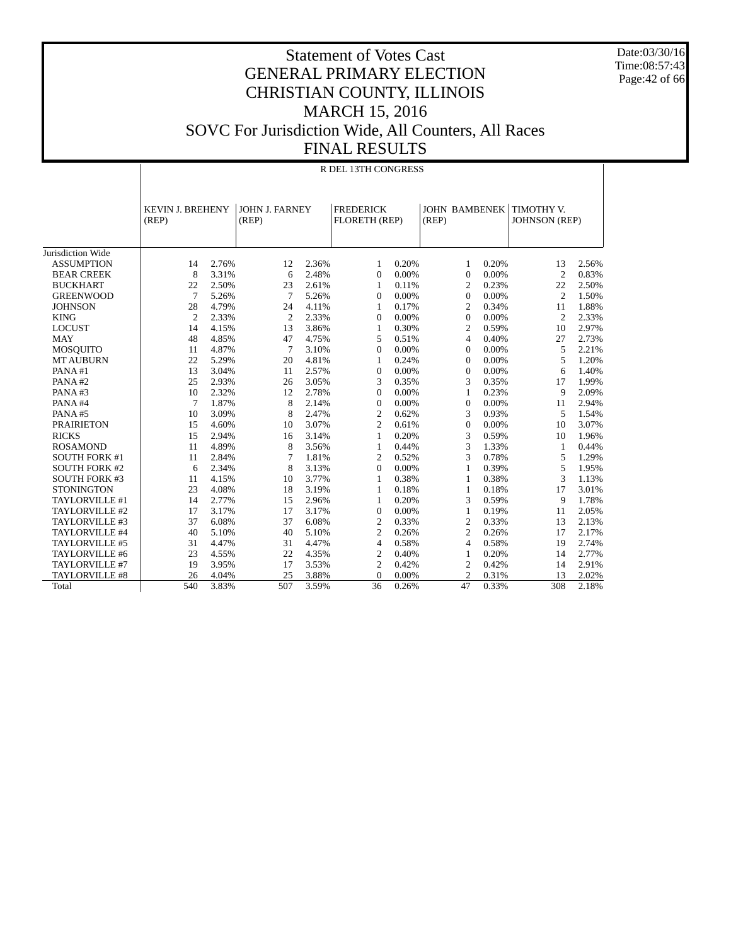Date:03/30/16 Time:08:57:43 Page:42 of 66

|                       |                                  | R DEL 13TH CONGRESS |                                |       |                                   |       |                               |       |                                    |       |  |  |  |
|-----------------------|----------------------------------|---------------------|--------------------------------|-------|-----------------------------------|-------|-------------------------------|-------|------------------------------------|-------|--|--|--|
|                       | <b>KEVIN J. BREHENY</b><br>(REP) |                     | <b>JOHN J. FARNEY</b><br>(REP) |       | <b>FREDERICK</b><br>FLORETH (REP) |       | <b>JOHN BAMBENEK</b><br>(REP) |       | TIMOTHY V.<br><b>JOHNSON</b> (REP) |       |  |  |  |
| Jurisdiction Wide     |                                  |                     |                                |       |                                   |       |                               |       |                                    |       |  |  |  |
| <b>ASSUMPTION</b>     | 14                               | 2.76%               | 12                             | 2.36% | 1                                 | 0.20% | 1                             | 0.20% | 13                                 | 2.56% |  |  |  |
| <b>BEAR CREEK</b>     | 8                                | 3.31%               | 6                              | 2.48% | $\Omega$                          | 0.00% | $\Omega$                      | 0.00% | $\overline{c}$                     | 0.83% |  |  |  |
| <b>BUCKHART</b>       | 22                               | 2.50%               | 23                             | 2.61% | 1                                 | 0.11% | $\overline{c}$                | 0.23% | 22                                 | 2.50% |  |  |  |
| <b>GREENWOOD</b>      | $\overline{7}$                   | 5.26%               | 7                              | 5.26% | $\theta$                          | 0.00% | $\Omega$                      | 0.00% | 2                                  | 1.50% |  |  |  |
| <b>JOHNSON</b>        | 28                               | 4.79%               | 24                             | 4.11% | 1                                 | 0.17% | $\mathfrak{2}$                | 0.34% | 11                                 | 1.88% |  |  |  |
| <b>KING</b>           | $\overline{2}$                   | 2.33%               | 2                              | 2.33% | $\mathbf{0}$                      | 0.00% | $\mathbf{0}$                  | 0.00% | $\overline{c}$                     | 2.33% |  |  |  |
| <b>LOCUST</b>         | 14                               | 4.15%               | 13                             | 3.86% | $\mathbf{1}$                      | 0.30% | $\overline{c}$                | 0.59% | 10                                 | 2.97% |  |  |  |
| <b>MAY</b>            | 48                               | 4.85%               | 47                             | 4.75% | 5                                 | 0.51% | $\overline{4}$                | 0.40% | 27                                 | 2.73% |  |  |  |
| <b>MOSQUITO</b>       | 11                               | 4.87%               | $\overline{7}$                 | 3.10% | $\Omega$                          | 0.00% | $\Omega$                      | 0.00% | 5                                  | 2.21% |  |  |  |
| <b>MT AUBURN</b>      | 22                               | 5.29%               | 20                             | 4.81% | 1                                 | 0.24% | $\Omega$                      | 0.00% | 5                                  | 1.20% |  |  |  |
| PANA#1                | 13                               | 3.04%               | 11                             | 2.57% | $\mathbf{0}$                      | 0.00% | $\Omega$                      | 0.00% | 6                                  | 1.40% |  |  |  |
| PANA#2                | 25                               | 2.93%               | 26                             | 3.05% | 3                                 | 0.35% | 3                             | 0.35% | 17                                 | 1.99% |  |  |  |
| PANA#3                | 10                               | 2.32%               | 12                             | 2.78% | $\boldsymbol{0}$                  | 0.00% | 1                             | 0.23% | 9                                  | 2.09% |  |  |  |
| PANA#4                | 7                                | 1.87%               | 8                              | 2.14% | $\mathbf{0}$                      | 0.00% | $\mathbf{0}$                  | 0.00% | 11                                 | 2.94% |  |  |  |
| PANA#5                | 10                               | 3.09%               | 8                              | 2.47% | $\overline{c}$                    | 0.62% | 3                             | 0.93% | 5                                  | 1.54% |  |  |  |
| <b>PRAIRIETON</b>     | 15                               | 4.60%               | 10                             | 3.07% | $\overline{2}$                    | 0.61% | $\Omega$                      | 0.00% | 10                                 | 3.07% |  |  |  |
| <b>RICKS</b>          | 15                               | 2.94%               | 16                             | 3.14% | 1                                 | 0.20% | 3                             | 0.59% | 10                                 | 1.96% |  |  |  |
| <b>ROSAMOND</b>       | 11                               | 4.89%               | 8                              | 3.56% | 1                                 | 0.44% | 3                             | 1.33% | 1                                  | 0.44% |  |  |  |
| <b>SOUTH FORK #1</b>  | 11                               | 2.84%               | 7                              | 1.81% | $\overline{c}$                    | 0.52% | 3                             | 0.78% | 5                                  | 1.29% |  |  |  |
| <b>SOUTH FORK #2</b>  | 6                                | 2.34%               | 8                              | 3.13% | $\Omega$                          | 0.00% | $\mathbf{1}$                  | 0.39% | 5                                  | 1.95% |  |  |  |
| <b>SOUTH FORK #3</b>  | 11                               | 4.15%               | 10                             | 3.77% | 1                                 | 0.38% | 1                             | 0.38% | 3                                  | 1.13% |  |  |  |
| <b>STONINGTON</b>     | 23                               | 4.08%               | 18                             | 3.19% | 1                                 | 0.18% | 1                             | 0.18% | 17                                 | 3.01% |  |  |  |
| TAYLORVILLE #1        | 14                               | 2.77%               | 15                             | 2.96% | $\mathbf{1}$                      | 0.20% | 3                             | 0.59% | 9                                  | 1.78% |  |  |  |
| TAYLORVILLE #2        | 17                               | 3.17%               | 17                             | 3.17% | $\Omega$                          | 0.00% | $\mathbf{1}$                  | 0.19% | 11                                 | 2.05% |  |  |  |
| TAYLORVILLE #3        | 37                               | 6.08%               | 37                             | 6.08% | $\overline{2}$                    | 0.33% | $\overline{c}$                | 0.33% | 13                                 | 2.13% |  |  |  |
| TAYLORVILLE #4        | 40                               | 5.10%               | 40                             | 5.10% | $\overline{2}$                    | 0.26% | $\overline{c}$                | 0.26% | 17                                 | 2.17% |  |  |  |
| TAYLORVILLE #5        | 31                               | 4.47%               | 31                             | 4.47% | $\overline{4}$                    | 0.58% | $\overline{4}$                | 0.58% | 19                                 | 2.74% |  |  |  |
| TAYLORVILLE #6        | 23                               | 4.55%               | 22                             | 4.35% | $\mathfrak{2}$                    | 0.40% | $\mathbf{1}$                  | 0.20% | 14                                 | 2.77% |  |  |  |
| TAYLORVILLE #7        | 19                               | 3.95%               | 17                             | 3.53% | 2                                 | 0.42% | $\overline{c}$                | 0.42% | 14                                 | 2.91% |  |  |  |
| <b>TAYLORVILLE #8</b> | 26                               | 4.04%               | 25                             | 3.88% | $\overline{0}$                    | 0.00% | $\overline{c}$                | 0.31% | 13                                 | 2.02% |  |  |  |
| Total                 | 540                              | 3.83%               | 507                            | 3.59% | 36                                | 0.26% | 47                            | 0.33% | 308                                | 2.18% |  |  |  |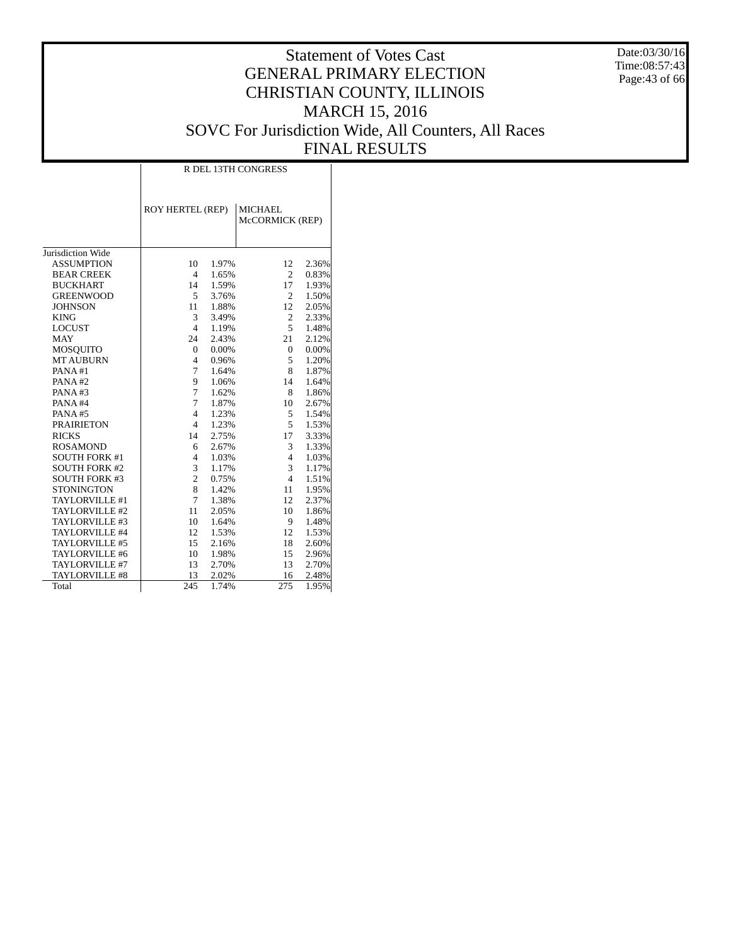Date:03/30/16 Time:08:57:43 Page:43 of 66

|                       | R DEL 13TH CONGRESS     |       |                                   |       |  |  |  |  |  |  |
|-----------------------|-------------------------|-------|-----------------------------------|-------|--|--|--|--|--|--|
|                       | <b>ROY HERTEL (REP)</b> |       | <b>MICHAEL</b><br>McCORMICK (REP) |       |  |  |  |  |  |  |
| Jurisdiction Wide     |                         |       |                                   |       |  |  |  |  |  |  |
| <b>ASSUMPTION</b>     | 10                      | 1.97% | 12                                | 2.36% |  |  |  |  |  |  |
| <b>BEAR CREEK</b>     | $\overline{4}$          | 1.65% | $\overline{2}$                    | 0.83% |  |  |  |  |  |  |
| <b>BUCKHART</b>       | 14                      | 1.59% | 17                                | 1.93% |  |  |  |  |  |  |
| <b>GREENWOOD</b>      | 5                       | 3.76% | $\overline{2}$                    | 1.50% |  |  |  |  |  |  |
| <b>JOHNSON</b>        | 11                      | 1.88% | 12                                | 2.05% |  |  |  |  |  |  |
| <b>KING</b>           | 3                       | 3.49% | $\overline{c}$                    | 2.33% |  |  |  |  |  |  |
| <b>LOCUST</b>         | $\overline{4}$          | 1.19% | 5                                 | 1.48% |  |  |  |  |  |  |
| <b>MAY</b>            | 24                      | 2.43% | 21                                | 2.12% |  |  |  |  |  |  |
| <b>MOSQUITO</b>       | $\overline{0}$          | 0.00% | $\overline{0}$                    | 0.00% |  |  |  |  |  |  |
| <b>MT AUBURN</b>      | $\overline{4}$          | 0.96% | 5                                 | 1.20% |  |  |  |  |  |  |
| PANA#1                | 7                       | 1.64% | 8                                 | 1.87% |  |  |  |  |  |  |
| PANA#2                | 9                       | 1.06% | 14                                | 1.64% |  |  |  |  |  |  |
| PANA#3                | 7                       | 1.62% | 8                                 | 1.86% |  |  |  |  |  |  |
| PANA#4                | 7                       | 1.87% | 10                                | 2.67% |  |  |  |  |  |  |
| PANA#5                | $\overline{4}$          | 1.23% | 5                                 | 1.54% |  |  |  |  |  |  |
| <b>PRAIRIETON</b>     | $\overline{4}$          | 1.23% | 5                                 | 1.53% |  |  |  |  |  |  |
| <b>RICKS</b>          | 14                      | 2.75% | 17                                | 3.33% |  |  |  |  |  |  |
| <b>ROSAMOND</b>       | 6                       | 2.67% | 3                                 | 1.33% |  |  |  |  |  |  |
| <b>SOUTH FORK #1</b>  | $\overline{4}$          | 1.03% | $\overline{4}$                    | 1.03% |  |  |  |  |  |  |
| <b>SOUTH FORK #2</b>  | 3                       | 1.17% | 3                                 | 1.17% |  |  |  |  |  |  |
| <b>SOUTH FORK #3</b>  | $\overline{c}$          | 0.75% | $\overline{4}$                    | 1.51% |  |  |  |  |  |  |
| <b>STONINGTON</b>     | 8                       | 1.42% | 11                                | 1.95% |  |  |  |  |  |  |
| TAYLORVILLE #1        | 7                       | 1.38% | 12                                | 2.37% |  |  |  |  |  |  |
| TAYLORVILLE #2        | 11                      | 2.05% | 10                                | 1.86% |  |  |  |  |  |  |
| TAYLORVILLE #3        | 10                      | 1.64% | 9                                 | 1.48% |  |  |  |  |  |  |
| TAYLORVILLE #4        | 12                      | 1.53% | 12                                | 1.53% |  |  |  |  |  |  |
| TAYLORVILLE #5        | 15                      | 2.16% | 18                                | 2.60% |  |  |  |  |  |  |
| TAYLORVILLE #6        | 10                      | 1.98% | 15                                | 2.96% |  |  |  |  |  |  |
| TAYLORVILLE #7        | 13                      | 2.70% | 13                                | 2.70% |  |  |  |  |  |  |
| <b>TAYLORVILLE #8</b> | 13                      | 2.02% | 16                                | 2.48% |  |  |  |  |  |  |
| Total                 | 245                     | 1.74% | 275                               | 1.95% |  |  |  |  |  |  |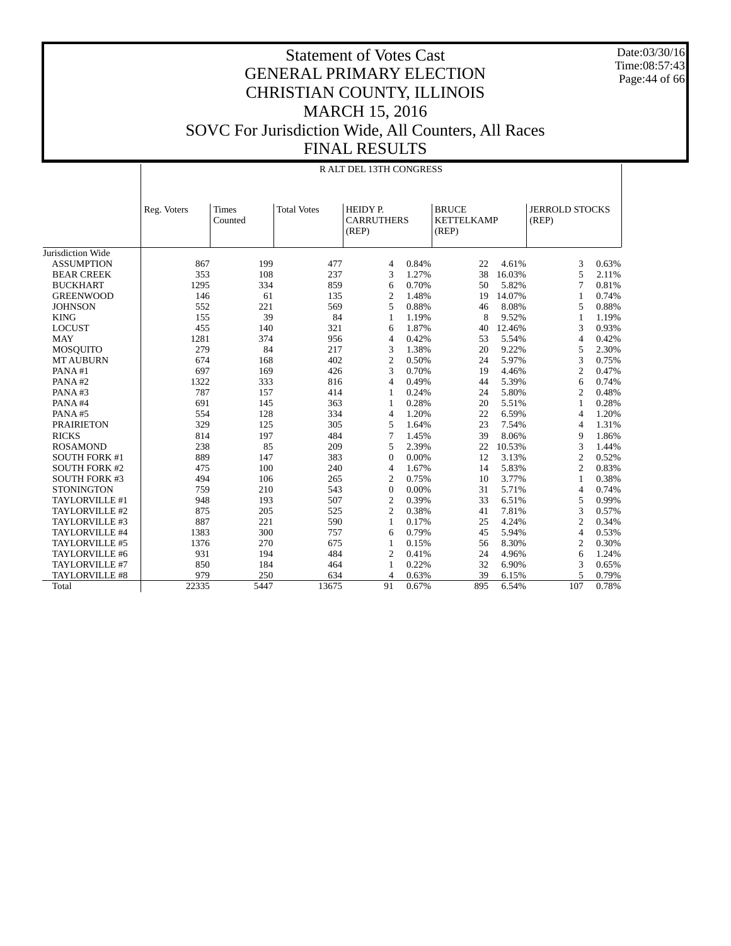Date:03/30/16 Time:08:57:43 Page:44 of 66

#### Statement of Votes Cast GENERAL PRIMARY ELECTION CHRISTIAN COUNTY, ILLINOIS MARCH 15, 2016 SOVC For Jurisdiction Wide, All Counters, All Races FINAL RESULTS

|                      | <b>RALT DEL 13TH CONGRESS</b> |                                                                                                                                                                  |       |                |       |     |        |                |       |  |  |
|----------------------|-------------------------------|------------------------------------------------------------------------------------------------------------------------------------------------------------------|-------|----------------|-------|-----|--------|----------------|-------|--|--|
|                      | Reg. Voters                   | <b>JERROLD STOCKS</b><br><b>Total Votes</b><br>HEIDY P.<br><b>BRUCE</b><br>Times<br><b>CARRUTHERS</b><br><b>KETTELKAMP</b><br>Counted<br>(REP)<br>(REP)<br>(REP) |       |                |       |     |        |                |       |  |  |
| Jurisdiction Wide    |                               |                                                                                                                                                                  |       |                |       |     |        |                |       |  |  |
| <b>ASSUMPTION</b>    | 867                           | 199                                                                                                                                                              | 477   | $\overline{4}$ | 0.84% | 22  | 4.61%  | 3              | 0.63% |  |  |
| <b>BEAR CREEK</b>    | 353                           | 108                                                                                                                                                              | 237   | 3              | 1.27% | 38  | 16.03% | 5              | 2.11% |  |  |
| <b>BUCKHART</b>      | 1295                          | 334                                                                                                                                                              | 859   | 6              | 0.70% | 50  | 5.82%  | 7              | 0.81% |  |  |
| <b>GREENWOOD</b>     | 146                           | 61                                                                                                                                                               | 135   | $\overline{c}$ | 1.48% | 19  | 14.07% | 1              | 0.74% |  |  |
| <b>JOHNSON</b>       | 552                           | 221                                                                                                                                                              | 569   | 5              | 0.88% | 46  | 8.08%  | 5              | 0.88% |  |  |
| <b>KING</b>          | 155                           | 39                                                                                                                                                               | 84    | 1              | 1.19% | 8   | 9.52%  | 1              | 1.19% |  |  |
| <b>LOCUST</b>        | 455                           | 140                                                                                                                                                              | 321   | 6              | 1.87% | 40  | 12.46% | 3              | 0.93% |  |  |
| <b>MAY</b>           | 1281                          | 374                                                                                                                                                              | 956   | $\overline{4}$ | 0.42% | 53  | 5.54%  | $\overline{4}$ | 0.42% |  |  |
| <b>MOSQUITO</b>      | 279                           | 84                                                                                                                                                               | 217   | 3              | 1.38% | 20  | 9.22%  | 5              | 2.30% |  |  |
| <b>MT AUBURN</b>     | 674                           | 168                                                                                                                                                              | 402   | $\overline{c}$ | 0.50% | 24  | 5.97%  | 3              | 0.75% |  |  |
| PANA#1               | 697                           | 169                                                                                                                                                              | 426   | 3              | 0.70% | 19  | 4.46%  | 2              | 0.47% |  |  |
| PANA#2               | 1322                          | 333                                                                                                                                                              | 816   | 4              | 0.49% | 44  | 5.39%  | 6              | 0.74% |  |  |
| PANA#3               | 787                           | 157                                                                                                                                                              | 414   | 1              | 0.24% | 24  | 5.80%  | $\overline{c}$ | 0.48% |  |  |
| PANA#4               | 691                           | 145                                                                                                                                                              | 363   | 1              | 0.28% | 20  | 5.51%  | $\mathbf{1}$   | 0.28% |  |  |
| PANA#5               | 554                           | 128                                                                                                                                                              | 334   | $\overline{4}$ | 1.20% | 22  | 6.59%  | $\overline{4}$ | 1.20% |  |  |
| <b>PRAIRIETON</b>    | 329                           | 125                                                                                                                                                              | 305   | 5              | 1.64% | 23  | 7.54%  | 4              | 1.31% |  |  |
| <b>RICKS</b>         | 814                           | 197                                                                                                                                                              | 484   | $\tau$         | 1.45% | 39  | 8.06%  | 9              | 1.86% |  |  |
| <b>ROSAMOND</b>      | 238                           | 85                                                                                                                                                               | 209   | 5              | 2.39% | 22  | 10.53% | 3              | 1.44% |  |  |
| <b>SOUTH FORK #1</b> | 889                           | 147                                                                                                                                                              | 383   | $\Omega$       | 0.00% | 12  | 3.13%  | $\overline{c}$ | 0.52% |  |  |
| <b>SOUTH FORK #2</b> | 475                           | 100                                                                                                                                                              | 240   | $\overline{4}$ | 1.67% | 14  | 5.83%  | $\overline{c}$ | 0.83% |  |  |
| <b>SOUTH FORK #3</b> | 494                           | 106                                                                                                                                                              | 265   | $\overline{c}$ | 0.75% | 10  | 3.77%  | 1              | 0.38% |  |  |
| <b>STONINGTON</b>    | 759                           | 210                                                                                                                                                              | 543   | $\mathbf{0}$   | 0.00% | 31  | 5.71%  | $\overline{4}$ | 0.74% |  |  |
| TAYLORVILLE #1       | 948                           | 193                                                                                                                                                              | 507   | $\overline{c}$ | 0.39% | 33  | 6.51%  | 5              | 0.99% |  |  |
| TAYLORVILLE #2       | 875                           | 205                                                                                                                                                              | 525   | $\overline{2}$ | 0.38% | 41  | 7.81%  | 3              | 0.57% |  |  |
| TAYLORVILLE #3       | 887                           | 221                                                                                                                                                              | 590   | $\mathbf{1}$   | 0.17% | 25  | 4.24%  | 2              | 0.34% |  |  |
| TAYLORVILLE #4       | 1383                          | 300                                                                                                                                                              | 757   | 6              | 0.79% | 45  | 5.94%  | $\overline{4}$ | 0.53% |  |  |
| TAYLORVILLE #5       | 1376                          | 270                                                                                                                                                              | 675   | 1              | 0.15% | 56  | 8.30%  | $\overline{c}$ | 0.30% |  |  |
| TAYLORVILLE #6       | 931                           | 194                                                                                                                                                              | 484   | 2              | 0.41% | 24  | 4.96%  | 6              | 1.24% |  |  |
| TAYLORVILLE #7       | 850                           | 184                                                                                                                                                              | 464   | 1              | 0.22% | 32  | 6.90%  | 3              | 0.65% |  |  |
| TAYLORVILLE #8       | 979                           | 250                                                                                                                                                              | 634   | $\overline{4}$ | 0.63% | 39  | 6.15%  | 5              | 0.79% |  |  |
| Total                | 22335                         | 5447                                                                                                                                                             | 13675 | 91             | 0.67% | 895 | 6.54%  | 107            | 0.78% |  |  |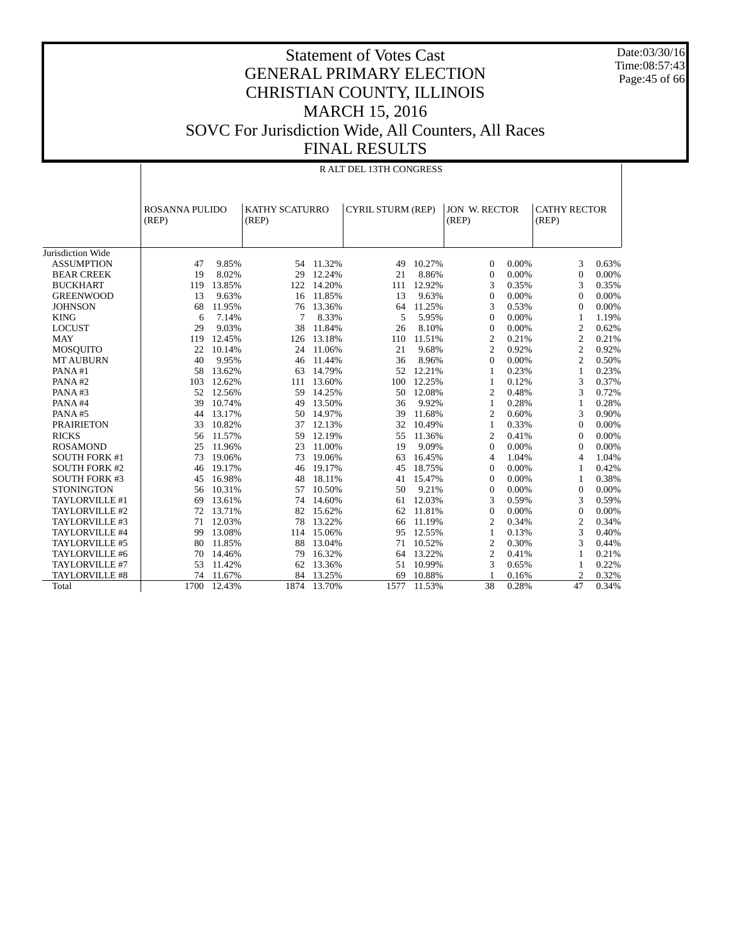Date:03/30/16 Time:08:57:43 Page:45 of 66

#### Statement of Votes Cast GENERAL PRIMARY ELECTION CHRISTIAN COUNTY, ILLINOIS MARCH 15, 2016 SOVC For Jurisdiction Wide, All Counters, All Races FINAL RESULTS

|                      | R ALT DEL 13TH CONGRESS        |        |                                |           |                          |        |                               |       |                              |       |  |
|----------------------|--------------------------------|--------|--------------------------------|-----------|--------------------------|--------|-------------------------------|-------|------------------------------|-------|--|
|                      | <b>ROSANNA PULIDO</b><br>(REP) |        | <b>KATHY SCATURRO</b><br>(REP) |           | <b>CYRIL STURM (REP)</b> |        | <b>JON W. RECTOR</b><br>(REP) |       | <b>CATHY RECTOR</b><br>(REP) |       |  |
| Jurisdiction Wide    |                                |        |                                |           |                          |        |                               |       |                              |       |  |
| <b>ASSUMPTION</b>    | 47                             | 9.85%  |                                | 54 11.32% | 49                       | 10.27% | $\mathbf{0}$                  | 0.00% | 3                            | 0.63% |  |
| <b>BEAR CREEK</b>    | 19                             | 8.02%  | 29                             | 12.24%    | 21                       | 8.86%  | $\overline{0}$                | 0.00% | $\mathbf{0}$                 | 0.00% |  |
| <b>BUCKHART</b>      | 119                            | 13.85% | 122                            | 14.20%    | 111                      | 12.92% | 3                             | 0.35% | 3                            | 0.35% |  |
| <b>GREENWOOD</b>     | 13                             | 9.63%  | 16                             | 11.85%    | 13                       | 9.63%  | $\Omega$                      | 0.00% | $\Omega$                     | 0.00% |  |
| <b>JOHNSON</b>       | 68                             | 11.95% | 76                             | 13.36%    | 64                       | 11.25% | 3                             | 0.53% | $\Omega$                     | 0.00% |  |
| <b>KING</b>          | 6                              | 7.14%  | 7                              | 8.33%     | 5                        | 5.95%  | $\Omega$                      | 0.00% | $\mathbf{1}$                 | 1.19% |  |
| <b>LOCUST</b>        | 29                             | 9.03%  | 38                             | 11.84%    | 26                       | 8.10%  | $\overline{0}$                | 0.00% | $\mathfrak{2}$               | 0.62% |  |
| <b>MAY</b>           | 119                            | 12.45% | 126                            | 13.18%    | 110                      | 11.51% | 2                             | 0.21% | $\mathfrak{2}$               | 0.21% |  |
| <b>MOSQUITO</b>      | 22                             | 10.14% | 24                             | 11.06%    | 21                       | 9.68%  | $\overline{2}$                | 0.92% | $\overline{c}$               | 0.92% |  |
| <b>MT AUBURN</b>     | 40                             | 9.95%  | 46                             | 11.44%    | 36                       | 8.96%  | $\Omega$                      | 0.00% | $\overline{c}$               | 0.50% |  |
| PANA#1               | 58                             | 13.62% | 63                             | 14.79%    | 52                       | 12.21% | 1                             | 0.23% | 1                            | 0.23% |  |
| PANA #2              | 103                            | 12.62% | 111                            | 13.60%    | 100                      | 12.25% | 1                             | 0.12% | 3                            | 0.37% |  |
| PANA#3               | 52                             | 12.56% | 59                             | 14.25%    | 50                       | 12.08% | 2                             | 0.48% | 3                            | 0.72% |  |
| PANA#4               | 39                             | 10.74% | 49                             | 13.50%    | 36                       | 9.92%  | 1                             | 0.28% | 1                            | 0.28% |  |
| PANA#5               | 44                             | 13.17% | 50                             | 14.97%    | 39                       | 11.68% | $\overline{2}$                | 0.60% | 3                            | 0.90% |  |
| <b>PRAIRIETON</b>    | 33                             | 10.82% | 37                             | 12.13%    | 32                       | 10.49% | 1                             | 0.33% | $\mathbf{0}$                 | 0.00% |  |
| <b>RICKS</b>         | 56                             | 11.57% | 59                             | 12.19%    | 55                       | 11.36% | $\overline{c}$                | 0.41% | $\mathbf{0}$                 | 0.00% |  |
| <b>ROSAMOND</b>      | 25                             | 11.96% | 23                             | 11.00%    | 19                       | 9.09%  | $\Omega$                      | 0.00% | $\mathbf{0}$                 | 0.00% |  |
| <b>SOUTH FORK #1</b> | 73                             | 19.06% | 73                             | 19.06%    | 63                       | 16.45% | 4                             | 1.04% | $\overline{4}$               | 1.04% |  |
| <b>SOUTH FORK #2</b> | 46                             | 19.17% | 46                             | 19.17%    | 45                       | 18.75% | $\Omega$                      | 0.00% | $\mathbf{1}$                 | 0.42% |  |
| <b>SOUTH FORK #3</b> | 45                             | 16.98% | 48                             | 18.11%    | 41                       | 15.47% | $\Omega$                      | 0.00% | 1                            | 0.38% |  |
| <b>STONINGTON</b>    | 56                             | 10.31% | 57                             | 10.50%    | 50                       | 9.21%  | $\Omega$                      | 0.00% | $\Omega$                     | 0.00% |  |
| TAYLORVILLE #1       | 69                             | 13.61% | 74                             | 14.60%    | 61                       | 12.03% | 3                             | 0.59% | 3                            | 0.59% |  |
| TAYLORVILLE #2       | 72                             | 13.71% | 82                             | 15.62%    | 62                       | 11.81% | $\Omega$                      | 0.00% | $\mathbf{0}$                 | 0.00% |  |
| TAYLORVILLE #3       | 71                             | 12.03% | 78                             | 13.22%    | 66                       | 11.19% | $\overline{c}$                | 0.34% | $\mathfrak{2}$               | 0.34% |  |
| TAYLORVILLE #4       | 99                             | 13.08% | 114                            | 15.06%    | 95                       | 12.55% | 1                             | 0.13% | 3                            | 0.40% |  |
| TAYLORVILLE #5       | 80                             | 11.85% | 88                             | 13.04%    | 71                       | 10.52% | $\overline{2}$                | 0.30% | 3                            | 0.44% |  |
| TAYLORVILLE #6       | 70                             | 14.46% | 79                             | 16.32%    | 64                       | 13.22% | $\overline{2}$                | 0.41% | $\mathbf{1}$                 | 0.21% |  |
| TAYLORVILLE #7       | 53                             | 11.42% | 62                             | 13.36%    | 51                       | 10.99% | 3                             | 0.65% | $\mathbf{1}$                 | 0.22% |  |
| TAYLORVILLE #8       | 74                             | 11.67% | 84                             | 13.25%    | 69                       | 10.88% |                               | 0.16% | $\overline{c}$               | 0.32% |  |
| Total                | 1700                           | 12.43% | 1874                           | 13.70%    | 1577                     | 11.53% | 38                            | 0.28% | 47                           | 0.34% |  |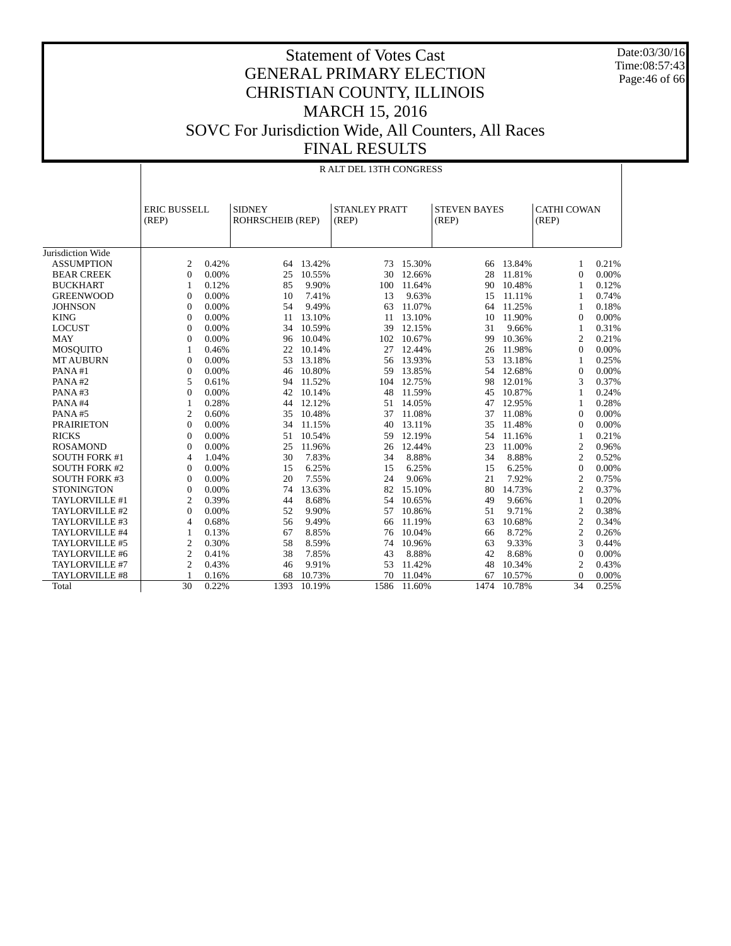Date:03/30/16 Time:08:57:43 Page:46 of 66

|                      |                              | <b>RALT DEL 13TH CONGRESS</b> |                                   |        |                               |        |                              |        |                             |          |  |  |  |
|----------------------|------------------------------|-------------------------------|-----------------------------------|--------|-------------------------------|--------|------------------------------|--------|-----------------------------|----------|--|--|--|
|                      | <b>ERIC BUSSELL</b><br>(REP) |                               | <b>SIDNEY</b><br>ROHRSCHEIB (REP) |        | <b>STANLEY PRATT</b><br>(REP) |        | <b>STEVEN BAYES</b><br>(REP) |        | <b>CATHI COWAN</b><br>(REP) |          |  |  |  |
| Jurisdiction Wide    |                              |                               |                                   |        |                               |        |                              |        |                             |          |  |  |  |
| <b>ASSUMPTION</b>    | 2                            | 0.42%                         | 64                                | 13.42% | 73                            | 15.30% | 66                           | 13.84% | 1                           | 0.21%    |  |  |  |
| <b>BEAR CREEK</b>    | $\mathbf{0}$                 | 0.00%                         | 25                                | 10.55% | 30                            | 12.66% | 28                           | 11.81% | $\Omega$                    | 0.00%    |  |  |  |
| <b>BUCKHART</b>      |                              | 0.12%                         | 85                                | 9.90%  | 100                           | 11.64% | 90                           | 10.48% | 1                           | 0.12%    |  |  |  |
| <b>GREENWOOD</b>     | $\mathbf{0}$                 | 0.00%                         | 10                                | 7.41%  | 13                            | 9.63%  | 15                           | 11.11% | $\mathbf{1}$                | 0.74%    |  |  |  |
| <b>JOHNSON</b>       | $\mathbf{0}$                 | 0.00%                         | 54                                | 9.49%  | 63                            | 11.07% | 64                           | 11.25% | $\mathbf{1}$                | 0.18%    |  |  |  |
| <b>KING</b>          | $\mathbf{0}$                 | 0.00%                         | 11                                | 13.10% | 11                            | 13.10% | 10                           | 11.90% | $\mathbf{0}$                | 0.00%    |  |  |  |
| <b>LOCUST</b>        | $\mathbf{0}$                 | 0.00%                         | 34                                | 10.59% | 39                            | 12.15% | 31                           | 9.66%  | 1                           | 0.31%    |  |  |  |
| <b>MAY</b>           | $\overline{0}$               | 0.00%                         | 96                                | 10.04% | 102                           | 10.67% | 99                           | 10.36% | $\overline{c}$              | 0.21%    |  |  |  |
| <b>MOSQUITO</b>      |                              | 0.46%                         | 22                                | 10.14% | 27                            | 12.44% | 26                           | 11.98% | $\mathbf{0}$                | 0.00%    |  |  |  |
| <b>MT AUBURN</b>     | $\overline{0}$               | 0.00%                         | 53                                | 13.18% | 56                            | 13.93% | 53                           | 13.18% | $\mathbf{1}$                | 0.25%    |  |  |  |
| PANA#1               | $\mathbf{0}$                 | 0.00%                         | 46                                | 10.80% | 59                            | 13.85% | 54                           | 12.68% | $\mathbf{0}$                | 0.00%    |  |  |  |
| PANA#2               | 5                            | 0.61%                         | 94                                | 11.52% | 104                           | 12.75% | 98                           | 12.01% | 3                           | 0.37%    |  |  |  |
| PANA#3               | $\boldsymbol{0}$             | 0.00%                         | 42                                | 10.14% | 48                            | 11.59% | 45                           | 10.87% | $\mathbf{1}$                | 0.24%    |  |  |  |
| PANA#4               |                              | 0.28%                         | 44                                | 12.12% | 51                            | 14.05% | 47                           | 12.95% | $\mathbf{1}$                | 0.28%    |  |  |  |
| PANA#5               | $\mathfrak{2}$               | 0.60%                         | 35                                | 10.48% | 37                            | 11.08% | 37                           | 11.08% | $\mathbf{0}$                | 0.00%    |  |  |  |
| <b>PRAIRIETON</b>    | $\overline{0}$               | 0.00%                         | 34                                | 11.15% | 40                            | 13.11% | 35                           | 11.48% | $\Omega$                    | 0.00%    |  |  |  |
| <b>RICKS</b>         | $\overline{0}$               | 0.00%                         | 51                                | 10.54% | 59                            | 12.19% | 54                           | 11.16% | 1                           | 0.21%    |  |  |  |
| <b>ROSAMOND</b>      | $\overline{0}$               | 0.00%                         | 25                                | 11.96% | 26                            | 12.44% | 23                           | 11.00% | 2                           | 0.96%    |  |  |  |
| <b>SOUTH FORK #1</b> | 4                            | 1.04%                         | 30                                | 7.83%  | 34                            | 8.88%  | 34                           | 8.88%  | $\overline{c}$              | 0.52%    |  |  |  |
| <b>SOUTH FORK #2</b> | $\Omega$                     | 0.00%                         | 15                                | 6.25%  | 15                            | 6.25%  | 15                           | 6.25%  | $\Omega$                    | 0.00%    |  |  |  |
| <b>SOUTH FORK #3</b> | $\mathbf{0}$                 | 0.00%                         | 20                                | 7.55%  | 24                            | 9.06%  | 21                           | 7.92%  | $\overline{c}$              | 0.75%    |  |  |  |
| <b>STONINGTON</b>    | $\boldsymbol{0}$             | 0.00%                         | 74                                | 13.63% | 82                            | 15.10% | 80                           | 14.73% | $\mathfrak{2}$              | 0.37%    |  |  |  |
| TAYLORVILLE #1       | $\mathfrak{2}$               | 0.39%                         | 44                                | 8.68%  | 54                            | 10.65% | 49                           | 9.66%  | $\mathbf{1}$                | 0.20%    |  |  |  |
| TAYLORVILLE #2       | $\theta$                     | 0.00%                         | 52                                | 9.90%  | 57                            | 10.86% | 51                           | 9.71%  | $\overline{c}$              | 0.38%    |  |  |  |
| TAYLORVILLE #3       | 4                            | 0.68%                         | 56                                | 9.49%  | 66                            | 11.19% | 63                           | 10.68% | $\overline{c}$              | 0.34%    |  |  |  |
| TAYLORVILLE #4       | 1                            | 0.13%                         | 67                                | 8.85%  | 76                            | 10.04% | 66                           | 8.72%  | $\overline{c}$              | 0.26%    |  |  |  |
| TAYLORVILLE #5       | $\overline{2}$               | 0.30%                         | 58                                | 8.59%  | 74                            | 10.96% | 63                           | 9.33%  | 3                           | 0.44%    |  |  |  |
| TAYLORVILLE #6       | $\mathfrak{2}$               | 0.41%                         | 38                                | 7.85%  | 43                            | 8.88%  | 42                           | 8.68%  | $\mathbf{0}$                | 0.00%    |  |  |  |
| TAYLORVILLE #7       | $\mathfrak{2}$               | 0.43%                         | 46                                | 9.91%  | 53                            | 11.42% | 48                           | 10.34% | 2                           | 0.43%    |  |  |  |
| TAYLORVILLE #8       |                              | 0.16%                         | 68                                | 10.73% | 70                            | 11.04% | 67                           | 10.57% | $\mathbf{0}$                | 0.00%    |  |  |  |
| Total                | 30                           | 0.22%                         | 1393                              | 10.19% | 1586                          | 11.60% | 1474                         | 10.78% | 34                          | $0.25\%$ |  |  |  |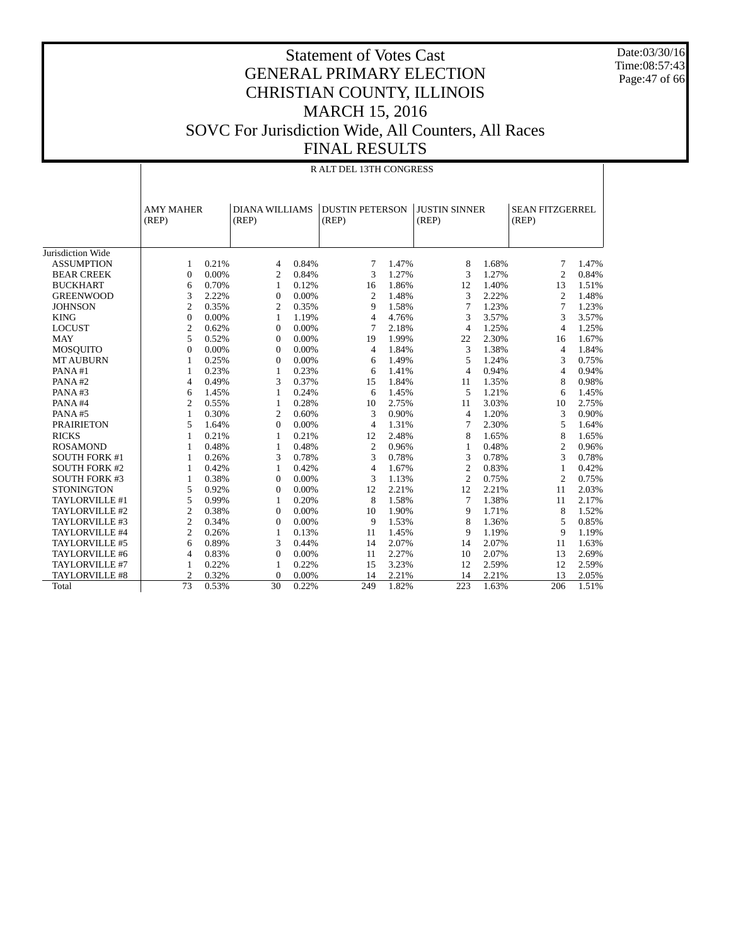Date:03/30/16 Time:08:57:43 Page:47 of 66

|                      |                | <b>RALT DEL 13TH CONGRESS</b> |                 |                                |                |                                 |                |                      |                                 |       |  |  |  |
|----------------------|----------------|-------------------------------|-----------------|--------------------------------|----------------|---------------------------------|----------------|----------------------|---------------------------------|-------|--|--|--|
|                      | (REP)          | <b>AMY MAHER</b>              |                 | <b>DIANA WILLIAMS</b><br>(REP) |                | <b>DUSTIN PETERSON</b><br>(REP) |                | <b>JUSTIN SINNER</b> | <b>SEAN FITZGERREL</b><br>(REP) |       |  |  |  |
| Jurisdiction Wide    |                |                               |                 |                                |                |                                 |                |                      |                                 |       |  |  |  |
| <b>ASSUMPTION</b>    | 1              | 0.21%                         | 4               | 0.84%                          | 7              | 1.47%                           | 8              | 1.68%                | 7                               | 1.47% |  |  |  |
| <b>BEAR CREEK</b>    | $\Omega$       | 0.00%                         | 2               | 0.84%                          | 3              | 1.27%                           | 3              | 1.27%                | $\mathfrak{2}$                  | 0.84% |  |  |  |
| <b>BUCKHART</b>      | 6              | 0.70%                         | $\mathbf{1}$    | 0.12%                          | 16             | 1.86%                           | 12             | 1.40%                | 13                              | 1.51% |  |  |  |
| <b>GREENWOOD</b>     | 3              | 2.22%                         | $\theta$        | 0.00%                          | 2              | 1.48%                           | 3              | 2.22%                | $\overline{c}$                  | 1.48% |  |  |  |
| <b>JOHNSON</b>       | $\overline{c}$ | 0.35%                         | $\overline{c}$  | 0.35%                          | 9              | 1.58%                           | 7              | 1.23%                | $\tau$                          | 1.23% |  |  |  |
| <b>KING</b>          | $\theta$       | 0.00%                         | $\mathbf{1}$    | 1.19%                          | $\overline{4}$ | 4.76%                           | 3              | 3.57%                | 3                               | 3.57% |  |  |  |
| <b>LOCUST</b>        | $\overline{2}$ | 0.62%                         | $\mathbf{0}$    | 0.00%                          | $\overline{7}$ | 2.18%                           | $\overline{4}$ | 1.25%                | 4                               | 1.25% |  |  |  |
| <b>MAY</b>           | 5              | 0.52%                         | $\theta$        | 0.00%                          | 19             | 1.99%                           | 22             | 2.30%                | 16                              | 1.67% |  |  |  |
| <b>MOSQUITO</b>      | $\theta$       | 0.00%                         | $\Omega$        | 0.00%                          | $\overline{4}$ | 1.84%                           | 3              | 1.38%                | $\overline{4}$                  | 1.84% |  |  |  |
| <b>MT AUBURN</b>     | 1              | 0.25%                         | 0               | 0.00%                          | 6              | 1.49%                           | 5              | 1.24%                | 3                               | 0.75% |  |  |  |
| PANA#1               | 1              | 0.23%                         | $\mathbf{1}$    | 0.23%                          | 6              | 1.41%                           | $\overline{4}$ | 0.94%                | $\overline{4}$                  | 0.94% |  |  |  |
| PANA#2               | $\overline{4}$ | 0.49%                         | 3               | 0.37%                          | 15             | 1.84%                           | 11             | 1.35%                | 8                               | 0.98% |  |  |  |
| PANA#3               | 6              | 1.45%                         | 1               | 0.24%                          | 6              | 1.45%                           | 5              | 1.21%                | 6                               | 1.45% |  |  |  |
| PANA#4               | $\overline{c}$ | 0.55%                         | $\mathbf{1}$    | 0.28%                          | 10             | 2.75%                           | 11             | 3.03%                | 10                              | 2.75% |  |  |  |
| PANA#5               | $\mathbf{1}$   | 0.30%                         | $\overline{c}$  | 0.60%                          | 3              | 0.90%                           | $\overline{4}$ | 1.20%                | 3                               | 0.90% |  |  |  |
| <b>PRAIRIETON</b>    | 5              | 1.64%                         | $\theta$        | 0.00%                          | $\overline{4}$ | 1.31%                           | 7              | 2.30%                | 5                               | 1.64% |  |  |  |
| <b>RICKS</b>         | 1              | 0.21%                         | 1               | 0.21%                          | 12             | 2.48%                           | 8              | 1.65%                | 8                               | 1.65% |  |  |  |
| <b>ROSAMOND</b>      | 1              | 0.48%                         | 1               | 0.48%                          | $\overline{c}$ | 0.96%                           | 1              | 0.48%                | $\overline{2}$                  | 0.96% |  |  |  |
| <b>SOUTH FORK #1</b> | 1              | 0.26%                         | 3               | 0.78%                          | 3              | 0.78%                           | 3              | 0.78%                | 3                               | 0.78% |  |  |  |
| <b>SOUTH FORK #2</b> | 1              | 0.42%                         | $\mathbf{1}$    | 0.42%                          | $\overline{4}$ | 1.67%                           | $\overline{c}$ | 0.83%                | $\mathbf{1}$                    | 0.42% |  |  |  |
| <b>SOUTH FORK #3</b> | 1              | 0.38%                         | $\Omega$        | 0.00%                          | 3              | 1.13%                           | $\overline{c}$ | 0.75%                | $\overline{c}$                  | 0.75% |  |  |  |
| <b>STONINGTON</b>    | 5              | 0.92%                         | 0               | 0.00%                          | 12             | 2.21%                           | 12             | 2.21%                | 11                              | 2.03% |  |  |  |
| TAYLORVILLE #1       | 5              | 0.99%                         | $\mathbf{1}$    | 0.20%                          | 8              | 1.58%                           | 7              | 1.38%                | 11                              | 2.17% |  |  |  |
| TAYLORVILLE #2       | $\overline{c}$ | 0.38%                         | $\Omega$        | 0.00%                          | 10             | 1.90%                           | 9              | 1.71%                | 8                               | 1.52% |  |  |  |
| TAYLORVILLE #3       | $\overline{c}$ | 0.34%                         | $\theta$        | 0.00%                          | 9              | 1.53%                           | 8              | 1.36%                | 5                               | 0.85% |  |  |  |
| TAYLORVILLE #4       | $\overline{2}$ | 0.26%                         | 1               | 0.13%                          | 11             | 1.45%                           | 9              | 1.19%                | 9                               | 1.19% |  |  |  |
| TAYLORVILLE #5       | 6              | 0.89%                         | 3               | 0.44%                          | 14             | 2.07%                           | 14             | 2.07%                | 11                              | 1.63% |  |  |  |
| TAYLORVILLE #6       | 4              | 0.83%                         | $\overline{0}$  | 0.00%                          | 11             | 2.27%                           | 10             | 2.07%                | 13                              | 2.69% |  |  |  |
| TAYLORVILLE #7       | 1              | 0.22%                         | 1               | 0.22%                          | 15             | 3.23%                           | 12             | 2.59%                | 12                              | 2.59% |  |  |  |
| TAYLORVILLE #8       | $\overline{2}$ | 0.32%                         | 0               | 0.00%                          | 14             | 2.21%                           | 14             | 2.21%                | 13                              | 2.05% |  |  |  |
| Total                | 73             | 0.53%                         | $\overline{30}$ | 0.22%                          | 249            | 1.82%                           | 223            | 1.63%                | 206                             | 1.51% |  |  |  |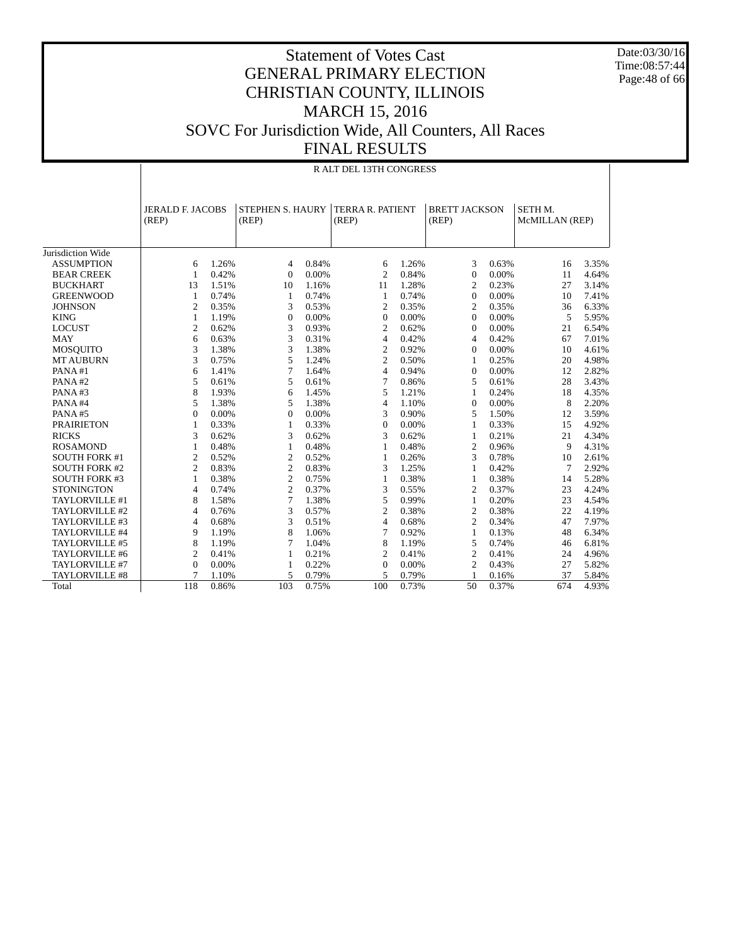Date:03/30/16 Time:08:57:44 Page:48 of 66

|                      |                                  | R ALT DEL 13TH CONGRESS |                                  |       |                                  |       |                               |       |                           |       |  |  |  |
|----------------------|----------------------------------|-------------------------|----------------------------------|-------|----------------------------------|-------|-------------------------------|-------|---------------------------|-------|--|--|--|
|                      | <b>JERALD F. JACOBS</b><br>(REP) |                         | <b>STEPHEN S. HAURY</b><br>(REP) |       | <b>TERRA R. PATIENT</b><br>(REP) |       | <b>BRETT JACKSON</b><br>(REP) |       | SETH M.<br>McMILLAN (REP) |       |  |  |  |
| Jurisdiction Wide    |                                  |                         |                                  |       |                                  |       |                               |       |                           |       |  |  |  |
| <b>ASSUMPTION</b>    | 6                                | 1.26%                   | $\overline{4}$                   | 0.84% | 6                                | 1.26% | 3                             | 0.63% | 16                        | 3.35% |  |  |  |
| <b>BEAR CREEK</b>    | $\mathbf{1}$                     | 0.42%                   | $\Omega$                         | 0.00% | $\overline{c}$                   | 0.84% | $\mathbf{0}$                  | 0.00% | 11                        | 4.64% |  |  |  |
| <b>BUCKHART</b>      | 13                               | 1.51%                   | 10                               | 1.16% | 11                               | 1.28% | 2                             | 0.23% | 27                        | 3.14% |  |  |  |
| <b>GREENWOOD</b>     | 1                                | 0.74%                   | 1                                | 0.74% | $\mathbf{1}$                     | 0.74% | $\mathbf{0}$                  | 0.00% | 10                        | 7.41% |  |  |  |
| <b>JOHNSON</b>       | $\mathfrak{2}$                   | 0.35%                   | 3                                | 0.53% | $\mathfrak{2}$                   | 0.35% | $\mathfrak{2}$                | 0.35% | 36                        | 6.33% |  |  |  |
| <b>KING</b>          | 1                                | 1.19%                   | $\boldsymbol{0}$                 | 0.00% | $\boldsymbol{0}$                 | 0.00% | $\mathbf{0}$                  | 0.00% | 5                         | 5.95% |  |  |  |
| <b>LOCUST</b>        | $\overline{2}$                   | 0.62%                   | 3                                | 0.93% | $\overline{2}$                   | 0.62% | $\mathbf{0}$                  | 0.00% | 21                        | 6.54% |  |  |  |
| <b>MAY</b>           | 6                                | 0.63%                   | 3                                | 0.31% | $\overline{4}$                   | 0.42% | $\overline{4}$                | 0.42% | 67                        | 7.01% |  |  |  |
| <b>MOSQUITO</b>      | 3                                | 1.38%                   | 3                                | 1.38% | $\overline{c}$                   | 0.92% | $\mathbf{0}$                  | 0.00% | 10                        | 4.61% |  |  |  |
| <b>MT AUBURN</b>     | 3                                | 0.75%                   | 5                                | 1.24% | $\overline{2}$                   | 0.50% | 1                             | 0.25% | 20                        | 4.98% |  |  |  |
| PANA#1               | 6                                | 1.41%                   | $\overline{7}$                   | 1.64% | $\overline{4}$                   | 0.94% | $\mathbf{0}$                  | 0.00% | 12                        | 2.82% |  |  |  |
| PANA#2               | 5                                | 0.61%                   | 5                                | 0.61% | 7                                | 0.86% | 5                             | 0.61% | 28                        | 3.43% |  |  |  |
| PANA#3               | 8                                | 1.93%                   | 6                                | 1.45% | 5                                | 1.21% | $\mathbf{1}$                  | 0.24% | 18                        | 4.35% |  |  |  |
| PANA#4               | 5                                | 1.38%                   | 5                                | 1.38% | $\overline{4}$                   | 1.10% | $\mathbf{0}$                  | 0.00% | 8                         | 2.20% |  |  |  |
| PANA#5               | $\mathbf{0}$                     | 0.00%                   | $\overline{0}$                   | 0.00% | 3                                | 0.90% | 5                             | 1.50% | 12                        | 3.59% |  |  |  |
| <b>PRAIRIETON</b>    | $\mathbf{1}$                     | 0.33%                   | $\mathbf{1}$                     | 0.33% | $\Omega$                         | 0.00% | 1                             | 0.33% | 15                        | 4.92% |  |  |  |
| <b>RICKS</b>         | 3                                | 0.62%                   | 3                                | 0.62% | 3                                | 0.62% | 1                             | 0.21% | 21                        | 4.34% |  |  |  |
| <b>ROSAMOND</b>      | 1                                | 0.48%                   | $\mathbf{1}$                     | 0.48% | $\mathbf{1}$                     | 0.48% | $\overline{c}$                | 0.96% | 9                         | 4.31% |  |  |  |
| <b>SOUTH FORK #1</b> | $\overline{2}$                   | 0.52%                   | $\overline{2}$                   | 0.52% | $\mathbf{1}$                     | 0.26% | 3                             | 0.78% | 10                        | 2.61% |  |  |  |
| <b>SOUTH FORK #2</b> | $\overline{2}$                   | 0.83%                   | $\overline{2}$                   | 0.83% | 3                                | 1.25% | 1                             | 0.42% | 7                         | 2.92% |  |  |  |
| <b>SOUTH FORK #3</b> | $\mathbf{1}$                     | 0.38%                   | $\overline{2}$                   | 0.75% | $\mathbf{1}$                     | 0.38% | 1                             | 0.38% | 14                        | 5.28% |  |  |  |
| <b>STONINGTON</b>    | $\overline{4}$                   | 0.74%                   | $\overline{2}$                   | 0.37% | 3                                | 0.55% | $\overline{c}$                | 0.37% | 23                        | 4.24% |  |  |  |
| TAYLORVILLE #1       | 8                                | 1.58%                   | $\overline{7}$                   | 1.38% | 5                                | 0.99% | $\mathbf{1}$                  | 0.20% | 23                        | 4.54% |  |  |  |
| TAYLORVILLE #2       | 4                                | 0.76%                   | 3                                | 0.57% | $\overline{2}$                   | 0.38% | $\mathfrak{2}$                | 0.38% | 22                        | 4.19% |  |  |  |
| TAYLORVILLE #3       | $\overline{4}$                   | 0.68%                   | 3                                | 0.51% | 4                                | 0.68% | $\overline{c}$                | 0.34% | 47                        | 7.97% |  |  |  |
| TAYLORVILLE #4       | 9                                | 1.19%                   | 8                                | 1.06% | 7                                | 0.92% | $\mathbf{1}$                  | 0.13% | 48                        | 6.34% |  |  |  |
| TAYLORVILLE #5       | 8                                | 1.19%                   | 7                                | 1.04% | 8                                | 1.19% | 5                             | 0.74% | 46                        | 6.81% |  |  |  |
| TAYLORVILLE #6       | $\overline{2}$                   | 0.41%                   | 1                                | 0.21% | $\overline{2}$                   | 0.41% | $\mathfrak{2}$                | 0.41% | 24                        | 4.96% |  |  |  |
| TAYLORVILLE #7       | $\overline{0}$                   | 0.00%                   | 1                                | 0.22% | $\boldsymbol{0}$                 | 0.00% | $\overline{c}$                | 0.43% | 27                        | 5.82% |  |  |  |
| TAYLORVILLE #8       | 7                                | 1.10%                   | 5                                | 0.79% | 5                                | 0.79% |                               | 0.16% | 37                        | 5.84% |  |  |  |
| Total                | 118                              | 0.86%                   | 103                              | 0.75% | 100                              | 0.73% | 50                            | 0.37% | 674                       | 4.93% |  |  |  |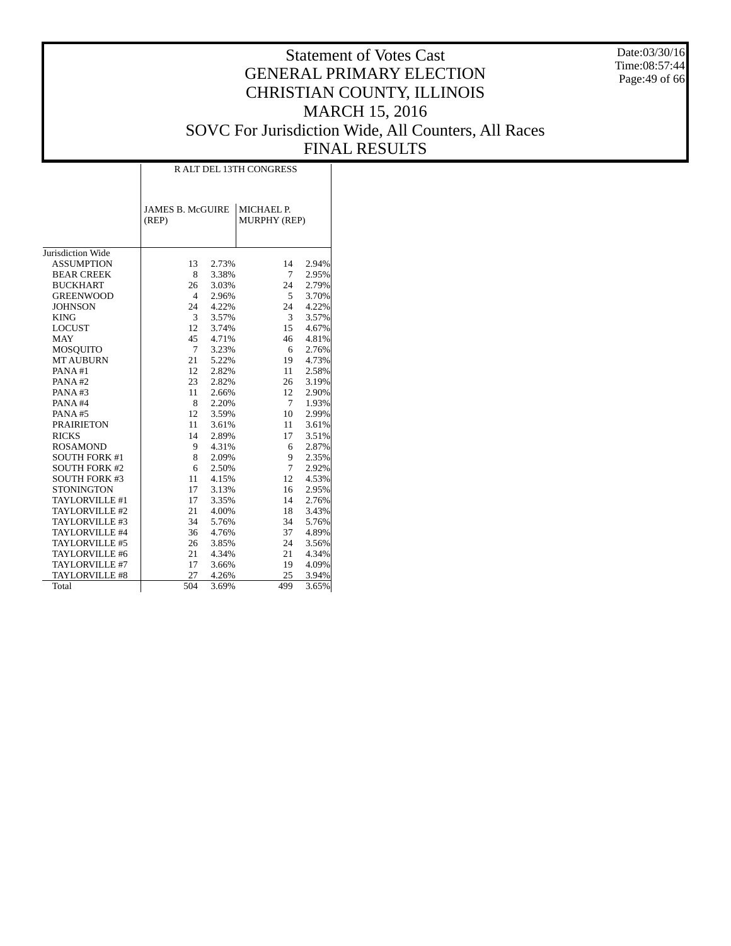Date:03/30/16 Time:08:57:44 Page:49 of 66

|                      | <b>RALT DEL 13TH CONGRESS</b>    |       |                            |       |  |  |  |  |  |  |
|----------------------|----------------------------------|-------|----------------------------|-------|--|--|--|--|--|--|
|                      | <b>JAMES B. McGUIRE</b><br>(REP) |       | MICHAEL P.<br>MURPHY (REP) |       |  |  |  |  |  |  |
| Jurisdiction Wide    |                                  |       |                            |       |  |  |  |  |  |  |
| <b>ASSUMPTION</b>    | 13                               | 2.73% | 14                         | 2.94% |  |  |  |  |  |  |
| <b>BEAR CREEK</b>    | 8                                | 3.38% | 7                          | 2.95% |  |  |  |  |  |  |
| <b>BUCKHART</b>      | 26                               | 3.03% | 24                         | 2.79% |  |  |  |  |  |  |
| <b>GREENWOOD</b>     | $\overline{4}$                   | 2.96% | 5                          | 3.70% |  |  |  |  |  |  |
| <b>JOHNSON</b>       | 24                               | 4.22% | 24                         | 4.22% |  |  |  |  |  |  |
| <b>KING</b>          | 3                                | 3.57% | 3                          | 3.57% |  |  |  |  |  |  |
| <b>LOCUST</b>        | 12                               | 3.74% | 15                         | 4.67% |  |  |  |  |  |  |
| <b>MAY</b>           | 45                               | 4.71% | 46                         | 4.81% |  |  |  |  |  |  |
| <b>MOSOUITO</b>      | $\tau$                           | 3.23% | 6                          | 2.76% |  |  |  |  |  |  |
| <b>MT AUBURN</b>     | 21                               | 5.22% | 19                         | 4.73% |  |  |  |  |  |  |
| PANA#1               | 12                               | 2.82% | 11                         | 2.58% |  |  |  |  |  |  |
| PANA#2               | 23                               | 2.82% | 26                         | 3.19% |  |  |  |  |  |  |
| PANA#3               | 11                               | 2.66% | 12                         | 2.90% |  |  |  |  |  |  |
| PANA#4               | 8                                | 2.20% | 7                          | 1.93% |  |  |  |  |  |  |
| PANA#5               | 12                               | 3.59% | 10                         | 2.99% |  |  |  |  |  |  |
| <b>PRAIRIETON</b>    | 11                               | 3.61% | 11                         | 3.61% |  |  |  |  |  |  |
| <b>RICKS</b>         | 14                               | 2.89% | 17                         | 3.51% |  |  |  |  |  |  |
| <b>ROSAMOND</b>      | 9                                | 4.31% | 6                          | 2.87% |  |  |  |  |  |  |
| <b>SOUTH FORK #1</b> | 8                                | 2.09% | 9                          | 2.35% |  |  |  |  |  |  |
| <b>SOUTH FORK #2</b> | 6                                | 2.50% | 7                          | 2.92% |  |  |  |  |  |  |
| <b>SOUTH FORK #3</b> | 11                               | 4.15% | 12                         | 4.53% |  |  |  |  |  |  |
| <b>STONINGTON</b>    | 17                               | 3.13% | 16                         | 2.95% |  |  |  |  |  |  |
| TAYLORVILLE #1       | 17                               | 3.35% | 14                         | 2.76% |  |  |  |  |  |  |
| TAYLORVILLE #2       | 21                               | 4.00% | 18                         | 3.43% |  |  |  |  |  |  |
| TAYLORVILLE #3       | 34                               | 5.76% | 34                         | 5.76% |  |  |  |  |  |  |
| TAYLORVILLE #4       | 36                               | 4.76% | 37                         | 4.89% |  |  |  |  |  |  |
| TAYLORVILLE #5       | 26                               | 3.85% | 24                         | 3.56% |  |  |  |  |  |  |
| TAYLORVILLE #6       | 21                               | 4.34% | 21                         | 4.34% |  |  |  |  |  |  |
| TAYLORVILLE #7       | 17                               | 3.66% | 19                         | 4.09% |  |  |  |  |  |  |
| TAYLORVILLE #8       | 27                               | 4.26% | 25                         | 3.94% |  |  |  |  |  |  |
| Total                | 504                              | 3.69% | 499                        | 3.65% |  |  |  |  |  |  |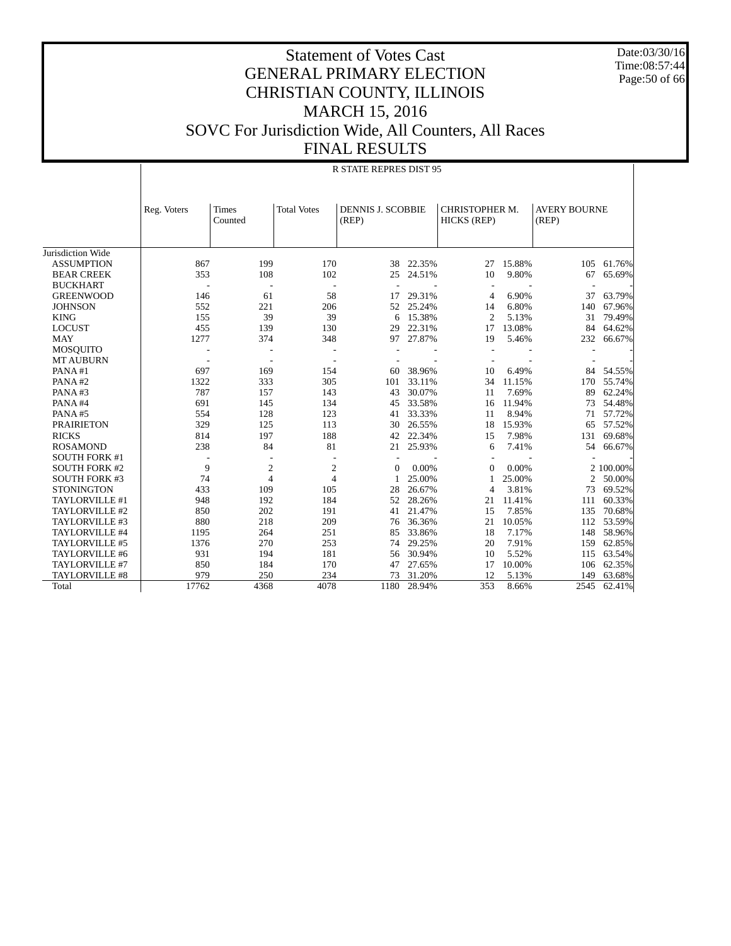Date:03/30/16 Time:08:57:44 Page:50 of 66

#### Statement of Votes Cast GENERAL PRIMARY ELECTION CHRISTIAN COUNTY, ILLINOIS MARCH 15, 2016 SOVC For Jurisdiction Wide, All Counters, All Races FINAL RESULTS

|                      | <b>R STATE REPRES DIST 95</b> |                  |                    |                                   |        |                               |        |                              |             |  |  |
|----------------------|-------------------------------|------------------|--------------------|-----------------------------------|--------|-------------------------------|--------|------------------------------|-------------|--|--|
|                      | Reg. Voters                   | Times<br>Counted | <b>Total Votes</b> | <b>DENNIS J. SCOBBIE</b><br>(REP) |        | CHRISTOPHER M.<br>HICKS (REP) |        | <b>AVERY BOURNE</b><br>(REP) |             |  |  |
| Jurisdiction Wide    |                               |                  |                    |                                   |        |                               |        |                              |             |  |  |
| <b>ASSUMPTION</b>    | 867                           | 199              | 170                | 38                                | 22.35% | 27                            | 15.88% | 105                          | 61.76%      |  |  |
| <b>BEAR CREEK</b>    | 353                           | 108              | 102                | 25                                | 24.51% | 10                            | 9.80%  | 67                           | 65.69%      |  |  |
| <b>BUCKHART</b>      |                               |                  |                    |                                   |        | $\overline{\phantom{a}}$      |        |                              |             |  |  |
| <b>GREENWOOD</b>     | 146                           | 61               | 58                 | 17                                | 29.31% | $\overline{4}$                | 6.90%  | 37                           | 63.79%      |  |  |
| <b>JOHNSON</b>       | 552                           | 221              | 206                | 52                                | 25.24% | 14                            | 6.80%  | 140                          | 67.96%      |  |  |
| <b>KING</b>          | 155                           | 39               | 39                 | 6                                 | 15.38% | $\overline{2}$                | 5.13%  | 31                           | 79.49%      |  |  |
| <b>LOCUST</b>        | 455                           | 139              | 130                | 29                                | 22.31% | 17                            | 13.08% | 84                           | 64.62%      |  |  |
| <b>MAY</b>           | 1277                          | 374              | 348                | 97                                | 27.87% | 19                            | 5.46%  | 232                          | 66.67%      |  |  |
| <b>MOSQUITO</b>      |                               |                  |                    |                                   |        |                               |        |                              |             |  |  |
| <b>MT AUBURN</b>     |                               |                  |                    |                                   |        |                               |        |                              |             |  |  |
| PANA#1               | 697                           | 169              | 154                | 60                                | 38.96% | 10                            | 6.49%  | 84                           | 54.55%      |  |  |
| PANA#2               | 1322                          | 333              | 305                | 101                               | 33.11% | 34                            | 11.15% | 170                          | 55.74%      |  |  |
| PANA#3               | 787                           | 157              | 143                | 43                                | 30.07% | 11                            | 7.69%  | 89                           | 62.24%      |  |  |
| PANA#4               | 691                           | 145              | 134                | 45                                | 33.58% | 16                            | 11.94% | 73                           | 54.48%      |  |  |
| PANA#5               | 554                           | 128              | 123                | 41                                | 33.33% | 11                            | 8.94%  | 71                           | 57.72%      |  |  |
| <b>PRAIRIETON</b>    | 329                           | 125              | 113                | 30                                | 26.55% | 18                            | 15.93% | 65                           | 57.52%      |  |  |
| <b>RICKS</b>         | 814                           | 197              | 188                | 42                                | 22.34% | 15                            | 7.98%  | 131                          | 69.68%      |  |  |
| <b>ROSAMOND</b>      | 238                           | 84               | 81                 | 21                                | 25.93% | 6                             | 7.41%  | 54                           | 66.67%      |  |  |
| <b>SOUTH FORK #1</b> |                               |                  | ٠                  | $\overline{\phantom{a}}$          |        | $\overline{\phantom{a}}$      |        |                              |             |  |  |
| <b>SOUTH FORK #2</b> | 9                             | $\mathfrak{2}$   | $\overline{c}$     | $\Omega$                          | 0.00%  | $\Omega$                      | 0.00%  |                              | 2 100.00%   |  |  |
| <b>SOUTH FORK #3</b> | 74                            | $\overline{4}$   | $\overline{4}$     | 1                                 | 25.00% | 1                             | 25.00% | 2                            | 50.00%      |  |  |
| <b>STONINGTON</b>    | 433                           | 109              | 105                | 28                                | 26.67% | $\overline{4}$                | 3.81%  | 73                           | 69.52%      |  |  |
| TAYLORVILLE #1       | 948                           | 192              | 184                | 52                                | 28.26% | 21                            | 11.41% | 111                          | 60.33%      |  |  |
| TAYLORVILLE #2       | 850                           | 202              | 191                | 41                                | 21.47% | 15                            | 7.85%  | 135                          | 70.68%      |  |  |
| TAYLORVILLE #3       | 880                           | 218              | 209                | 76                                | 36.36% | 21                            | 10.05% | 112                          | 53.59%      |  |  |
| TAYLORVILLE #4       | 1195                          | 264              | 251                | 85                                | 33.86% | 18                            | 7.17%  | 148                          | 58.96%      |  |  |
| TAYLORVILLE #5       | 1376                          | 270              | 253                | 74                                | 29.25% | 20                            | 7.91%  | 159                          | 62.85%      |  |  |
| TAYLORVILLE #6       | 931                           | 194              | 181                | 56                                | 30.94% | 10                            | 5.52%  | 115                          | 63.54%      |  |  |
| TAYLORVILLE #7       | 850                           | 184              | 170                | 47                                | 27.65% | 17                            | 10.00% | 106                          | 62.35%      |  |  |
| TAYLORVILLE #8       | 979                           | 250              | 234                | 73                                | 31.20% | 12                            | 5.13%  | 149                          | 63.68%      |  |  |
| Total                | 17762                         | 4368             | 4078               | 1180                              | 28.94% | 353                           | 8.66%  |                              | 2545 62.41% |  |  |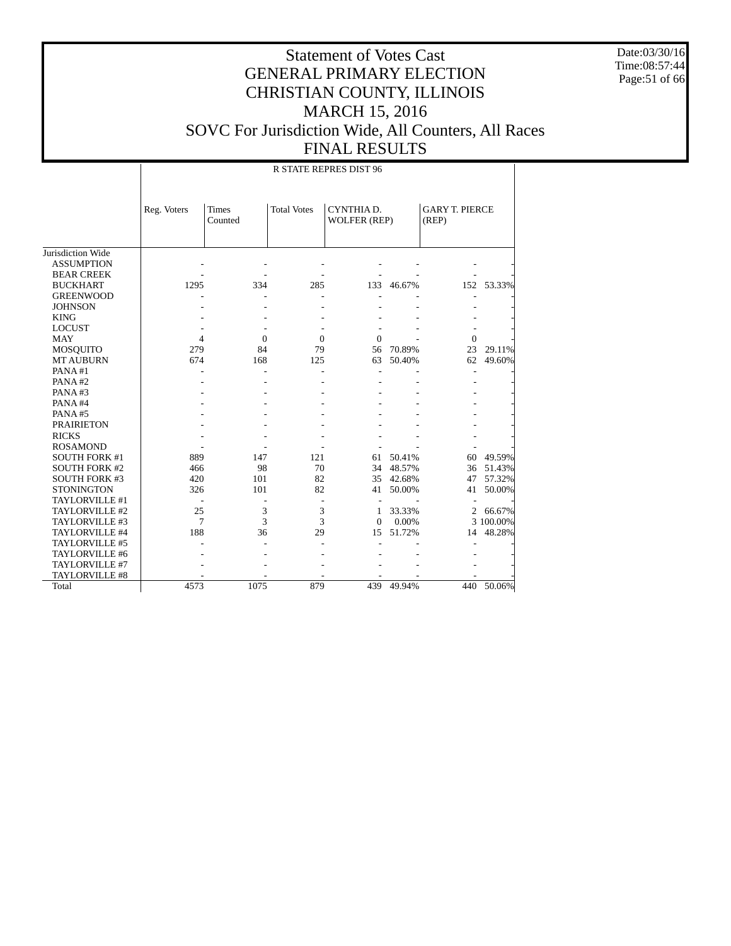Date:03/30/16 Time:08:57:44 Page:51 of 66

|                      |                |                         |                    | <b>R STATE REPRES DIST 96</b>     |        |                                |            |
|----------------------|----------------|-------------------------|--------------------|-----------------------------------|--------|--------------------------------|------------|
|                      | Reg. Voters    | <b>Times</b><br>Counted | <b>Total Votes</b> | CYNTHIA D.<br><b>WOLFER (REP)</b> |        | <b>GARY T. PIERCE</b><br>(REP) |            |
| Jurisdiction Wide    |                |                         |                    |                                   |        |                                |            |
| <b>ASSUMPTION</b>    |                |                         |                    |                                   |        |                                |            |
| <b>BEAR CREEK</b>    |                |                         |                    |                                   |        |                                |            |
| <b>BUCKHART</b>      | 1295           | 334                     | 285                | 133                               | 46.67% |                                | 152 53.33% |
| <b>GREENWOOD</b>     |                |                         |                    |                                   |        |                                |            |
| <b>JOHNSON</b>       |                |                         |                    |                                   |        |                                |            |
| <b>KING</b>          |                |                         |                    |                                   |        |                                |            |
| <b>LOCUST</b>        |                |                         |                    |                                   |        |                                |            |
| <b>MAY</b>           | $\overline{4}$ | $\mathbf{0}$            | $\mathbf{0}$       | $\overline{0}$                    |        | $\Omega$                       |            |
| <b>MOSQUITO</b>      | 279            | 84                      | 79                 | 56                                | 70.89% | 23                             | 29.11%     |
| <b>MT AUBURN</b>     | 674            | 168                     | 125                | 63                                | 50.40% | 62                             | 49.60%     |
| PANA#1               |                |                         |                    |                                   |        |                                |            |
| PANA#2               |                |                         |                    |                                   |        |                                |            |
| PANA#3               |                |                         |                    |                                   |        |                                |            |
| PANA#4               |                |                         |                    |                                   |        |                                |            |
| PANA#5               |                |                         |                    |                                   |        |                                |            |
| <b>PRAIRIETON</b>    |                |                         |                    |                                   |        |                                |            |
| <b>RICKS</b>         |                |                         |                    |                                   |        |                                |            |
| <b>ROSAMOND</b>      |                |                         |                    |                                   |        |                                |            |
| <b>SOUTH FORK #1</b> | 889            | 147                     | 121                | 61                                | 50.41% | 60                             | 49.59%     |
| <b>SOUTH FORK #2</b> | 466            | 98                      | 70                 | 34                                | 48.57% | 36                             | 51.43%     |
| <b>SOUTH FORK #3</b> | 420            | 101                     | 82                 | 35                                | 42.68% | 47                             | 57.32%     |
| <b>STONINGTON</b>    | 326            | 101                     | 82                 | 41                                | 50.00% | 41                             | 50.00%     |
| TAYLORVILLE #1       |                |                         | L,                 |                                   |        |                                |            |
| TAYLORVILLE #2       | 25             | 3                       | 3                  | 1                                 | 33.33% | $\overline{2}$                 | 66.67%     |
| TAYLORVILLE #3       | 7              | 3                       | 3                  | $\theta$                          | 0.00%  |                                | 3 100.00%  |
| TAYLORVILLE #4       | 188            | 36                      | 29                 | 15                                | 51.72% | 14                             | 48.28%     |
| TAYLORVILLE #5       |                |                         |                    |                                   |        |                                |            |
| TAYLORVILLE #6       |                |                         |                    |                                   |        |                                |            |
| TAYLORVILLE #7       |                |                         |                    |                                   |        |                                |            |
| TAYLORVILLE #8       |                |                         |                    |                                   |        |                                |            |
| Total                | 4573           | 1075                    | 879                | 439                               | 49.94% | 440                            | 50.06%     |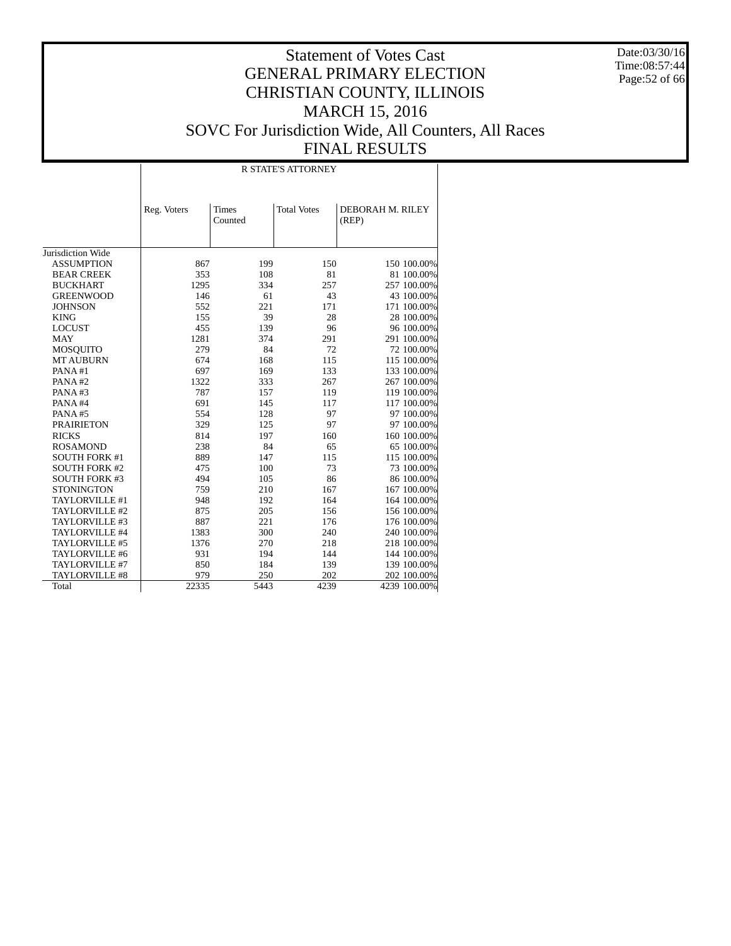Date:03/30/16 Time:08:57:44 Page:52 of 66

|                      |             | <b>R STATE'S ATTORNEY</b> |                    |                           |  |  |  |  |  |
|----------------------|-------------|---------------------------|--------------------|---------------------------|--|--|--|--|--|
|                      | Reg. Voters | <b>Times</b><br>Counted   | <b>Total Votes</b> | DEBORAH M. RILEY<br>(REP) |  |  |  |  |  |
| Jurisdiction Wide    |             |                           |                    |                           |  |  |  |  |  |
| <b>ASSUMPTION</b>    | 867         | 199                       | 150                | 150 100.00%               |  |  |  |  |  |
| <b>BEAR CREEK</b>    | 353         | 108                       | 81                 | 81 100.00%                |  |  |  |  |  |
| <b>BUCKHART</b>      | 1295        | 334                       | 257                | 257 100.00%               |  |  |  |  |  |
| <b>GREENWOOD</b>     | 146         | 61                        | 43                 | 43 100.00%                |  |  |  |  |  |
| <b>JOHNSON</b>       | 552         | 221                       | 171                | 171 100.00%               |  |  |  |  |  |
| <b>KING</b>          | 155         | 39                        | 28                 | 28 100.00%                |  |  |  |  |  |
| <b>LOCUST</b>        | 455         | 139                       | 96                 | 96 100.00%                |  |  |  |  |  |
| <b>MAY</b>           | 1281        | 374                       | 291                | 291 100.00%               |  |  |  |  |  |
| MOSQUITO             | 279         | 84                        | 72                 | 72 100.00%                |  |  |  |  |  |
| <b>MT AUBURN</b>     | 674         | 168                       | 115                | 115 100.00%               |  |  |  |  |  |
| PANA#1               | 697         | 169                       | 133                | 133 100.00%               |  |  |  |  |  |
| PANA#2               | 1322        | 333                       | 267                | 267 100.00%               |  |  |  |  |  |
| PANA#3               | 787         | 157                       | 119                | 119 100.00%               |  |  |  |  |  |
| PANA#4               | 691         | 145                       | 117                | 117 100.00%               |  |  |  |  |  |
| PANA#5               | 554         | 128                       | 97                 | 97 100.00%                |  |  |  |  |  |
| <b>PRAIRIETON</b>    | 329         | 125                       | 97                 | 97 100.00%                |  |  |  |  |  |
| <b>RICKS</b>         | 814         | 197                       | 160                | 160 100.00%               |  |  |  |  |  |
| <b>ROSAMOND</b>      | 238         | 84                        | 65                 | 65 100.00%                |  |  |  |  |  |
| <b>SOUTH FORK #1</b> | 889         | 147                       | 115                | 115 100.00%               |  |  |  |  |  |
| <b>SOUTH FORK #2</b> | 475         | 100                       | 73                 | 73 100.00%                |  |  |  |  |  |
| <b>SOUTH FORK #3</b> | 494         | 105                       | 86                 | 86 100.00%                |  |  |  |  |  |
| <b>STONINGTON</b>    | 759         | 210                       | 167                | 167 100.00%               |  |  |  |  |  |
| TAYLORVILLE #1       | 948         | 192                       | 164                | 164 100.00%               |  |  |  |  |  |
| TAYLORVILLE #2       | 875         | 205                       | 156                | 156 100.00%               |  |  |  |  |  |
| TAYLORVILLE #3       | 887         | 221                       | 176                | 176 100.00%               |  |  |  |  |  |
| TAYLORVILLE #4       | 1383        | 300                       | 240                | 240 100.00%               |  |  |  |  |  |
| TAYLORVILLE #5       | 1376        | 270                       | 218                | 218 100.00%               |  |  |  |  |  |
| TAYLORVILLE #6       | 931         | 194                       | 144                | 144 100.00%               |  |  |  |  |  |
| TAYLORVILLE #7       | 850         | 184                       | 139                | 139 100.00%               |  |  |  |  |  |
| TAYLORVILLE #8       | 979         | 250                       | 202                | 202 100.00%               |  |  |  |  |  |
| Total                | 22335       | 5443                      | 4239               | 4239 100.00%              |  |  |  |  |  |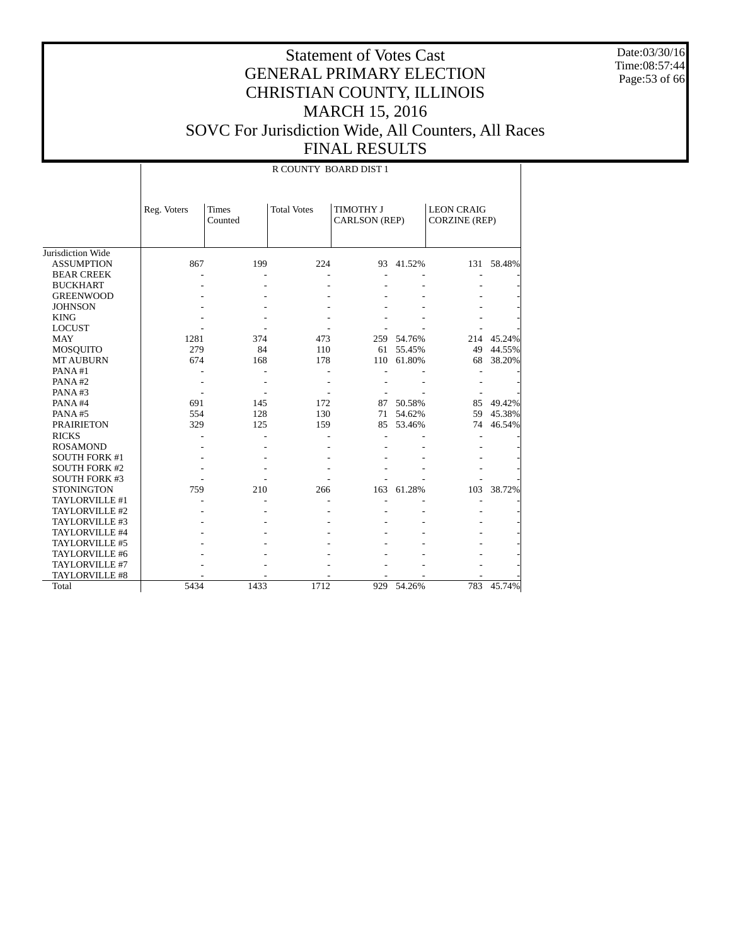Date:03/30/16 Time:08:57:44 Page:53 of 66

|                      |             |                  | R COUNTY BOARD DIST 1 |                                   |            |                                           |            |
|----------------------|-------------|------------------|-----------------------|-----------------------------------|------------|-------------------------------------------|------------|
|                      | Reg. Voters | Times<br>Counted | <b>Total Votes</b>    | TIMOTHY J<br><b>CARLSON</b> (REP) |            | <b>LEON CRAIG</b><br><b>CORZINE (REP)</b> |            |
| Jurisdiction Wide    |             |                  |                       |                                   |            |                                           |            |
| <b>ASSUMPTION</b>    | 867         | 199              | 224                   | 93                                | 41.52%     |                                           | 131 58.48% |
| <b>BEAR CREEK</b>    |             |                  |                       |                                   |            |                                           |            |
| <b>BUCKHART</b>      |             |                  |                       |                                   |            |                                           |            |
| <b>GREENWOOD</b>     |             |                  |                       |                                   |            |                                           |            |
| <b>JOHNSON</b>       |             |                  |                       |                                   |            |                                           |            |
| <b>KING</b>          |             |                  |                       |                                   |            |                                           |            |
| <b>LOCUST</b>        |             |                  |                       |                                   |            |                                           |            |
| <b>MAY</b>           | 1281        | 374              | 473                   |                                   | 259 54.76% | 214                                       | 45.24%     |
| MOSQUITO             | 279         | 84               | 110                   |                                   | 61 55.45%  | 49                                        | 44.55%     |
| <b>MT AUBURN</b>     | 674         | 168              | 178                   | 110                               | 61.80%     | 68                                        | 38.20%     |
| PANA#1               |             |                  |                       |                                   |            |                                           |            |
| PANA#2               |             |                  |                       |                                   |            |                                           |            |
| PANA#3               |             |                  |                       |                                   |            |                                           |            |
| PANA#4               | 691         | 145              | 172                   |                                   | 87 50.58%  | 85                                        | 49.42%     |
| PANA#5               | 554         | 128              | 130                   | 71                                | 54.62%     | 59                                        | 45.38%     |
| <b>PRAIRIETON</b>    | 329         | 125              | 159                   | 85                                | 53.46%     | 74                                        | 46.54%     |
| <b>RICKS</b>         |             |                  |                       |                                   |            |                                           |            |
| <b>ROSAMOND</b>      |             |                  |                       |                                   |            |                                           |            |
| <b>SOUTH FORK #1</b> |             |                  |                       |                                   |            |                                           |            |
| SOUTH FORK #2        |             |                  |                       |                                   |            |                                           |            |
| <b>SOUTH FORK #3</b> |             |                  |                       |                                   |            |                                           |            |
| <b>STONINGTON</b>    | 759         | 210              | 266                   | 163                               | 61.28%     | 103                                       | 38.72%     |
| TAYLORVILLE #1       |             |                  |                       |                                   |            |                                           |            |
| TAYLORVILLE #2       |             |                  |                       |                                   |            |                                           |            |
| TAYLORVILLE #3       |             |                  |                       |                                   |            |                                           |            |
| TAYLORVILLE #4       |             |                  |                       |                                   |            |                                           |            |
| TAYLORVILLE #5       |             |                  |                       |                                   |            |                                           |            |
| TAYLORVILLE #6       |             |                  |                       |                                   |            |                                           |            |
| TAYLORVILLE #7       |             |                  |                       |                                   |            |                                           |            |
| TAYLORVILLE #8       |             |                  |                       |                                   |            |                                           |            |
| Total                | 5434        | 1433             | 1712                  |                                   | 929 54.26% | 783                                       | 45.74%     |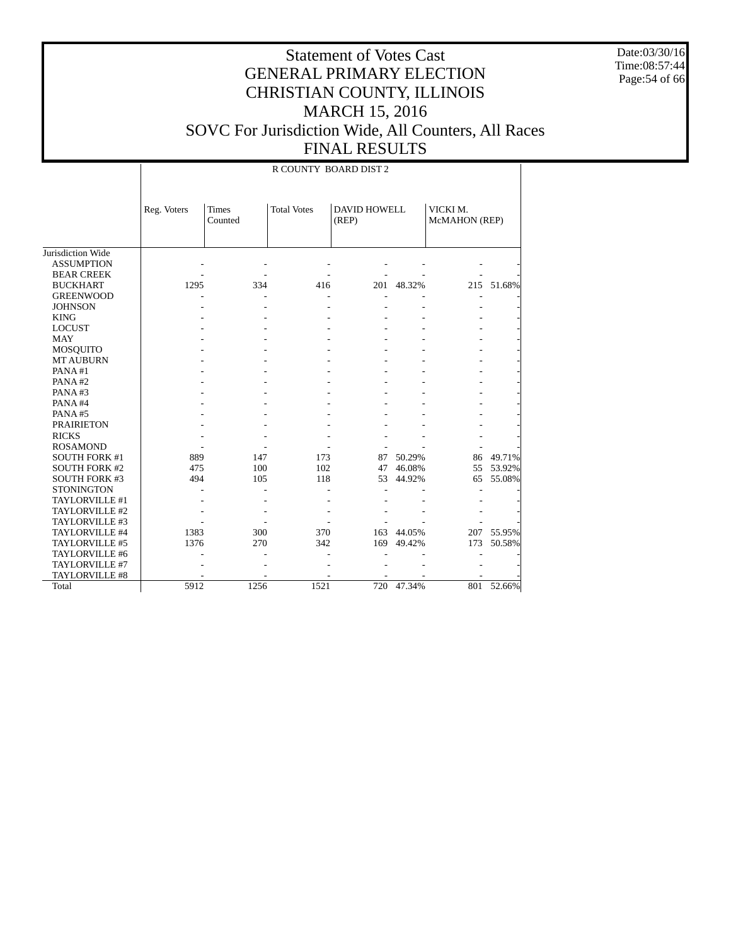Date:03/30/16 Time:08:57:44 Page:54 of 66

|                      |             |                         | R COUNTY BOARD DIST 2 |                              |            |                           |            |
|----------------------|-------------|-------------------------|-----------------------|------------------------------|------------|---------------------------|------------|
|                      | Reg. Voters | <b>Times</b><br>Counted | <b>Total Votes</b>    | <b>DAVID HOWELL</b><br>(REP) |            | VICKI M.<br>McMAHON (REP) |            |
| Jurisdiction Wide    |             |                         |                       |                              |            |                           |            |
| <b>ASSUMPTION</b>    |             |                         |                       |                              |            |                           |            |
| <b>BEAR CREEK</b>    |             |                         |                       |                              |            |                           |            |
| <b>BUCKHART</b>      | 1295        | 334                     | 416                   |                              | 201 48.32% |                           | 215 51.68% |
| <b>GREENWOOD</b>     |             |                         |                       |                              |            |                           |            |
| <b>JOHNSON</b>       |             |                         |                       |                              |            |                           |            |
| <b>KING</b>          |             |                         |                       |                              |            |                           |            |
| <b>LOCUST</b>        |             |                         |                       |                              |            |                           |            |
| <b>MAY</b>           |             |                         |                       |                              |            |                           |            |
| <b>MOSQUITO</b>      |             |                         |                       |                              |            |                           |            |
| <b>MT AUBURN</b>     |             |                         |                       |                              |            |                           |            |
| PANA#1               |             |                         |                       |                              |            |                           |            |
| PANA#2               |             |                         |                       |                              |            |                           |            |
| PANA#3               |             |                         |                       |                              |            |                           |            |
| PANA#4               |             |                         |                       |                              |            |                           |            |
| PANA#5               |             |                         |                       |                              |            |                           |            |
| <b>PRAIRIETON</b>    |             |                         |                       |                              |            |                           |            |
| <b>RICKS</b>         |             |                         |                       |                              |            |                           |            |
| <b>ROSAMOND</b>      |             |                         |                       |                              |            |                           |            |
| <b>SOUTH FORK #1</b> | 889         | 147                     | 173                   | 87                           | 50.29%     |                           | 86 49.71%  |
| <b>SOUTH FORK #2</b> | 475         | 100                     | 102                   | 47                           | 46.08%     | 55                        | 53.92%     |
| <b>SOUTH FORK #3</b> | 494         | 105                     | 118                   | 53                           | 44.92%     | 65                        | 55.08%     |
| <b>STONINGTON</b>    |             |                         |                       |                              |            |                           |            |
| TAYLORVILLE #1       |             |                         |                       |                              |            |                           |            |
| TAYLORVILLE #2       |             |                         |                       |                              |            |                           |            |
| TAYLORVILLE #3       |             |                         |                       |                              |            |                           |            |
| TAYLORVILLE #4       | 1383        | 300                     | 370                   | 163                          | 44.05%     | 207                       | 55.95%     |
| TAYLORVILLE #5       | 1376        | 270                     | 342                   | 169                          | 49.42%     | 173                       | 50.58%     |
| TAYLORVILLE #6       |             |                         |                       |                              |            |                           |            |
| TAYLORVILLE #7       |             |                         |                       |                              |            |                           |            |
| TAYLORVILLE #8       |             |                         |                       |                              |            |                           |            |
| Total                | 5912        | 1256                    | 1521                  | 720                          | 47.34%     |                           | 801 52.66% |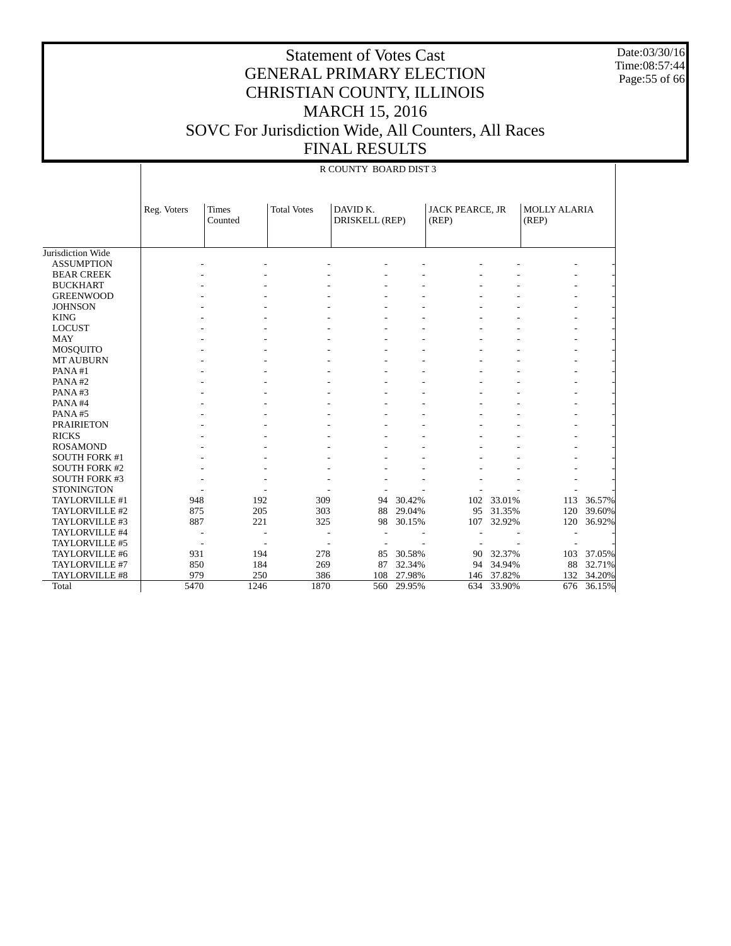Date:03/30/16 Time:08:57:44 Page:55 of 66

|                      |             |                         |                    | R COUNTY BOARD DIST 3      |        |                                 |        |                       |        |
|----------------------|-------------|-------------------------|--------------------|----------------------------|--------|---------------------------------|--------|-----------------------|--------|
|                      | Reg. Voters | <b>Times</b><br>Counted | <b>Total Votes</b> | DAVID K.<br>DRISKELL (REP) |        | <b>JACK PEARCE, JR</b><br>(REP) |        | MOLLY ALARIA<br>(REP) |        |
| Jurisdiction Wide    |             |                         |                    |                            |        |                                 |        |                       |        |
| <b>ASSUMPTION</b>    |             |                         |                    |                            |        |                                 |        |                       |        |
| <b>BEAR CREEK</b>    |             |                         |                    |                            |        |                                 |        |                       |        |
|                      |             |                         |                    |                            |        |                                 |        |                       |        |
| <b>BUCKHART</b>      |             |                         |                    |                            |        |                                 |        |                       |        |
| <b>GREENWOOD</b>     |             |                         |                    |                            |        |                                 |        |                       |        |
| <b>JOHNSON</b>       |             |                         |                    |                            |        |                                 |        |                       |        |
| <b>KING</b>          |             |                         |                    |                            |        |                                 |        |                       |        |
| <b>LOCUST</b>        |             |                         |                    |                            |        |                                 |        |                       |        |
| <b>MAY</b>           |             |                         |                    |                            |        |                                 |        |                       |        |
| <b>MOSQUITO</b>      |             |                         |                    |                            |        |                                 |        |                       |        |
| <b>MT AUBURN</b>     |             |                         |                    |                            |        |                                 |        |                       |        |
| PANA#1               |             |                         |                    |                            |        |                                 |        |                       |        |
| PANA#2               |             |                         |                    |                            |        |                                 |        |                       |        |
| PANA#3               |             |                         |                    |                            |        |                                 |        |                       |        |
| PANA#4               |             |                         |                    |                            |        |                                 |        |                       |        |
| PANA#5               |             |                         |                    |                            |        |                                 |        |                       |        |
| <b>PRAIRIETON</b>    |             |                         |                    |                            |        |                                 |        |                       |        |
| <b>RICKS</b>         |             |                         |                    |                            |        |                                 |        |                       |        |
| <b>ROSAMOND</b>      |             |                         |                    |                            |        |                                 |        |                       |        |
| <b>SOUTH FORK #1</b> |             |                         |                    |                            |        |                                 |        |                       |        |
| <b>SOUTH FORK #2</b> |             |                         |                    |                            |        |                                 |        |                       |        |
| SOUTH FORK #3        |             |                         |                    |                            |        |                                 |        |                       |        |
| <b>STONINGTON</b>    |             |                         |                    |                            |        |                                 |        |                       |        |
| TAYLORVILLE #1       | 948         |                         | 192                | 309<br>94                  | 30.42% | 102                             | 33.01% | 113                   | 36.57% |
| TAYLORVILLE #2       | 875         |                         | 205                | 303<br>88                  | 29.04% | 95                              | 31.35% | 120                   | 39.60% |
| TAYLORVILLE #3       | 887         |                         | 221                | 325<br>98                  | 30.15% | 107                             | 32.92% | 120                   | 36.92% |
| TAYLORVILLE #4       |             |                         |                    |                            |        |                                 |        |                       |        |
| TAYLORVILLE #5       |             | ٠                       |                    |                            |        |                                 |        |                       |        |
| TAYLORVILLE #6       | 931         |                         | 194                | 278<br>85                  | 30.58% | 90                              | 32.37% | 103                   | 37.05% |
| TAYLORVILLE #7       | 850         |                         | 184                | 269<br>87                  | 32.34% | 94                              | 34.94% | 88                    | 32.71% |
| TAYLORVILLE #8       | 979         |                         | 250                | 386<br>108                 | 27.98% | 146                             | 37.82% | 132                   | 34.20% |
| Total                | 5470        | 1246                    |                    | 1870<br>560                | 29.95% | 634                             | 33.90% | 676                   | 36.15% |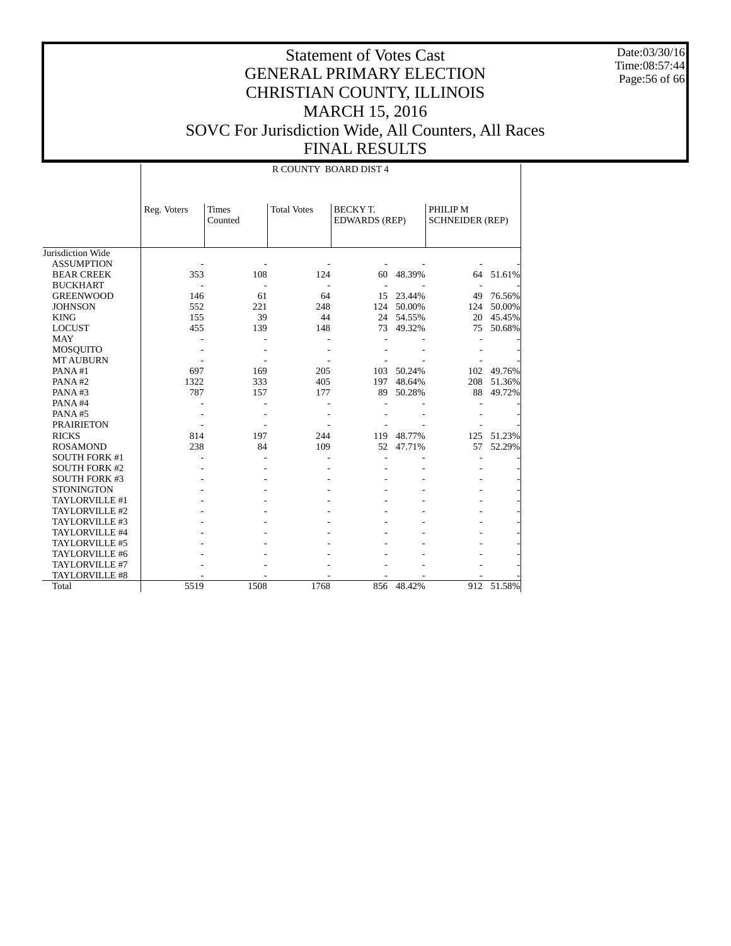Date:03/30/16 Time:08:57:44 Page:56 of 66

|                      |             | R COUNTY BOARD DIST 4   |                    |                                        |            |                                    |        |  |  |  |
|----------------------|-------------|-------------------------|--------------------|----------------------------------------|------------|------------------------------------|--------|--|--|--|
|                      | Reg. Voters | <b>Times</b><br>Counted | <b>Total Votes</b> | <b>BECKYT.</b><br><b>EDWARDS</b> (REP) |            | PHILIP M<br><b>SCHNEIDER (REP)</b> |        |  |  |  |
| Jurisdiction Wide    |             |                         |                    |                                        |            |                                    |        |  |  |  |
| <b>ASSUMPTION</b>    |             |                         |                    |                                        |            |                                    |        |  |  |  |
| <b>BEAR CREEK</b>    | 353         | 108                     | 124                | 60                                     | 48.39%     | 64                                 | 51.61% |  |  |  |
| <b>BUCKHART</b>      |             |                         |                    |                                        |            |                                    |        |  |  |  |
| <b>GREENWOOD</b>     | 146         | 61                      | 64                 | 15                                     | 23.44%     | 49                                 | 76.56% |  |  |  |
| <b>JOHNSON</b>       | 552         | 221                     | 248                |                                        | 124 50.00% | 124                                | 50.00% |  |  |  |
| <b>KING</b>          | 155         | 39                      | 44                 | 24                                     | 54.55%     | 20                                 | 45.45% |  |  |  |
| <b>LOCUST</b>        | 455         | 139                     | 148                | 73                                     | 49.32%     | 75                                 | 50.68% |  |  |  |
| <b>MAY</b>           |             |                         |                    |                                        |            |                                    |        |  |  |  |
| <b>MOSQUITO</b>      |             |                         |                    |                                        |            |                                    |        |  |  |  |
| <b>MT AUBURN</b>     |             |                         |                    |                                        |            |                                    |        |  |  |  |
| PANA#1               | 697         | 169                     | 205                | 103                                    | 50.24%     | 102                                | 49.76% |  |  |  |
| PANA#2               | 1322        | 333                     | 405                | 197                                    | 48.64%     | 208                                | 51.36% |  |  |  |
| PANA#3               | 787         | 157                     | 177                | 89                                     | 50.28%     | 88                                 | 49.72% |  |  |  |
| PANA#4               |             |                         |                    |                                        |            |                                    |        |  |  |  |
| PANA#5               |             |                         |                    |                                        |            |                                    |        |  |  |  |
| <b>PRAIRIETON</b>    |             |                         |                    |                                        |            |                                    |        |  |  |  |
| <b>RICKS</b>         | 814         | 197                     | 244                | 119                                    | 48.77%     | 125                                | 51.23% |  |  |  |
| <b>ROSAMOND</b>      | 238         | 84                      | 109                | 52                                     | 47.71%     | 57                                 | 52.29% |  |  |  |
| <b>SOUTH FORK #1</b> |             |                         |                    |                                        |            |                                    |        |  |  |  |
| <b>SOUTH FORK #2</b> |             |                         |                    |                                        |            |                                    |        |  |  |  |
| <b>SOUTH FORK #3</b> |             |                         |                    |                                        |            |                                    |        |  |  |  |
| <b>STONINGTON</b>    |             |                         |                    |                                        |            |                                    |        |  |  |  |
| TAYLORVILLE #1       |             |                         |                    |                                        |            |                                    |        |  |  |  |
| TAYLORVILLE #2       |             |                         |                    |                                        |            |                                    |        |  |  |  |
| TAYLORVILLE #3       |             |                         |                    |                                        |            |                                    |        |  |  |  |
| TAYLORVILLE #4       |             |                         |                    |                                        |            |                                    |        |  |  |  |
| TAYLORVILLE #5       |             |                         |                    |                                        |            |                                    |        |  |  |  |
| TAYLORVILLE #6       |             |                         |                    |                                        |            |                                    |        |  |  |  |
| TAYLORVILLE #7       |             |                         |                    |                                        |            |                                    |        |  |  |  |
| TAYLORVILLE #8       |             |                         |                    |                                        |            |                                    |        |  |  |  |
| Total                | 5519        | 1508                    | 1768               | 856                                    | 48.42%     | 912                                | 51.58% |  |  |  |
|                      |             |                         |                    |                                        |            |                                    |        |  |  |  |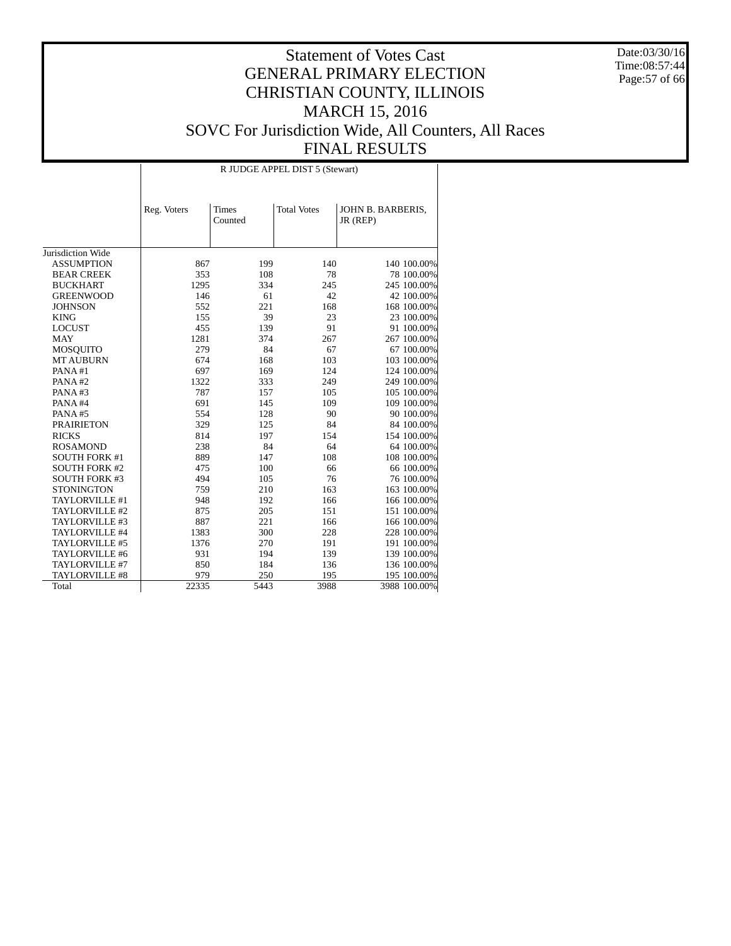Date:03/30/16 Time:08:57:44 Page:57 of 66

|                       |             |                         | R JUDGE APPEL DIST 5 (Stewart) |                               |
|-----------------------|-------------|-------------------------|--------------------------------|-------------------------------|
|                       | Reg. Voters | <b>Times</b><br>Counted | <b>Total Votes</b>             | JOHN B. BARBERIS,<br>JR (REP) |
| Jurisdiction Wide     |             |                         |                                |                               |
| <b>ASSUMPTION</b>     | 867         | 199                     | 140                            | 140 100.00%                   |
| <b>BEAR CREEK</b>     | 353         | 108                     | 78                             | 78 100.00%                    |
| <b>BUCKHART</b>       | 1295        | 334                     | 245                            | 245 100.00%                   |
| <b>GREENWOOD</b>      | 146         | 61                      | 42                             | 42 100.00%                    |
| <b>JOHNSON</b>        | 552         | 221                     | 168                            | 168 100.00%                   |
| <b>KING</b>           | 155         | 39                      | 23                             | 23 100.00%                    |
| <b>LOCUST</b>         | 455         | 139                     | 91                             | 91 100.00%                    |
| <b>MAY</b>            | 1281        | 374                     | 267                            | 267 100.00%                   |
| <b>MOSQUITO</b>       | 279         | 84                      | 67                             | 67 100.00%                    |
| <b>MT AUBURN</b>      | 674         | 168                     | 103                            | 103 100.00%                   |
| PANA#1                | 697         | 169                     | 124                            | 124 100.00%                   |
| PANA#2                | 1322        | 333                     | 249                            | 249 100.00%                   |
| PANA#3                | 787         | 157                     | 105                            | 105 100.00%                   |
| PANA#4                | 691         | 145                     | 109                            | 109 100.00%                   |
| PANA#5                | 554         | 128                     | 90                             | 90 100.00%                    |
| <b>PRAIRIETON</b>     | 329         | 125                     | 84                             | 84 100.00%                    |
| <b>RICKS</b>          | 814         | 197                     | 154                            | 154 100.00%                   |
| <b>ROSAMOND</b>       | 238         | 84                      | 64                             | 64 100.00%                    |
| <b>SOUTH FORK #1</b>  | 889         | 147                     | 108                            | 108 100.00%                   |
| <b>SOUTH FORK #2</b>  | 475         | 100                     | 66                             | 66 100.00%                    |
| <b>SOUTH FORK #3</b>  | 494         | 105                     | 76                             | 76 100.00%                    |
| <b>STONINGTON</b>     | 759         | 210                     | 163                            | 163 100.00%                   |
| TAYLORVILLE #1        | 948         | 192                     | 166                            | 166 100.00%                   |
| TAYLORVILLE #2        | 875         | 205                     | 151                            | 151 100.00%                   |
| TAYLORVILLE #3        | 887         | 221                     | 166                            | 166 100.00%                   |
| TAYLORVILLE #4        | 1383        | 300                     | 228                            | 228 100.00%                   |
| TAYLORVILLE #5        | 1376        | 270                     | 191                            | 191 100.00%                   |
| TAYLORVILLE #6        | 931         | 194                     | 139                            | 139 100.00%                   |
| TAYLORVILLE #7        | 850         | 184                     | 136                            | 136 100.00%                   |
| <b>TAYLORVILLE #8</b> | 979         | 250                     | 195                            | 195 100.00%                   |
| Total                 | 22335       | 5443                    | 3988                           | 3988 100.00%                  |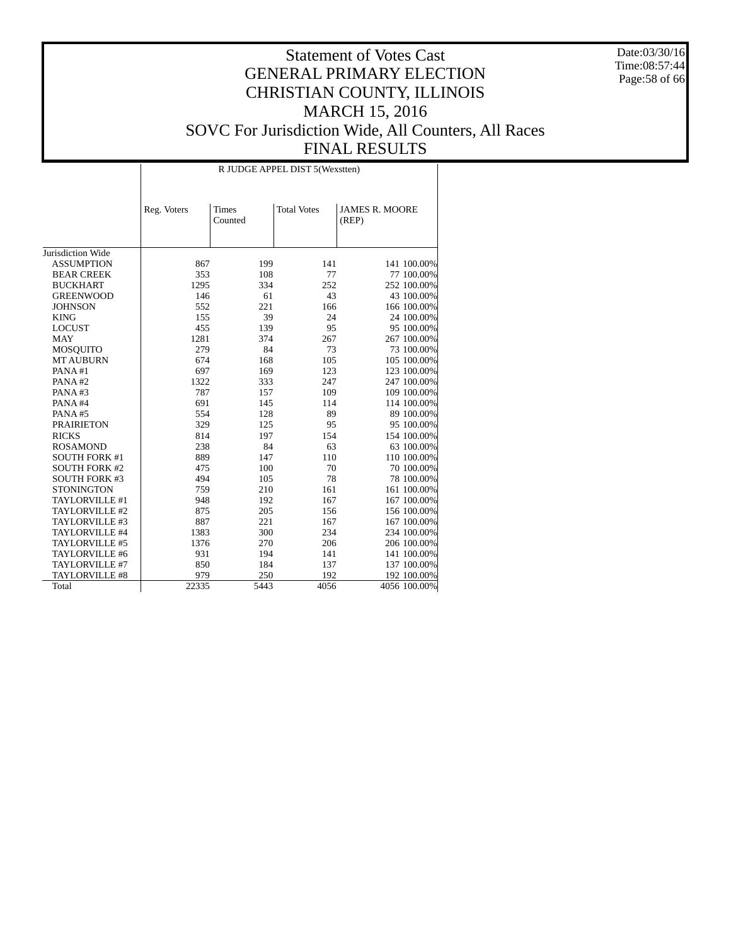Date:03/30/16 Time:08:57:44 Page:58 of 66

|                      |             |                         | R JUDGE APPEL DIST 5 (Wexstten) |                                |
|----------------------|-------------|-------------------------|---------------------------------|--------------------------------|
|                      | Reg. Voters | <b>Times</b><br>Counted | <b>Total Votes</b>              | <b>JAMES R. MOORE</b><br>(REP) |
| Jurisdiction Wide    |             |                         |                                 |                                |
| <b>ASSUMPTION</b>    | 867         | 199                     | 141                             | 141 100.00%                    |
| <b>BEAR CREEK</b>    | 353         | 108                     | 77                              | 77 100.00%                     |
| <b>BUCKHART</b>      | 1295        | 334                     | 252                             | 252 100.00%                    |
| <b>GREENWOOD</b>     | 146         | 61                      | 43                              | 43 100.00%                     |
| <b>JOHNSON</b>       | 552         | 221                     | 166                             | 166 100.00%                    |
| <b>KING</b>          | 155         | 39                      | 24                              | 24 100.00%                     |
| <b>LOCUST</b>        | 455         | 139                     | 95                              | 95 100.00%                     |
| <b>MAY</b>           | 1281        | 374                     | 267                             | 267 100.00%                    |
| <b>MOSQUITO</b>      | 279         | 84                      | 73                              | 73 100.00%                     |
| <b>MT AUBURN</b>     | 674         | 168                     | 105                             | 105 100.00%                    |
| PANA#1               | 697         | 169                     | 123                             | 123 100.00%                    |
| PANA#2               | 1322        | 333                     | 247                             | 247 100.00%                    |
| PANA#3               | 787         | 157                     | 109                             | 109 100.00%                    |
| PANA#4               | 691         | 145                     | 114                             | 114 100.00%                    |
| PANA#5               | 554         | 128                     | 89                              | 89 100.00%                     |
| <b>PRAIRIETON</b>    | 329         | 125                     | 95                              | 95 100.00%                     |
| <b>RICKS</b>         | 814         | 197                     | 154                             | 154 100.00%                    |
| <b>ROSAMOND</b>      | 238         | 84                      | 63                              | 63 100.00%                     |
| <b>SOUTH FORK #1</b> | 889         | 147                     | 110                             | 110 100.00%                    |
| <b>SOUTH FORK #2</b> | 475         | 100                     | 70                              | 70 100.00%                     |
| <b>SOUTH FORK #3</b> | 494         | 105                     | 78                              | 78 100.00%                     |
| <b>STONINGTON</b>    | 759         | 210                     | 161                             | 161 100.00%                    |
| TAYLORVILLE #1       | 948         | 192                     | 167                             | 167 100.00%                    |
| TAYLORVILLE #2       | 875         | 205                     | 156                             | 156 100.00%                    |
| TAYLORVILLE #3       | 887         | 221                     | 167                             | 167 100.00%                    |
| TAYLORVILLE #4       | 1383        | 300                     | 234                             | 234 100.00%                    |
| TAYLORVILLE #5       | 1376        | 270                     | 206                             | 206 100.00%                    |
| TAYLORVILLE #6       | 931         | 194                     | 141                             | 141 100.00%                    |
| TAYLORVILLE #7       | 850         | 184                     | 137                             | 137 100.00%                    |
| TAYLORVILLE #8       | 979         | 250                     | 192                             | 192 100.00%                    |
| Total                | 22335       | 5443                    | 4056                            | 4056 100.00%                   |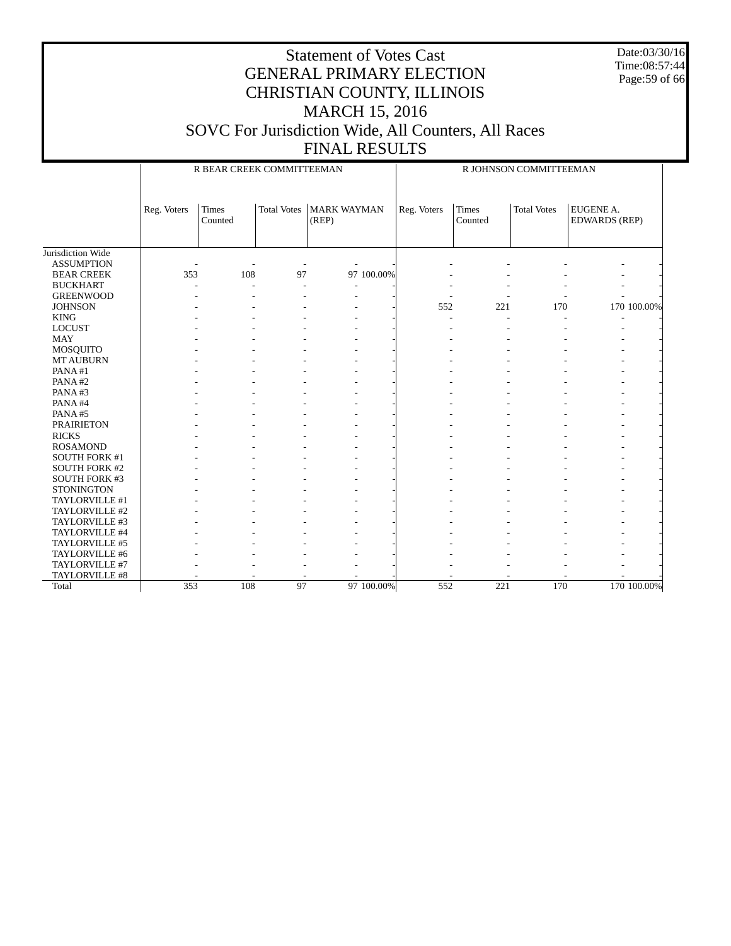Date:03/30/16 Time:08:57:44 Page:59 of 66

|                      |             | R BEAR CREEK COMMITTEEMAN |                    |                             |            | R JOHNSON COMMITTEEMAN |                         |                    |                                   |             |
|----------------------|-------------|---------------------------|--------------------|-----------------------------|------------|------------------------|-------------------------|--------------------|-----------------------------------|-------------|
|                      | Reg. Voters | <b>Times</b><br>Counted   | <b>Total Votes</b> | <b>MARK WAYMAN</b><br>(REP) |            | Reg. Voters            | <b>Times</b><br>Counted | <b>Total Votes</b> | EUGENE A.<br><b>EDWARDS (REP)</b> |             |
| Jurisdiction Wide    |             |                           |                    |                             |            |                        |                         |                    |                                   |             |
| <b>ASSUMPTION</b>    |             |                           |                    |                             |            |                        |                         |                    |                                   |             |
| <b>BEAR CREEK</b>    | 353         | 108                       | 97                 |                             | 97 100.00% |                        |                         |                    |                                   |             |
| <b>BUCKHART</b>      |             | L.                        | $\overline{a}$     |                             |            |                        |                         |                    |                                   |             |
| <b>GREENWOOD</b>     |             |                           | Ĭ.                 | $\overline{\phantom{a}}$    |            |                        |                         |                    |                                   |             |
| <b>JOHNSON</b>       |             |                           |                    |                             |            | 552                    | 221                     | 170                |                                   | 170 100.00% |
| <b>KING</b>          |             |                           |                    |                             |            |                        | $\overline{a}$          | L.                 |                                   |             |
| <b>LOCUST</b>        |             |                           |                    |                             |            |                        |                         |                    |                                   |             |
| <b>MAY</b>           |             |                           |                    |                             |            |                        |                         |                    |                                   |             |
| <b>MOSQUITO</b>      |             |                           |                    |                             |            |                        |                         |                    |                                   |             |
| <b>MT AUBURN</b>     |             |                           |                    |                             |            |                        |                         |                    |                                   |             |
| PANA#1               |             |                           |                    |                             |            |                        |                         |                    |                                   |             |
| PANA#2               |             |                           |                    |                             |            |                        |                         |                    |                                   |             |
| PANA#3               |             |                           |                    |                             |            |                        |                         |                    |                                   |             |
| PANA#4               |             |                           |                    |                             |            |                        |                         |                    |                                   |             |
| PANA#5               |             |                           |                    |                             |            |                        |                         |                    |                                   |             |
| <b>PRAIRIETON</b>    |             |                           |                    |                             |            |                        |                         |                    |                                   |             |
| <b>RICKS</b>         |             |                           |                    |                             |            |                        |                         |                    |                                   |             |
| <b>ROSAMOND</b>      |             |                           |                    |                             |            |                        |                         |                    |                                   |             |
| SOUTH FORK #1        |             |                           |                    |                             |            |                        |                         |                    |                                   |             |
| <b>SOUTH FORK #2</b> |             |                           |                    |                             |            |                        |                         |                    |                                   |             |
| <b>SOUTH FORK #3</b> |             |                           |                    |                             |            |                        |                         |                    |                                   |             |
| <b>STONINGTON</b>    |             |                           |                    |                             |            |                        |                         |                    |                                   |             |
| TAYLORVILLE #1       |             |                           |                    |                             |            |                        |                         |                    |                                   |             |
| TAYLORVILLE #2       |             |                           |                    |                             |            |                        |                         |                    |                                   |             |
| TAYLORVILLE #3       |             |                           |                    |                             |            |                        |                         |                    |                                   |             |
| TAYLORVILLE #4       |             |                           |                    |                             |            |                        |                         |                    |                                   |             |
| TAYLORVILLE #5       |             |                           |                    |                             |            |                        |                         |                    |                                   |             |
| TAYLORVILLE #6       |             |                           |                    |                             |            |                        |                         |                    |                                   |             |
| TAYLORVILLE #7       |             |                           |                    |                             |            |                        |                         |                    |                                   |             |
| TAYLORVILLE #8       |             |                           |                    |                             |            |                        |                         |                    |                                   |             |
| Total                | 353         | 108                       | 97                 |                             | 97 100,00% | 552                    | 221                     | 170                |                                   | 170 100.00% |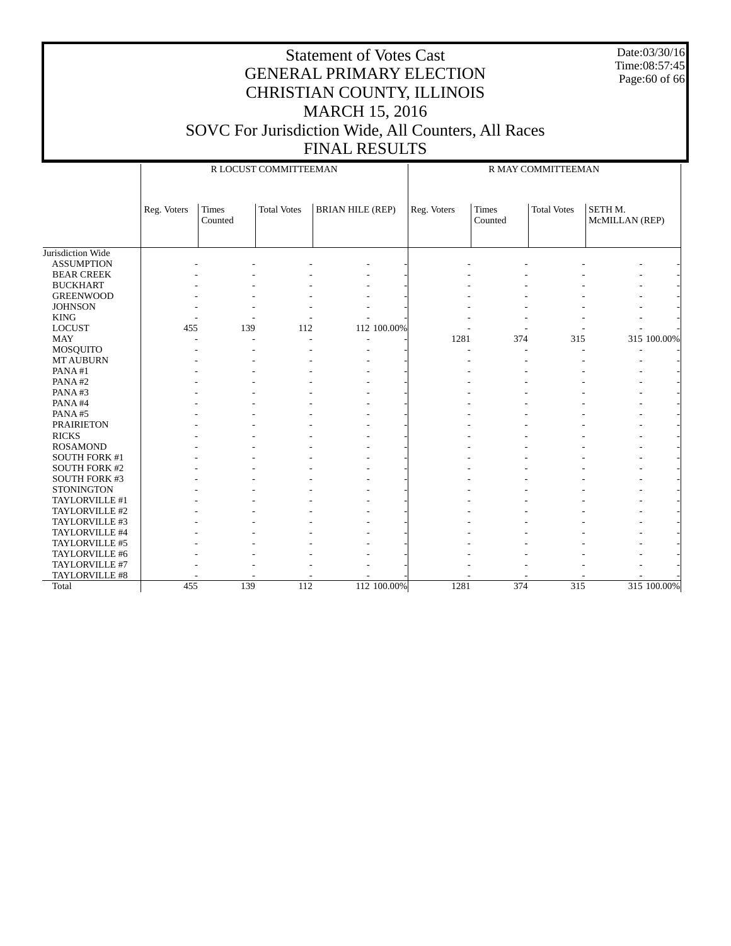Date:03/30/16 Time:08:57:45 Page:60 of 66

|                      |             |                  | R LOCUST COMMITTEEMAN |                         |             | R MAY COMMITTEEMAN      |                    |                           |  |  |
|----------------------|-------------|------------------|-----------------------|-------------------------|-------------|-------------------------|--------------------|---------------------------|--|--|
|                      |             |                  |                       |                         |             |                         |                    |                           |  |  |
|                      | Reg. Voters | Times<br>Counted | <b>Total Votes</b>    | <b>BRIAN HILE (REP)</b> | Reg. Voters | <b>Times</b><br>Counted | <b>Total Votes</b> | SETH M.<br>McMILLAN (REP) |  |  |
|                      |             |                  |                       |                         |             |                         |                    |                           |  |  |
| Jurisdiction Wide    |             |                  |                       |                         |             |                         |                    |                           |  |  |
| <b>ASSUMPTION</b>    |             |                  |                       |                         |             |                         |                    |                           |  |  |
| <b>BEAR CREEK</b>    |             |                  |                       |                         |             |                         |                    |                           |  |  |
| <b>BUCKHART</b>      |             |                  |                       |                         |             |                         |                    |                           |  |  |
| <b>GREENWOOD</b>     |             |                  |                       |                         |             |                         |                    |                           |  |  |
| <b>JOHNSON</b>       |             |                  |                       |                         |             |                         |                    |                           |  |  |
| <b>KING</b>          |             |                  |                       |                         |             |                         |                    |                           |  |  |
| <b>LOCUST</b>        | 455         | 139              | 112                   | 112 100.00%             |             |                         |                    |                           |  |  |
| <b>MAY</b>           |             | ٠                |                       |                         | 1281        | 374                     | 315                | 315 100.00%               |  |  |
| <b>MOSQUITO</b>      |             |                  |                       |                         | ä,          |                         |                    |                           |  |  |
| <b>MT AUBURN</b>     |             |                  |                       |                         |             |                         |                    |                           |  |  |
| PANA#1               |             |                  |                       |                         |             |                         |                    |                           |  |  |
| PANA#2               |             |                  |                       |                         |             |                         |                    |                           |  |  |
| PANA#3               |             |                  |                       |                         |             |                         |                    |                           |  |  |
| PANA#4               |             |                  |                       |                         |             |                         |                    |                           |  |  |
| PANA#5               |             |                  |                       |                         |             |                         |                    |                           |  |  |
| <b>PRAIRIETON</b>    |             |                  |                       |                         |             |                         |                    |                           |  |  |
| <b>RICKS</b>         |             |                  |                       |                         |             |                         |                    |                           |  |  |
| <b>ROSAMOND</b>      |             |                  |                       |                         |             |                         |                    |                           |  |  |
| SOUTH FORK #1        |             |                  |                       |                         |             |                         |                    |                           |  |  |
| <b>SOUTH FORK #2</b> |             |                  |                       |                         |             |                         |                    |                           |  |  |
| <b>SOUTH FORK #3</b> |             |                  |                       |                         |             |                         |                    |                           |  |  |
| <b>STONINGTON</b>    |             |                  |                       |                         |             |                         |                    |                           |  |  |
| TAYLORVILLE #1       |             |                  |                       |                         |             |                         |                    |                           |  |  |
| TAYLORVILLE #2       |             |                  |                       |                         |             |                         |                    |                           |  |  |
| TAYLORVILLE #3       |             |                  |                       |                         |             |                         |                    |                           |  |  |
| TAYLORVILLE #4       |             |                  |                       |                         |             |                         |                    |                           |  |  |
| TAYLORVILLE #5       |             |                  |                       |                         |             |                         |                    |                           |  |  |
| TAYLORVILLE #6       |             |                  |                       |                         |             |                         |                    |                           |  |  |
| TAYLORVILLE #7       |             |                  |                       |                         |             |                         |                    |                           |  |  |
| TAYLORVILLE #8       |             |                  |                       |                         |             |                         |                    |                           |  |  |
| Total                | 455         | 139              | 112                   | 112 100.00%             | 1281        | 374                     | 315                | 315 100.00%               |  |  |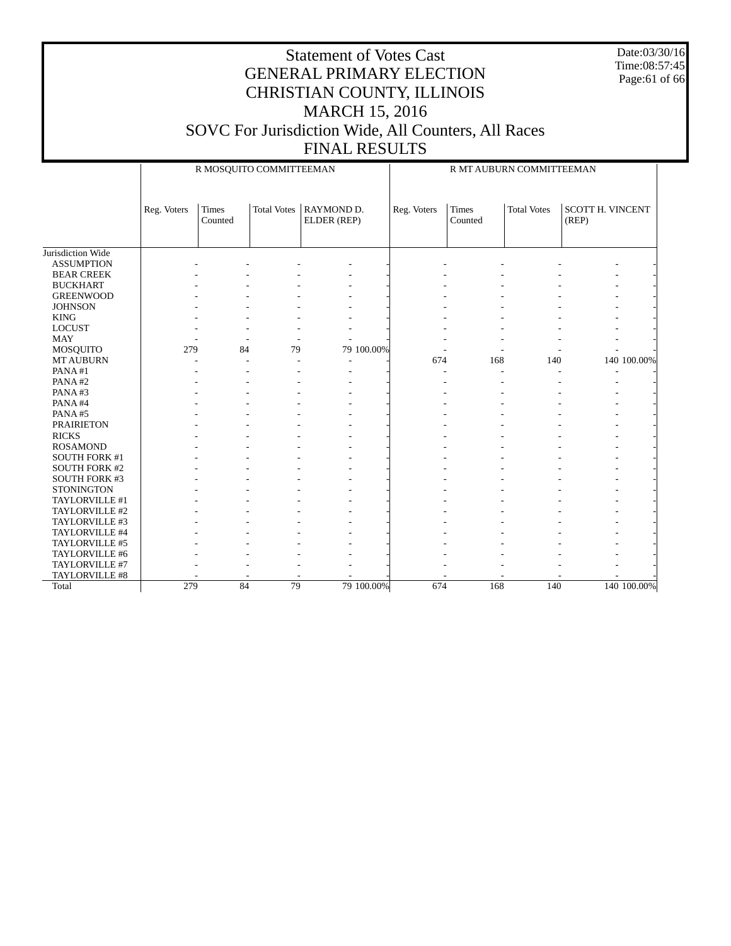Date:03/30/16 Time:08:57:45 Page:61 of 66

|                      |             | R MOSQUITO COMMITTEEMAN |                    |                           | R MT AUBURN COMMITTEEMAN |                         |                    |                                  |             |  |
|----------------------|-------------|-------------------------|--------------------|---------------------------|--------------------------|-------------------------|--------------------|----------------------------------|-------------|--|
|                      | Reg. Voters | <b>Times</b><br>Counted | <b>Total Votes</b> | RAYMOND D.<br>ELDER (REP) | Reg. Voters              | <b>Times</b><br>Counted | <b>Total Votes</b> | <b>SCOTT H. VINCENT</b><br>(REP) |             |  |
| Jurisdiction Wide    |             |                         |                    |                           |                          |                         |                    |                                  |             |  |
| <b>ASSUMPTION</b>    |             |                         |                    |                           |                          |                         |                    |                                  |             |  |
| <b>BEAR CREEK</b>    |             |                         |                    |                           |                          |                         |                    |                                  |             |  |
| <b>BUCKHART</b>      |             |                         |                    |                           |                          |                         |                    |                                  |             |  |
| <b>GREENWOOD</b>     |             |                         |                    |                           |                          |                         |                    |                                  |             |  |
| <b>JOHNSON</b>       |             |                         |                    |                           |                          |                         |                    |                                  |             |  |
| <b>KING</b>          |             |                         |                    |                           |                          |                         |                    |                                  |             |  |
| <b>LOCUST</b>        |             |                         |                    |                           |                          |                         |                    |                                  |             |  |
| <b>MAY</b>           |             |                         |                    |                           |                          |                         |                    |                                  |             |  |
| MOSQUITO             | 279         | 84                      | 79                 | 79 100.00%                |                          |                         |                    |                                  |             |  |
| <b>MT AUBURN</b>     |             |                         |                    |                           | 674                      | 168                     | 140                |                                  | 140 100.00% |  |
| PANA#1               |             |                         |                    |                           |                          |                         |                    |                                  |             |  |
| PANA#2               |             |                         |                    |                           |                          |                         |                    |                                  |             |  |
| PANA#3               |             |                         |                    |                           |                          |                         |                    |                                  |             |  |
| PANA#4               |             |                         |                    |                           |                          |                         |                    |                                  |             |  |
| PANA#5               |             |                         |                    |                           |                          |                         |                    |                                  |             |  |
| <b>PRAIRIETON</b>    |             |                         |                    |                           |                          |                         |                    |                                  |             |  |
| <b>RICKS</b>         |             |                         |                    |                           |                          |                         |                    |                                  |             |  |
| <b>ROSAMOND</b>      |             |                         |                    |                           |                          |                         |                    |                                  |             |  |
| SOUTH FORK #1        |             |                         |                    |                           |                          |                         |                    |                                  |             |  |
| <b>SOUTH FORK #2</b> |             |                         |                    |                           |                          |                         |                    |                                  |             |  |
| <b>SOUTH FORK #3</b> |             |                         |                    |                           |                          |                         |                    |                                  |             |  |
| <b>STONINGTON</b>    |             |                         |                    |                           |                          |                         |                    |                                  |             |  |
| TAYLORVILLE #1       |             |                         |                    |                           |                          |                         |                    |                                  |             |  |
| TAYLORVILLE #2       |             |                         |                    |                           |                          |                         |                    |                                  |             |  |
| TAYLORVILLE #3       |             |                         |                    |                           |                          |                         |                    |                                  |             |  |
| TAYLORVILLE #4       |             |                         |                    |                           |                          |                         |                    |                                  |             |  |
| TAYLORVILLE #5       |             |                         |                    |                           |                          |                         |                    |                                  |             |  |
| TAYLORVILLE #6       |             |                         |                    |                           |                          |                         |                    |                                  |             |  |
| TAYLORVILLE #7       |             |                         |                    |                           |                          |                         |                    |                                  |             |  |
| TAYLORVILLE #8       |             |                         |                    |                           |                          |                         |                    |                                  |             |  |
| Total                | 279         | $\overline{84}$         | 79                 | 79 100,00%                | 674                      | 168                     | 140                |                                  | 140 100,00% |  |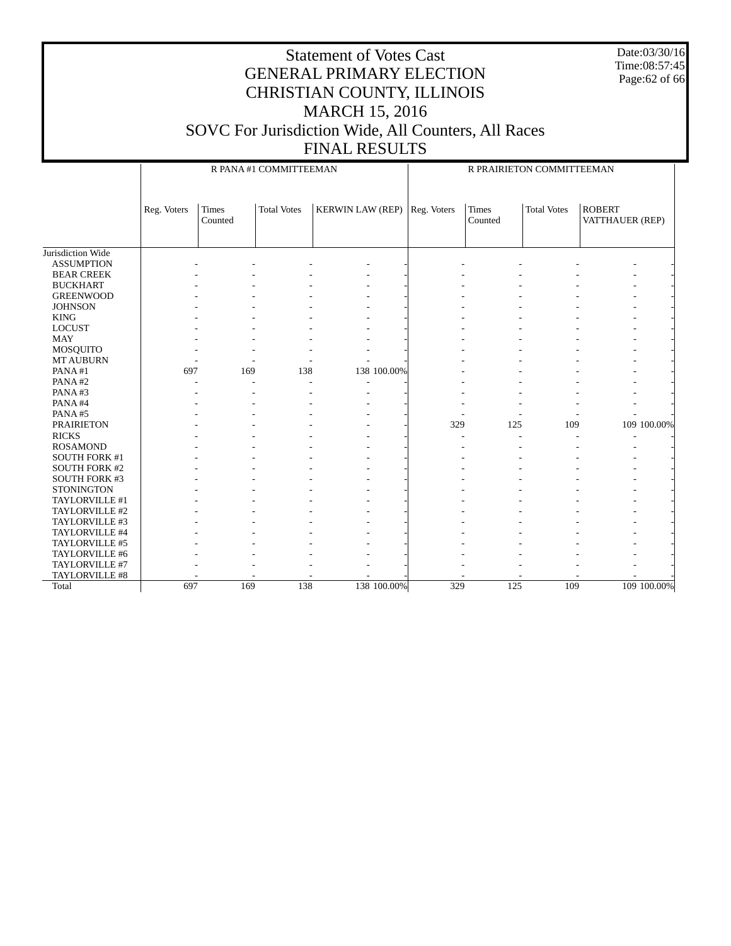Date:03/30/16 Time:08:57:45 Page:62 of 66

|                      |             |                         | R PANA#1 COMMITTEEMAN |                         | R PRAIRIETON COMMITTEEMAN |                  |                    |                                  |             |  |
|----------------------|-------------|-------------------------|-----------------------|-------------------------|---------------------------|------------------|--------------------|----------------------------------|-------------|--|
|                      | Reg. Voters | <b>Times</b><br>Counted | <b>Total Votes</b>    | <b>KERWIN LAW (REP)</b> | Reg. Voters               | Times<br>Counted | <b>Total Votes</b> | <b>ROBERT</b><br>VATTHAUER (REP) |             |  |
| Jurisdiction Wide    |             |                         |                       |                         |                           |                  |                    |                                  |             |  |
| <b>ASSUMPTION</b>    |             |                         |                       |                         |                           |                  |                    |                                  |             |  |
| <b>BEAR CREEK</b>    |             |                         |                       |                         |                           |                  |                    |                                  |             |  |
| <b>BUCKHART</b>      |             |                         |                       |                         |                           |                  |                    |                                  |             |  |
| <b>GREENWOOD</b>     |             |                         |                       |                         |                           |                  |                    |                                  |             |  |
| <b>JOHNSON</b>       |             |                         |                       |                         |                           |                  |                    |                                  |             |  |
| <b>KING</b>          |             |                         |                       |                         |                           |                  |                    |                                  |             |  |
| <b>LOCUST</b>        |             |                         |                       |                         |                           |                  |                    |                                  |             |  |
| <b>MAY</b>           |             |                         |                       |                         |                           |                  |                    |                                  |             |  |
| MOSQUITO             |             |                         |                       |                         |                           |                  |                    |                                  |             |  |
| <b>MT AUBURN</b>     |             |                         |                       |                         |                           |                  |                    |                                  |             |  |
| PANA#1               | 697         | 169                     | 138                   | 138 100.00%             |                           |                  |                    |                                  |             |  |
| PANA#2               |             |                         |                       |                         |                           |                  |                    |                                  |             |  |
| PANA#3               |             |                         |                       |                         |                           |                  |                    |                                  |             |  |
| PANA#4               |             |                         |                       |                         |                           |                  |                    |                                  |             |  |
| PANA#5               |             |                         |                       |                         |                           |                  |                    |                                  |             |  |
| <b>PRAIRIETON</b>    |             |                         |                       |                         | 329                       | 125              | 109                |                                  | 109 100.00% |  |
| <b>RICKS</b>         |             |                         |                       |                         |                           |                  |                    |                                  |             |  |
| <b>ROSAMOND</b>      |             |                         |                       |                         |                           |                  |                    |                                  |             |  |
| SOUTH FORK #1        |             |                         |                       |                         |                           |                  |                    |                                  |             |  |
| <b>SOUTH FORK #2</b> |             |                         |                       |                         |                           |                  |                    |                                  |             |  |
| <b>SOUTH FORK #3</b> |             |                         |                       |                         |                           |                  |                    |                                  |             |  |
| <b>STONINGTON</b>    |             |                         |                       |                         |                           |                  |                    |                                  |             |  |
| TAYLORVILLE #1       |             |                         |                       |                         |                           |                  |                    |                                  |             |  |
| TAYLORVILLE #2       |             |                         |                       |                         |                           |                  |                    |                                  |             |  |
| TAYLORVILLE #3       |             |                         |                       |                         |                           |                  |                    |                                  |             |  |
| TAYLORVILLE #4       |             |                         |                       |                         |                           |                  |                    |                                  |             |  |
| TAYLORVILLE #5       |             |                         |                       |                         |                           |                  |                    |                                  |             |  |
| TAYLORVILLE #6       |             |                         |                       |                         |                           |                  |                    |                                  |             |  |
| TAYLORVILLE #7       |             |                         |                       |                         |                           |                  |                    |                                  |             |  |
| TAYLORVILLE #8       |             |                         |                       |                         |                           |                  |                    |                                  |             |  |
| Total                | 697         | 169                     | 138                   | 138 100.00%             | 329                       | 125              | 109                |                                  | 109 100.00% |  |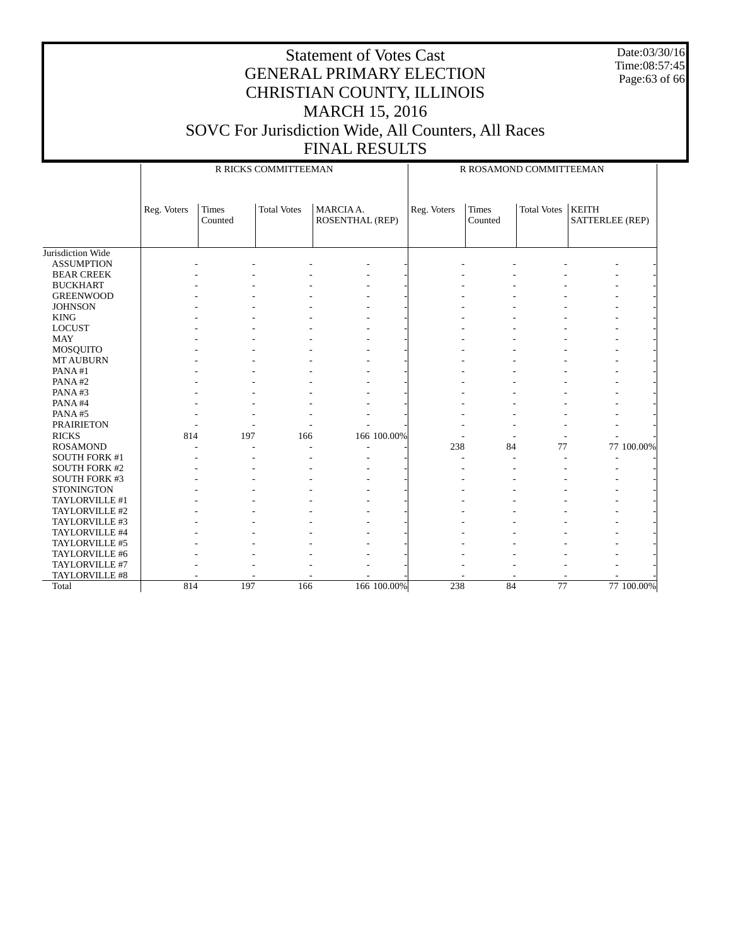Date:03/30/16 Time:08:57:45 Page:63 of 66

|                      |             |                                                            | R RICKS COMMITTEEMAN |                          | R ROSAMOND COMMITTEEMAN |                         |                    |                                 |            |  |
|----------------------|-------------|------------------------------------------------------------|----------------------|--------------------------|-------------------------|-------------------------|--------------------|---------------------------------|------------|--|
|                      | Reg. Voters | MARCIA A.<br><b>Times</b><br><b>Total Votes</b><br>Counted |                      | <b>ROSENTHAL (REP)</b>   | Reg. Voters             | <b>Times</b><br>Counted | <b>Total Votes</b> | <b>KEITH</b><br>SATTERLEE (REP) |            |  |
| Jurisdiction Wide    |             |                                                            |                      |                          |                         |                         |                    |                                 |            |  |
| <b>ASSUMPTION</b>    |             |                                                            |                      |                          |                         |                         |                    |                                 |            |  |
| <b>BEAR CREEK</b>    |             |                                                            |                      |                          |                         |                         |                    |                                 |            |  |
| <b>BUCKHART</b>      |             |                                                            |                      |                          |                         |                         |                    |                                 |            |  |
| <b>GREENWOOD</b>     |             |                                                            |                      |                          |                         |                         |                    |                                 |            |  |
| <b>JOHNSON</b>       |             |                                                            |                      |                          |                         |                         |                    |                                 |            |  |
| <b>KING</b>          |             |                                                            |                      |                          |                         |                         |                    |                                 |            |  |
| <b>LOCUST</b>        |             |                                                            |                      |                          |                         |                         |                    |                                 |            |  |
| <b>MAY</b>           |             |                                                            |                      |                          |                         |                         |                    |                                 |            |  |
| MOSQUITO             |             |                                                            |                      |                          |                         |                         |                    |                                 |            |  |
| <b>MT AUBURN</b>     |             |                                                            |                      |                          |                         |                         |                    |                                 |            |  |
| PANA#1               |             |                                                            |                      |                          |                         |                         |                    |                                 |            |  |
| PANA#2               |             |                                                            |                      |                          |                         |                         |                    |                                 |            |  |
| PANA#3               |             |                                                            |                      |                          |                         |                         |                    |                                 |            |  |
| PANA#4               |             |                                                            |                      |                          |                         |                         |                    |                                 |            |  |
| PANA#5               |             |                                                            |                      |                          |                         |                         |                    |                                 |            |  |
| <b>PRAIRIETON</b>    |             |                                                            |                      |                          |                         |                         |                    |                                 |            |  |
| <b>RICKS</b>         | 814         | 197                                                        | 166                  | 166 100.00%              |                         |                         |                    |                                 |            |  |
| <b>ROSAMOND</b>      |             |                                                            | ÷,                   | $\overline{\phantom{a}}$ | 238                     | 84                      | 77                 |                                 | 77 100.00% |  |
| SOUTH FORK #1        |             |                                                            |                      |                          |                         |                         |                    |                                 |            |  |
| <b>SOUTH FORK #2</b> |             |                                                            |                      |                          |                         |                         |                    |                                 |            |  |
| <b>SOUTH FORK #3</b> |             |                                                            |                      |                          |                         |                         |                    |                                 |            |  |
| <b>STONINGTON</b>    |             |                                                            |                      |                          |                         |                         |                    |                                 |            |  |
| TAYLORVILLE #1       |             |                                                            |                      |                          |                         |                         |                    |                                 |            |  |
| TAYLORVILLE #2       |             |                                                            |                      |                          |                         |                         |                    |                                 |            |  |
| TAYLORVILLE #3       |             |                                                            |                      |                          |                         |                         |                    |                                 |            |  |
| TAYLORVILLE #4       |             |                                                            |                      |                          |                         |                         |                    |                                 |            |  |
| TAYLORVILLE #5       |             |                                                            |                      |                          |                         |                         |                    |                                 |            |  |
| TAYLORVILLE #6       |             |                                                            |                      |                          |                         |                         |                    |                                 |            |  |
| TAYLORVILLE #7       |             |                                                            |                      |                          |                         |                         |                    |                                 |            |  |
| TAYLORVILLE #8       |             |                                                            |                      |                          |                         |                         |                    |                                 |            |  |
| Total                | 814         | 197                                                        | 166                  | 166 100.00%              | 238                     | 84                      | 77                 |                                 | 77 100.00% |  |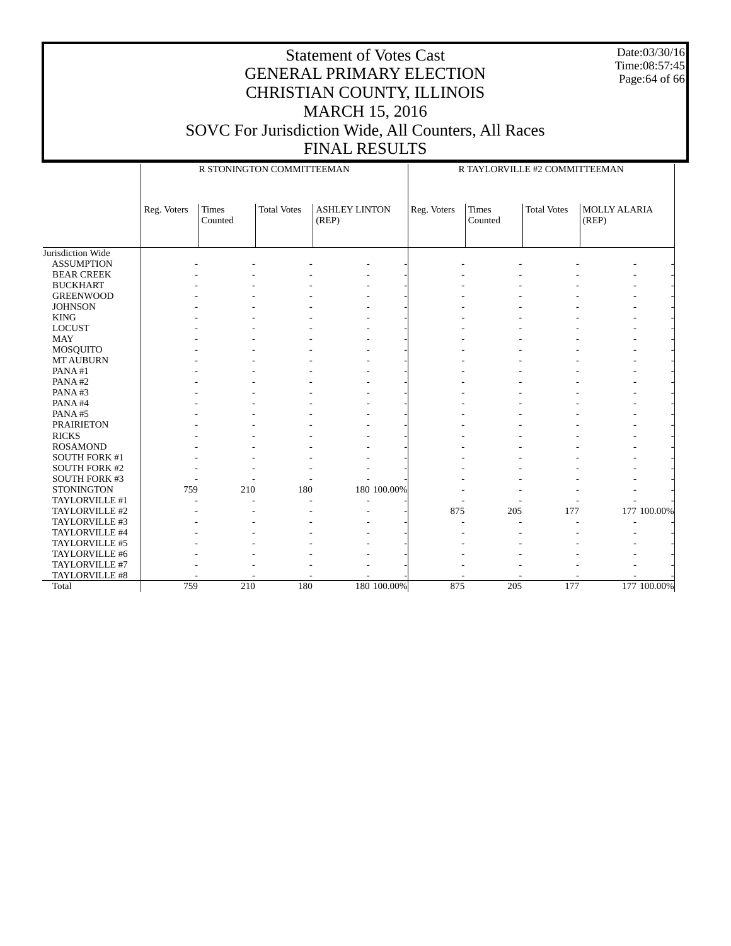Date:03/30/16 Time:08:57:45 Page:64 of 66

|                      |             |                  | R STONINGTON COMMITTEEMAN |                               | R TAYLORVILLE #2 COMMITTEEMAN |                  |                    |                       |             |  |
|----------------------|-------------|------------------|---------------------------|-------------------------------|-------------------------------|------------------|--------------------|-----------------------|-------------|--|
|                      | Reg. Voters | Times<br>Counted | <b>Total Votes</b>        | <b>ASHLEY LINTON</b><br>(REP) | Reg. Voters                   | Times<br>Counted | <b>Total Votes</b> | MOLLY ALARIA<br>(REP) |             |  |
| Jurisdiction Wide    |             |                  |                           |                               |                               |                  |                    |                       |             |  |
| <b>ASSUMPTION</b>    |             |                  |                           |                               |                               |                  |                    |                       |             |  |
| <b>BEAR CREEK</b>    |             |                  |                           |                               |                               |                  |                    |                       |             |  |
| <b>BUCKHART</b>      |             |                  |                           |                               |                               |                  |                    |                       |             |  |
| <b>GREENWOOD</b>     |             |                  |                           |                               |                               |                  |                    |                       |             |  |
| <b>JOHNSON</b>       |             |                  |                           |                               |                               |                  |                    |                       |             |  |
| <b>KING</b>          |             |                  |                           |                               |                               |                  |                    |                       |             |  |
| <b>LOCUST</b>        |             |                  |                           |                               |                               |                  |                    |                       |             |  |
| <b>MAY</b>           |             |                  |                           |                               |                               |                  |                    |                       |             |  |
| MOSQUITO             |             |                  |                           |                               |                               |                  |                    |                       |             |  |
| <b>MT AUBURN</b>     |             |                  |                           |                               |                               |                  |                    |                       |             |  |
| PANA#1               |             |                  |                           |                               |                               |                  |                    |                       |             |  |
| PANA#2               |             |                  |                           |                               |                               |                  |                    |                       |             |  |
| PANA#3               |             |                  |                           |                               |                               |                  |                    |                       |             |  |
| PANA#4               |             |                  |                           |                               |                               |                  |                    |                       |             |  |
| PANA#5               |             |                  |                           |                               |                               |                  |                    |                       |             |  |
| <b>PRAIRIETON</b>    |             |                  |                           |                               |                               |                  |                    |                       |             |  |
| <b>RICKS</b>         |             |                  |                           |                               |                               |                  |                    |                       |             |  |
| <b>ROSAMOND</b>      |             |                  |                           |                               |                               |                  |                    |                       |             |  |
| <b>SOUTH FORK #1</b> |             |                  |                           |                               |                               |                  |                    |                       |             |  |
| <b>SOUTH FORK #2</b> |             |                  |                           |                               |                               |                  |                    |                       |             |  |
| <b>SOUTH FORK #3</b> |             |                  |                           |                               |                               |                  |                    |                       |             |  |
| <b>STONINGTON</b>    | 759         | 210              | 180                       | 180 100.00%                   |                               |                  |                    |                       |             |  |
| TAYLORVILLE #1       |             |                  |                           |                               |                               |                  |                    |                       |             |  |
| TAYLORVILLE #2       |             |                  |                           |                               | 875                           | 205              | 177                |                       | 177 100.00% |  |
| TAYLORVILLE #3       |             |                  |                           |                               |                               |                  |                    |                       |             |  |
| TAYLORVILLE #4       |             |                  |                           |                               |                               |                  |                    |                       |             |  |
| TAYLORVILLE #5       |             |                  |                           |                               |                               |                  |                    |                       |             |  |
| TAYLORVILLE #6       |             |                  |                           |                               |                               |                  |                    |                       |             |  |
| TAYLORVILLE #7       |             |                  |                           |                               |                               |                  |                    |                       |             |  |
| TAYLORVILLE #8       |             |                  |                           |                               |                               |                  |                    |                       |             |  |
| Total                | 759         | 210              | 180                       | 180 100.00%                   | 875                           | 205              | 177                |                       | 177 100.00% |  |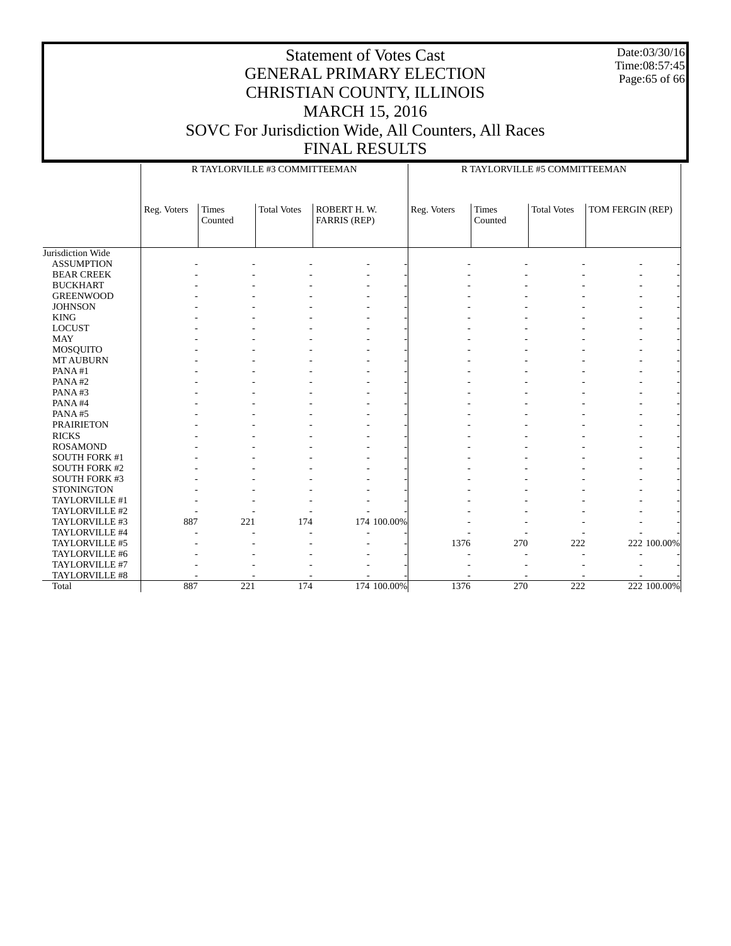Date:03/30/16 Time:08:57:45 Page:65 of 66

#### Statement of Votes Cast GENERAL PRIMARY ELECTION CHRISTIAN COUNTY, ILLINOIS MARCH 15, 2016 SOVC For Jurisdiction Wide, All Counters, All Races FINAL RESULTS

 Jurisdiction Wide ASSUMPTION BEAR CREEK BUCKHART GREENWOOD JOHNSON KING LOCUST MAY MOSQUITO MT AUBURN PANA #1 PANA #2 PANA #3 PANA #4 PANA #5 PRAIRIETON RICKS ROSAMOND SOUTH FORK #1 SOUTH FORK #2 SOUTH FORK #3 **STONINGTON**  TAYLORVILLE #1 TAYLORVILLE #2 TAYLORVILLE #3 TAYLORVILLE #4 TAYLORVILLE #5 TAYLORVILLE #6 TAYLORVILLE #7 TAYLORVILLE #8 Total Reg. Voters | Times Counted Total Votes | ROBERT H.W. FARRIS (REP) R TAYLORVILLE #3 COMMITTEEMAN Reg. Voters Times Counted Total Votes | TOM FERGIN (REP) R TAYLORVILLE #5 COMMITTEEMAN - - - - - - - - - - - - - - - - - - - - - - - - - - - - - - - - - - - - - - - - - - - - - - - - - - - - - - - - - - - - - - - - - - - - - - - - - - - - - - - - - - - - - - - - - - - - - - - - - - - - - - - - - - - - - - - - - - - - - - - - - - - - - - - - - - - - - - - - - - - - - - - - - - - - - - - - - - - - - - - - - - - - - - - - - - - - - - - - - - - - - - - - - - - - - - - - - - - - - - - - - - - - - - - - - - - - - - - - - - - - - - - - - - - - - - - - - - - - - - - - 887 221 174 174 100.00% - - - - - - - - - - - - - - - - - - - - - - - - - - 1376 270 222 222 100.00% - - - - - - - - - - - - - - - - - - - - - - - - - - - - - - 887 221 174 174 100.00% 1376 270 222 222 100.00%